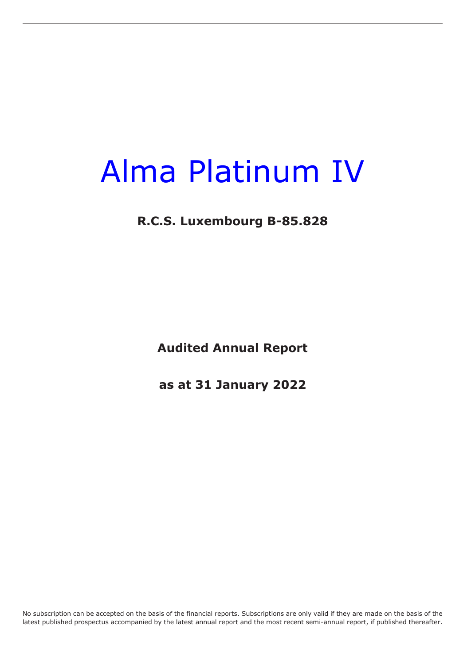### **R.C.S. Luxembourg B-85.828**

**Audited Annual Report**

**as at 31 January 2022**

No subscription can be accepted on the basis of the financial reports. Subscriptions are only valid if they are made on the basis of the latest published prospectus accompanied by the latest annual report and the most recent semi-annual report, if published thereafter.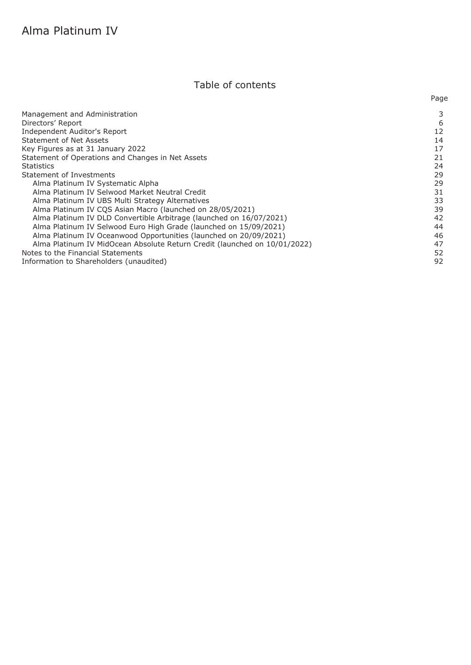### Table of contents

Page

| Management and Administration                                             |    |
|---------------------------------------------------------------------------|----|
| Directors' Report                                                         | 6  |
| Independent Auditor's Report                                              | 12 |
| <b>Statement of Net Assets</b>                                            | 14 |
| Key Figures as at 31 January 2022                                         | 17 |
| Statement of Operations and Changes in Net Assets                         | 21 |
| <b>Statistics</b>                                                         | 24 |
| Statement of Investments                                                  | 29 |
| Alma Platinum IV Systematic Alpha                                         | 29 |
| Alma Platinum IV Selwood Market Neutral Credit                            | 31 |
| Alma Platinum IV UBS Multi Strategy Alternatives                          | 33 |
| Alma Platinum IV CQS Asian Macro (launched on 28/05/2021)                 | 39 |
| Alma Platinum IV DLD Convertible Arbitrage (launched on 16/07/2021)       | 42 |
| Alma Platinum IV Selwood Euro High Grade (launched on 15/09/2021)         | 44 |
| Alma Platinum IV Oceanwood Opportunities (launched on 20/09/2021)         | 46 |
| Alma Platinum IV MidOcean Absolute Return Credit (launched on 10/01/2022) | 47 |
| Notes to the Financial Statements                                         | 52 |
| Information to Shareholders (unaudited)                                   | 92 |
|                                                                           |    |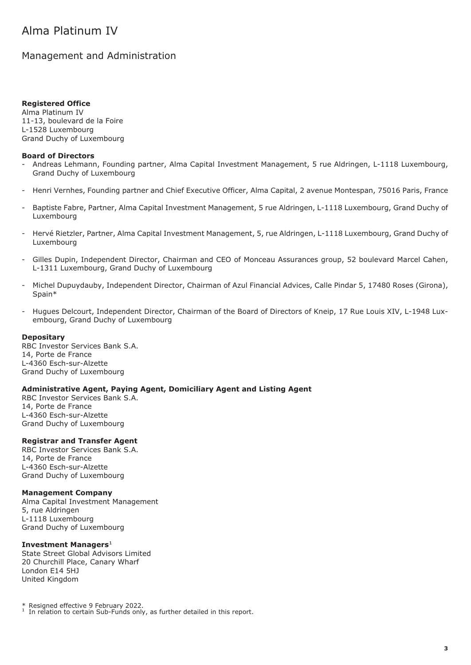### <span id="page-2-0"></span>Management and Administration

#### **Registered Office**

Alma Platinum IV 11-13, boulevard de la Foire L-1528 Luxembourg Grand Duchy of Luxembourg

#### **Board of Directors**

- Andreas Lehmann, Founding partner, Alma Capital Investment Management, 5 rue Aldringen, L-1118 Luxembourg, Grand Duchy of Luxembourg
- Henri Vernhes, Founding partner and Chief Executive Officer, Alma Capital, 2 avenue Montespan, 75016 Paris, France
- Baptiste Fabre, Partner, Alma Capital Investment Management, 5 rue Aldringen, L-1118 Luxembourg, Grand Duchy of Luxembourg
- Hervé Rietzler, Partner, Alma Capital Investment Management, 5, rue Aldringen, L-1118 Luxembourg, Grand Duchy of Luxembourg
- Gilles Dupin, Independent Director, Chairman and CEO of Monceau Assurances group, 52 boulevard Marcel Cahen, L-1311 Luxembourg, Grand Duchy of Luxembourg
- Michel Dupuydauby, Independent Director, Chairman of Azul Financial Advices, Calle Pindar 5, 17480 Roses (Girona), Spain\*
- Hugues Delcourt, Independent Director, Chairman of the Board of Directors of Kneip, 17 Rue Louis XIV, L-1948 Luxembourg, Grand Duchy of Luxembourg

#### **Depositary**

RBC Investor Services Bank S.A. 14, Porte de France L-4360 Esch-sur-Alzette Grand Duchy of Luxembourg

#### **Administrative Agent, Paying Agent, Domiciliary Agent and Listing Agent**

RBC Investor Services Bank S.A. 14, Porte de France L-4360 Esch-sur-Alzette Grand Duchy of Luxembourg

#### **Registrar and Transfer Agent**

RBC Investor Services Bank S.A. 14, Porte de France L-4360 Esch-sur-Alzette Grand Duchy of Luxembourg

#### **Management Company**

Alma Capital Investment Management 5, rue Aldringen L-1118 Luxembourg Grand Duchy of Luxembourg

#### **Investment Managers**<sup>1</sup>

State Street Global Advisors Limited 20 Churchill Place, Canary Wharf London E14 5HJ United Kingdom

\* Resigned effective 9 February 2022.

<sup>1</sup> In relation to certain Sub-Funds only, as further detailed in this report.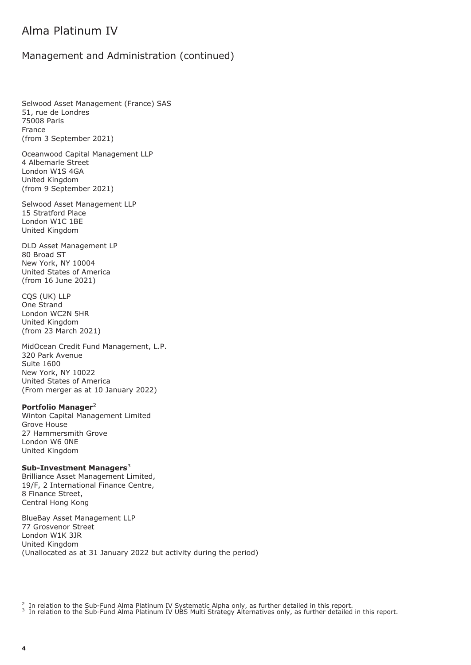### Management and Administration (continued)

Selwood Asset Management (France) SAS 51, rue de Londres 75008 Paris France (from 3 September 2021)

Oceanwood Capital Management LLP 4 Albemarle Street London W1S 4GA United Kingdom (from 9 September 2021)

Selwood Asset Management LLP 15 Stratford Place London W1C 1BE United Kingdom

DLD Asset Management LP 80 Broad ST New York, NY 10004 United States of America (from 16 June 2021)

CQS (UK) LLP One Strand London WC2N 5HR United Kingdom (from 23 March 2021)

MidOcean Credit Fund Management, L.P. 320 Park Avenue Suite 1600 New York, NY 10022 United States of America (From merger as at 10 January 2022)

#### **Portfolio Manager**<sup>2</sup>

Winton Capital Management Limited Grove House 27 Hammersmith Grove London W6 0NE United Kingdom

#### **Sub-Investment Managers**<sup>3</sup>

Brilliance Asset Management Limited, 19/F, 2 International Finance Centre, 8 Finance Street, Central Hong Kong

BlueBay Asset Management LLP 77 Grosvenor Street London W1K 3JR United Kingdom (Unallocated as at 31 January 2022 but activity during the period)

<sup>2</sup> In relation to the Sub-Fund Alma Platinum IV Systematic Alpha only, as further detailed in this report.<br><sup>3</sup> In relation to the Sub-Fund Alma Platinum IV UBS Multi Strategy Alternatives only, as further detailed in thi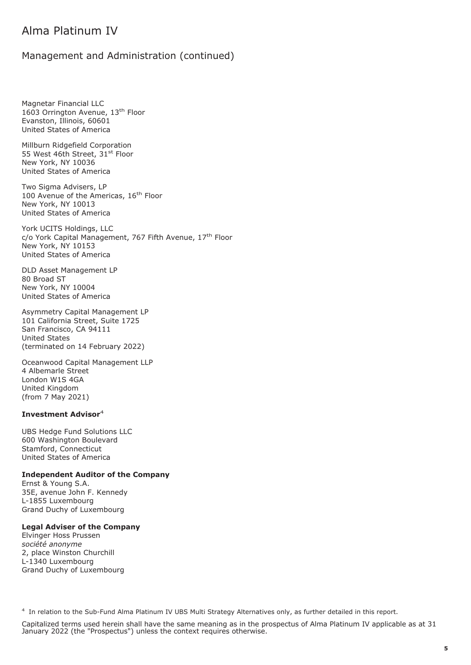#### Management and Administration (continued)

Magnetar Financial LLC 1603 Orrington Avenue, 13th Floor Evanston, Illinois, 60601 United States of America

Millburn Ridgefield Corporation 55 West 46th Street, 31st Floor New York, NY 10036 United States of America

Two Sigma Advisers, LP 100 Avenue of the Americas, 16<sup>th</sup> Floor New York, NY 10013 United States of America

York UCITS Holdings, LLC c/o York Capital Management, 767 Fifth Avenue, 17<sup>th</sup> Floor New York, NY 10153 United States of America

DLD Asset Management LP 80 Broad ST New York, NY 10004 United States of America

Asymmetry Capital Management LP 101 California Street, Suite 1725 San Francisco, CA 94111 United States (terminated on 14 February 2022)

Oceanwood Capital Management LLP 4 Albemarle Street London W1S 4GA United Kingdom (from 7 May 2021)

#### **Investment Advisor**<sup>4</sup>

UBS Hedge Fund Solutions LLC 600 Washington Boulevard Stamford, Connecticut United States of America

#### **Independent Auditor of the Company**

Ernst & Young S.A. 35E, avenue John F. Kennedy L-1855 Luxembourg Grand Duchy of Luxembourg

#### **Legal Adviser of the Company**

Elvinger Hoss Prussen *société anonyme* 2, place Winston Churchill L-1340 Luxembourg Grand Duchy of Luxembourg

<sup>4</sup> In relation to the Sub-Fund Alma Platinum IV UBS Multi Strategy Alternatives only, as further detailed in this report.

Capitalized terms used herein shall have the same meaning as in the prospectus of Alma Platinum IV applicable as at 31 January 2022 (the "Prospectus") unless the context requires otherwise.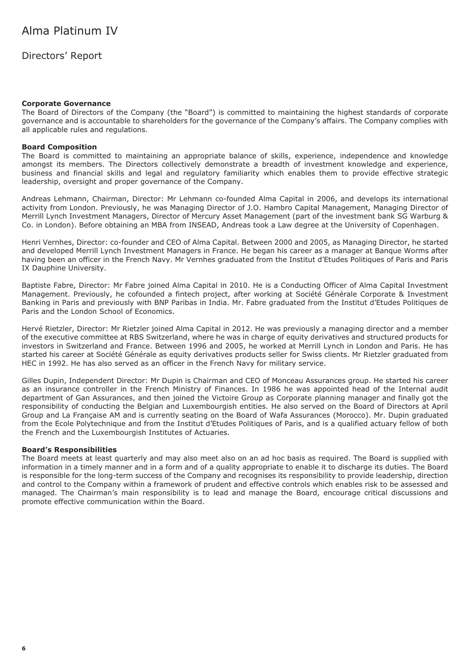<span id="page-5-0"></span>Directors' Report

#### **Corporate Governance**

The Board of Directors of the Company (the "Board") is committed to maintaining the highest standards of corporate governance and is accountable to shareholders for the governance of the Company's affairs. The Company complies with all applicable rules and regulations.

#### **Board Composition**

The Board is committed to maintaining an appropriate balance of skills, experience, independence and knowledge amongst its members. The Directors collectively demonstrate a breadth of investment knowledge and experience, business and financial skills and legal and regulatory familiarity which enables them to provide effective strategic leadership, oversight and proper governance of the Company.

Andreas Lehmann, Chairman, Director: Mr Lehmann co-founded Alma Capital in 2006, and develops its international activity from London. Previously, he was Managing Director of J.O. Hambro Capital Management, Managing Director of Merrill Lynch Investment Managers, Director of Mercury Asset Management (part of the investment bank SG Warburg & Co. in London). Before obtaining an MBA from INSEAD, Andreas took a Law degree at the University of Copenhagen.

Henri Vernhes, Director: co-founder and CEO of Alma Capital. Between 2000 and 2005, as Managing Director, he started and developed Merrill Lynch Investment Managers in France. He began his career as a manager at Banque Worms after having been an officer in the French Navy. Mr Vernhes graduated from the Institut d'Etudes Politiques of Paris and Paris IX Dauphine University.

Baptiste Fabre, Director: Mr Fabre joined Alma Capital in 2010. He is a Conducting Officer of Alma Capital Investment Management. Previously, he cofounded a fintech project, after working at Société Générale Corporate & Investment Banking in Paris and previously with BNP Paribas in India. Mr. Fabre graduated from the Institut d'Etudes Politiques de Paris and the London School of Economics.

Hervé Rietzler, Director: Mr Rietzler joined Alma Capital in 2012. He was previously a managing director and a member of the executive committee at RBS Switzerland, where he was in charge of equity derivatives and structured products for investors in Switzerland and France. Between 1996 and 2005, he worked at Merrill Lynch in London and Paris. He has started his career at Société Générale as equity derivatives products seller for Swiss clients. Mr Rietzler graduated from HEC in 1992. He has also served as an officer in the French Navy for military service.

Gilles Dupin, Independent Director: Mr Dupin is Chairman and CEO of Monceau Assurances group. He started his career as an insurance controller in the French Ministry of Finances. In 1986 he was appointed head of the Internal audit department of Gan Assurances, and then joined the Victoire Group as Corporate planning manager and finally got the responsibility of conducting the Belgian and Luxembourgish entities. He also served on the Board of Directors at April Group and La Française AM and is currently seating on the Board of Wafa Assurances (Morocco). Mr. Dupin graduated from the Ecole Polytechnique and from the Institut d'Etudes Politiques of Paris, and is a qualified actuary fellow of both the French and the Luxembourgish Institutes of Actuaries.

#### **Board's Responsibilities**

The Board meets at least quarterly and may also meet also on an ad hoc basis as required. The Board is supplied with information in a timely manner and in a form and of a quality appropriate to enable it to discharge its duties. The Board is responsible for the long-term success of the Company and recognises its responsibility to provide leadership, direction and control to the Company within a framework of prudent and effective controls which enables risk to be assessed and managed. The Chairman's main responsibility is to lead and manage the Board, encourage critical discussions and promote effective communication within the Board.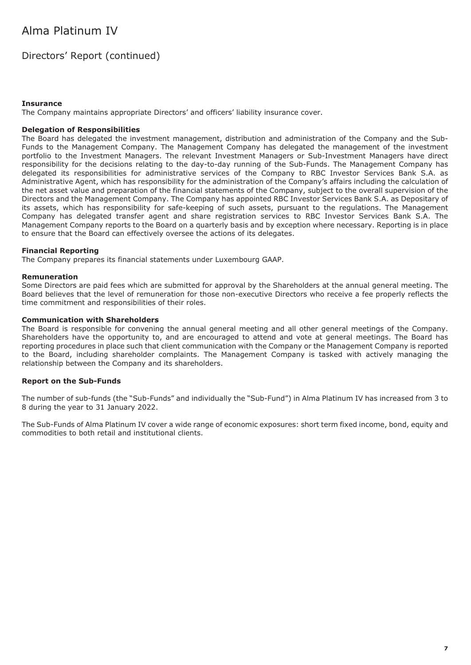### Directors' Report (continued)

#### **Insurance**

The Company maintains appropriate Directors' and officers' liability insurance cover.

#### **Delegation of Responsibilities**

The Board has delegated the investment management, distribution and administration of the Company and the Sub-Funds to the Management Company. The Management Company has delegated the management of the investment portfolio to the Investment Managers. The relevant Investment Managers or Sub-Investment Managers have direct responsibility for the decisions relating to the day-to-day running of the Sub-Funds. The Management Company has delegated its responsibilities for administrative services of the Company to RBC Investor Services Bank S.A. as Administrative Agent, which has responsibility for the administration of the Company's affairs including the calculation of the net asset value and preparation of the financial statements of the Company, subject to the overall supervision of the Directors and the Management Company. The Company has appointed RBC Investor Services Bank S.A. as Depositary of its assets, which has responsibility for safe-keeping of such assets, pursuant to the regulations. The Management Company has delegated transfer agent and share registration services to RBC Investor Services Bank S.A. The Management Company reports to the Board on a quarterly basis and by exception where necessary. Reporting is in place to ensure that the Board can effectively oversee the actions of its delegates.

#### **Financial Reporting**

The Company prepares its financial statements under Luxembourg GAAP.

#### **Remuneration**

Some Directors are paid fees which are submitted for approval by the Shareholders at the annual general meeting. The Board believes that the level of remuneration for those non-executive Directors who receive a fee properly reflects the time commitment and responsibilities of their roles.

#### **Communication with Shareholders**

The Board is responsible for convening the annual general meeting and all other general meetings of the Company. Shareholders have the opportunity to, and are encouraged to attend and vote at general meetings. The Board has reporting procedures in place such that client communication with the Company or the Management Company is reported to the Board, including shareholder complaints. The Management Company is tasked with actively managing the relationship between the Company and its shareholders.

#### **Report on the Sub-Funds**

The number of sub-funds (the "Sub-Funds" and individually the "Sub-Fund") in Alma Platinum IV has increased from 3 to 8 during the year to 31 January 2022.

The Sub-Funds of Alma Platinum IV cover a wide range of economic exposures: short term fixed income, bond, equity and commodities to both retail and institutional clients.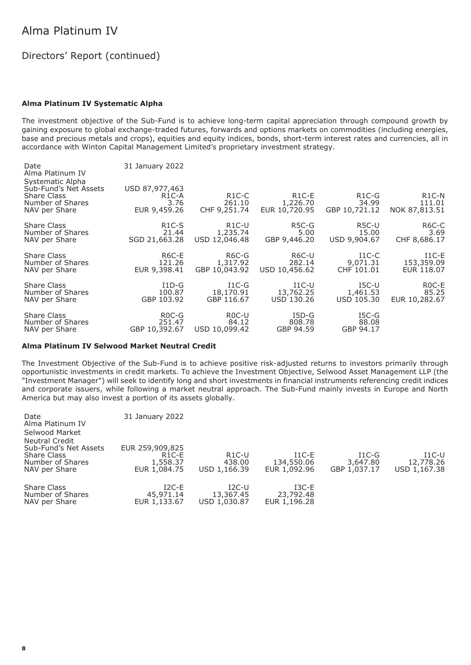### Directors' Report (continued)

#### **Alma Platinum IV Systematic Alpha**

The investment objective of the Sub-Fund is to achieve long-term capital appreciation through compound growth by gaining exposure to global exchange-traded futures, forwards and options markets on commodities (including energies, base and precious metals and crops), equities and equity indices, bonds, short-term interest rates and currencies, all in accordance with Winton Capital Management Limited's proprietary investment strategy.

| Date<br>Alma Platinum IV                                                                      | 31 January 2022                                              |                                              |                                      |                                              |                                               |
|-----------------------------------------------------------------------------------------------|--------------------------------------------------------------|----------------------------------------------|--------------------------------------|----------------------------------------------|-----------------------------------------------|
| Systematic Alpha<br>Sub-Fund's Net Assets<br>Share Class<br>Number of Shares<br>NAV per Share | USD 87,977,463<br>R <sub>1</sub> C-A<br>3.76<br>EUR 9,459.26 | R <sub>1</sub> C-C<br>261.10<br>CHF 9,251.74 | $R1C-E$<br>1,226.70<br>EUR 10,720.95 | R <sub>1</sub> C-G<br>34.99<br>GBP 10,721.12 | R <sub>1</sub> C-N<br>111.01<br>NOK 87,813.51 |
| Share Class                                                                                   | R <sub>1</sub> C-S                                           | $R1C-U$                                      | R5C-G                                | R5C-U                                        | R <sub>6</sub> C-C                            |
| Number of Shares                                                                              | 21.44                                                        | 1,235.74                                     | 5.00                                 | 15.00                                        | 3.69                                          |
| NAV per Share                                                                                 | SGD 21,663.28                                                | USD 12,046.48                                | GBP 9,446.20                         | USD 9,904.67                                 | CHF 8,686.17                                  |
| Share Class                                                                                   | R6C-E                                                        | R6C-G                                        | R6C-U                                | $_{\rm I1C-C}$                               | $I1C-E$                                       |
| Number of Shares                                                                              | 121.26                                                       | 1,317.92                                     | 282.14                               | 9,071.31                                     | 153,359.09                                    |
| NAV per Share                                                                                 | EUR 9,398.41                                                 | GBP 10,043.92                                | USD 10,456.62                        | CHF 101.01                                   | EUR 118.07                                    |
| Share Class                                                                                   | $ID-G$                                                       | $I1C-G$                                      | $_{\rm{I1C-U}}$                      | $_{\rm{ISC-U}}$                              | R <sub>0</sub> C-E                            |
| Number of Shares                                                                              | 100.87                                                       | 18,170.91                                    | 13,762.25                            | 1,461.53                                     | 85.25                                         |
| NAV per Share                                                                                 | GBP 103.92                                                   | GBP 116.67                                   | USD 130.26                           | USD 105.30                                   | EUR 10,282.67                                 |
| Share Class                                                                                   | $ROC-G$                                                      | R <sub>0</sub> C-U                           | $I5D-G$                              | $ISC-G$                                      |                                               |
| Number of Shares                                                                              | 251.47                                                       | 84.12                                        | 808.78                               | 88.08                                        |                                               |
| NAV per Share                                                                                 | GBP 10,392.67                                                | USD 10,099.42                                | GBP 94.59                            | GBP 94.17                                    |                                               |

#### **Alma Platinum IV Selwood Market Neutral Credit**

The Investment Objective of the Sub-Fund is to achieve positive risk-adjusted returns to investors primarily through opportunistic investments in credit markets. To achieve the Investment Objective, Selwood Asset Management LLP (the "Investment Manager") will seek to identify long and short investments in financial instruments referencing credit indices and corporate issuers, while following a market neutral approach. The Sub-Fund mainly invests in Europe and North America but may also invest a portion of its assets globally.

| Date<br>Alma Platinum IV                                | 31 January 2022                      |                                      |                                             |                     |                             |
|---------------------------------------------------------|--------------------------------------|--------------------------------------|---------------------------------------------|---------------------|-----------------------------|
| Selwood Market                                          |                                      |                                      |                                             |                     |                             |
| <b>Neutral Credit</b><br>Sub-Fund's Net Assets          | EUR 259,909,825                      |                                      |                                             |                     |                             |
| Share Class<br>Number of Shares                         | R <sub>1</sub> C-E<br>1,558.37       | R <sub>1</sub> C-U<br>438.00         | $I1C-E$<br>134,550.06                       | $I1C-G$<br>3,647.80 | $_{\rm I1C-U}$<br>12,778.26 |
| NAV per Share                                           | EUR 1,084.75                         | USD 1,166.39                         | EUR 1,092.96                                | GBP 1,037.17        | USD 1,167.38                |
| <b>Share Class</b><br>Number of Shares<br>NAV per Share | $I2C-E$<br>45,971.14<br>EUR 1,133.67 | $I2C-U$<br>13,367.45<br>USD 1,030.87 | $_{\rm I3C-E}$<br>23,792.48<br>EUR 1,196.28 |                     |                             |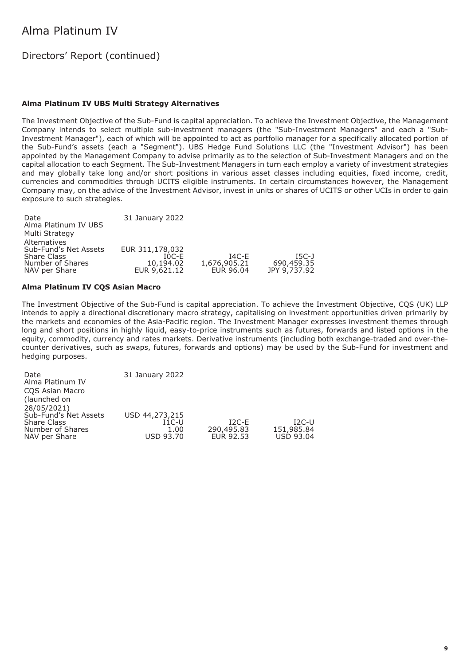### Directors' Report (continued)

#### **Alma Platinum IV UBS Multi Strategy Alternatives**

The Investment Objective of the Sub-Fund is capital appreciation. To achieve the Investment Objective, the Management Company intends to select multiple sub-investment managers (the "Sub-Investment Managers" and each a "Sub-Investment Manager"), each of which will be appointed to act as portfolio manager for a specifically allocated portion of the Sub-Fund's assets (each a "Segment"). UBS Hedge Fund Solutions LLC (the "Investment Advisor") has been appointed by the Management Company to advise primarily as to the selection of Sub-Investment Managers and on the capital allocation to each Segment. The Sub-Investment Managers in turn each employ a variety of investment strategies and may globally take long and/or short positions in various asset classes including equities, fixed income, credit, currencies and commodities through UCITS eligible instruments. In certain circumstances however, the Management Company may, on the advice of the Investment Advisor, invest in units or shares of UCITS or other UCIs in order to gain exposure to such strategies.

| Date                  | 31 January 2022 |              |              |
|-----------------------|-----------------|--------------|--------------|
| Alma Platinum IV UBS  |                 |              |              |
| Multi Strategy        |                 |              |              |
| Alternatives          |                 |              |              |
| Sub-Fund's Net Assets | EUR 311,178,032 |              |              |
| <b>Share Class</b>    | $IOC-E$         | 14C-F        | $IGC-J$      |
| Number of Shares      | 10,194.02       | 1,676,905.21 | 690,459.35   |
| NAV per Share         | EUR 9,621.12    | EUR 96.04    | JPY 9,737.92 |

#### **Alma Platinum IV CQS Asian Macro**

The Investment Objective of the Sub-Fund is capital appreciation. To achieve the Investment Objective, CQS (UK) LLP intends to apply a directional discretionary macro strategy, capitalising on investment opportunities driven primarily by the markets and economies of the Asia-Pacific region. The Investment Manager expresses investment themes through long and short positions in highly liquid, easy-to-price instruments such as futures, forwards and listed options in the equity, commodity, currency and rates markets. Derivative instruments (including both exchange-traded and over-thecounter derivatives, such as swaps, futures, forwards and options) may be used by the Sub-Fund for investment and hedging purposes.

| Date<br>Alma Platinum IV<br>COS Asian Macro                                      | 31 January 2022                                              |                                    |                                           |
|----------------------------------------------------------------------------------|--------------------------------------------------------------|------------------------------------|-------------------------------------------|
| (launched on<br>28/05/2021)                                                      |                                                              |                                    |                                           |
| Sub-Fund's Net Assets<br><b>Share Class</b><br>Number of Shares<br>NAV per Share | USD 44,273,215<br>$_{\rm I1C-U}$<br>1.00<br><b>USD 93.70</b> | $I2C-E$<br>290,495.83<br>EUR 92.53 | $I2C-U$<br>151,985.84<br><b>USD 93.04</b> |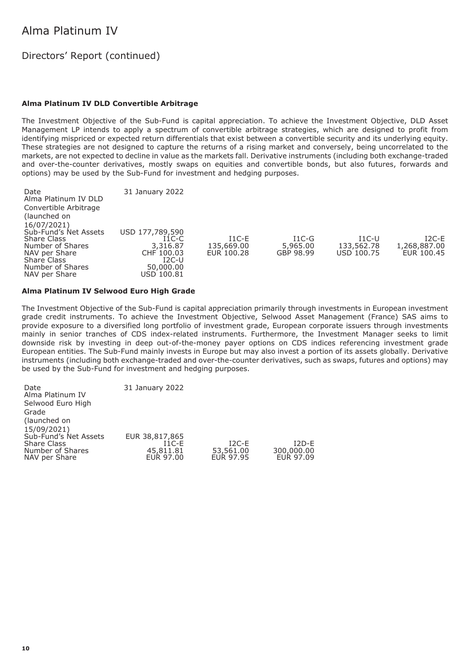### Directors' Report (continued)

#### **Alma Platinum IV DLD Convertible Arbitrage**

The Investment Objective of the Sub-Fund is capital appreciation. To achieve the Investment Objective, DLD Asset Management LP intends to apply a spectrum of convertible arbitrage strategies, which are designed to profit from identifying mispriced or expected return differentials that exist between a convertible security and its underlying equity. These strategies are not designed to capture the returns of a rising market and conversely, being uncorrelated to the markets, are not expected to decline in value as the markets fall. Derivative instruments (including both exchange-traded and over-the-counter derivatives, mostly swaps on equities and convertible bonds, but also futures, forwards and options) may be used by the Sub-Fund for investment and hedging purposes.

| Date<br>Alma Platinum IV DLD<br>Convertible Arbitrage<br>(launched on<br>16/07/2021)<br>Sub-Fund's Net Assets | 31 January 2022<br>USD 177,789,590                                      |                                     |                                  |                                            |                                       |
|---------------------------------------------------------------------------------------------------------------|-------------------------------------------------------------------------|-------------------------------------|----------------------------------|--------------------------------------------|---------------------------------------|
| <b>Share Class</b><br>Number of Shares<br>NAV per Share<br>Share Class<br>Number of Shares<br>NAV per Share   | $I1C-C$<br>3,316.87<br>CHF 100.03<br>$I2C-U$<br>50,000.00<br>USD 100.81 | $I1C-E$<br>135,669.00<br>EUR 100.28 | $I1C-G$<br>5,965,00<br>GBP 98.99 | $_{\rm I1C-U}$<br>133,562.78<br>USD 100.75 | $I2C-E$<br>1,268,887.00<br>EUR 100.45 |

#### **Alma Platinum IV Selwood Euro High Grade**

The Investment Objective of the Sub-Fund is capital appreciation primarily through investments in European investment grade credit instruments. To achieve the Investment Objective, Selwood Asset Management (France) SAS aims to provide exposure to a diversified long portfolio of investment grade, European corporate issuers through investments mainly in senior tranches of CDS index-related instruments. Furthermore, the Investment Manager seeks to limit downside risk by investing in deep out-of-the-money payer options on CDS indices referencing investment grade European entities. The Sub-Fund mainly invests in Europe but may also invest a portion of its assets globally. Derivative instruments (including both exchange-traded and over-the-counter derivatives, such as swaps, futures and options) may be used by the Sub-Fund for investment and hedging purposes.

| Date                  | 31 January 2022 |           |            |
|-----------------------|-----------------|-----------|------------|
| Alma Platinum IV      |                 |           |            |
| Selwood Euro High     |                 |           |            |
| Grade                 |                 |           |            |
| (launched on          |                 |           |            |
| 15/09/2021)           |                 |           |            |
| Sub-Fund's Net Assets | EUR 38,817,865  |           |            |
| <b>Share Class</b>    | $I1C-F$         | $I2C-E$   | $I2D-F$    |
| Number of Shares      | 45,811.81       | 53,561.00 | 300,000.00 |
| NAV per Share         | EUR 97.00       | EUR 97.95 | EUR 97.09  |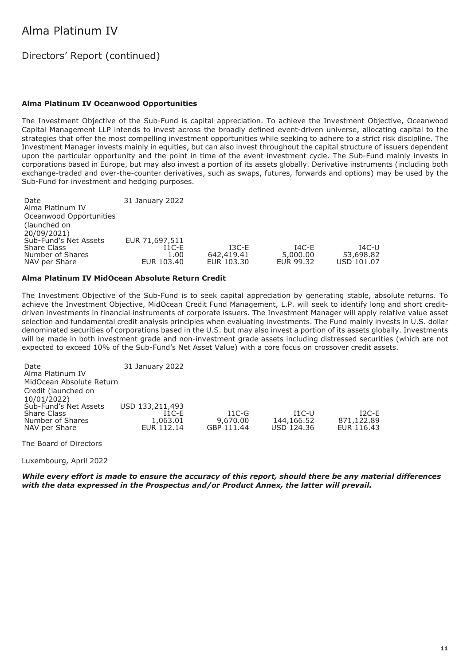### Directors' Report (continued)

#### **Alma Platinum IV Oceanwood Opportunities**

The Investment Objective of the Sub-Fund is capital appreciation. To achieve the Investment Objective, Oceanwood Capital Management LLP intends to invest across the broadly defined event-driven universe, allocating capital to the strategies that offer the most compelling investment opportunities while seeking to adhere to a strict risk discipline. The Investment Manager invests mainly in equities, but can also invest throughout the capital structure of issuers dependent upon the particular opportunity and the point in time of the event investment cycle. The Sub-Fund mainly invests in corporations based in Europe, but may also invest a portion of its assets globally. Derivative instruments (including both exchange-traded and over-the-counter derivatives, such as swaps, futures, forwards and options) may be used by the Sub-Fund for investment and hedging purposes.

Date 31 January 2022 Alma Platinum IV Oceanwood Opportunities (launched on 20/09/2021) Sub-Fund's Net Assets EUR 71,697,511 Share Class I1C-E I3C-E I4C-E I4C-U Number of Shares 1.00 642,419.41 5,000.00 53,698.82 NAV per Share

#### **Alma Platinum IV MidOcean Absolute Return Credit**

The Investment Objective of the Sub-Fund is to seek capital appreciation by generating stable, absolute returns. To achieve the Investment Objective, MidOcean Credit Fund Management, L.P. will seek to identify long and short creditdriven investments in financial instruments of corporate issuers. The Investment Manager will apply relative value asset selection and fundamental credit analysis principles when evaluating investments. The Fund mainly invests in U.S. dollar denominated securities of corporations based in the U.S. but may also invest a portion of its assets globally. Investments will be made in both investment grade and non-investment grade assets including distressed securities (which are not expected to exceed 10% of the Sub-Fund's Net Asset Value) with a core focus on crossover credit assets.

| Date<br>Alma Platinum IV<br>MidOcean Absolute Return                                                                   | 31 January 2022                                      |                                   |                                            |                                     |
|------------------------------------------------------------------------------------------------------------------------|------------------------------------------------------|-----------------------------------|--------------------------------------------|-------------------------------------|
| Credit (launched on<br>10/01/2022)<br>Sub-Fund's Net Assets<br><b>Share Class</b><br>Number of Shares<br>NAV per Share | USD 133,211,493<br>$I1C-F$<br>1,063.01<br>EUR 112.14 | $I1C-G$<br>9,670.00<br>GBP 111.44 | $_{\rm I1C-U}$<br>144,166.52<br>USD 124.36 | $12C-F$<br>871,122.89<br>EUR 116.43 |

The Board of Directors

Luxembourg, April 2022

*While every effort is made to ensure the accuracy of this report, should there be any material differences with the data expressed in the Prospectus and/or Product Annex, the latter will prevail.*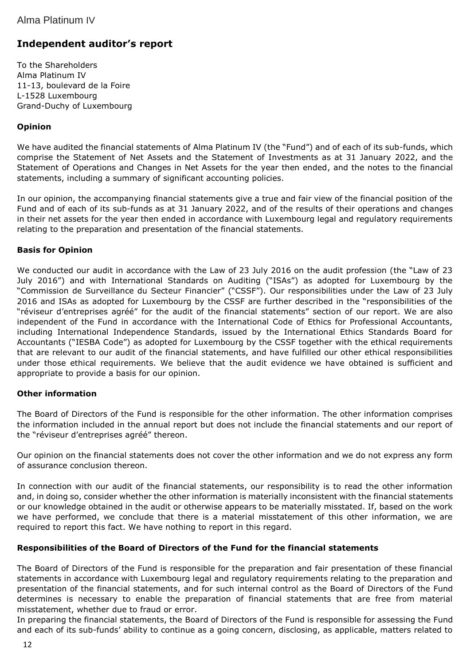### **Independent auditor's report**

To the Shareholders Alma Platinum IV 11-13, boulevard de la Foire L-1528 Luxembourg Grand-Duchy of Luxembourg

#### **Opinion**

We have audited the financial statements of Alma Platinum IV (the "Fund") and of each of its sub-funds, which comprise the Statement of Net Assets and the Statement of Investments as at 31 January 2022, and the Statement of Operations and Changes in Net Assets for the year then ended, and the notes to the financial statements, including a summary of significant accounting policies.

In our opinion, the accompanying financial statements give a true and fair view of the financial position of the Fund and of each of its sub-funds as at 31 January 2022, and of the results of their operations and changes in their net assets for the year then ended in accordance with Luxembourg legal and regulatory requirements relating to the preparation and presentation of the financial statements.

#### **Basis for Opinion**

We conducted our audit in accordance with the Law of 23 July 2016 on the audit profession (the "Law of 23 July 2016") and with International Standards on Auditing ("ISAs") as adopted for Luxembourg by the "Commission de Surveillance du Secteur Financier" ("CSSF"). Our responsibilities under the Law of 23 July 2016 and ISAs as adopted for Luxembourg by the CSSF are further described in the "responsibilities of the "réviseur d'entreprises agréé" for the audit of the financial statements" section of our report. We are also independent of the Fund in accordance with the International Code of Ethics for Professional Accountants, including International Independence Standards, issued by the International Ethics Standards Board for Accountants ("IESBA Code") as adopted for Luxembourg by the CSSF together with the ethical requirements that are relevant to our audit of the financial statements, and have fulfilled our other ethical responsibilities under those ethical requirements. We believe that the audit evidence we have obtained is sufficient and appropriate to provide a basis for our opinion.

#### **Other information**

The Board of Directors of the Fund is responsible for the other information. The other information comprises the information included in the annual report but does not include the financial statements and our report of the "réviseur d'entreprises agréé" thereon.

Our opinion on the financial statements does not cover the other information and we do not express any form of assurance conclusion thereon.

In connection with our audit of the financial statements, our responsibility is to read the other information and, in doing so, consider whether the other information is materially inconsistent with the financial statements or our knowledge obtained in the audit or otherwise appears to be materially misstated. If, based on the work we have performed, we conclude that there is a material misstatement of this other information, we are required to report this fact. We have nothing to report in this regard.

#### **Responsibilities of the Board of Directors of the Fund for the financial statements**

The Board of Directors of the Fund is responsible for the preparation and fair presentation of these financial statements in accordance with Luxembourg legal and regulatory requirements relating to the preparation and presentation of the financial statements, and for such internal control as the Board of Directors of the Fund determines is necessary to enable the preparation of financial statements that are free from material misstatement, whether due to fraud or error.

In preparing the financial statements, the Board of Directors of the Fund is responsible for assessing the Fund and each of its sub-funds' ability to continue as a going concern, disclosing, as applicable, matters related to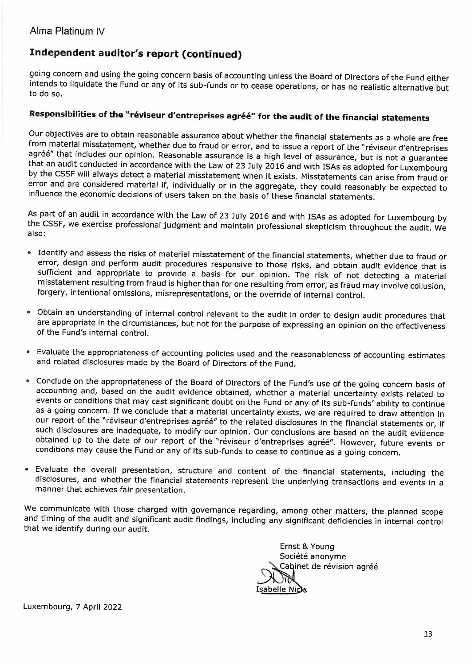### **Independent auditor's report (continued)**

going concern and using the going concern basis of accounting unless the Board of Directors of the Fund either intends to liquidate the Fund or any of its sub-funds or to cease operations, or has no realistic alternative but to do so.

### **Responsibilities of the "rE!viseurd'entreprises agree" for the audit of the financial statements**

Our objectives are to obtain reasonable assurance about whether the financial statements as a whole are free from material misstatement, whether due to fraud or error, and to issue a report of the "réviseur d'entreprises agréé" that includes our opinion. Reasonable assurance is a high level of assurance, but is not a guarantee that an audit conducted in accordance with the Law of 23 July 2016 and with ISAs as adopted for Luxembourg by the CSSF will always detect a material misstatement when it exists. Misstatements can arise from fraud or error and are considered material if, individually or in the aggregate, they could reasonably be expected to influence the economic decisions of users taken on the basis of these financial statements.

As part of an audit in accordance with the Law of 23 July 2016 and with ISAs as adopted for Luxembourg by the CSSF, we exercise professional judgment and maintain professional skepticism throughout the audit. We also:

- Identify and assess the risks of material misstatement of the financial statements, whether due to fraud or error, design and perform audit procedures responsive to those risks, and obtain audit evidence that is sufficient and appropriate to provide a basis for our opinion. The risk of not detecting a material misstatement resulting from fraud is higher than for one resulting from error, as fraud may involve collusion, forgery, intentional omissions, misrepresentations, or the override of internal control.
- Obtain an understanding of internal control relevant to the audit in order to design audit procedures that are appropriate in the circumstances, but not for the purpose of expressing an opinion on the effectiveness of the Fund's internal control.
- Evaluate the appropriateness of accounting policies used and the reasonableness of accounting estimates and related disclosures made by the Board of Directors of the Fund.
- Conclude on the appropriateness of the Board of Directors of the Fund's use of the going concern basis of accounting and, based on the audit evidence obtained, whether a material uncertainty exists related to events or conditions that may cast significant doubt on the Fund or any of its sub-funds' ability to continue as a going concern. If we conclude that a material uncertainty exists, we are required to draw attention in our report of the "réviseur d'entreprises agréé" to the related disclosures in the financial statements or, if such disclosures are inadequate, to modify our opinion. Our conclusions are based on the audit evidence obtained up to the date of our report of the "réviseur d'entreprises agréé". However, future events or conditions may cause the Fund or any of its sub-funds to cease to continue as a going concern.
- Evaluate the overall presentation, structure and content of the financial statements, including the disclosures, and whether the financial statements represent the underlying transactions and events in a manner that achieves fair presentation.

We communicate with those charged with governance regarding, among other matters, the planned scope and timing of the audit and significant audit findings, including any significant deficiencies in internal control that we identify during our audit.



Luxembourg, 7 April 2022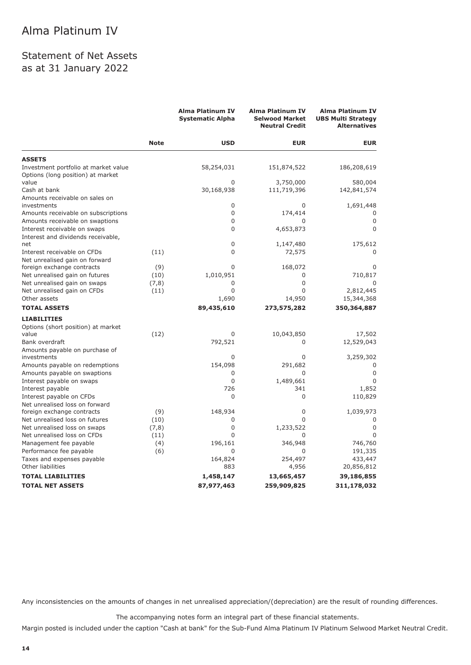### Statement of Net Assets as at 31 January 2022

|                                                              |             | <b>Alma Platinum IV</b><br><b>Systematic Alpha</b> | <b>Alma Platinum IV</b><br><b>Selwood Market</b><br><b>Neutral Credit</b> | <b>Alma Platinum IV</b><br><b>UBS Multi Strategy</b><br><b>Alternatives</b> |
|--------------------------------------------------------------|-------------|----------------------------------------------------|---------------------------------------------------------------------------|-----------------------------------------------------------------------------|
|                                                              | <b>Note</b> | <b>USD</b>                                         | <b>EUR</b>                                                                | <b>EUR</b>                                                                  |
| <b>ASSETS</b>                                                |             |                                                    |                                                                           |                                                                             |
| Investment portfolio at market value                         |             | 58,254,031                                         | 151,874,522                                                               | 186,208,619                                                                 |
| Options (long position) at market<br>value                   |             | 0                                                  | 3,750,000                                                                 | 580,004                                                                     |
| Cash at bank                                                 |             | 30,168,938                                         | 111,719,396                                                               | 142,841,574                                                                 |
| Amounts receivable on sales on                               |             |                                                    |                                                                           |                                                                             |
| investments                                                  |             | 0                                                  | $\Omega$                                                                  | 1,691,448                                                                   |
| Amounts receivable on subscriptions                          |             | 0                                                  | 174,414                                                                   | 0                                                                           |
| Amounts receivable on swaptions                              |             | 0                                                  | 0                                                                         | 0                                                                           |
| Interest receivable on swaps                                 |             | 0                                                  | 4,653,873                                                                 | 0                                                                           |
| Interest and dividends receivable,                           |             |                                                    |                                                                           |                                                                             |
| net                                                          |             | 0                                                  | 1,147,480                                                                 | 175,612                                                                     |
| Interest receivable on CFDs                                  | (11)        | 0                                                  | 72,575                                                                    | 0                                                                           |
| Net unrealised gain on forward<br>foreign exchange contracts | (9)         | 0                                                  | 168,072                                                                   | 0                                                                           |
| Net unrealised gain on futures                               | (10)        | 1,010,951                                          | 0                                                                         | 710,817                                                                     |
| Net unrealised gain on swaps                                 | (7, 8)      | 0                                                  | $\Omega$                                                                  | 0                                                                           |
| Net unrealised gain on CFDs                                  | (11)        | $\Omega$                                           | $\Omega$                                                                  | 2,812,445                                                                   |
| Other assets                                                 |             | 1,690                                              | 14,950                                                                    | 15,344,368                                                                  |
| <b>TOTAL ASSETS</b>                                          |             | 89,435,610                                         | 273,575,282                                                               | 350,364,887                                                                 |
| <b>LIABILITIES</b>                                           |             |                                                    |                                                                           |                                                                             |
| Options (short position) at market                           |             |                                                    |                                                                           |                                                                             |
| value                                                        | (12)        | $\Omega$                                           | 10,043,850                                                                | 17,502                                                                      |
| Bank overdraft                                               |             | 792,521                                            | 0                                                                         | 12,529,043                                                                  |
| Amounts payable on purchase of                               |             |                                                    |                                                                           |                                                                             |
| investments                                                  |             | $\Omega$                                           | $\Omega$                                                                  | 3,259,302                                                                   |
| Amounts payable on redemptions                               |             | 154,098                                            | 291,682                                                                   | 0                                                                           |
| Amounts payable on swaptions                                 |             | 0<br>0                                             | $\Omega$                                                                  | $\Omega$<br>$\Omega$                                                        |
| Interest payable on swaps<br>Interest payable                |             | 726                                                | 1,489,661<br>341                                                          | 1,852                                                                       |
| Interest payable on CFDs                                     |             | $\Omega$                                           | $\Omega$                                                                  | 110,829                                                                     |
| Net unrealised loss on forward                               |             |                                                    |                                                                           |                                                                             |
| foreign exchange contracts                                   | (9)         | 148,934                                            | 0                                                                         | 1,039,973                                                                   |
| Net unrealised loss on futures                               | (10)        | 0                                                  | $\Omega$                                                                  |                                                                             |
| Net unrealised loss on swaps                                 | (7, 8)      | 0                                                  | 1,233,522                                                                 | 0                                                                           |
| Net unrealised loss on CFDs                                  | (11)        | $\Omega$                                           | $\Omega$                                                                  | 0                                                                           |
| Management fee payable                                       | (4)         | 196,161                                            | 346,948                                                                   | 746,760                                                                     |
| Performance fee payable                                      | (6)         | 0                                                  | 0                                                                         | 191,335                                                                     |
| Taxes and expenses payable                                   |             | 164,824                                            | 254,497                                                                   | 433,447                                                                     |
| Other liabilities                                            |             | 883                                                | 4,956                                                                     | 20,856,812                                                                  |
| <b>TOTAL LIABILITIES</b>                                     |             | 1,458,147                                          | 13,665,457                                                                | 39,186,855                                                                  |
| <b>TOTAL NET ASSETS</b>                                      |             | 87,977,463                                         | 259,909,825                                                               | 311,178,032                                                                 |

Any inconsistencies on the amounts of changes in net unrealised appreciation/(depreciation) are the result of rounding differences.

The accompanying notes form an integral part of these financial statements.

Margin posted is included under the caption "Cash at bank" for the Sub-Fund Alma Platinum IV Platinum Selwood Market Neutral Credit.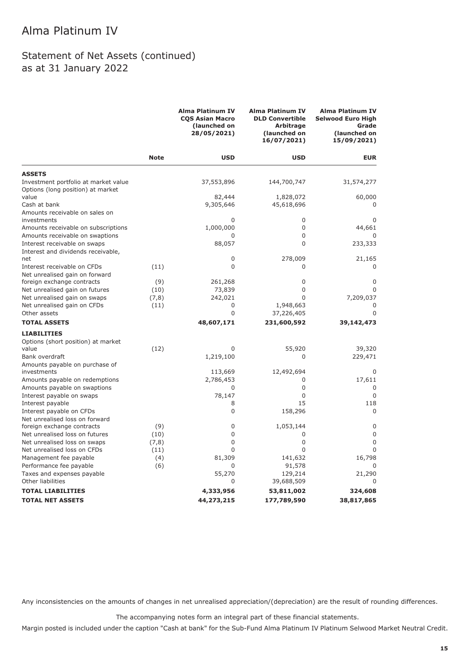### Statement of Net Assets (continued) as at 31 January 2022

|                                                                           |             | Alma Platinum IV<br><b>COS Asian Macro</b><br>(launched on<br>28/05/2021) | <b>Alma Platinum IV</b><br><b>DLD Convertible</b><br><b>Arbitrage</b><br>(launched on<br>16/07/2021) | <b>Alma Platinum IV</b><br><b>Selwood Euro High</b><br>Grade<br>(launched on<br>15/09/2021) |
|---------------------------------------------------------------------------|-------------|---------------------------------------------------------------------------|------------------------------------------------------------------------------------------------------|---------------------------------------------------------------------------------------------|
|                                                                           | <b>Note</b> | <b>USD</b>                                                                | <b>USD</b>                                                                                           | <b>EUR</b>                                                                                  |
| <b>ASSETS</b>                                                             |             |                                                                           |                                                                                                      |                                                                                             |
| Investment portfolio at market value<br>Options (long position) at market |             | 37,553,896                                                                | 144,700,747                                                                                          | 31,574,277                                                                                  |
| value                                                                     |             | 82,444                                                                    | 1,828,072                                                                                            | 60,000                                                                                      |
| Cash at bank                                                              |             | 9,305,646                                                                 | 45,618,696                                                                                           |                                                                                             |
| Amounts receivable on sales on                                            |             |                                                                           |                                                                                                      |                                                                                             |
| investments                                                               |             | 0                                                                         | 0                                                                                                    | 0                                                                                           |
| Amounts receivable on subscriptions                                       |             | 1,000,000                                                                 | $\mathbf 0$                                                                                          | 44,661                                                                                      |
| Amounts receivable on swaptions                                           |             | 0                                                                         | 0                                                                                                    |                                                                                             |
| Interest receivable on swaps                                              |             | 88,057                                                                    | $\Omega$                                                                                             | 233,333                                                                                     |
| Interest and dividends receivable,                                        |             |                                                                           |                                                                                                      |                                                                                             |
| net                                                                       |             | 0                                                                         | 278,009                                                                                              | 21,165                                                                                      |
| Interest receivable on CFDs                                               | (11)        | 0                                                                         | 0                                                                                                    | 0                                                                                           |
| Net unrealised gain on forward<br>foreign exchange contracts              | (9)         | 261,268                                                                   | $\mathbf 0$                                                                                          | 0                                                                                           |
| Net unrealised gain on futures                                            | (10)        | 73,839                                                                    | $\mathbf 0$                                                                                          | 0                                                                                           |
| Net unrealised gain on swaps                                              | (7,8)       | 242,021                                                                   | $\Omega$                                                                                             | 7,209,037                                                                                   |
| Net unrealised gain on CFDs                                               | (11)        | 0                                                                         | 1,948,663                                                                                            | 0                                                                                           |
| Other assets                                                              |             | $\overline{0}$                                                            | 37,226,405                                                                                           | 0                                                                                           |
| <b>TOTAL ASSETS</b>                                                       |             | 48,607,171                                                                | 231,600,592                                                                                          | 39,142,473                                                                                  |
|                                                                           |             |                                                                           |                                                                                                      |                                                                                             |
| <b>LIABILITIES</b>                                                        |             |                                                                           |                                                                                                      |                                                                                             |
| Options (short position) at market<br>value                               | (12)        | 0                                                                         | 55,920                                                                                               | 39,320                                                                                      |
| Bank overdraft                                                            |             | 1,219,100                                                                 | 0                                                                                                    | 229,471                                                                                     |
| Amounts payable on purchase of                                            |             |                                                                           |                                                                                                      |                                                                                             |
| investments                                                               |             | 113,669                                                                   | 12,492,694                                                                                           | 0                                                                                           |
| Amounts payable on redemptions                                            |             | 2,786,453                                                                 | 0                                                                                                    | 17,611                                                                                      |
| Amounts payable on swaptions                                              |             | 0                                                                         | $\mathbf 0$                                                                                          | 0                                                                                           |
| Interest payable on swaps                                                 |             | 78,147                                                                    | 0                                                                                                    | $\Omega$                                                                                    |
| Interest payable                                                          |             | 8                                                                         | 15                                                                                                   | 118                                                                                         |
| Interest payable on CFDs                                                  |             | 0                                                                         | 158,296                                                                                              | $\Omega$                                                                                    |
| Net unrealised loss on forward                                            |             |                                                                           |                                                                                                      |                                                                                             |
| foreign exchange contracts                                                | (9)         | 0                                                                         | 1,053,144                                                                                            | 0                                                                                           |
| Net unrealised loss on futures                                            | (10)        | 0                                                                         | 0                                                                                                    | $\mathbf 0$                                                                                 |
| Net unrealised loss on swaps                                              | (7, 8)      | $\overline{0}$                                                            | 0                                                                                                    | $\overline{0}$                                                                              |
| Net unrealised loss on CFDs                                               | (11)        | 0                                                                         | $\Omega$                                                                                             | $\mathbf 0$                                                                                 |
| Management fee payable                                                    | (4)         | 81,309                                                                    | 141,632                                                                                              | 16,798                                                                                      |
| Performance fee payable                                                   | (6)         | 0                                                                         | 91,578                                                                                               |                                                                                             |
| Taxes and expenses payable                                                |             | 55,270                                                                    | 129,214                                                                                              | 21,290                                                                                      |
| Other liabilities                                                         |             | 0                                                                         | 39,688,509                                                                                           | 0                                                                                           |
| <b>TOTAL LIABILITIES</b>                                                  |             | 4,333,956                                                                 | 53,811,002                                                                                           | 324,608                                                                                     |
| <b>TOTAL NET ASSETS</b>                                                   |             | 44,273,215                                                                | 177,789,590                                                                                          | 38,817,865                                                                                  |

Any inconsistencies on the amounts of changes in net unrealised appreciation/(depreciation) are the result of rounding differences.

The accompanying notes form an integral part of these financial statements.

Margin posted is included under the caption "Cash at bank" for the Sub-Fund Alma Platinum IV Platinum Selwood Market Neutral Credit.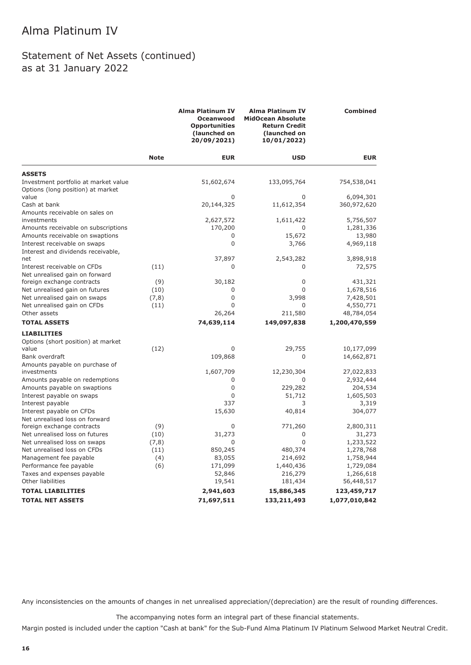### Statement of Net Assets (continued) as at 31 January 2022

|                                                                           |             | Alma Platinum IV<br><b>Oceanwood</b><br><b>Opportunities</b><br>(launched on<br>20/09/2021) | <b>Alma Platinum IV</b><br><b>MidOcean Absolute</b><br><b>Return Credit</b><br>(launched on<br>10/01/2022) | <b>Combined</b> |
|---------------------------------------------------------------------------|-------------|---------------------------------------------------------------------------------------------|------------------------------------------------------------------------------------------------------------|-----------------|
|                                                                           | <b>Note</b> | <b>EUR</b>                                                                                  | <b>USD</b>                                                                                                 | <b>EUR</b>      |
| <b>ASSETS</b>                                                             |             |                                                                                             |                                                                                                            |                 |
| Investment portfolio at market value<br>Options (long position) at market |             | 51,602,674                                                                                  | 133,095,764                                                                                                | 754,538,041     |
| value                                                                     |             | 0                                                                                           | 0                                                                                                          | 6,094,301       |
| Cash at bank                                                              |             | 20,144,325                                                                                  | 11,612,354                                                                                                 | 360,972,620     |
| Amounts receivable on sales on                                            |             |                                                                                             |                                                                                                            |                 |
| investments                                                               |             | 2,627,572                                                                                   | 1,611,422                                                                                                  | 5,756,507       |
| Amounts receivable on subscriptions                                       |             | 170,200                                                                                     | 0                                                                                                          | 1,281,336       |
| Amounts receivable on swaptions                                           |             | 0                                                                                           | 15,672                                                                                                     | 13,980          |
| Interest receivable on swaps                                              |             | $\mathbf 0$                                                                                 | 3,766                                                                                                      | 4,969,118       |
| Interest and dividends receivable,<br>net                                 |             | 37,897                                                                                      | 2,543,282                                                                                                  | 3,898,918       |
| Interest receivable on CFDs                                               | (11)        | 0                                                                                           | 0                                                                                                          | 72,575          |
| Net unrealised gain on forward                                            |             |                                                                                             |                                                                                                            |                 |
| foreign exchange contracts                                                | (9)         | 30,182                                                                                      | 0                                                                                                          | 431,321         |
| Net unrealised gain on futures                                            | (10)        | 0                                                                                           | $\Omega$                                                                                                   | 1,678,516       |
| Net unrealised gain on swaps                                              | (7, 8)      | $\mathbf 0$                                                                                 | 3,998                                                                                                      | 7,428,501       |
| Net unrealised gain on CFDs                                               | (11)        | $\mathbf 0$                                                                                 | 0                                                                                                          | 4,550,771       |
| Other assets                                                              |             | 26,264                                                                                      | 211,580                                                                                                    | 48,784,054      |
| <b>TOTAL ASSETS</b>                                                       |             | 74,639,114                                                                                  | 149,097,838                                                                                                | 1,200,470,559   |
| <b>LIABILITIES</b>                                                        |             |                                                                                             |                                                                                                            |                 |
| Options (short position) at market                                        |             |                                                                                             |                                                                                                            |                 |
| value                                                                     | (12)        | 0                                                                                           | 29,755                                                                                                     | 10,177,099      |
| Bank overdraft                                                            |             | 109,868                                                                                     | $\Omega$                                                                                                   | 14,662,871      |
| Amounts payable on purchase of                                            |             |                                                                                             |                                                                                                            |                 |
| investments                                                               |             | 1,607,709                                                                                   | 12,230,304                                                                                                 | 27,022,833      |
| Amounts payable on redemptions                                            |             | $\mathbf 0$                                                                                 | 0                                                                                                          | 2,932,444       |
| Amounts payable on swaptions                                              |             | 0                                                                                           | 229,282                                                                                                    | 204,534         |
| Interest payable on swaps                                                 |             | $\mathbf 0$                                                                                 | 51,712                                                                                                     | 1,605,503       |
| Interest payable                                                          |             | 337                                                                                         | 3                                                                                                          | 3,319           |
| Interest payable on CFDs                                                  |             | 15,630                                                                                      | 40,814                                                                                                     | 304,077         |
| Net unrealised loss on forward                                            |             |                                                                                             |                                                                                                            |                 |
| foreign exchange contracts                                                | (9)         | 0                                                                                           | 771,260                                                                                                    | 2,800,311       |
| Net unrealised loss on futures                                            | (10)        | 31,273                                                                                      | 0                                                                                                          | 31,273          |
| Net unrealised loss on swaps                                              | (7, 8)      | 0                                                                                           | 0                                                                                                          | 1,233,522       |
| Net unrealised loss on CFDs                                               | (11)        | 850,245                                                                                     | 480,374                                                                                                    | 1,278,768       |
| Management fee payable                                                    | (4)         | 83,055                                                                                      | 214,692                                                                                                    | 1,758,944       |
| Performance fee payable                                                   | (6)         | 171,099                                                                                     | 1,440,436                                                                                                  | 1,729,084       |
| Taxes and expenses payable                                                |             | 52,846                                                                                      | 216,279                                                                                                    | 1,266,618       |
| Other liabilities                                                         |             | 19,541                                                                                      | 181,434                                                                                                    | 56,448,517      |
| <b>TOTAL LIABILITIES</b>                                                  |             | 2,941,603                                                                                   | 15,886,345                                                                                                 | 123,459,717     |
| <b>TOTAL NET ASSETS</b>                                                   |             | 71,697,511                                                                                  | 133,211,493                                                                                                | 1,077,010,842   |

Any inconsistencies on the amounts of changes in net unrealised appreciation/(depreciation) are the result of rounding differences.

The accompanying notes form an integral part of these financial statements.

Margin posted is included under the caption "Cash at bank" for the Sub-Fund Alma Platinum IV Platinum Selwood Market Neutral Credit.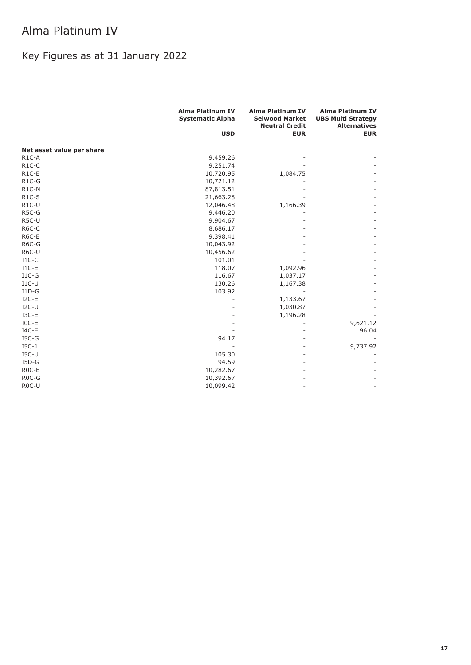# Key Figures as at 31 January 2022

|                           | <b>Alma Platinum IV</b><br><b>Systematic Alpha</b> | <b>Alma Platinum IV</b><br><b>Selwood Market</b><br><b>Neutral Credit</b> | <b>Alma Platinum IV</b><br><b>UBS Multi Strategy</b><br><b>Alternatives</b> |  |
|---------------------------|----------------------------------------------------|---------------------------------------------------------------------------|-----------------------------------------------------------------------------|--|
|                           | <b>USD</b>                                         | <b>EUR</b>                                                                | <b>EUR</b>                                                                  |  |
| Net asset value per share |                                                    |                                                                           |                                                                             |  |
| $R1C-A$                   | 9,459.26                                           |                                                                           |                                                                             |  |
| $R1C-C$                   | 9,251.74                                           |                                                                           |                                                                             |  |
| $R1C-E$                   | 10,720.95                                          | 1,084.75                                                                  |                                                                             |  |
| $R1C-G$                   | 10,721.12                                          |                                                                           |                                                                             |  |
| $R1C-N$                   | 87,813.51                                          |                                                                           |                                                                             |  |
| $R1C-S$                   | 21,663.28                                          |                                                                           |                                                                             |  |
| $R1C-U$                   | 12,046.48                                          | 1,166.39                                                                  |                                                                             |  |
| R5C-G                     | 9,446.20                                           |                                                                           |                                                                             |  |
| R5C-U                     | 9,904.67                                           |                                                                           |                                                                             |  |
| R6C-C                     | 8,686.17                                           |                                                                           |                                                                             |  |
| R6C-E                     | 9,398.41                                           |                                                                           |                                                                             |  |
| R6C-G                     | 10,043.92                                          |                                                                           |                                                                             |  |
| R6C-U                     | 10,456.62                                          |                                                                           |                                                                             |  |
| $I1C-C$                   | 101.01                                             |                                                                           |                                                                             |  |
| $I1C-E$                   | 118.07                                             | 1,092.96                                                                  |                                                                             |  |
| $I1C-G$                   | 116.67                                             | 1,037.17                                                                  |                                                                             |  |
| $I1C-U$                   | 130.26                                             | 1,167.38                                                                  |                                                                             |  |
| $I1D-G$                   | 103.92                                             |                                                                           |                                                                             |  |
| $I2C-E$                   |                                                    | 1,133.67                                                                  |                                                                             |  |
| $I2C-U$                   |                                                    | 1,030.87                                                                  |                                                                             |  |
| $I3C-E$                   |                                                    | 1,196.28                                                                  |                                                                             |  |
| $IOC-E$                   |                                                    |                                                                           | 9,621.12                                                                    |  |
| $IAC-E$                   |                                                    |                                                                           | 96.04                                                                       |  |
| $ISC-G$                   | 94.17                                              |                                                                           |                                                                             |  |
| $IGC-J$                   |                                                    |                                                                           | 9,737.92                                                                    |  |
| $ISC-U$                   | 105.30                                             |                                                                           |                                                                             |  |
| $I5D-G$                   | 94.59                                              |                                                                           |                                                                             |  |
| R <sub>0</sub> C-E        | 10,282.67                                          |                                                                           |                                                                             |  |
| R <sub>0</sub> C-G        | 10,392.67                                          |                                                                           |                                                                             |  |
| R <sub>0</sub> C-U        | 10,099.42                                          |                                                                           |                                                                             |  |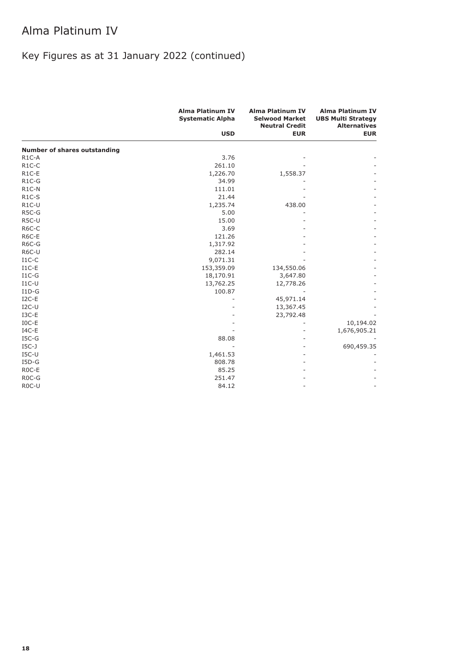# Key Figures as at 31 January 2022 (continued)

|                                     | <b>Alma Platinum IV</b><br><b>Systematic Alpha</b> | <b>Alma Platinum IV</b><br><b>Selwood Market</b><br><b>Neutral Credit</b> | <b>Alma Platinum IV</b><br><b>UBS Multi Strategy</b><br><b>Alternatives</b> |
|-------------------------------------|----------------------------------------------------|---------------------------------------------------------------------------|-----------------------------------------------------------------------------|
|                                     | <b>USD</b>                                         | <b>EUR</b>                                                                | <b>EUR</b>                                                                  |
| <b>Number of shares outstanding</b> |                                                    |                                                                           |                                                                             |
| $R1C-A$                             | 3.76                                               |                                                                           |                                                                             |
| $R1C-C$                             | 261.10                                             |                                                                           |                                                                             |
| $R1C-E$                             | 1,226.70                                           | 1,558.37                                                                  |                                                                             |
| $R1C-G$                             | 34.99                                              |                                                                           |                                                                             |
| $R1C-N$                             | 111.01                                             |                                                                           |                                                                             |
| $R1C-S$                             | 21.44                                              |                                                                           |                                                                             |
| $R1C-U$                             | 1,235.74                                           | 438.00                                                                    |                                                                             |
| R5C-G                               | 5.00                                               |                                                                           |                                                                             |
| R5C-U                               | 15.00                                              |                                                                           |                                                                             |
| R6C-C                               | 3.69                                               |                                                                           |                                                                             |
| R6C-E                               | 121.26                                             |                                                                           |                                                                             |
| R6C-G                               | 1,317.92                                           |                                                                           |                                                                             |
| R6C-U                               | 282.14                                             |                                                                           |                                                                             |
| $I1C-C$                             | 9,071.31                                           |                                                                           |                                                                             |
| $I1C-E$                             | 153,359.09                                         | 134,550.06                                                                |                                                                             |
| $I1C-G$                             | 18,170.91                                          | 3,647.80                                                                  |                                                                             |
| $I1C-U$                             | 13,762.25                                          | 12,778.26                                                                 |                                                                             |
| $I1D-G$                             | 100.87                                             |                                                                           |                                                                             |
| $I2C-E$                             |                                                    | 45,971.14                                                                 |                                                                             |
| $I2C-U$                             |                                                    | 13,367.45                                                                 |                                                                             |
| $I3C-E$                             |                                                    | 23,792.48                                                                 |                                                                             |
| $IOC-E$                             |                                                    |                                                                           | 10,194.02                                                                   |
| $IAC-E$                             |                                                    |                                                                           | 1,676,905.21                                                                |
| $ISC-G$                             | 88.08                                              |                                                                           |                                                                             |
| $IGC-J$                             |                                                    |                                                                           | 690,459.35                                                                  |
| $ISC-U$                             | 1,461.53                                           |                                                                           |                                                                             |
| $I5D-G$                             | 808.78                                             |                                                                           |                                                                             |
| ROC-E                               | 85.25                                              |                                                                           |                                                                             |
| R <sub>0</sub> C-G                  | 251.47                                             |                                                                           |                                                                             |
| R <sub>0</sub> C-U                  | 84.12                                              |                                                                           |                                                                             |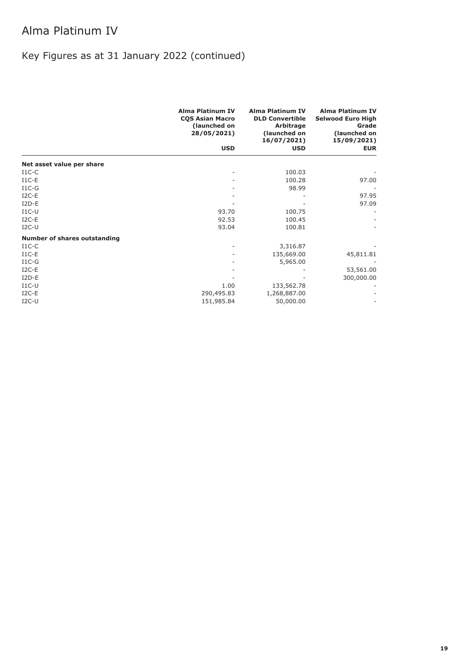# Key Figures as at 31 January 2022 (continued)

|                                     | <b>Alma Platinum IV</b><br><b>CQS Asian Macro</b><br>(launched on<br>28/05/2021) | <b>Alma Platinum IV</b><br><b>DLD Convertible</b><br>Arbitrage<br>(launched on<br>16/07/2021) | <b>Alma Platinum IV</b><br><b>Selwood Euro High</b><br>Grade<br>(launched on<br>15/09/2021) |
|-------------------------------------|----------------------------------------------------------------------------------|-----------------------------------------------------------------------------------------------|---------------------------------------------------------------------------------------------|
|                                     | <b>USD</b>                                                                       | <b>USD</b>                                                                                    | <b>EUR</b>                                                                                  |
| Net asset value per share           |                                                                                  |                                                                                               |                                                                                             |
| $I1C-C$                             |                                                                                  | 100.03                                                                                        |                                                                                             |
| $I1C-E$                             |                                                                                  | 100.28                                                                                        | 97.00                                                                                       |
| $I1C-G$                             |                                                                                  | 98.99                                                                                         |                                                                                             |
| $I2C-E$                             |                                                                                  |                                                                                               | 97.95                                                                                       |
| $I2D-E$                             |                                                                                  |                                                                                               | 97.09                                                                                       |
| $I1C-U$                             | 93.70                                                                            | 100.75                                                                                        |                                                                                             |
| $I2C-E$                             | 92.53                                                                            | 100.45                                                                                        |                                                                                             |
| $I2C-U$                             | 93.04                                                                            | 100.81                                                                                        |                                                                                             |
| <b>Number of shares outstanding</b> |                                                                                  |                                                                                               |                                                                                             |
| $I1C-C$                             |                                                                                  | 3,316.87                                                                                      |                                                                                             |
| $I1C-E$                             |                                                                                  | 135,669.00                                                                                    | 45,811.81                                                                                   |
| $I1C-G$                             |                                                                                  | 5,965.00                                                                                      |                                                                                             |
| $I2C-E$                             |                                                                                  |                                                                                               | 53,561.00                                                                                   |
| $I2D-E$                             |                                                                                  |                                                                                               | 300,000.00                                                                                  |
| $I1C-U$                             | 1.00                                                                             | 133,562.78                                                                                    |                                                                                             |
| $I2C-E$                             | 290,495.83                                                                       | 1,268,887.00                                                                                  |                                                                                             |
| $I2C-U$                             | 151,985.84                                                                       | 50,000.00                                                                                     |                                                                                             |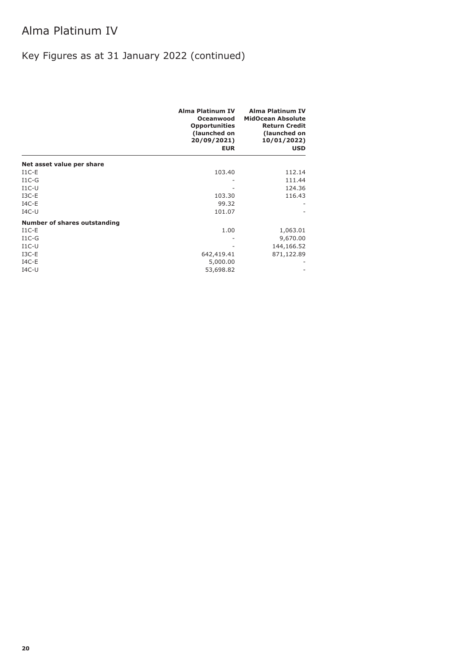# Key Figures as at 31 January 2022 (continued)

|                              | Alma Platinum IV<br>Oceanwood<br><b>Opportunities</b><br>(launched on<br>20/09/2021)<br><b>EUR</b> | <b>Alma Platinum IV</b><br><b>MidOcean Absolute</b><br><b>Return Credit</b><br>(launched on<br>10/01/2022)<br><b>USD</b> |
|------------------------------|----------------------------------------------------------------------------------------------------|--------------------------------------------------------------------------------------------------------------------------|
| Net asset value per share    |                                                                                                    |                                                                                                                          |
| $I1C-E$                      | 103.40                                                                                             | 112.14                                                                                                                   |
| $I1C-G$                      |                                                                                                    | 111.44                                                                                                                   |
| $I1C-U$                      |                                                                                                    | 124.36                                                                                                                   |
| $I3C-E$                      | 103.30                                                                                             | 116.43                                                                                                                   |
| $IAC-E$                      | 99.32                                                                                              |                                                                                                                          |
| $IAC-U$                      | 101.07                                                                                             |                                                                                                                          |
| Number of shares outstanding |                                                                                                    |                                                                                                                          |
| $I1C-E$                      | 1.00                                                                                               | 1,063.01                                                                                                                 |
| $I1C-G$                      |                                                                                                    | 9,670.00                                                                                                                 |
| $I1C-U$                      |                                                                                                    | 144,166.52                                                                                                               |
| $I3C-E$                      | 642,419.41                                                                                         | 871,122.89                                                                                                               |
| $IAC-E$                      | 5,000.00                                                                                           |                                                                                                                          |
| $IAC-U$                      | 53,698.82                                                                                          |                                                                                                                          |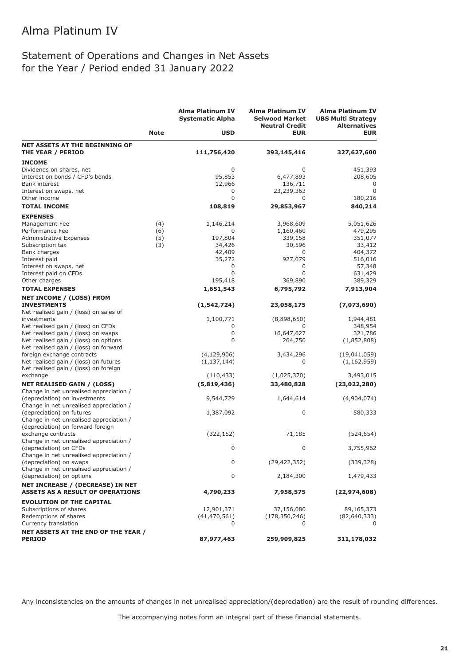### Statement of Operations and Changes in Net Assets for the Year / Period ended 31 January 2022

|                                                                                    |             | <b>Alma Platinum IV</b><br><b>Systematic Alpha</b> | <b>Alma Platinum IV</b><br><b>Selwood Market</b><br><b>Neutral Credit</b> | <b>Alma Platinum IV</b><br><b>UBS Multi Strategy</b><br><b>Alternatives</b> |
|------------------------------------------------------------------------------------|-------------|----------------------------------------------------|---------------------------------------------------------------------------|-----------------------------------------------------------------------------|
|                                                                                    | <b>Note</b> | <b>USD</b>                                         | <b>EUR</b>                                                                | <b>EUR</b>                                                                  |
| <b>NET ASSETS AT THE BEGINNING OF</b>                                              |             |                                                    |                                                                           |                                                                             |
| <b>THE YEAR / PERIOD</b>                                                           |             | 111,756,420                                        | 393,145,416                                                               | 327,627,600                                                                 |
| <b>INCOME</b>                                                                      |             |                                                    |                                                                           |                                                                             |
| Dividends on shares, net                                                           |             | 0                                                  | 0                                                                         | 451,393                                                                     |
| Interest on bonds / CFD's bonds                                                    |             | 95,853                                             | 6,477,893                                                                 | 208,605                                                                     |
| Bank interest                                                                      |             | 12,966                                             | 136,711                                                                   | 0                                                                           |
| Interest on swaps, net<br>Other income                                             |             | 0<br>0                                             | 23,239,363                                                                | $\Omega$                                                                    |
| <b>TOTAL INCOME</b>                                                                |             | 108,819                                            | 0<br>29,853,967                                                           | 180,216<br>840,214                                                          |
|                                                                                    |             |                                                    |                                                                           |                                                                             |
| <b>EXPENSES</b>                                                                    |             |                                                    |                                                                           |                                                                             |
| Management Fee                                                                     | (4)         | 1,146,214                                          | 3,968,609                                                                 | 5,051,626                                                                   |
| Performance Fee<br>Administrative Expenses                                         | (6)<br>(5)  | 0<br>197,804                                       | 1,160,460<br>339,158                                                      | 479,295<br>351,077                                                          |
| Subscription tax                                                                   | (3)         | 34,426                                             | 30,596                                                                    | 33,412                                                                      |
| Bank charges                                                                       |             | 42,409                                             | 0                                                                         | 404,372                                                                     |
| Interest paid                                                                      |             | 35,272                                             | 927,079                                                                   | 516,016                                                                     |
| Interest on swaps, net                                                             |             | 0                                                  | 0                                                                         | 57,348                                                                      |
| Interest paid on CFDs                                                              |             | 0                                                  | 0                                                                         | 631,429                                                                     |
| Other charges                                                                      |             | 195,418                                            | 369,890                                                                   | 389,329                                                                     |
| <b>TOTAL EXPENSES</b>                                                              |             | 1,651,543                                          | 6,795,792                                                                 | 7,913,904                                                                   |
| <b>NET INCOME / (LOSS) FROM</b>                                                    |             |                                                    |                                                                           |                                                                             |
| <b>INVESTMENTS</b>                                                                 |             | (1, 542, 724)                                      | 23,058,175                                                                | (7,073,690)                                                                 |
| Net realised gain / (loss) on sales of                                             |             |                                                    |                                                                           |                                                                             |
| investments                                                                        |             | 1,100,771                                          | (8,898,650)                                                               | 1,944,481                                                                   |
| Net realised gain / (loss) on CFDs                                                 |             | 0                                                  | 0                                                                         | 348,954                                                                     |
| Net realised gain / (loss) on swaps                                                |             | 0                                                  | 16,647,627                                                                | 321,786                                                                     |
| Net realised gain / (loss) on options                                              |             | 0                                                  | 264,750                                                                   | (1,852,808)                                                                 |
| Net realised gain / (loss) on forward                                              |             |                                                    |                                                                           |                                                                             |
| foreign exchange contracts                                                         |             | (4, 129, 906)                                      | 3,434,296                                                                 | (19,041,059)                                                                |
| Net realised gain / (loss) on futures                                              |             | (1, 137, 144)                                      | 0                                                                         | (1, 162, 959)                                                               |
| Net realised gain / (loss) on foreign                                              |             |                                                    |                                                                           |                                                                             |
| exchange                                                                           |             | (110, 433)                                         | (1,025,370)                                                               | 3,493,015                                                                   |
| <b>NET REALISED GAIN / (LOSS)</b>                                                  |             | (5,819,436)                                        | 33,480,828                                                                | (23,022,280)                                                                |
| Change in net unrealised appreciation /<br>(depreciation) on investments           |             | 9,544,729                                          | 1,644,614                                                                 | (4,904,074)                                                                 |
| Change in net unrealised appreciation /                                            |             |                                                    |                                                                           |                                                                             |
| (depreciation) on futures                                                          |             | 1,387,092                                          | 0                                                                         | 580,333                                                                     |
| Change in net unrealised appreciation /                                            |             |                                                    |                                                                           |                                                                             |
| (depreciation) on forward foreign                                                  |             |                                                    |                                                                           |                                                                             |
| exchange contracts                                                                 |             | (322, 152)                                         | 71,185                                                                    | (524, 654)                                                                  |
| Change in net unrealised appreciation /                                            |             |                                                    |                                                                           |                                                                             |
| (depreciation) on CFDs                                                             |             | 0                                                  | 0                                                                         | 3,755,962                                                                   |
| Change in net unrealised appreciation /                                            |             |                                                    |                                                                           |                                                                             |
| (depreciation) on swaps                                                            |             | 0                                                  | (29, 422, 352)                                                            | (339, 328)                                                                  |
| Change in net unrealised appreciation /                                            |             |                                                    |                                                                           |                                                                             |
| (depreciation) on options                                                          |             | 0                                                  | 2,184,300                                                                 | 1,479,433                                                                   |
| <b>NET INCREASE / (DECREASE) IN NET</b><br><b>ASSETS AS A RESULT OF OPERATIONS</b> |             | 4,790,233                                          | 7,958,575                                                                 | (22, 974, 608)                                                              |
| <b>EVOLUTION OF THE CAPITAL</b>                                                    |             |                                                    |                                                                           |                                                                             |
| Subscriptions of shares                                                            |             | 12,901,371                                         | 37,156,080                                                                | 89,165,373                                                                  |
| Redemptions of shares                                                              |             | (41, 470, 561)                                     | (178, 350, 246)                                                           | (82,640,333)                                                                |
| Currency translation                                                               |             | 0                                                  | 0                                                                         |                                                                             |
| <b>NET ASSETS AT THE END OF THE YEAR /</b>                                         |             |                                                    |                                                                           |                                                                             |
| <b>PERIOD</b>                                                                      |             | 87,977,463                                         | 259,909,825                                                               | 311,178,032                                                                 |

Any inconsistencies on the amounts of changes in net unrealised appreciation/(depreciation) are the result of rounding differences.

The accompanying notes form an integral part of these financial statements.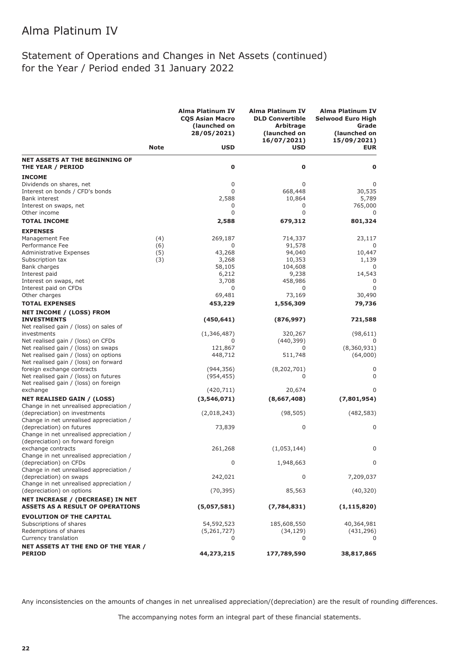### Statement of Operations and Changes in Net Assets (continued) for the Year / Period ended 31 January 2022

|                                                                          |             | Alma Platinum IV<br><b>CQS Asian Macro</b><br>(launched on<br>28/05/2021) | Alma Platinum IV<br><b>DLD Convertible</b><br><b>Arbitrage</b><br>(launched on | <b>Alma Platinum IV</b><br><b>Selwood Euro High</b><br>Grade<br>(launched on |
|--------------------------------------------------------------------------|-------------|---------------------------------------------------------------------------|--------------------------------------------------------------------------------|------------------------------------------------------------------------------|
|                                                                          | <b>Note</b> | <b>USD</b>                                                                | 16/07/2021)<br><b>USD</b>                                                      | 15/09/2021)<br><b>EUR</b>                                                    |
| <b>NET ASSETS AT THE BEGINNING OF</b>                                    |             |                                                                           |                                                                                |                                                                              |
| THE YEAR / PERIOD                                                        |             | 0                                                                         | $\mathbf 0$                                                                    | O                                                                            |
| <b>INCOME</b>                                                            |             |                                                                           |                                                                                |                                                                              |
| Dividends on shares, net                                                 |             | 0                                                                         | 0                                                                              | 0                                                                            |
| Interest on bonds / CFD's bonds                                          |             | $\Omega$                                                                  | 668,448                                                                        | 30,535                                                                       |
| Bank interest                                                            |             | 2,588                                                                     | 10,864                                                                         | 5,789                                                                        |
| Interest on swaps, net                                                   |             | 0                                                                         | 0                                                                              | 765,000                                                                      |
| Other income                                                             |             | $\Omega$                                                                  | 0                                                                              | 0                                                                            |
| <b>TOTAL INCOME</b>                                                      |             | 2,588                                                                     | 679,312                                                                        | 801,324                                                                      |
| <b>EXPENSES</b>                                                          |             |                                                                           |                                                                                |                                                                              |
| Management Fee                                                           | (4)         | 269,187                                                                   | 714,337                                                                        | 23,117                                                                       |
| Performance Fee                                                          | (6)         | 0                                                                         | 91,578                                                                         | 0                                                                            |
| Administrative Expenses                                                  | (5)         | 43,268                                                                    | 94,040                                                                         | 10,447                                                                       |
| Subscription tax<br>Bank charges                                         | (3)         | 3,268<br>58,105                                                           | 10,353<br>104,608                                                              | 1,139                                                                        |
| Interest paid                                                            |             | 6,212                                                                     | 9,238                                                                          | 14,543                                                                       |
| Interest on swaps, net                                                   |             | 3,708                                                                     | 458,986                                                                        | 0                                                                            |
| Interest paid on CFDs                                                    |             | 0                                                                         | 0                                                                              | $\Omega$                                                                     |
| Other charges                                                            |             | 69,481                                                                    | 73,169                                                                         | 30,490                                                                       |
| <b>TOTAL EXPENSES</b>                                                    |             | 453,229                                                                   | 1,556,309                                                                      | 79,736                                                                       |
| <b>NET INCOME / (LOSS) FROM</b>                                          |             |                                                                           |                                                                                |                                                                              |
| <b>INVESTMENTS</b>                                                       |             | (450, 641)                                                                | (876, 997)                                                                     | 721,588                                                                      |
| Net realised gain / (loss) on sales of                                   |             | (1,346,487)                                                               |                                                                                |                                                                              |
| investments<br>Net realised gain / (loss) on CFDs                        |             | 0                                                                         | 320,267<br>(440, 399)                                                          | (98, 611)<br>0                                                               |
| Net realised gain / (loss) on swaps                                      |             | 121,867                                                                   | 0                                                                              | (8,360,931)                                                                  |
| Net realised gain / (loss) on options                                    |             | 448,712                                                                   | 511,748                                                                        | (64,000)                                                                     |
| Net realised gain / (loss) on forward                                    |             |                                                                           |                                                                                |                                                                              |
| foreign exchange contracts                                               |             | (944, 356)                                                                | (8,202,701)                                                                    | 0                                                                            |
| Net realised gain / (loss) on futures                                    |             | (954, 455)                                                                | 0                                                                              | 0                                                                            |
| Net realised gain / (loss) on foreign                                    |             |                                                                           |                                                                                |                                                                              |
| exchange                                                                 |             | (420, 711)                                                                | 20,674                                                                         | $\Omega$                                                                     |
| <b>NET REALISED GAIN / (LOSS)</b>                                        |             | (3,546,071)                                                               | (8,667,408)                                                                    | (7,801,954)                                                                  |
| Change in net unrealised appreciation /<br>(depreciation) on investments |             | (2,018,243)                                                               | (98, 505)                                                                      | (482, 583)                                                                   |
| Change in net unrealised appreciation /                                  |             |                                                                           |                                                                                |                                                                              |
| (depreciation) on futures                                                |             | 73,839                                                                    | 0                                                                              | 0                                                                            |
| Change in net unrealised appreciation /                                  |             |                                                                           |                                                                                |                                                                              |
| (depreciation) on forward foreign                                        |             |                                                                           |                                                                                |                                                                              |
| exchange contracts                                                       |             | 261,268                                                                   | (1,053,144)                                                                    | 0                                                                            |
| Change in net unrealised appreciation /                                  |             |                                                                           |                                                                                |                                                                              |
| (depreciation) on CFDs                                                   |             | $\Omega$                                                                  | 1,948,663                                                                      | 0                                                                            |
| Change in net unrealised appreciation /                                  |             |                                                                           |                                                                                |                                                                              |
| (depreciation) on swaps                                                  |             | 242,021                                                                   | 0                                                                              | 7,209,037                                                                    |
| Change in net unrealised appreciation /<br>(depreciation) on options     |             | (70, 395)                                                                 | 85,563                                                                         | (40, 320)                                                                    |
| NET INCREASE / (DECREASE) IN NET                                         |             |                                                                           |                                                                                |                                                                              |
| <b>ASSETS AS A RESULT OF OPERATIONS</b>                                  |             | (5,057,581)                                                               | (7,784,831)                                                                    | (1, 115, 820)                                                                |
| <b>EVOLUTION OF THE CAPITAL</b>                                          |             |                                                                           |                                                                                |                                                                              |
| Subscriptions of shares                                                  |             | 54,592,523                                                                | 185,608,550                                                                    | 40,364,981                                                                   |
| Redemptions of shares                                                    |             | (5,261,727)                                                               | (34, 129)                                                                      | (431,296)                                                                    |
| Currency translation                                                     |             | 0                                                                         | 0                                                                              | 0                                                                            |
| <b>NET ASSETS AT THE END OF THE YEAR /</b>                               |             |                                                                           |                                                                                |                                                                              |
| <b>PERIOD</b>                                                            |             | 44,273,215                                                                | 177,789,590                                                                    | 38,817,865                                                                   |

Any inconsistencies on the amounts of changes in net unrealised appreciation/(depreciation) are the result of rounding differences.

The accompanying notes form an integral part of these financial statements.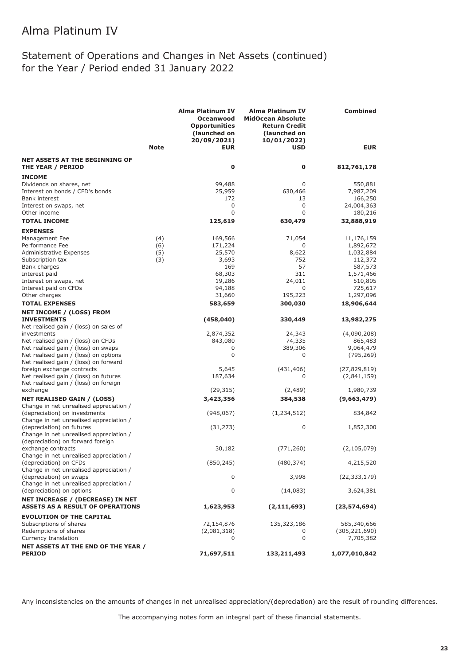### Statement of Operations and Changes in Net Assets (continued) for the Year / Period ended 31 January 2022

|                                                                          |             | <b>Alma Platinum IV</b><br>Oceanwood<br><b>Opportunities</b><br>(launched on<br>20/09/2021) | <b>Alma Platinum IV</b><br><b>MidOcean Absolute</b><br><b>Return Credit</b><br>(launched on<br>10/01/2022) | <b>Combined</b>        |
|--------------------------------------------------------------------------|-------------|---------------------------------------------------------------------------------------------|------------------------------------------------------------------------------------------------------------|------------------------|
|                                                                          | <b>Note</b> | <b>EUR</b>                                                                                  | <b>USD</b>                                                                                                 | <b>EUR</b>             |
| <b>NET ASSETS AT THE BEGINNING OF</b><br>THE YEAR / PERIOD               |             | $\bf{0}$                                                                                    | 0                                                                                                          | 812,761,178            |
| <b>INCOME</b>                                                            |             |                                                                                             |                                                                                                            |                        |
| Dividends on shares, net                                                 |             | 99,488                                                                                      | 0                                                                                                          | 550,881                |
| Interest on bonds / CFD's bonds                                          |             | 25,959                                                                                      | 630,466                                                                                                    | 7,987,209              |
| <b>Bank interest</b>                                                     |             | 172                                                                                         | 13                                                                                                         | 166,250                |
| Interest on swaps, net<br>Other income                                   |             | 0<br>$\mathbf 0$                                                                            | 0<br>0                                                                                                     | 24,004,363<br>180,216  |
| <b>TOTAL INCOME</b>                                                      |             |                                                                                             |                                                                                                            | 32,888,919             |
|                                                                          |             | 125,619                                                                                     | 630,479                                                                                                    |                        |
| <b>EXPENSES</b>                                                          |             |                                                                                             |                                                                                                            |                        |
| Management Fee<br>Performance Fee                                        | (4)         | 169,566                                                                                     | 71,054<br>0                                                                                                | 11,176,159             |
| Administrative Expenses                                                  | (6)<br>(5)  | 171,224<br>25,570                                                                           | 8,622                                                                                                      | 1,892,672<br>1,032,884 |
| Subscription tax                                                         | (3)         | 3,693                                                                                       | 752                                                                                                        | 112,372                |
| Bank charges                                                             |             | 169                                                                                         | 57                                                                                                         | 587,573                |
| Interest paid                                                            |             | 68,303                                                                                      | 311                                                                                                        | 1,571,466              |
| Interest on swaps, net                                                   |             | 19,286                                                                                      | 24,011                                                                                                     | 510,805                |
| Interest paid on CFDs                                                    |             | 94,188                                                                                      | 0                                                                                                          | 725,617                |
| Other charges                                                            |             | 31,660                                                                                      | 195,223                                                                                                    | 1,297,096              |
| <b>TOTAL EXPENSES</b>                                                    |             | 583,659                                                                                     | 300,030                                                                                                    | 18,906,644             |
| NET INCOME / (LOSS) FROM                                                 |             |                                                                                             |                                                                                                            |                        |
| <b>INVESTMENTS</b><br>Net realised gain / (loss) on sales of             |             | (458, 040)                                                                                  | 330,449                                                                                                    | 13,982,275             |
| investments                                                              |             | 2,874,352                                                                                   | 24,343                                                                                                     | (4,090,208)            |
| Net realised gain / (loss) on CFDs                                       |             | 843,080                                                                                     | 74,335                                                                                                     | 865,483                |
| Net realised gain / (loss) on swaps                                      |             | 0                                                                                           | 389,306                                                                                                    | 9,064,479              |
| Net realised gain / (loss) on options                                    |             | $\mathbf 0$                                                                                 | 0                                                                                                          | (795, 269)             |
| Net realised gain / (loss) on forward                                    |             |                                                                                             |                                                                                                            |                        |
| foreign exchange contracts                                               |             | 5,645                                                                                       | (431, 406)                                                                                                 | (27, 829, 819)         |
| Net realised gain / (loss) on futures                                    |             | 187,634                                                                                     | 0                                                                                                          | (2,841,159)            |
| Net realised gain / (loss) on foreign<br>exchange                        |             | (29, 315)                                                                                   | (2,489)                                                                                                    | 1,980,739              |
| <b>NET REALISED GAIN / (LOSS)</b>                                        |             | 3,423,356                                                                                   | 384,538                                                                                                    | (9,663,479)            |
| Change in net unrealised appreciation /                                  |             |                                                                                             |                                                                                                            |                        |
| (depreciation) on investments<br>Change in net unrealised appreciation / |             | (948, 067)                                                                                  | (1, 234, 512)                                                                                              | 834,842                |
| (depreciation) on futures                                                |             | (31, 273)                                                                                   | 0                                                                                                          | 1,852,300              |
| Change in net unrealised appreciation /                                  |             |                                                                                             |                                                                                                            |                        |
| (depreciation) on forward foreign                                        |             |                                                                                             |                                                                                                            |                        |
| exchange contracts                                                       |             | 30,182                                                                                      | (771, 260)                                                                                                 | (2, 105, 079)          |
| Change in net unrealised appreciation /                                  |             |                                                                                             |                                                                                                            |                        |
| (depreciation) on CFDs                                                   |             | (850, 245)                                                                                  | (480, 374)                                                                                                 | 4,215,520              |
| Change in net unrealised appreciation /                                  |             |                                                                                             |                                                                                                            |                        |
| (depreciation) on swaps                                                  |             | 0                                                                                           | 3,998                                                                                                      | (22, 333, 179)         |
| Change in net unrealised appreciation /<br>(depreciation) on options     |             | 0                                                                                           | (14,083)                                                                                                   | 3,624,381              |
| NET INCREASE / (DECREASE) IN NET                                         |             |                                                                                             |                                                                                                            |                        |
| <b>ASSETS AS A RESULT OF OPERATIONS</b>                                  |             | 1,623,953                                                                                   | (2, 111, 693)                                                                                              | (23, 574, 694)         |
| <b>EVOLUTION OF THE CAPITAL</b>                                          |             |                                                                                             |                                                                                                            |                        |
| Subscriptions of shares                                                  |             | 72,154,876                                                                                  | 135,323,186                                                                                                | 585,340,666            |
| Redemptions of shares                                                    |             | (2,081,318)                                                                                 | 0                                                                                                          | (305, 221, 690)        |
| Currency translation                                                     |             | 0                                                                                           | 0                                                                                                          | 7,705,382              |
| NET ASSETS AT THE END OF THE YEAR /<br><b>PERIOD</b>                     |             | 71,697,511                                                                                  | 133,211,493                                                                                                | 1,077,010,842          |

Any inconsistencies on the amounts of changes in net unrealised appreciation/(depreciation) are the result of rounding differences.

The accompanying notes form an integral part of these financial statements.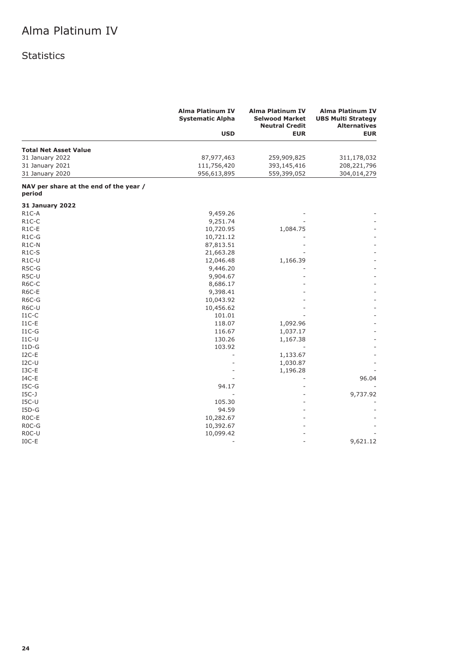### Statistics

|                                                  | <b>Alma Platinum IV</b><br><b>Systematic Alpha</b> | <b>Alma Platinum IV</b><br><b>Selwood Market</b><br><b>Neutral Credit</b> | <b>Alma Platinum IV</b><br><b>UBS Multi Strategy</b><br><b>Alternatives</b> |
|--------------------------------------------------|----------------------------------------------------|---------------------------------------------------------------------------|-----------------------------------------------------------------------------|
|                                                  | <b>USD</b>                                         | <b>EUR</b>                                                                | <b>EUR</b>                                                                  |
| <b>Total Net Asset Value</b>                     |                                                    |                                                                           |                                                                             |
| 31 January 2022                                  | 87,977,463                                         | 259,909,825                                                               | 311,178,032                                                                 |
| 31 January 2021                                  | 111,756,420                                        | 393,145,416                                                               | 208,221,796                                                                 |
| 31 January 2020                                  | 956,613,895                                        | 559,399,052                                                               | 304,014,279                                                                 |
| NAV per share at the end of the year /<br>period |                                                    |                                                                           |                                                                             |
| <b>31 January 2022</b>                           |                                                    |                                                                           |                                                                             |
| R <sub>1</sub> C-A                               | 9,459.26                                           |                                                                           |                                                                             |
| R <sub>1</sub> C-C                               | 9,251.74                                           |                                                                           |                                                                             |
| R <sub>1</sub> C-E                               | 10,720.95                                          | 1,084.75                                                                  |                                                                             |
| R1C-G                                            | 10,721.12                                          |                                                                           |                                                                             |
| R <sub>1</sub> C-N                               | 87,813.51                                          |                                                                           |                                                                             |
| R <sub>1</sub> C-S                               | 21,663.28                                          |                                                                           |                                                                             |
| R1C-U                                            | 12,046.48                                          | 1,166.39                                                                  |                                                                             |
| R5C-G                                            | 9,446.20                                           |                                                                           |                                                                             |
| R5C-U                                            | 9,904.67                                           |                                                                           |                                                                             |
| R6C-C                                            | 8,686.17                                           |                                                                           |                                                                             |
| R6C-E                                            | 9,398.41                                           |                                                                           |                                                                             |
| R6C-G                                            | 10,043.92                                          |                                                                           |                                                                             |
| R6C-U                                            | 10,456.62                                          |                                                                           |                                                                             |
| $I1C-C$                                          | 101.01                                             |                                                                           |                                                                             |
| $I1C-E$                                          | 118.07                                             | 1,092.96                                                                  |                                                                             |
| $I1C-G$                                          | 116.67                                             | 1,037.17                                                                  |                                                                             |
| $I1C-U$                                          | 130.26                                             | 1,167.38                                                                  |                                                                             |
| $I1D-G$                                          | 103.92                                             |                                                                           |                                                                             |
| $I2C-E$                                          |                                                    | 1,133.67                                                                  |                                                                             |
| $I2C-U$                                          |                                                    | 1,030.87                                                                  |                                                                             |
| $I3C-E$                                          |                                                    | 1,196.28                                                                  |                                                                             |
| $IAC-E$                                          |                                                    |                                                                           | 96.04                                                                       |
| $ISC-G$                                          | 94.17                                              |                                                                           |                                                                             |
| $IGC-J$                                          |                                                    |                                                                           | 9,737.92                                                                    |
| $ISC-U$                                          | 105.30                                             |                                                                           |                                                                             |
| $I5D-G$                                          | 94.59                                              |                                                                           |                                                                             |
| R <sub>0</sub> C-E                               | 10,282.67                                          |                                                                           |                                                                             |
| R <sub>0</sub> C-G                               | 10,392.67                                          |                                                                           |                                                                             |
| R <sub>0</sub> C-U                               | 10,099.42                                          |                                                                           |                                                                             |
| $IOC-E$                                          |                                                    |                                                                           | 9,621.12                                                                    |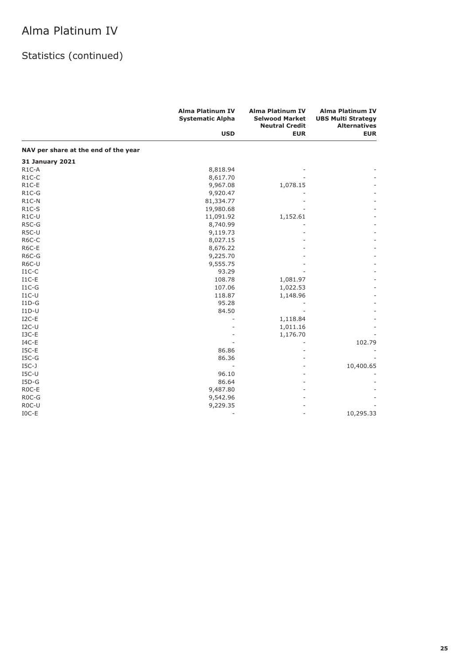|                                      | <b>Alma Platinum IV</b><br><b>Systematic Alpha</b> | <b>Alma Platinum IV</b><br><b>Selwood Market</b><br><b>Neutral Credit</b> | <b>Alma Platinum IV</b><br><b>UBS Multi Strategy</b><br><b>Alternatives</b> |
|--------------------------------------|----------------------------------------------------|---------------------------------------------------------------------------|-----------------------------------------------------------------------------|
|                                      | <b>USD</b>                                         | <b>EUR</b>                                                                | <b>EUR</b>                                                                  |
| NAV per share at the end of the year |                                                    |                                                                           |                                                                             |
| <b>31 January 2021</b>               |                                                    |                                                                           |                                                                             |
| R <sub>1</sub> C-A                   | 8,818.94                                           |                                                                           |                                                                             |
| $R1C-C$                              | 8,617.70                                           |                                                                           |                                                                             |
| R <sub>1</sub> C-E                   | 9,967.08                                           | 1,078.15                                                                  |                                                                             |
| $R1C-G$                              | 9,920.47                                           |                                                                           |                                                                             |
| R <sub>1</sub> C-N                   | 81,334.77                                          |                                                                           |                                                                             |
| $R1C-S$                              | 19,980.68                                          |                                                                           |                                                                             |
| $R1C-U$                              | 11,091.92                                          | 1,152.61                                                                  |                                                                             |
| R5C-G                                | 8,740.99                                           |                                                                           |                                                                             |
| R5C-U                                | 9,119.73                                           |                                                                           |                                                                             |
| R6C-C                                | 8,027.15                                           |                                                                           |                                                                             |
| R6C-E                                | 8,676.22                                           |                                                                           |                                                                             |
| R6C-G                                | 9,225.70                                           |                                                                           |                                                                             |
| R6C-U                                | 9,555.75                                           |                                                                           |                                                                             |
| $I1C-C$                              | 93.29                                              |                                                                           |                                                                             |
| $_{\rm I1C-E}$                       | 108.78                                             | 1,081.97                                                                  |                                                                             |
| $I1C-G$                              | 107.06                                             | 1,022.53                                                                  |                                                                             |
| $I1C-U$                              | 118.87                                             | 1,148.96                                                                  |                                                                             |
| $I1D-G$                              | 95.28                                              |                                                                           |                                                                             |
| $ID-U$                               | 84.50                                              |                                                                           |                                                                             |
| $I2C-E$                              |                                                    | 1,118.84                                                                  |                                                                             |
| $I2C-U$                              |                                                    | 1,011.16                                                                  |                                                                             |
| $I3C-E$                              |                                                    | 1,176.70                                                                  |                                                                             |
| $IAC-E$                              |                                                    |                                                                           | 102.79                                                                      |
| $ISC-E$                              | 86.86                                              |                                                                           |                                                                             |
| $ISC-G$                              | 86.36                                              |                                                                           |                                                                             |
| $IGC-J$                              |                                                    |                                                                           | 10,400.65                                                                   |
| $ISC-U$                              | 96.10                                              |                                                                           |                                                                             |
| $I5D-G$                              | 86.64                                              |                                                                           |                                                                             |
| R <sub>0</sub> C-E                   | 9,487.80                                           |                                                                           |                                                                             |
| R <sub>0</sub> C-G                   | 9,542.96                                           |                                                                           |                                                                             |
| R <sub>0</sub> C-U                   | 9,229.35                                           |                                                                           |                                                                             |
| $IOC-E$                              |                                                    |                                                                           | 10,295.33                                                                   |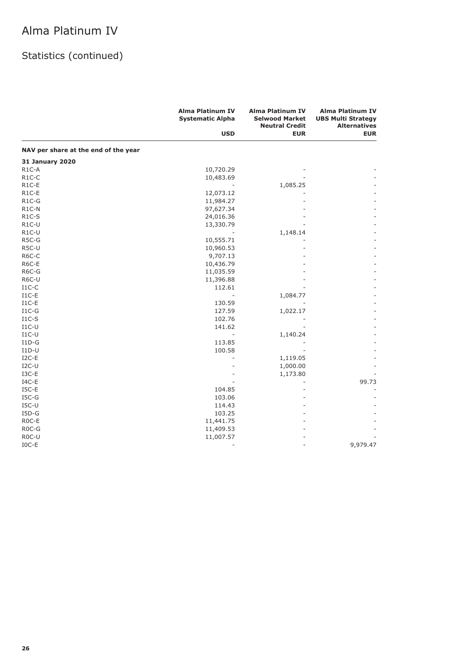|                                      | <b>Alma Platinum IV</b><br><b>Systematic Alpha</b> | <b>Alma Platinum IV</b><br><b>Selwood Market</b><br><b>Neutral Credit</b> | <b>Alma Platinum IV</b><br><b>UBS Multi Strategy</b><br><b>Alternatives</b> |
|--------------------------------------|----------------------------------------------------|---------------------------------------------------------------------------|-----------------------------------------------------------------------------|
|                                      | <b>USD</b>                                         | <b>EUR</b>                                                                | <b>EUR</b>                                                                  |
| NAV per share at the end of the year |                                                    |                                                                           |                                                                             |
| <b>31 January 2020</b>               |                                                    |                                                                           |                                                                             |
| $R1C-A$                              | 10,720.29                                          |                                                                           |                                                                             |
| $R1C-C$                              | 10,483.69                                          |                                                                           |                                                                             |
| R <sub>1</sub> C-E                   |                                                    | 1,085.25                                                                  |                                                                             |
| R1C-E                                | 12,073.12                                          |                                                                           |                                                                             |
| $R1C-G$                              | 11,984.27                                          |                                                                           |                                                                             |
| R1C-N                                | 97,627.34                                          |                                                                           |                                                                             |
| $R1C-S$                              | 24,016.36                                          |                                                                           |                                                                             |
| R1C-U                                | 13,330.79                                          |                                                                           |                                                                             |
| $R1C-U$                              |                                                    | 1,148.14                                                                  |                                                                             |
| R5C-G                                | 10,555.71                                          |                                                                           |                                                                             |
| R5C-U                                | 10,960.53                                          |                                                                           |                                                                             |
| R6C-C                                | 9,707.13                                           |                                                                           |                                                                             |
| R6C-E                                | 10,436.79                                          |                                                                           |                                                                             |
| R6C-G                                | 11,035.59                                          |                                                                           |                                                                             |
| R6C-U                                | 11,396.88                                          |                                                                           |                                                                             |
| $I1C-C$                              | 112.61                                             |                                                                           |                                                                             |
| $I1C-E$                              |                                                    | 1,084.77                                                                  |                                                                             |
| $I1C-E$                              | 130.59                                             |                                                                           |                                                                             |
| $I1C-G$                              | 127.59                                             | 1,022.17                                                                  |                                                                             |
| $I1C-S$                              | 102.76                                             |                                                                           |                                                                             |
| $I1C-U$                              | 141.62                                             |                                                                           |                                                                             |
| $I1C-U$                              | ÷                                                  | 1,140.24                                                                  |                                                                             |
| $I1D-G$                              | 113.85                                             |                                                                           |                                                                             |
| $I1D-U$                              | 100.58                                             |                                                                           |                                                                             |
| $I2C-E$                              |                                                    | 1,119.05                                                                  |                                                                             |
| $I2C-U$                              |                                                    | 1,000.00                                                                  |                                                                             |
| I3C-E                                |                                                    | 1,173.80                                                                  |                                                                             |
| $IAC-E$                              |                                                    |                                                                           | 99.73                                                                       |
| $ISC-E$                              | 104.85                                             |                                                                           |                                                                             |
| $ISC-G$                              |                                                    |                                                                           |                                                                             |
|                                      | 103.06                                             |                                                                           |                                                                             |
| $ISC-U$                              | 114.43                                             |                                                                           |                                                                             |
| $I5D-G$                              | 103.25                                             |                                                                           |                                                                             |
| ROC-E                                | 11,441.75                                          |                                                                           |                                                                             |
| R <sub>0</sub> C-G                   | 11,409.53                                          |                                                                           |                                                                             |
| R <sub>0</sub> C-U                   | 11,007.57                                          |                                                                           |                                                                             |
| $IOC-E$                              |                                                    | L,                                                                        | 9,979.47                                                                    |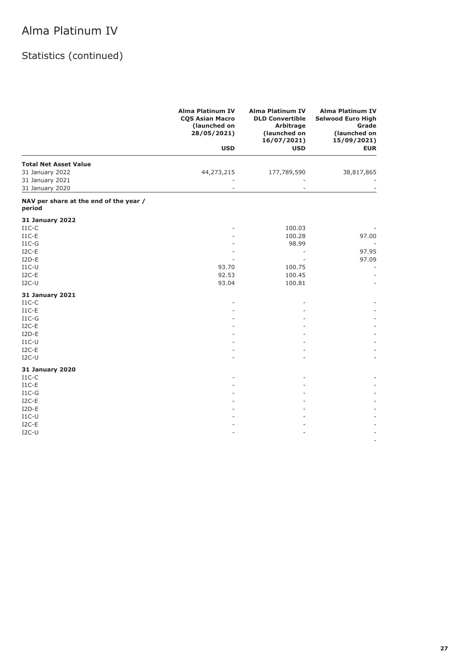| <b>Alma Platinum IV</b><br><b>Alma Platinum IV</b><br><b>COS Asian Macro</b><br><b>DLD Convertible</b><br>(launched on<br>Arbitrage<br>28/05/2021)<br>(launched on<br>16/07/2021) | <b>Alma Platinum IV</b><br><b>Selwood Euro High</b><br>Grade<br>(launched on<br>15/09/2021) |
|-----------------------------------------------------------------------------------------------------------------------------------------------------------------------------------|---------------------------------------------------------------------------------------------|
| <b>USD</b><br><b>USD</b>                                                                                                                                                          | <b>EUR</b>                                                                                  |
| <b>Total Net Asset Value</b>                                                                                                                                                      |                                                                                             |
| 31 January 2022<br>44,273,215<br>177,789,590<br>31 January 2021                                                                                                                   | 38,817,865                                                                                  |
| 31 January 2020                                                                                                                                                                   |                                                                                             |
| NAV per share at the end of the year /<br>period                                                                                                                                  |                                                                                             |
| <b>31 January 2022</b>                                                                                                                                                            |                                                                                             |
| $I1C-C$<br>100.03                                                                                                                                                                 |                                                                                             |
| $I1C-E$<br>100.28                                                                                                                                                                 | 97.00                                                                                       |
| $I1C-G$<br>98.99                                                                                                                                                                  |                                                                                             |
| $I2C-E$<br>٠<br>$I2D-E$                                                                                                                                                           | 97.95<br>97.09                                                                              |
| $I1C-U$<br>93.70<br>100.75                                                                                                                                                        |                                                                                             |
| $I2C-E$<br>92.53<br>100.45                                                                                                                                                        |                                                                                             |
| $I2C-U$<br>93.04<br>100.81                                                                                                                                                        |                                                                                             |
| <b>31 January 2021</b>                                                                                                                                                            |                                                                                             |
| $I1C-C$                                                                                                                                                                           |                                                                                             |
| $I1C-E$                                                                                                                                                                           |                                                                                             |
| $I1C-G$                                                                                                                                                                           |                                                                                             |
| $I2C-E$                                                                                                                                                                           |                                                                                             |
| $I2D-E$                                                                                                                                                                           |                                                                                             |
| $I1C-U$<br>$I2C-E$                                                                                                                                                                |                                                                                             |
| $I2C-U$                                                                                                                                                                           |                                                                                             |
| <b>31 January 2020</b>                                                                                                                                                            |                                                                                             |
| $I1C-C$                                                                                                                                                                           |                                                                                             |
| $I1C-E$                                                                                                                                                                           |                                                                                             |
| $I1C-G$                                                                                                                                                                           |                                                                                             |
| $I2C-E$                                                                                                                                                                           |                                                                                             |
| $I2D-E$                                                                                                                                                                           |                                                                                             |
| $I1C-U$                                                                                                                                                                           |                                                                                             |
| $I2C-E$                                                                                                                                                                           |                                                                                             |
| $I2C-U$                                                                                                                                                                           |                                                                                             |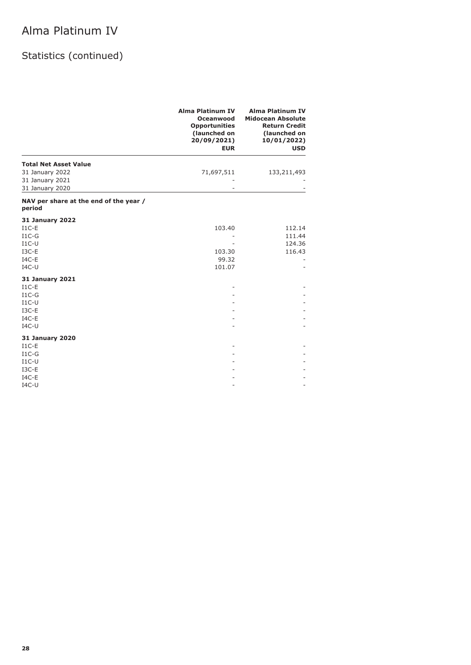|                                                                                          | <b>Alma Platinum IV</b><br>Oceanwood<br><b>Opportunities</b><br>(launched on<br>20/09/2021)<br><b>EUR</b> | <b>Alma Platinum IV</b><br><b>Midocean Absolute</b><br><b>Return Credit</b><br>(launched on<br>10/01/2022)<br><b>USD</b> |
|------------------------------------------------------------------------------------------|-----------------------------------------------------------------------------------------------------------|--------------------------------------------------------------------------------------------------------------------------|
| <b>Total Net Asset Value</b><br>31 January 2022<br>31 January 2021<br>31 January 2020    | 71,697,511                                                                                                | 133,211,493                                                                                                              |
| NAV per share at the end of the year /<br>period                                         |                                                                                                           |                                                                                                                          |
| <b>31 January 2022</b><br>$I1C-E$<br>$I1C-G$<br>$I1C-U$<br>I3C-E<br>$IAC-E$<br>$IAC-U$   | 103.40<br>103.30<br>99.32<br>101.07                                                                       | 112.14<br>111.44<br>124.36<br>116.43                                                                                     |
| <b>31 January 2021</b><br>$I1C-E$<br>$I1C-G$<br>$I1C-U$<br>$I3C-E$<br>$IAC-E$<br>$IAC-U$ |                                                                                                           |                                                                                                                          |
| <b>31 January 2020</b><br>$I1C-E$<br>$I1C-G$<br>$I1C-U$<br>$I3C-E$<br>$IAC-E$<br>$IAC-U$ |                                                                                                           |                                                                                                                          |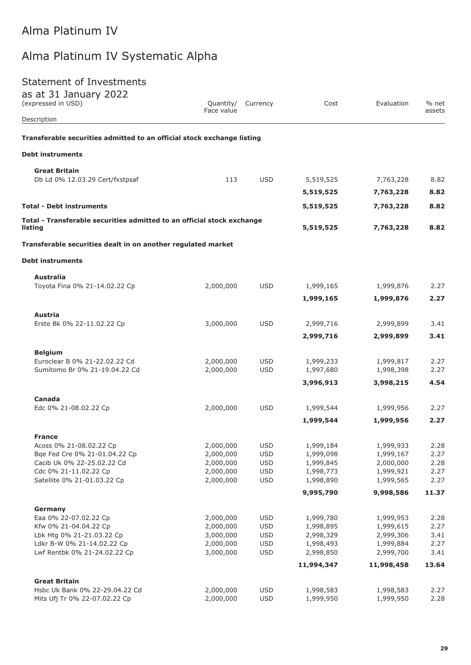# Alma Platinum IV Systematic Alpha

### Statement of Investments

| as at 31 January 2022<br>(expressed in USD)                                       | Quantity/              | Currency                 | Cost                   | Evaluation             | % net        |
|-----------------------------------------------------------------------------------|------------------------|--------------------------|------------------------|------------------------|--------------|
| Description                                                                       | Face value             |                          |                        |                        | assets       |
| Transferable securities admitted to an official stock exchange listing            |                        |                          |                        |                        |              |
| <b>Debt instruments</b>                                                           |                        |                          |                        |                        |              |
| <b>Great Britain</b>                                                              |                        |                          |                        |                        |              |
| Db Ld 0% 12.03.29 Cert/fxstpsaf                                                   | 113                    | <b>USD</b>               | 5,519,525              | 7,763,228              | 8.82         |
|                                                                                   |                        |                          | 5,519,525              | 7,763,228              | 8.82         |
| <b>Total - Debt instruments</b>                                                   |                        |                          | 5,519,525              | 7,763,228              | 8.82         |
| Total - Transferable securities admitted to an official stock exchange<br>listing |                        |                          | 5,519,525              | 7,763,228              | 8.82         |
| Transferable securities dealt in on another regulated market                      |                        |                          |                        |                        |              |
| <b>Debt instruments</b>                                                           |                        |                          |                        |                        |              |
| Australia                                                                         |                        |                          |                        |                        |              |
| Toyota Fina 0% 21-14.02.22 Cp                                                     | 2,000,000              | <b>USD</b>               | 1,999,165              | 1,999,876              | 2.27         |
|                                                                                   |                        |                          | 1,999,165              | 1,999,876              | 2.27         |
| Austria                                                                           |                        |                          |                        |                        |              |
| Erste Bk 0% 22-11.02.22 Cp                                                        | 3,000,000              | <b>USD</b>               | 2,999,716              | 2,999,899              | 3.41         |
|                                                                                   |                        |                          | 2,999,716              | 2,999,899              | 3.41         |
| <b>Belgium</b>                                                                    |                        |                          |                        |                        |              |
| Euroclear B 0% 21-22.02.22 Cd                                                     | 2,000,000              | <b>USD</b>               | 1,999,233              | 1,999,817              | 2.27         |
| Sumitomo Br 0% 21-19.04.22 Cd                                                     | 2,000,000              | <b>USD</b>               | 1,997,680              | 1,998,398              | 2.27         |
|                                                                                   |                        |                          | 3,996,913              | 3,998,215              | 4.54         |
| Canada                                                                            |                        |                          |                        |                        |              |
| Edc 0% 21-08.02.22 Cp                                                             | 2,000,000              | <b>USD</b>               | 1,999,544              | 1,999,956              | 2.27         |
|                                                                                   |                        |                          | 1,999,544              | 1,999,956              | 2.27         |
| <b>France</b>                                                                     |                        |                          |                        |                        |              |
| Acoss 0% 21-08.02.22 Cp                                                           | 2,000,000              | <b>USD</b>               | 1,999,184              | 1,999,933              | 2.28         |
| Bqe Fed Cre 0% 21-01.04.22 Cp<br>Cacib Uk 0% 22-25.02.22 Cd                       | 2,000,000<br>2,000,000 | <b>USD</b><br><b>USD</b> | 1,999,098<br>1,999,845 | 1,999,167<br>2,000,000 | 2.27<br>2.28 |
| Cdc 0% 21-11.02.22 Cp                                                             | 2,000,000              | <b>USD</b>               | 1,998,773              | 1,999,921              | 2.27         |
| Satellite 0% 21-01.03.22 Cp                                                       | 2,000,000              | <b>USD</b>               | 1,998,890              | 1,999,565              | 2.27         |
|                                                                                   |                        |                          | 9,995,790              | 9,998,586              | 11.37        |
| Germany                                                                           |                        |                          |                        |                        |              |
| Eaa 0% 22-07.02.22 Cp                                                             | 2,000,000              | <b>USD</b>               | 1,999,780              | 1,999,953              | 2.28         |
| Kfw 0% 21-04.04.22 Cp                                                             | 2,000,000              | <b>USD</b>               | 1,998,895              | 1,999,615              | 2.27         |
| Lbk Htg 0% 21-21.03.22 Cp                                                         | 3,000,000              | <b>USD</b>               | 2,998,329              | 2,999,306              | 3.41         |
| Ldkr B-W 0% 21-14.02.22 Cp                                                        | 2,000,000              | <b>USD</b>               | 1,998,493              | 1,999,884              | 2.27         |
| Lwf Rentbk 0% 21-24.02.22 Cp                                                      | 3,000,000              | <b>USD</b>               | 2,998,850              | 2,999,700              | 3.41         |
|                                                                                   |                        |                          | 11,994,347             | 11,998,458             | 13.64        |
| <b>Great Britain</b>                                                              |                        |                          |                        |                        |              |
| Hsbc Uk Bank 0% 22-29.04.22 Cd                                                    | 2,000,000              | <b>USD</b>               | 1,998,583              | 1,998,583              | 2.27         |
| Mits Ufj Tr 0% 22-07.02.22 Cp                                                     | 2,000,000              | <b>USD</b>               | 1,999,950              | 1,999,950              | 2.28         |
|                                                                                   |                        |                          |                        |                        |              |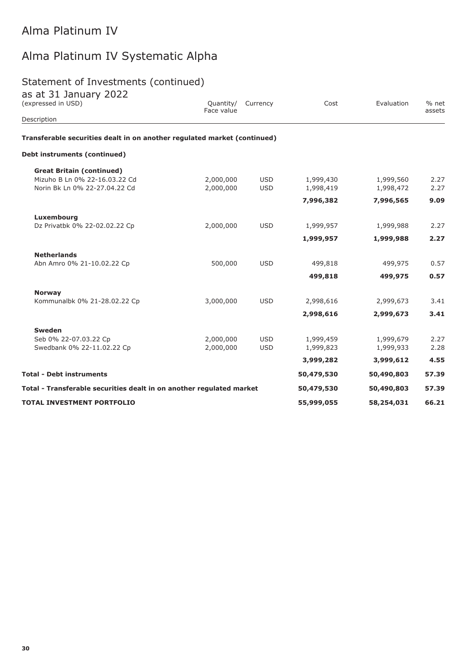# Alma Platinum IV Systematic Alpha

### Statement of Investments (continued)

| $\frac{1}{2}$ at $\frac{1}{2}$ sandary $\frac{1}{2}$<br>(expressed in USD) | Face value | Quantity/ Currency | Cost       | Evaluation | % net<br>assets |
|----------------------------------------------------------------------------|------------|--------------------|------------|------------|-----------------|
| Description                                                                |            |                    |            |            |                 |
| Transferable securities dealt in on another regulated market (continued)   |            |                    |            |            |                 |
| Debt instruments (continued)                                               |            |                    |            |            |                 |
| <b>Great Britain (continued)</b>                                           |            |                    |            |            |                 |
| Mizuho B Ln 0% 22-16.03.22 Cd                                              | 2,000,000  | <b>USD</b>         | 1,999,430  | 1,999,560  | 2.27            |
| Norin Bk Ln 0% 22-27.04.22 Cd                                              | 2,000,000  | <b>USD</b>         | 1,998,419  | 1,998,472  | 2.27            |
|                                                                            |            |                    | 7,996,382  | 7,996,565  | 9.09            |
| Luxembourg                                                                 |            |                    |            |            |                 |
| Dz Privatbk 0% 22-02.02.22 Cp                                              | 2,000,000  | <b>USD</b>         | 1,999,957  | 1,999,988  | 2.27            |
|                                                                            |            |                    | 1,999,957  | 1,999,988  | 2.27            |
| <b>Netherlands</b>                                                         |            |                    |            |            |                 |
| Abn Amro 0% 21-10.02.22 Cp                                                 | 500,000    | <b>USD</b>         | 499,818    | 499,975    | 0.57            |
|                                                                            |            |                    | 499,818    | 499,975    | 0.57            |
| <b>Norway</b>                                                              |            |                    |            |            |                 |
| Kommunalbk 0% 21-28.02.22 Cp                                               | 3,000,000  | <b>USD</b>         | 2,998,616  | 2,999,673  | 3.41            |
|                                                                            |            |                    | 2,998,616  | 2,999,673  | 3.41            |
| <b>Sweden</b>                                                              |            |                    |            |            |                 |
| Seb 0% 22-07.03.22 Cp                                                      | 2,000,000  | <b>USD</b>         | 1,999,459  | 1,999,679  | 2.27            |
| Swedbank 0% 22-11.02.22 Cp                                                 | 2,000,000  | <b>USD</b>         | 1,999,823  | 1,999,933  | 2.28            |
|                                                                            |            |                    | 3,999,282  | 3,999,612  | 4.55            |
| <b>Total - Debt instruments</b>                                            |            |                    | 50,479,530 | 50,490,803 | 57.39           |
| Total - Transferable securities dealt in on another regulated market       |            |                    | 50,479,530 | 50,490,803 | 57.39           |
| <b>TOTAL INVESTMENT PORTFOLIO</b>                                          |            |                    | 55,999,055 | 58,254,031 | 66.21           |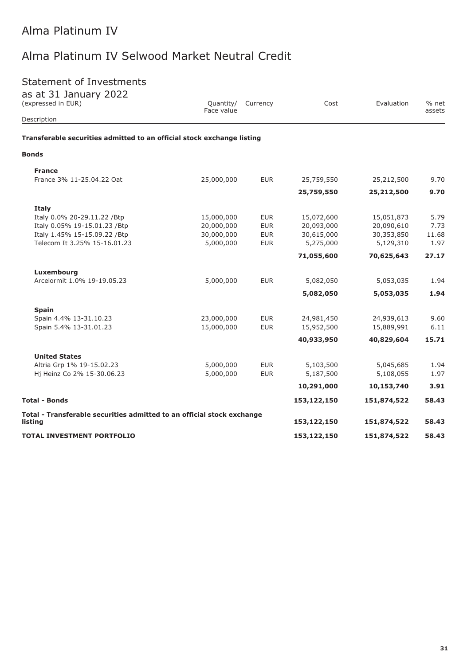# Alma Platinum IV Selwood Market Neutral Credit

### Statement of Investments

| <b>Statement of Investments</b><br>as at 31 January 2022                          |                         |            |             |             |                 |
|-----------------------------------------------------------------------------------|-------------------------|------------|-------------|-------------|-----------------|
| (expressed in EUR)                                                                | Quantity/<br>Face value | Currency   | Cost        | Evaluation  | % net<br>assets |
| Description                                                                       |                         |            |             |             |                 |
| Transferable securities admitted to an official stock exchange listing            |                         |            |             |             |                 |
| <b>Bonds</b>                                                                      |                         |            |             |             |                 |
| <b>France</b>                                                                     |                         |            |             |             |                 |
| France 3% 11-25.04.22 Oat                                                         | 25,000,000              | <b>EUR</b> | 25,759,550  | 25,212,500  | 9.70            |
|                                                                                   |                         |            | 25,759,550  | 25,212,500  | 9.70            |
| Italy                                                                             |                         |            |             |             |                 |
| Italy 0.0% 20-29.11.22 /Btp                                                       | 15,000,000              | <b>EUR</b> | 15,072,600  | 15,051,873  | 5.79            |
| Italy 0.05% 19-15.01.23 /Btp                                                      | 20,000,000              | <b>EUR</b> | 20,093,000  | 20,090,610  | 7.73            |
| Italy 1.45% 15-15.09.22 / Btp                                                     | 30,000,000              | <b>EUR</b> | 30,615,000  | 30,353,850  | 11.68           |
| Telecom It 3.25% 15-16.01.23                                                      | 5,000,000               | <b>EUR</b> | 5,275,000   | 5,129,310   | 1.97            |
|                                                                                   |                         |            | 71,055,600  | 70,625,643  | 27.17           |
| Luxembourg                                                                        |                         |            |             |             |                 |
| Arcelormit 1.0% 19-19.05.23                                                       | 5,000,000               | <b>EUR</b> | 5,082,050   | 5,053,035   | 1.94            |
|                                                                                   |                         |            | 5,082,050   | 5,053,035   | 1.94            |
| <b>Spain</b>                                                                      |                         |            |             |             |                 |
| Spain 4.4% 13-31.10.23                                                            | 23,000,000              | <b>EUR</b> | 24,981,450  | 24,939,613  | 9.60            |
| Spain 5.4% 13-31.01.23                                                            | 15,000,000              | <b>EUR</b> | 15,952,500  | 15,889,991  | 6.11            |
|                                                                                   |                         |            | 40,933,950  | 40,829,604  | 15.71           |
| <b>United States</b>                                                              |                         |            |             |             |                 |
| Altria Grp 1% 19-15.02.23                                                         | 5,000,000               | <b>EUR</b> | 5,103,500   | 5,045,685   | 1.94            |
| Hj Heinz Co 2% 15-30.06.23                                                        | 5,000,000               | <b>EUR</b> | 5,187,500   | 5,108,055   | 1.97            |
|                                                                                   |                         |            | 10,291,000  | 10,153,740  | 3.91            |
| <b>Total - Bonds</b>                                                              |                         |            | 153,122,150 | 151,874,522 | 58.43           |
| Total - Transferable securities admitted to an official stock exchange<br>listing |                         |            | 153,122,150 | 151,874,522 | 58.43           |
| <b>TOTAL INVESTMENT PORTFOLIO</b>                                                 |                         |            | 153,122,150 | 151,874,522 | 58.43           |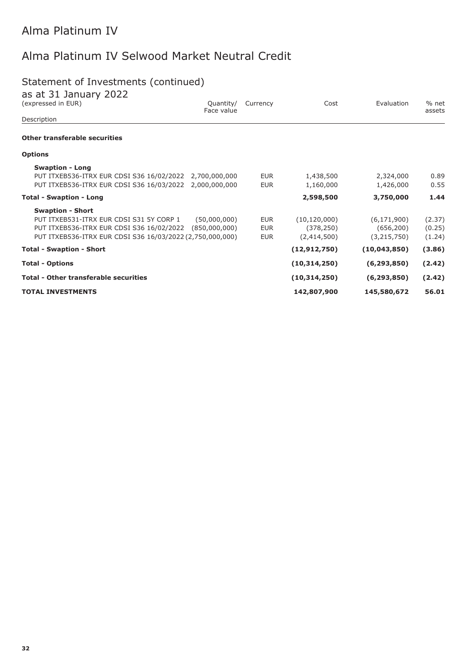# Alma Platinum IV Selwood Market Neutral Credit

## Statement of Investments (continued)

| as at 31 January 2022<br>(expressed in EUR)<br>Quantity/<br>Face value | Currency   | Cost           | Evaluation    | % net<br>assets |
|------------------------------------------------------------------------|------------|----------------|---------------|-----------------|
| Description                                                            |            |                |               |                 |
| <b>Other transferable securities</b>                                   |            |                |               |                 |
| <b>Options</b>                                                         |            |                |               |                 |
| <b>Swaption - Long</b>                                                 |            |                |               |                 |
| PUT ITXEB536-ITRX EUR CDSI S36 16/02/2022 2,700,000,000                | <b>EUR</b> | 1,438,500      | 2,324,000     | 0.89            |
| PUT ITXEB536-ITRX EUR CDSI S36 16/03/2022 2,000,000,000                | <b>EUR</b> | 1,160,000      | 1,426,000     | 0.55            |
| <b>Total - Swaption - Long</b>                                         |            | 2,598,500      | 3,750,000     | 1.44            |
| <b>Swaption - Short</b>                                                |            |                |               |                 |
| PUT ITXEB531-ITRX EUR CDSI S31 5Y CORP 1<br>(50,000,000)               | <b>EUR</b> | (10, 120, 000) | (6, 171, 900) | (2.37)          |
| PUT ITXEB536-ITRX EUR CDSI S36 16/02/2022<br>(850,000,000)             | <b>EUR</b> | (378, 250)     | (656, 200)    | (0.25)          |
| PUT ITXEB536-ITRX EUR CDSI S36 16/03/2022 (2,750,000,000)              | <b>EUR</b> | (2,414,500)    | (3,215,750)   | (1.24)          |
| <b>Total - Swaption - Short</b>                                        |            | (12, 912, 750) | (10,043,850)  | (3.86)          |
| <b>Total - Options</b>                                                 |            | (10, 314, 250) | (6, 293, 850) | (2.42)          |
| <b>Total - Other transferable securities</b>                           |            | (10, 314, 250) | (6, 293, 850) | (2.42)          |
| <b>TOTAL INVESTMENTS</b>                                               |            | 142,807,900    | 145,580,672   | 56.01           |
|                                                                        |            |                |               |                 |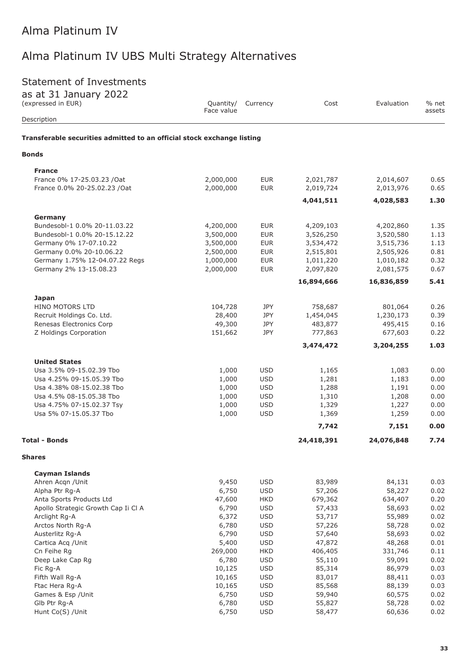### Statement of Investments

| as at 31 January 2022<br>(expressed in EUR)                            | Quantity/<br>Face value | Currency                 | Cost             | Evaluation       | % net<br>assets |
|------------------------------------------------------------------------|-------------------------|--------------------------|------------------|------------------|-----------------|
| Description                                                            |                         |                          |                  |                  |                 |
| Transferable securities admitted to an official stock exchange listing |                         |                          |                  |                  |                 |
| <b>Bonds</b>                                                           |                         |                          |                  |                  |                 |
| <b>France</b>                                                          |                         |                          |                  |                  |                 |
| France 0% 17-25.03.23 /Oat                                             | 2,000,000               | <b>EUR</b>               | 2,021,787        | 2,014,607        | 0.65            |
| France 0.0% 20-25.02.23 /Oat                                           | 2,000,000               | <b>EUR</b>               | 2,019,724        | 2,013,976        | 0.65            |
|                                                                        |                         |                          | 4,041,511        | 4,028,583        | 1.30            |
| Germany                                                                |                         |                          |                  |                  |                 |
| Bundesobl-1 0.0% 20-11.03.22                                           | 4,200,000               | <b>EUR</b>               | 4,209,103        | 4,202,860        | 1.35            |
| Bundesobl-1 0.0% 20-15.12.22                                           | 3,500,000               | <b>EUR</b>               | 3,526,250        | 3,520,580        | 1.13            |
| Germany 0% 17-07.10.22                                                 | 3,500,000               | <b>EUR</b>               | 3,534,472        | 3,515,736        | 1.13            |
| Germany 0.0% 20-10.06.22                                               | 2,500,000               | <b>EUR</b>               | 2,515,801        | 2,505,926        | 0.81            |
| Germany 1.75% 12-04.07.22 Regs                                         | 1,000,000               | <b>EUR</b>               | 1,011,220        | 1,010,182        | 0.32            |
| Germany 2% 13-15.08.23                                                 | 2,000,000               | <b>EUR</b>               | 2,097,820        | 2,081,575        | 0.67            |
|                                                                        |                         |                          | 16,894,666       | 16,836,859       | 5.41            |
| <b>Japan</b>                                                           |                         |                          |                  |                  |                 |
| HINO MOTORS LTD                                                        | 104,728                 | JPY                      | 758,687          | 801,064          | 0.26            |
| Recruit Holdings Co. Ltd.                                              | 28,400                  | <b>JPY</b>               | 1,454,045        | 1,230,173        | 0.39            |
| Renesas Electronics Corp                                               | 49,300                  | <b>JPY</b>               | 483,877          | 495,415          | 0.16            |
| Z Holdings Corporation                                                 | 151,662                 | JPY                      | 777,863          | 677,603          | 0.22            |
|                                                                        |                         |                          | 3,474,472        | 3,204,255        | 1.03            |
| <b>United States</b>                                                   |                         |                          |                  |                  |                 |
| Usa 3.5% 09-15.02.39 Tbo                                               | 1,000                   | <b>USD</b>               | 1,165            | 1,083            | 0.00            |
| Usa 4.25% 09-15.05.39 Tbo                                              | 1,000                   | <b>USD</b>               | 1,281            | 1,183            | 0.00            |
| Usa 4.38% 08-15.02.38 Tbo<br>Usa 4.5% 08-15.05.38 Tbo                  | 1,000<br>1,000          | <b>USD</b><br><b>USD</b> | 1,288<br>1,310   | 1,191<br>1,208   | 0.00<br>0.00    |
| Usa 4.75% 07-15.02.37 Tsy                                              | 1,000                   | <b>USD</b>               | 1,329            | 1,227            | 0.00            |
| Usa 5% 07-15.05.37 Tbo                                                 | 1,000                   | <b>USD</b>               | 1,369            | 1,259            | 0.00            |
|                                                                        |                         |                          | 7,742            | 7,151            | 0.00            |
| Total - Bonds                                                          |                         |                          | 24,418,391       | 24,076,848       | 7.74            |
|                                                                        |                         |                          |                  |                  |                 |
| Shares                                                                 |                         |                          |                  |                  |                 |
| <b>Cayman Islands</b>                                                  |                         |                          |                  |                  |                 |
| Ahren Acqn / Unit                                                      | 9,450                   | <b>USD</b>               | 83,989           | 84,131           | 0.03            |
| Alpha Ptr Rg-A                                                         | 6,750                   | <b>USD</b>               | 57,206           | 58,227           | 0.02            |
| Anta Sports Products Ltd                                               | 47,600                  | <b>HKD</b>               | 679,362          | 634,407          | 0.20            |
| Apollo Strategic Growth Cap Ii Cl A                                    | 6,790                   | <b>USD</b>               | 57,433           | 58,693           | 0.02            |
| Arclight Rg-A<br>Arctos North Rg-A                                     | 6,372<br>6,780          | <b>USD</b><br><b>USD</b> | 53,717<br>57,226 | 55,989<br>58,728 | 0.02<br>0.02    |
| Austerlitz Rg-A                                                        | 6,790                   | <b>USD</b>               | 57,640           | 58,693           | 0.02            |
| Cartica Acq / Unit                                                     | 5,400                   | <b>USD</b>               | 47,872           | 48,268           | 0.01            |
| Cn Feihe Rg                                                            | 269,000                 | <b>HKD</b>               | 406,405          | 331,746          | 0.11            |
| Deep Lake Cap Rg                                                       | 6,780                   | <b>USD</b>               | 55,110           | 59,091           | 0.02            |
| Fic Rg-A                                                               | 10,125                  | <b>USD</b>               | 85,314           | 86,979           | 0.03            |
| Fifth Wall Rg-A                                                        | 10,165                  | <b>USD</b>               | 83,017           | 88,411           | 0.03            |
| Ftac Hera Rg-A                                                         | 10,165                  | <b>USD</b>               | 85,568           | 88,139           | 0.03            |
| Games & Esp / Unit                                                     | 6,750                   | <b>USD</b>               | 59,940           | 60,575           | 0.02            |
| Glb Ptr Rg-A                                                           | 6,780                   | <b>USD</b>               | 55,827           | 58,728           | 0.02            |
| Hunt Co(S) /Unit                                                       | 6,750                   | <b>USD</b>               | 58,477           | 60,636           | 0.02            |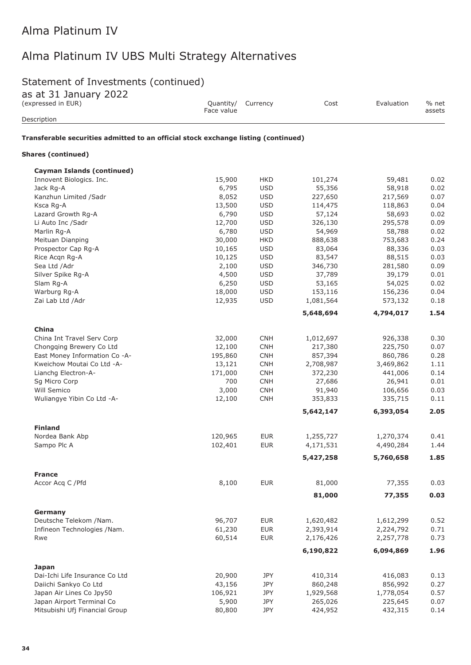### Statement of Investments (continued)

| as at 31 sanuary 2022<br>(expressed in EUR)<br>Description                         | Quantity/<br>Face value | Currency   | Cost      | Evaluation | % net<br>assets |
|------------------------------------------------------------------------------------|-------------------------|------------|-----------|------------|-----------------|
| Transferable securities admitted to an official stock exchange listing (continued) |                         |            |           |            |                 |
| <b>Shares (continued)</b>                                                          |                         |            |           |            |                 |
| <b>Cayman Islands (continued)</b>                                                  |                         |            |           |            |                 |
| Innovent Biologics. Inc.                                                           | 15,900                  | <b>HKD</b> | 101,274   | 59,481     | 0.02            |
| Jack Rg-A                                                                          | 6,795                   | <b>USD</b> | 55,356    | 58,918     | 0.02            |
| Kanzhun Limited /Sadr                                                              | 8,052                   | <b>USD</b> | 227,650   | 217,569    | 0.07            |
| Ksca Rg-A                                                                          | 13,500                  | <b>USD</b> | 114,475   | 118,863    | 0.04            |
| Lazard Growth Rg-A                                                                 | 6,790                   | <b>USD</b> | 57,124    | 58,693     | 0.02            |
| Li Auto Inc /Sadr                                                                  | 12,700                  | <b>USD</b> | 326,130   | 295,578    | 0.09            |
| Marlin Rg-A                                                                        | 6,780                   | <b>USD</b> | 54,969    | 58,788     | 0.02            |
| Meituan Dianping                                                                   | 30,000                  | <b>HKD</b> | 888,638   | 753,683    | 0.24            |
| Prospector Cap Rg-A                                                                | 10,165                  | <b>USD</b> | 83,064    | 88,336     | 0.03            |
| Rice Acqn Rg-A                                                                     | 10,125                  | <b>USD</b> | 83,547    | 88,515     | 0.03            |
| Sea Ltd /Adr                                                                       | 2,100                   | <b>USD</b> | 346,730   | 281,580    | 0.09            |
| Silver Spike Rg-A                                                                  | 4,500                   | <b>USD</b> | 37,789    | 39,179     | 0.01            |
| Slam Rg-A                                                                          | 6,250                   | <b>USD</b> | 53,165    | 54,025     | 0.02            |
| Warburg Rg-A                                                                       | 18,000                  | <b>USD</b> | 153,116   | 156,236    | 0.04            |
| Zai Lab Ltd / Adr                                                                  | 12,935                  | <b>USD</b> | 1,081,564 | 573,132    | 0.18            |
|                                                                                    |                         |            | 5,648,694 | 4,794,017  | 1.54            |
| China                                                                              |                         |            |           |            |                 |
| China Int Travel Serv Corp                                                         | 32,000                  | <b>CNH</b> | 1,012,697 | 926,338    | 0.30            |
| Chongqing Brewery Co Ltd                                                           | 12,100                  | <b>CNH</b> | 217,380   | 225,750    | 0.07            |
| East Money Information Co -A-                                                      | 195,860                 | <b>CNH</b> | 857,394   | 860,786    | 0.28            |
| Kweichow Moutai Co Ltd -A-                                                         | 13,121                  | <b>CNH</b> | 2,708,987 | 3,469,862  | 1.11            |
| Lianchg Electron-A-                                                                | 171,000                 | <b>CNH</b> | 372,230   | 441,006    | 0.14            |
| Sg Micro Corp                                                                      | 700                     | <b>CNH</b> | 27,686    | 26,941     | 0.01            |
| Will Semico                                                                        | 3,000                   | <b>CNH</b> | 91,940    | 106,656    | 0.03            |
| Wuliangye Yibin Co Ltd -A-                                                         | 12,100                  | <b>CNH</b> | 353,833   | 335,715    | 0.11            |
|                                                                                    |                         |            | 5,642,147 | 6,393,054  | 2.05            |
| <b>Finland</b>                                                                     |                         |            |           |            |                 |
| Nordea Bank Abp                                                                    | 120,965                 | <b>EUR</b> | 1,255,727 | 1,270,374  | 0.41            |
| Sampo Plc A                                                                        | 102,401                 | <b>EUR</b> | 4,171,531 | 4,490,284  | 1.44            |
|                                                                                    |                         |            | 5,427,258 | 5,760,658  | 1.85            |
|                                                                                    |                         |            |           |            |                 |
| <b>France</b><br>Accor Acq C / Pfd                                                 | 8,100                   | <b>EUR</b> | 81,000    | 77,355     | 0.03            |
|                                                                                    |                         |            | 81,000    | 77,355     | 0.03            |
|                                                                                    |                         |            |           |            |                 |
| Germany                                                                            |                         |            |           |            |                 |
| Deutsche Telekom /Nam.                                                             | 96,707                  | <b>EUR</b> | 1,620,482 | 1,612,299  | 0.52            |
| Infineon Technologies /Nam.                                                        | 61,230                  | <b>EUR</b> | 2,393,914 | 2,224,792  | 0.71            |
| Rwe                                                                                | 60,514                  | <b>EUR</b> | 2,176,426 | 2,257,778  | 0.73            |
|                                                                                    |                         |            | 6,190,822 | 6,094,869  | 1.96            |
| <b>Japan</b>                                                                       |                         |            |           |            |                 |
| Dai-Ichi Life Insurance Co Ltd                                                     | 20,900                  | JPY        | 410,314   | 416,083    | 0.13            |
| Daiichi Sankyo Co Ltd                                                              | 43,156                  | JPY        | 860,248   | 856,992    | 0.27            |
| Japan Air Lines Co Jpy50                                                           | 106,921                 | JPY        | 1,929,568 | 1,778,054  | 0.57            |
| Japan Airport Terminal Co                                                          | 5,900                   | JPY        | 265,026   | 225,645    | 0.07            |
| Mitsubishi Ufj Financial Group                                                     | 80,800                  | JPY        | 424,952   | 432,315    | 0.14            |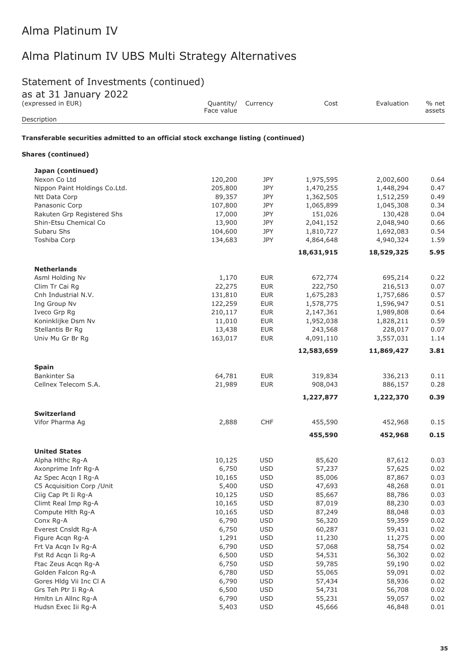### Statement of Investments (continued)

| ds dt 31 Jdhudry 2022<br>(expressed in EUR)                                        | Quantity/<br>Face value | Currency                 | Cost             | Evaluation       | % net<br>assets |
|------------------------------------------------------------------------------------|-------------------------|--------------------------|------------------|------------------|-----------------|
| Description                                                                        |                         |                          |                  |                  |                 |
| Transferable securities admitted to an official stock exchange listing (continued) |                         |                          |                  |                  |                 |
| <b>Shares (continued)</b>                                                          |                         |                          |                  |                  |                 |
| Japan (continued)                                                                  |                         |                          |                  |                  |                 |
| Nexon Co Ltd                                                                       | 120,200                 | JPY                      | 1,975,595        | 2,002,600        | 0.64            |
| Nippon Paint Holdings Co.Ltd.                                                      | 205,800                 | JPY                      | 1,470,255        | 1,448,294        | 0.47            |
| Ntt Data Corp                                                                      | 89,357                  | JPY                      | 1,362,505        | 1,512,259        | 0.49            |
| Panasonic Corp                                                                     | 107,800                 | JPY                      | 1,065,899        | 1,045,308        | 0.34            |
| Rakuten Grp Registered Shs                                                         | 17,000                  | JPY                      | 151,026          | 130,428          | 0.04            |
| Shin-Etsu Chemical Co                                                              | 13,900                  | <b>JPY</b>               | 2,041,152        | 2,048,940        | 0.66            |
| Subaru Shs                                                                         | 104,600                 | <b>JPY</b>               | 1,810,727        | 1,692,083        | 0.54            |
| Toshiba Corp                                                                       | 134,683                 | JPY                      | 4,864,648        | 4,940,324        | 1.59            |
|                                                                                    |                         |                          | 18,631,915       | 18,529,325       | 5.95            |
| <b>Netherlands</b>                                                                 |                         |                          |                  |                  |                 |
| Asml Holding Nv                                                                    | 1,170                   | <b>EUR</b>               | 672,774          | 695,214          | 0.22            |
| Clim Tr Cai Rg                                                                     | 22,275                  | <b>EUR</b>               | 222,750          | 216,513          | 0.07            |
| Cnh Industrial N.V.                                                                | 131,810                 | <b>EUR</b>               | 1,675,283        | 1,757,686        | 0.57            |
| Ing Group Nv                                                                       | 122,259                 | <b>EUR</b>               | 1,578,775        | 1,596,947        | 0.51            |
| Iveco Grp Rg                                                                       | 210,117                 | <b>EUR</b>               | 2,147,361        | 1,989,808        | 0.64            |
| Koninklijke Dsm Nv                                                                 | 11,010                  | <b>EUR</b>               | 1,952,038        | 1,828,211        | 0.59            |
| Stellantis Br Rg                                                                   | 13,438                  | <b>EUR</b>               | 243,568          | 228,017          | 0.07            |
| Univ Mu Gr Br Rg                                                                   | 163,017                 | <b>EUR</b>               | 4,091,110        | 3,557,031        | 1.14            |
|                                                                                    |                         |                          | 12,583,659       | 11,869,427       | 3.81            |
| <b>Spain</b>                                                                       |                         |                          |                  |                  |                 |
| <b>Bankinter Sa</b>                                                                | 64,781                  | <b>EUR</b>               | 319,834          | 336,213          | 0.11            |
| Cellnex Telecom S.A.                                                               | 21,989                  | <b>EUR</b>               | 908,043          | 886,157          | 0.28            |
|                                                                                    |                         |                          | 1,227,877        | 1,222,370        | 0.39            |
| <b>Switzerland</b>                                                                 |                         |                          |                  |                  |                 |
| Vifor Pharma Ag                                                                    | 2,888                   | <b>CHF</b>               | 455,590          | 452,968          | 0.15            |
|                                                                                    |                         |                          | 455,590          | 452,968          | 0.15            |
| <b>United States</b>                                                               |                         |                          |                  |                  |                 |
| Alpha Hithc Rg-A                                                                   | 10,125                  | <b>USD</b>               | 85,620           | 87,612           | 0.03            |
| Axonprime Infr Rg-A                                                                | 6,750                   | <b>USD</b>               | 57,237           | 57,625           | 0.02            |
| Az Spec Acqn I Rg-A                                                                | 10,165                  | <b>USD</b>               | 85,006           | 87,867           | 0.03            |
| C5 Acquisition Corp / Unit                                                         | 5,400                   | <b>USD</b>               | 47,693           | 48,268           | 0.01            |
| Ciig Cap Pt Ii Rg-A                                                                | 10,125                  | <b>USD</b>               | 85,667           | 88,786           | 0.03            |
| Climt Real Imp Rg-A                                                                | 10,165                  | <b>USD</b>               | 87,019           | 88,230           | 0.03            |
| Compute Hlth Rg-A                                                                  | 10,165                  | <b>USD</b>               | 87,249           | 88,048           | 0.03            |
| Conx Rg-A                                                                          | 6,790                   | <b>USD</b>               | 56,320           | 59,359           | 0.02            |
| Everest Cnsldt Rg-A                                                                | 6,750                   | <b>USD</b>               | 60,287           | 59,431           | 0.02            |
| Figure Acqn Rg-A                                                                   | 1,291<br>6,790          | <b>USD</b><br><b>USD</b> | 11,230<br>57,068 | 11,275<br>58,754 | 0.00<br>0.02    |
| Frt Va Acqn Iv Rg-A                                                                |                         | <b>USD</b>               |                  |                  | 0.02            |
| Fst Rd Acqn Ii Rg-A<br>Ftac Zeus Acqn Rg-A                                         | 6,500<br>6,750          | <b>USD</b>               | 54,531<br>59,785 | 56,302<br>59,190 | 0.02            |
| Golden Falcon Rg-A                                                                 |                         | <b>USD</b>               | 55,065           |                  | 0.02            |
| Gores Hldg Vii Inc Cl A                                                            | 6,780<br>6,790          | <b>USD</b>               | 57,434           | 59,091<br>58,936 | 0.02            |
| Grs Teh Ptr Ii Rg-A                                                                | 6,500                   | <b>USD</b>               | 54,731           | 56,708           | 0.02            |
| Hmltn Ln Allnc Rg-A                                                                | 6,790                   | <b>USD</b>               | 55,231           | 59,057           | 0.02            |
| Hudsn Exec Iii Rg-A                                                                | 5,403                   | <b>USD</b>               | 45,666           | 46,848           | 0.01            |
|                                                                                    |                         |                          |                  |                  |                 |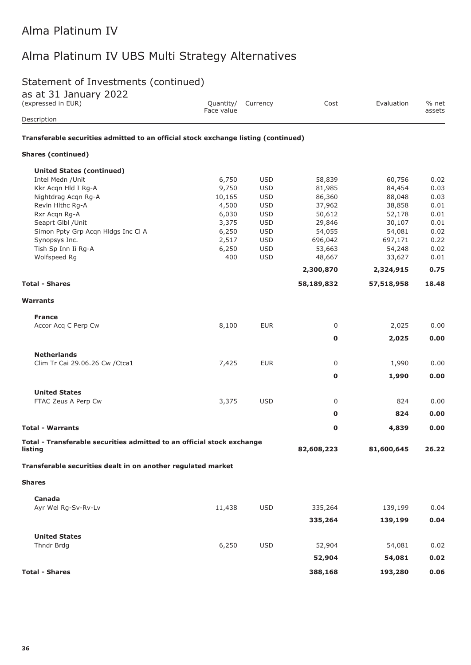# Statement of Investments (continued)

|  | as at 31 January 2022 |  |
|--|-----------------------|--|
|  |                       |  |

| as at JI January 2022<br>(expressed in EUR)                                        | Face value | Quantity/ Currency | Cost        | Evaluation | % net<br>assets |
|------------------------------------------------------------------------------------|------------|--------------------|-------------|------------|-----------------|
| Description                                                                        |            |                    |             |            |                 |
| Transferable securities admitted to an official stock exchange listing (continued) |            |                    |             |            |                 |
| <b>Shares (continued)</b>                                                          |            |                    |             |            |                 |
| <b>United States (continued)</b>                                                   |            |                    |             |            |                 |
| Intel Medn / Unit                                                                  | 6,750      | <b>USD</b>         | 58,839      | 60,756     | 0.02            |
| Kkr Acqn Hld I Rg-A                                                                | 9,750      | <b>USD</b>         | 81,985      | 84,454     | 0.03            |
| Nightdrag Acqn Rg-A                                                                | 10,165     | <b>USD</b>         | 86,360      | 88,048     | 0.03            |
| Revin Hithc Rg-A                                                                   | 4,500      | <b>USD</b>         | 37,962      | 38,858     | 0.01            |
| Rxr Acqn Rg-A                                                                      | 6,030      | <b>USD</b>         | 50,612      | 52,178     | 0.01            |
| Seaprt Glbl / Unit                                                                 | 3,375      | <b>USD</b>         | 29,846      | 30,107     | 0.01            |
| Simon Ppty Grp Acqn Hldgs Inc Cl A                                                 | 6,250      | <b>USD</b>         | 54,055      | 54,081     | 0.02            |
| Synopsys Inc.                                                                      | 2,517      | <b>USD</b>         | 696,042     | 697,171    | 0.22            |
| Tish Sp Inn Ii Rg-A                                                                | 6,250      | <b>USD</b>         | 53,663      | 54,248     | 0.02            |
| Wolfspeed Rg                                                                       | 400        | <b>USD</b>         | 48,667      | 33,627     | 0.01            |
|                                                                                    |            |                    | 2,300,870   | 2,324,915  | 0.75            |
| <b>Total - Shares</b>                                                              |            |                    | 58,189,832  | 57,518,958 | 18.48           |
| <b>Warrants</b>                                                                    |            |                    |             |            |                 |
| <b>France</b>                                                                      |            |                    |             |            |                 |
| Accor Acq C Perp Cw                                                                | 8,100      | <b>EUR</b>         | 0           | 2,025      | 0.00            |
|                                                                                    |            |                    | 0           | 2,025      | 0.00            |
| <b>Netherlands</b>                                                                 |            |                    |             |            |                 |
| Clim Tr Cai 29.06.26 Cw / Ctca1                                                    | 7,425      | <b>EUR</b>         | 0           | 1,990      | 0.00            |
|                                                                                    |            |                    | $\mathbf 0$ | 1,990      | 0.00            |
| <b>United States</b>                                                               |            |                    |             |            |                 |
| FTAC Zeus A Perp Cw                                                                | 3,375      | <b>USD</b>         | 0           | 824        | 0.00            |
|                                                                                    |            |                    | 0           | 824        | 0.00            |
| <b>Total - Warrants</b>                                                            |            |                    | 0           | 4,839      | 0.00            |
| Total - Transferable securities admitted to an official stock exchange<br>listing  |            |                    | 82,608,223  | 81,600,645 | 26.22           |
| Transferable securities dealt in on another regulated market                       |            |                    |             |            |                 |
| <b>Shares</b>                                                                      |            |                    |             |            |                 |
|                                                                                    |            |                    |             |            |                 |
| Canada<br>Ayr Wel Rg-Sv-Rv-Lv                                                      | 11,438     | <b>USD</b>         | 335,264     | 139,199    | 0.04            |
|                                                                                    |            |                    | 335,264     | 139,199    | 0.04            |
|                                                                                    |            |                    |             |            |                 |
| <b>United States</b><br>Thndr Brdg                                                 | 6,250      | <b>USD</b>         | 52,904      | 54,081     | 0.02            |
|                                                                                    |            |                    | 52,904      | 54,081     | 0.02            |
| <b>Total - Shares</b>                                                              |            |                    | 388,168     | 193,280    | 0.06            |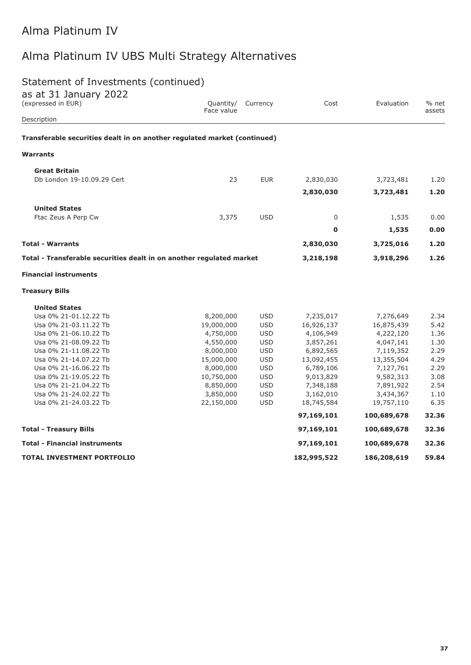# Alma Platinum IV UBS Multi Strategy Alternatives

# Statement of Investments (continued)

| as at 31 January 2022<br>(expressed in EUR)                              | Quantity/<br>Face value | Currency   | Cost        | Evaluation  | % net<br>assets |
|--------------------------------------------------------------------------|-------------------------|------------|-------------|-------------|-----------------|
| Description                                                              |                         |            |             |             |                 |
| Transferable securities dealt in on another regulated market (continued) |                         |            |             |             |                 |
| <b>Warrants</b>                                                          |                         |            |             |             |                 |
| <b>Great Britain</b>                                                     |                         |            |             |             |                 |
| Db London 19-10.09.29 Cert                                               | 23                      | <b>EUR</b> | 2,830,030   | 3,723,481   | 1.20            |
|                                                                          |                         |            | 2,830,030   | 3,723,481   | 1.20            |
| <b>United States</b>                                                     |                         |            |             |             |                 |
| Ftac Zeus A Perp Cw                                                      | 3,375                   | <b>USD</b> | $\mathbf 0$ | 1,535       | 0.00            |
|                                                                          |                         |            | $\mathbf 0$ | 1,535       | 0.00            |
| <b>Total - Warrants</b>                                                  |                         |            | 2,830,030   | 3,725,016   | 1.20            |
| Total - Transferable securities dealt in on another regulated market     |                         |            | 3,218,198   | 3,918,296   | 1.26            |
| <b>Financial instruments</b>                                             |                         |            |             |             |                 |
| <b>Treasury Bills</b>                                                    |                         |            |             |             |                 |
| <b>United States</b>                                                     |                         |            |             |             |                 |
| Usa 0% 21-01.12.22 Tb                                                    | 8,200,000               | <b>USD</b> | 7,235,017   | 7,276,649   | 2.34            |
| Usa 0% 21-03.11.22 Tb                                                    | 19,000,000              | <b>USD</b> | 16,926,137  | 16,875,439  | 5.42            |
| Usa 0% 21-06.10.22 Tb                                                    | 4,750,000               | <b>USD</b> | 4,106,949   | 4,222,120   | 1.36            |
| Usa 0% 21-08.09.22 Tb                                                    | 4,550,000               | <b>USD</b> | 3,857,261   | 4,047,141   | 1.30            |
| Usa 0% 21-11.08.22 Tb                                                    | 8,000,000               | <b>USD</b> | 6,892,565   | 7,119,352   | 2.29            |
| Usa 0% 21-14.07.22 Tb                                                    | 15,000,000              | <b>USD</b> | 13,092,455  | 13,355,504  | 4.29            |
| Usa 0% 21-16.06.22 Tb                                                    | 8,000,000               | <b>USD</b> | 6,789,106   | 7,127,761   | 2.29            |
| Usa 0% 21-19.05.22 Tb                                                    | 10,750,000              | <b>USD</b> | 9,013,829   | 9,582,313   | 3.08            |
| Usa 0% 21-21.04.22 Tb                                                    | 8,850,000               | <b>USD</b> | 7,348,188   | 7,891,922   | 2.54            |
| Usa 0% 21-24.02.22 Tb                                                    | 3,850,000               | <b>USD</b> | 3,162,010   | 3,434,367   | 1.10            |
| Usa 0% 21-24.03.22 Tb                                                    | 22,150,000              | <b>USD</b> | 18,745,584  | 19,757,110  | 6.35            |
|                                                                          |                         |            | 97,169,101  | 100,689,678 | 32.36           |
| <b>Total - Treasury Bills</b>                                            |                         |            | 97,169,101  | 100,689,678 | 32.36           |
| <b>Total - Financial instruments</b>                                     |                         |            | 97,169,101  | 100,689,678 | 32.36           |
| <b>TOTAL INVESTMENT PORTFOLIO</b>                                        |                         |            | 182,995,522 | 186,208,619 | 59.84           |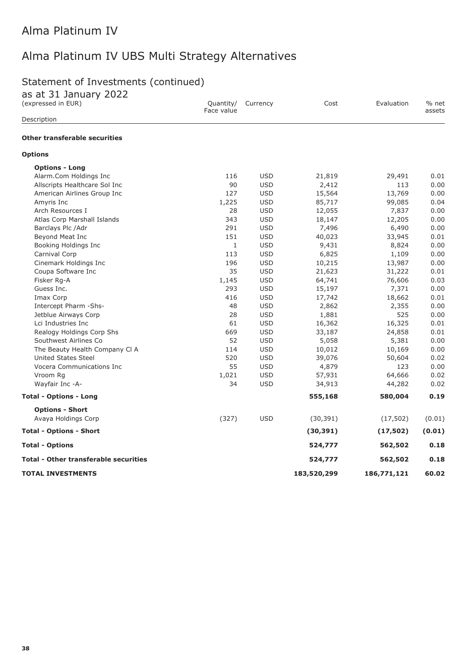# Alma Platinum IV UBS Multi Strategy Alternatives

# Statement of Investments (continued)

as at 31 January 2022

| (expressed in EUR)                           | Quantity/<br>Face value | Currency   | Cost        | Evaluation  | % net<br>assets |
|----------------------------------------------|-------------------------|------------|-------------|-------------|-----------------|
| Description                                  |                         |            |             |             |                 |
| <b>Other transferable securities</b>         |                         |            |             |             |                 |
| <b>Options</b>                               |                         |            |             |             |                 |
| <b>Options - Long</b>                        |                         |            |             |             |                 |
| Alarm.Com Holdings Inc                       | 116                     | <b>USD</b> | 21,819      | 29,491      | 0.01            |
| Allscripts Healthcare Sol Inc                | 90                      | <b>USD</b> | 2,412       | 113         | 0.00            |
| American Airlines Group Inc                  | 127                     | <b>USD</b> | 15,564      | 13,769      | 0.00            |
| Amyris Inc                                   | 1,225                   | <b>USD</b> | 85,717      | 99,085      | 0.04            |
| Arch Resources I                             | 28                      | <b>USD</b> | 12,055      | 7,837       | 0.00            |
| Atlas Corp Marshall Islands                  | 343                     | <b>USD</b> | 18,147      | 12,205      | 0.00            |
| Barclays Plc /Adr                            | 291                     | <b>USD</b> | 7,496       | 6,490       | 0.00            |
| Beyond Meat Inc                              | 151                     | <b>USD</b> | 40,023      | 33,945      | 0.01            |
| Booking Holdings Inc                         | $\mathbf{1}$            | <b>USD</b> | 9,431       | 8,824       | 0.00            |
| Carnival Corp                                | 113                     | <b>USD</b> | 6,825       | 1,109       | 0.00            |
| Cinemark Holdings Inc                        | 196                     | <b>USD</b> | 10,215      | 13,987      | 0.00            |
| Coupa Software Inc                           | 35                      | <b>USD</b> | 21,623      | 31,222      | 0.01            |
| Fisker Rg-A                                  | 1,145                   | <b>USD</b> | 64,741      | 76,606      | 0.03            |
| Guess Inc.                                   | 293                     | <b>USD</b> | 15,197      | 7,371       | 0.00            |
| Imax Corp                                    | 416                     | <b>USD</b> | 17,742      | 18,662      | 0.01            |
| Intercept Pharm -Shs-                        | 48                      | <b>USD</b> | 2,862       | 2,355       | 0.00            |
| Jetblue Airways Corp                         | 28                      | <b>USD</b> | 1,881       | 525         | 0.00            |
| Lci Industries Inc                           | 61                      | <b>USD</b> | 16,362      | 16,325      | 0.01            |
| Realogy Holdings Corp Shs                    | 669                     | <b>USD</b> | 33,187      | 24,858      | 0.01            |
| Southwest Airlines Co                        | 52                      | <b>USD</b> | 5,058       | 5,381       | 0.00            |
| The Beauty Health Company Cl A               | 114                     | <b>USD</b> | 10,012      | 10,169      | 0.00            |
| <b>United States Steel</b>                   | 520                     | <b>USD</b> | 39,076      | 50,604      | 0.02            |
| Vocera Communications Inc                    | 55                      | <b>USD</b> | 4,879       | 123         | 0.00            |
| Vroom Rg                                     | 1,021                   | <b>USD</b> | 57,931      | 64,666      | 0.02            |
| Wayfair Inc -A-                              | 34                      | <b>USD</b> | 34,913      | 44,282      | 0.02            |
| <b>Total - Options - Long</b>                |                         |            | 555,168     | 580,004     | 0.19            |
| <b>Options - Short</b>                       |                         |            |             |             |                 |
| Avaya Holdings Corp                          | (327)                   | <b>USD</b> | (30, 391)   | (17, 502)   | (0.01)          |
| <b>Total - Options - Short</b>               |                         |            | (30, 391)   | (17, 502)   | (0.01)          |
| <b>Total - Options</b>                       |                         |            | 524,777     | 562,502     | 0.18            |
| <b>Total - Other transferable securities</b> |                         |            | 524,777     | 562,502     | 0.18            |
| <b>TOTAL INVESTMENTS</b>                     |                         |            | 183,520,299 | 186,771,121 | 60.02           |
|                                              |                         |            |             |             |                 |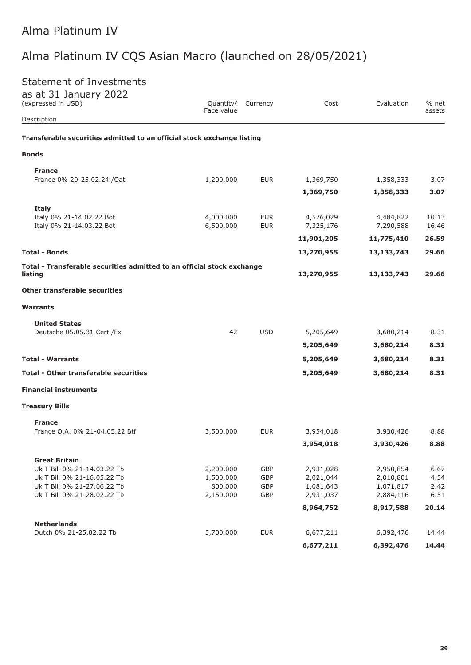# Alma Platinum IV CQS Asian Macro (launched on 28/05/2021)

# Statement of Investments

| as at 31 January 2022<br>(expressed in USD)                            | Quantity/<br>Face value | Currency   | Cost       | Evaluation | % net<br>assets |
|------------------------------------------------------------------------|-------------------------|------------|------------|------------|-----------------|
| Description                                                            |                         |            |            |            |                 |
| Transferable securities admitted to an official stock exchange listing |                         |            |            |            |                 |
| <b>Bonds</b>                                                           |                         |            |            |            |                 |
| <b>France</b>                                                          |                         |            |            |            |                 |
| France 0% 20-25.02.24 / Oat                                            | 1,200,000               | <b>EUR</b> | 1,369,750  | 1,358,333  | 3.07            |
|                                                                        |                         |            | 1,369,750  | 1,358,333  | 3.07            |
| <b>Italy</b>                                                           |                         |            |            |            |                 |
| Italy 0% 21-14.02.22 Bot                                               | 4,000,000               | <b>EUR</b> | 4,576,029  | 4,484,822  | 10.13           |
| Italy 0% 21-14.03.22 Bot                                               | 6,500,000               | <b>EUR</b> | 7,325,176  | 7,290,588  | 16.46           |
|                                                                        |                         |            | 11,901,205 | 11,775,410 | 26.59           |
| <b>Total - Bonds</b>                                                   |                         |            | 13,270,955 | 13,133,743 | 29.66           |
| Total - Transferable securities admitted to an official stock exchange |                         |            |            |            |                 |
| listing                                                                |                         |            | 13,270,955 | 13,133,743 | 29.66           |
| <b>Other transferable securities</b>                                   |                         |            |            |            |                 |
| <b>Warrants</b>                                                        |                         |            |            |            |                 |
| <b>United States</b>                                                   |                         |            |            |            |                 |
| Deutsche 05.05.31 Cert /Fx                                             | 42                      | <b>USD</b> | 5,205,649  | 3,680,214  | 8.31            |
|                                                                        |                         |            | 5,205,649  | 3,680,214  | 8.31            |
| <b>Total - Warrants</b>                                                |                         |            | 5,205,649  | 3,680,214  | 8.31            |
| <b>Total - Other transferable securities</b>                           |                         |            | 5,205,649  | 3,680,214  | 8.31            |
| <b>Financial instruments</b>                                           |                         |            |            |            |                 |
| <b>Treasury Bills</b>                                                  |                         |            |            |            |                 |
| <b>France</b>                                                          |                         |            |            |            |                 |
| France O.A. 0% 21-04.05.22 Btf                                         | 3,500,000               | <b>EUR</b> | 3,954,018  | 3,930,426  | 8.88            |
|                                                                        |                         |            | 3,954,018  | 3,930,426  | 8.88            |
| <b>Great Britain</b>                                                   |                         |            |            |            |                 |
| Uk T Bill 0% 21-14.03.22 Tb                                            | 2,200,000               | GBP        | 2,931,028  | 2,950,854  | 6.67            |
| Uk T Bill 0% 21-16.05.22 Tb                                            | 1,500,000               | GBP        | 2,021,044  | 2,010,801  | 4.54            |
| Uk T Bill 0% 21-27.06.22 Tb                                            | 800,000                 | GBP        | 1,081,643  | 1,071,817  | 2.42            |
| Uk T Bill 0% 21-28.02.22 Tb                                            | 2,150,000               | GBP        | 2,931,037  | 2,884,116  | 6.51            |
|                                                                        |                         |            | 8,964,752  | 8,917,588  | 20.14           |
| <b>Netherlands</b>                                                     |                         |            |            |            |                 |
| Dutch 0% 21-25.02.22 Tb                                                | 5,700,000               | <b>EUR</b> | 6,677,211  | 6,392,476  | 14.44           |
|                                                                        |                         |            |            |            |                 |

**6,677,211 6,392,476 14.44**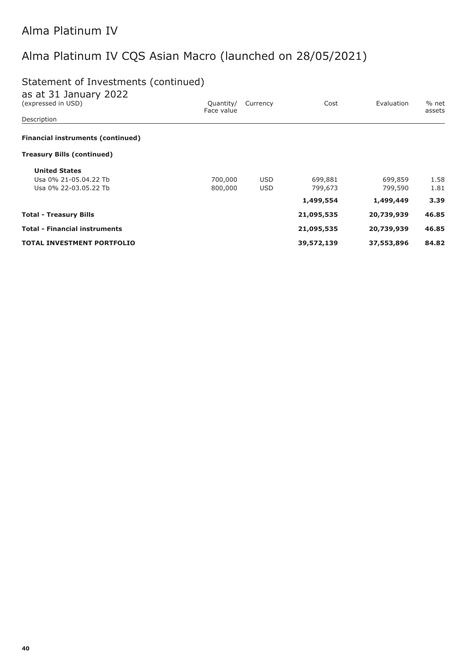# Alma Platinum IV CQS Asian Macro (launched on 28/05/2021)

# Statement of Investments (continued)

| as at 31 January 2022<br>(expressed in USD) | Quantity/  | Currency   | Cost       | Evaluation | % net  |
|---------------------------------------------|------------|------------|------------|------------|--------|
| Description                                 | Face value |            |            |            | assets |
| <b>Financial instruments (continued)</b>    |            |            |            |            |        |
| <b>Treasury Bills (continued)</b>           |            |            |            |            |        |
| <b>United States</b>                        |            |            |            |            |        |
| Usa 0% 21-05.04.22 Tb                       | 700,000    | <b>USD</b> | 699,881    | 699,859    | 1.58   |
| Usa 0% 22-03.05.22 Tb                       | 800,000    | <b>USD</b> | 799,673    | 799,590    | 1.81   |
|                                             |            |            | 1,499,554  | 1,499,449  | 3.39   |
| <b>Total - Treasury Bills</b>               |            |            | 21,095,535 | 20,739,939 | 46.85  |
| <b>Total - Financial instruments</b>        |            |            | 21,095,535 | 20,739,939 | 46.85  |
| <b>TOTAL INVESTMENT PORTFOLIO</b>           |            |            | 39,572,139 | 37,553,896 | 84.82  |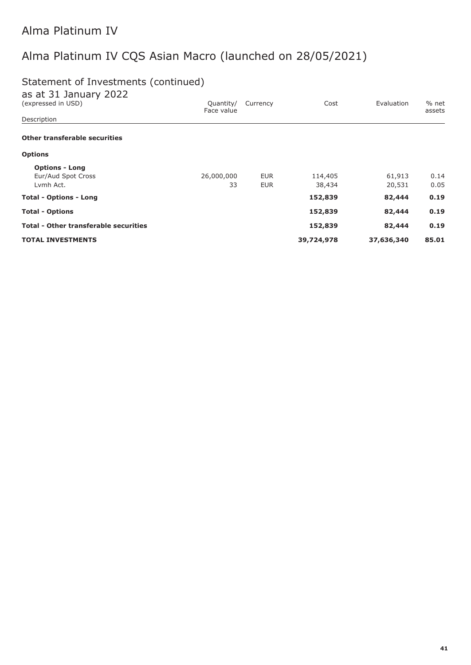# Alma Platinum IV CQS Asian Macro (launched on 28/05/2021)

# Statement of Investments (continued)

| as at 31 January 2022                        |                         |            |            |            |                   |
|----------------------------------------------|-------------------------|------------|------------|------------|-------------------|
| (expressed in USD)                           | Quantity/<br>Face value | Currency   | Cost       | Evaluation | $%$ net<br>assets |
| Description                                  |                         |            |            |            |                   |
| Other transferable securities                |                         |            |            |            |                   |
| <b>Options</b>                               |                         |            |            |            |                   |
| <b>Options - Long</b>                        |                         |            |            |            |                   |
| Eur/Aud Spot Cross                           | 26,000,000              | <b>EUR</b> | 114,405    | 61,913     | 0.14              |
| Lymh Act.                                    | 33                      | <b>EUR</b> | 38,434     | 20,531     | 0.05              |
| <b>Total - Options - Long</b>                |                         |            | 152,839    | 82,444     | 0.19              |
| <b>Total - Options</b>                       |                         |            | 152,839    | 82,444     | 0.19              |
| <b>Total - Other transferable securities</b> |                         |            | 152,839    | 82,444     | 0.19              |
| <b>TOTAL INVESTMENTS</b>                     |                         |            | 39,724,978 | 37,636,340 | 85.01             |
|                                              |                         |            |            |            |                   |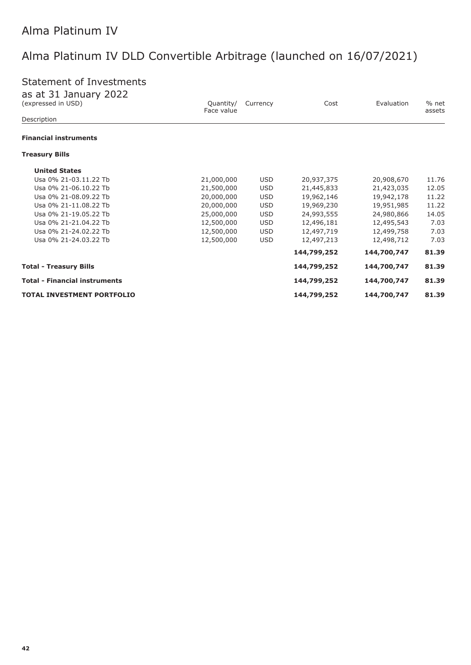# Alma Platinum IV DLD Convertible Arbitrage (launched on 16/07/2021)

# Statement of Investments

| as at 31 January 2022                |                         |            |             |             |                   |
|--------------------------------------|-------------------------|------------|-------------|-------------|-------------------|
| (expressed in USD)                   | Quantity/<br>Face value | Currency   | Cost        | Evaluation  | $%$ net<br>assets |
| Description                          |                         |            |             |             |                   |
| <b>Financial instruments</b>         |                         |            |             |             |                   |
| <b>Treasury Bills</b>                |                         |            |             |             |                   |
| <b>United States</b>                 |                         |            |             |             |                   |
| Usa 0% 21-03.11.22 Tb                | 21,000,000              | <b>USD</b> | 20,937,375  | 20,908,670  | 11.76             |
| Usa 0% 21-06.10.22 Tb                | 21,500,000              | <b>USD</b> | 21,445,833  | 21,423,035  | 12.05             |
| Usa 0% 21-08.09.22 Tb                | 20,000,000              | <b>USD</b> | 19,962,146  | 19,942,178  | 11.22             |
| Usa 0% 21-11.08.22 Tb                | 20,000,000              | <b>USD</b> | 19,969,230  | 19,951,985  | 11.22             |
| Usa 0% 21-19.05.22 Tb                | 25,000,000              | <b>USD</b> | 24,993,555  | 24,980,866  | 14.05             |
| Usa 0% 21-21.04.22 Tb                | 12,500,000              | <b>USD</b> | 12,496,181  | 12,495,543  | 7.03              |
| Usa 0% 21-24.02.22 Tb                | 12,500,000              | <b>USD</b> | 12,497,719  | 12,499,758  | 7.03              |
| Usa 0% 21-24.03.22 Tb                | 12,500,000              | <b>USD</b> | 12,497,213  | 12,498,712  | 7.03              |
|                                      |                         |            | 144,799,252 | 144,700,747 | 81.39             |
| <b>Total - Treasury Bills</b>        |                         |            | 144,799,252 | 144,700,747 | 81.39             |
| <b>Total - Financial instruments</b> |                         |            | 144,799,252 | 144,700,747 | 81.39             |
| <b>TOTAL INVESTMENT PORTFOLIO</b>    |                         |            | 144,799,252 | 144,700,747 | 81.39             |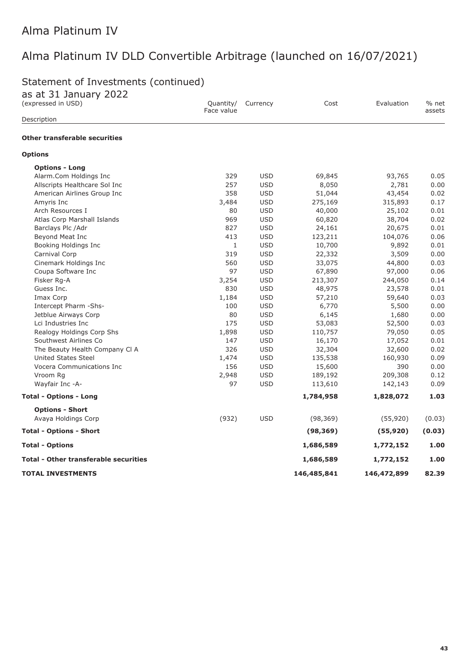# Alma Platinum IV DLD Convertible Arbitrage (launched on 16/07/2021)

# Statement of Investments (continued)

| as at 31 January 2022<br>(expressed in USD)  | Quantity/    | Currency   | Cost        | Evaluation  | % net  |
|----------------------------------------------|--------------|------------|-------------|-------------|--------|
| Description                                  | Face value   |            |             |             | assets |
| <b>Other transferable securities</b>         |              |            |             |             |        |
| <b>Options</b>                               |              |            |             |             |        |
| <b>Options - Long</b>                        |              |            |             |             |        |
| Alarm.Com Holdings Inc                       | 329          | <b>USD</b> | 69,845      | 93,765      | 0.05   |
| Allscripts Healthcare Sol Inc                | 257          | <b>USD</b> | 8,050       | 2,781       | 0.00   |
| American Airlines Group Inc                  | 358          | <b>USD</b> | 51,044      | 43,454      | 0.02   |
| Amyris Inc                                   | 3,484        | <b>USD</b> | 275,169     | 315,893     | 0.17   |
| Arch Resources I                             | 80           | <b>USD</b> | 40,000      | 25,102      | 0.01   |
| Atlas Corp Marshall Islands                  | 969          | <b>USD</b> | 60,820      | 38,704      | 0.02   |
| Barclays Plc / Adr                           | 827          | <b>USD</b> | 24,161      | 20,675      | 0.01   |
| Beyond Meat Inc                              | 413          | <b>USD</b> | 123,211     | 104,076     | 0.06   |
| Booking Holdings Inc                         | $\mathbf{1}$ | <b>USD</b> | 10,700      | 9,892       | 0.01   |
| Carnival Corp                                | 319          | <b>USD</b> | 22,332      | 3,509       | 0.00   |
| Cinemark Holdings Inc                        | 560          | <b>USD</b> | 33,075      | 44,800      | 0.03   |
| Coupa Software Inc                           | 97           | <b>USD</b> | 67,890      | 97,000      | 0.06   |
| Fisker Rq-A                                  | 3,254        | <b>USD</b> | 213,307     | 244,050     | 0.14   |
| Guess Inc.                                   | 830          | <b>USD</b> | 48,975      | 23,578      | 0.01   |
| Imax Corp                                    | 1,184        | <b>USD</b> | 57,210      | 59,640      | 0.03   |
| Intercept Pharm -Shs-                        | 100          | <b>USD</b> | 6,770       | 5,500       | 0.00   |
| Jetblue Airways Corp                         | 80           | <b>USD</b> | 6,145       | 1,680       | 0.00   |
| Lci Industries Inc                           | 175          | <b>USD</b> | 53,083      | 52,500      | 0.03   |
| Realogy Holdings Corp Shs                    | 1,898        | <b>USD</b> | 110,757     | 79,050      | 0.05   |
| Southwest Airlines Co                        | 147          | <b>USD</b> | 16,170      | 17,052      | 0.01   |
| The Beauty Health Company Cl A               | 326          | <b>USD</b> | 32,304      | 32,600      | 0.02   |
| <b>United States Steel</b>                   | 1,474        | <b>USD</b> | 135,538     | 160,930     | 0.09   |
| Vocera Communications Inc                    | 156          | <b>USD</b> | 15,600      | 390         | 0.00   |
| Vroom Rg                                     | 2,948        | <b>USD</b> | 189,192     | 209,308     | 0.12   |
| Wayfair Inc -A-                              | 97           | <b>USD</b> | 113,610     | 142,143     | 0.09   |
| <b>Total - Options - Long</b>                |              |            | 1,784,958   | 1,828,072   | 1.03   |
| <b>Options - Short</b>                       |              |            |             |             |        |
| Avaya Holdings Corp                          | (932)        | <b>USD</b> | (98, 369)   | (55, 920)   | (0.03) |
| <b>Total - Options - Short</b>               |              |            | (98, 369)   | (55, 920)   | (0.03) |
| <b>Total - Options</b>                       |              |            | 1,686,589   | 1,772,152   | 1.00   |
| <b>Total - Other transferable securities</b> |              |            | 1,686,589   | 1,772,152   | 1.00   |
| <b>TOTAL INVESTMENTS</b>                     |              |            | 146,485,841 | 146,472,899 | 82.39  |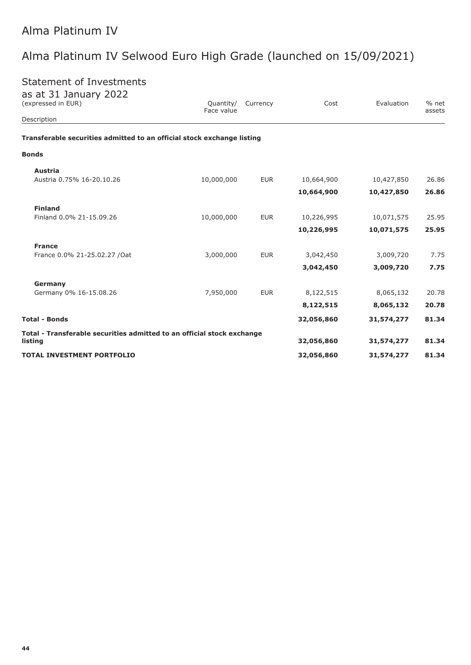# Alma Platinum IV Selwood Euro High Grade (launched on 15/09/2021)

assets

| <b>Statement of Investments</b><br>as at 31 January 2022<br>(expressed in EUR) | Quantity/<br>Face value | Currency   | Cost          | Evaluation    | % net<br>assets |
|--------------------------------------------------------------------------------|-------------------------|------------|---------------|---------------|-----------------|
| Description                                                                    |                         |            |               |               |                 |
| Transferable securities admitted to an official stock exchange listing         |                         |            |               |               |                 |
| <b>Bonds</b>                                                                   |                         |            |               |               |                 |
| Austria<br>Austria 0.75% 16-20.10.26                                           | 10,000,000              | <b>EUR</b> | 10,664,900    | 10,427,850    | 26.86           |
|                                                                                |                         |            | 10,664,900    | 10,427,850    | 26.86           |
| <b>Finland</b>                                                                 |                         |            |               |               |                 |
| Finland 0.0% 21-15.09.26                                                       | 10,000,000              | <b>EUR</b> | 10,226,995    | 10,071,575    | 25.95           |
|                                                                                |                         |            | 10,226,995    | 10,071,575    | 25.95           |
| <b>France</b>                                                                  |                         |            |               |               |                 |
| France 0.0% 21-25.02.27 / Oat                                                  | 3,000,000               | <b>EUR</b> | 3,042,450     | 3,009,720     | 7.75            |
|                                                                                |                         |            | 3,042,450     | 3,009,720     | 7.75            |
| Germany                                                                        |                         |            |               |               |                 |
| Germany 0% 16-15.08.26                                                         | 7,950,000               | <b>EUR</b> | 8,122,515     | 8,065,132     | 20.78           |
|                                                                                |                         |            | 0 1 2 2 5 1 5 | $O$ $OCE$ 122 | סד הר           |

|                                                                                   | 8,122,515  | 8,065,132  | 20.78 |
|-----------------------------------------------------------------------------------|------------|------------|-------|
| <b>Total - Bonds</b>                                                              | 32,056,860 | 31,574,277 | 81.34 |
| Total - Transferable securities admitted to an official stock exchange<br>listina | 32,056,860 | 31,574,277 | 81.34 |
| <b>TOTAL INVESTMENT PORTFOLIO</b>                                                 | 32,056,860 | 31,574,277 | 81.34 |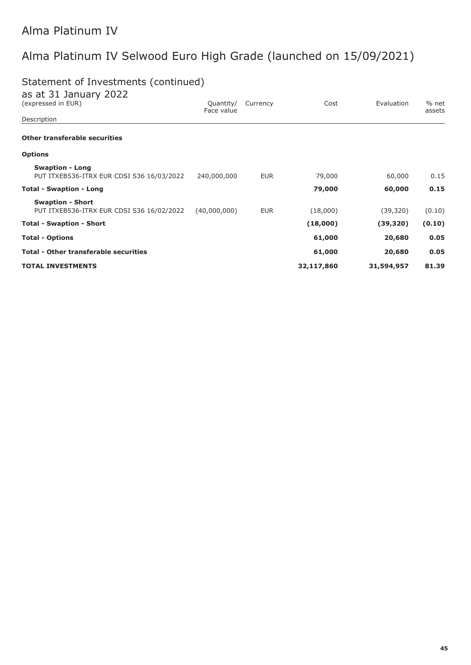# Alma Platinum IV Selwood Euro High Grade (launched on 15/09/2021)

# Statement of Investments (continued)

| as at 31 January 2022                                               |                         |            |            |            |                 |
|---------------------------------------------------------------------|-------------------------|------------|------------|------------|-----------------|
| (expressed in EUR)                                                  | Quantity/<br>Face value | Currency   | Cost       | Evaluation | % net<br>assets |
| Description                                                         |                         |            |            |            |                 |
| <b>Other transferable securities</b>                                |                         |            |            |            |                 |
| <b>Options</b>                                                      |                         |            |            |            |                 |
| <b>Swaption - Long</b><br>PUT ITXEB536-ITRX EUR CDSI S36 16/03/2022 | 240,000,000             | <b>EUR</b> | 79,000     | 60,000     | 0.15            |
| <b>Total - Swaption - Long</b>                                      |                         |            | 79,000     | 60,000     | 0.15            |
| <b>Swaption - Short</b>                                             |                         |            |            |            |                 |
| PUT ITXEB536-ITRX EUR CDSI S36 16/02/2022                           | (40,000,000)            | <b>EUR</b> | (18,000)   | (39, 320)  | (0.10)          |
| <b>Total - Swaption - Short</b>                                     |                         |            | (18,000)   | (39, 320)  | (0.10)          |
| <b>Total - Options</b>                                              |                         |            | 61,000     | 20,680     | 0.05            |
| <b>Total - Other transferable securities</b>                        |                         |            | 61,000     | 20,680     | 0.05            |
| <b>TOTAL INVESTMENTS</b>                                            |                         |            | 32,117,860 | 31,594,957 | 81.39           |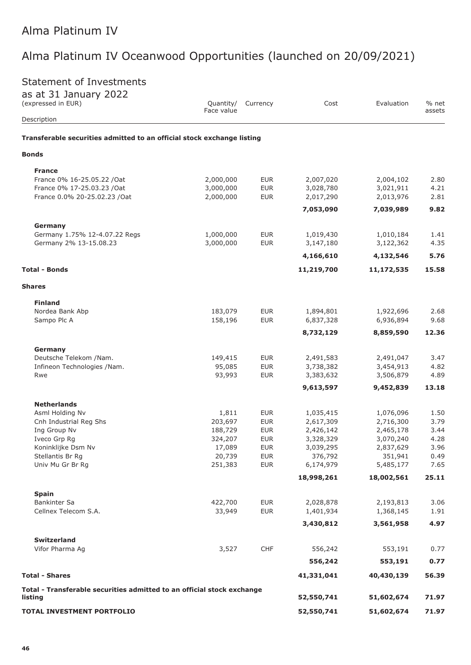# Alma Platinum IV Oceanwood Opportunities (launched on 20/09/2021)

# Statement of Investments

| as at 31 January 2022<br>(expressed in EUR)                            | Quantity/<br>Face value | Currency                 | Cost                   | Evaluation             | % net        |
|------------------------------------------------------------------------|-------------------------|--------------------------|------------------------|------------------------|--------------|
| Description                                                            |                         |                          |                        |                        | assets       |
| Transferable securities admitted to an official stock exchange listing |                         |                          |                        |                        |              |
| <b>Bonds</b>                                                           |                         |                          |                        |                        |              |
| <b>France</b>                                                          |                         |                          |                        |                        |              |
| France 0% 16-25.05.22 / Oat                                            | 2,000,000               | <b>EUR</b>               | 2,007,020              | 2,004,102              | 2.80         |
| France 0% 17-25.03.23 /Oat                                             | 3,000,000               | <b>EUR</b>               | 3,028,780              | 3,021,911              | 4.21         |
| France 0.0% 20-25.02.23 /Oat                                           | 2,000,000               | <b>EUR</b>               | 2,017,290              | 2,013,976              | 2.81         |
|                                                                        |                         |                          | 7,053,090              | 7,039,989              | 9.82         |
| Germany                                                                |                         |                          |                        |                        |              |
| Germany 1.75% 12-4.07.22 Regs                                          | 1,000,000<br>3,000,000  | <b>EUR</b><br><b>EUR</b> | 1,019,430<br>3,147,180 | 1,010,184<br>3,122,362 | 1.41<br>4.35 |
| Germany 2% 13-15.08.23                                                 |                         |                          | 4,166,610              | 4,132,546              | 5.76         |
| <b>Total - Bonds</b>                                                   |                         |                          |                        |                        | 15.58        |
|                                                                        |                         |                          | 11,219,700             | 11,172,535             |              |
| <b>Shares</b>                                                          |                         |                          |                        |                        |              |
| <b>Finland</b>                                                         |                         |                          |                        |                        |              |
| Nordea Bank Abp                                                        | 183,079<br>158,196      | <b>EUR</b><br><b>EUR</b> | 1,894,801<br>6,837,328 | 1,922,696<br>6,936,894 | 2.68<br>9.68 |
| Sampo Plc A                                                            |                         |                          | 8,732,129              | 8,859,590              | 12.36        |
|                                                                        |                         |                          |                        |                        |              |
| Germany                                                                |                         |                          |                        |                        |              |
| Deutsche Telekom /Nam.<br>Infineon Technologies /Nam.                  | 149,415<br>95,085       | <b>EUR</b><br><b>EUR</b> | 2,491,583<br>3,738,382 | 2,491,047<br>3,454,913 | 3.47<br>4.82 |
| Rwe                                                                    | 93,993                  | <b>EUR</b>               | 3,383,632              | 3,506,879              | 4.89         |
|                                                                        |                         |                          | 9,613,597              | 9,452,839              | 13.18        |
| <b>Netherlands</b>                                                     |                         |                          |                        |                        |              |
| Asml Holding Nv                                                        | 1,811                   | <b>EUR</b>               | 1,035,415              | 1,076,096              | 1.50         |
| Cnh Industrial Reg Shs                                                 | 203,697                 | <b>EUR</b>               | 2,617,309              | 2,716,300              | 3.79         |
| Ing Group Nv                                                           | 188,729                 | <b>EUR</b>               | 2,426,142              | 2,465,178              | 3.44         |
| Iveco Grp Rg                                                           | 324,207                 | <b>EUR</b>               | 3,328,329              | 3,070,240              | 4.28         |
| Koninklijke Dsm Nv<br>Stellantis Br Rg                                 | 17,089<br>20,739        | <b>EUR</b><br><b>EUR</b> | 3,039,295<br>376,792   | 2,837,629<br>351,941   | 3.96<br>0.49 |
| Univ Mu Gr Br Rg                                                       | 251,383                 | <b>EUR</b>               | 6,174,979              | 5,485,177              | 7.65         |
|                                                                        |                         |                          | 18,998,261             | 18,002,561             | 25.11        |
|                                                                        |                         |                          |                        |                        |              |
| <b>Spain</b><br><b>Bankinter Sa</b>                                    | 422,700                 | <b>EUR</b>               | 2,028,878              | 2,193,813              | 3.06         |
| Cellnex Telecom S.A.                                                   | 33,949                  | <b>EUR</b>               | 1,401,934              | 1,368,145              | 1.91         |
|                                                                        |                         |                          | 3,430,812              | 3,561,958              | 4.97         |
| <b>Switzerland</b>                                                     |                         |                          |                        |                        |              |
| Vifor Pharma Ag                                                        | 3,527                   | CHF                      | 556,242                | 553,191                | 0.77         |
|                                                                        |                         |                          | 556,242                | 553,191                | 0.77         |
| <b>Total - Shares</b>                                                  |                         |                          | 41,331,041             | 40,430,139             | 56.39        |
| Total - Transferable securities admitted to an official stock exchange |                         |                          |                        |                        |              |
| listing                                                                |                         |                          | 52,550,741             | 51,602,674             | 71.97        |
| TOTAL INVESTMENT PORTFOLIO                                             |                         |                          | 52,550,741             | 51,602,674             | 71.97        |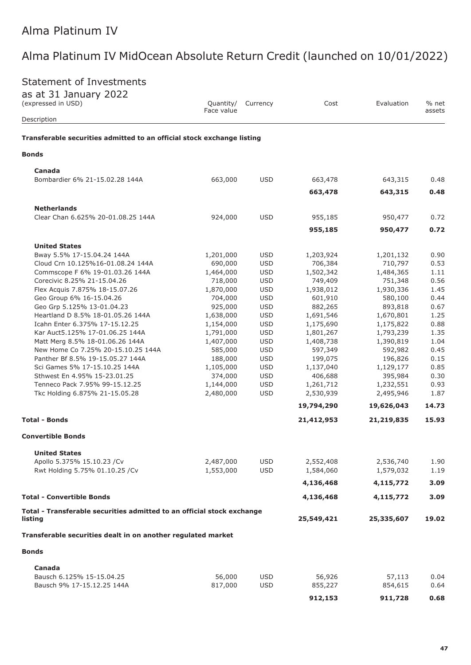### Statement of Investments

as at 31 January 2022

| $\frac{1}{2}$ at $\frac{1}{2}$ sandary $\frac{1}{2}$<br>(expressed in USD)<br>Description | Quantity/<br>Face value | Currency   | Cost                 | Evaluation           | % net<br>assets |
|-------------------------------------------------------------------------------------------|-------------------------|------------|----------------------|----------------------|-----------------|
| Transferable securities admitted to an official stock exchange listing                    |                         |            |                      |                      |                 |
| Bonds                                                                                     |                         |            |                      |                      |                 |
| Canada                                                                                    |                         |            |                      |                      |                 |
| Bombardier 6% 21-15.02.28 144A                                                            | 663,000                 | <b>USD</b> | 663,478              | 643,315              | 0.48            |
|                                                                                           |                         |            | 663,478              | 643,315              | 0.48            |
| <b>Netherlands</b>                                                                        |                         |            |                      |                      |                 |
| Clear Chan 6.625% 20-01.08.25 144A                                                        | 924,000                 | <b>USD</b> | 955,185              | 950,477              | 0.72            |
|                                                                                           |                         |            | 955,185              | 950,477              | 0.72            |
|                                                                                           |                         |            |                      |                      |                 |
| <b>United States</b><br>Bway 5.5% 17-15.04.24 144A                                        |                         | <b>USD</b> |                      |                      | 0.90            |
| Cloud Crn 10.125%16-01.08.24 144A                                                         | 1,201,000<br>690,000    | <b>USD</b> | 1,203,924<br>706,384 | 1,201,132<br>710,797 | 0.53            |
| Commscope F 6% 19-01.03.26 144A                                                           | 1,464,000               | <b>USD</b> | 1,502,342            | 1,484,365            | 1.11            |
| Corecivic 8.25% 21-15.04.26                                                               | 718,000                 | <b>USD</b> | 749,409              | 751,348              | 0.56            |
| Flex Acquis 7.875% 18-15.07.26                                                            | 1,870,000               | <b>USD</b> | 1,938,012            | 1,930,336            | 1.45            |
| Geo Group 6% 16-15.04.26                                                                  | 704,000                 | <b>USD</b> | 601,910              | 580,100              | 0.44            |
| Geo Grp 5.125% 13-01.04.23                                                                | 925,000                 | <b>USD</b> | 882,265              | 893,818              | 0.67            |
| Heartland D 8.5% 18-01.05.26 144A                                                         | 1,638,000               | <b>USD</b> | 1,691,546            | 1,670,801            | 1.25            |
| Icahn Enter 6.375% 17-15.12.25                                                            | 1,154,000               | <b>USD</b> | 1,175,690            | 1,175,822            | 0.88            |
| Kar Auct5.125% 17-01.06.25 144A                                                           | 1,791,000               | <b>USD</b> | 1,801,267            | 1,793,239            | 1.35            |
| Matt Merg 8.5% 18-01.06.26 144A                                                           | 1,407,000               | <b>USD</b> | 1,408,738            | 1,390,819            | 1.04            |
| New Home Co 7.25% 20-15.10.25 144A                                                        | 585,000                 | <b>USD</b> | 597,349              | 592,982              | 0.45            |
| Panther Bf 8.5% 19-15.05.27 144A                                                          | 188,000                 | <b>USD</b> | 199,075              | 196,826              | 0.15            |
| Sci Games 5% 17-15.10.25 144A                                                             | 1,105,000               | <b>USD</b> | 1,137,040            | 1,129,177            | 0.85            |
| Sthwest En 4.95% 15-23.01.25                                                              | 374,000                 | <b>USD</b> | 406,688              | 395,984              | 0.30            |
| Tenneco Pack 7.95% 99-15.12.25                                                            | 1,144,000               | <b>USD</b> | 1,261,712            | 1,232,551            | 0.93            |
| Tkc Holding 6.875% 21-15.05.28                                                            | 2,480,000               | <b>USD</b> | 2,530,939            | 2,495,946            | 1.87            |
|                                                                                           |                         |            | 19,794,290           | 19,626,043           | 14.73           |
| <b>Total - Bonds</b>                                                                      |                         |            | 21,412,953           | 21,219,835           | 15.93           |
| <b>Convertible Bonds</b>                                                                  |                         |            |                      |                      |                 |
| <b>United States</b>                                                                      |                         |            |                      |                      |                 |
| Apollo 5.375% 15.10.23 /Cv                                                                | 2,487,000               | <b>USD</b> | 2,552,408            | 2,536,740            | 1.90            |
| Rwt Holding 5.75% 01.10.25 /Cv                                                            | 1,553,000               | <b>USD</b> | 1,584,060            | 1,579,032            | 1.19            |
|                                                                                           |                         |            | 4,136,468            | 4,115,772            | 3.09            |
| <b>Total - Convertible Bonds</b>                                                          |                         |            | 4,136,468            | 4,115,772            | 3.09            |
| Total - Transferable securities admitted to an official stock exchange<br>listing         |                         |            | 25,549,421           | 25,335,607           | 19.02           |
| Transferable securities dealt in on another regulated market                              |                         |            |                      |                      |                 |
| <b>Bonds</b>                                                                              |                         |            |                      |                      |                 |
| Canada                                                                                    |                         |            |                      |                      |                 |
| Bausch 6.125% 15-15.04.25                                                                 | 56,000                  | <b>USD</b> | 56,926               | 57,113               | 0.04            |
| Bausch 9% 17-15.12.25 144A                                                                | 817,000                 | <b>USD</b> | 855,227              | 854,615              | 0.64            |

**912,153 911,728 0.68**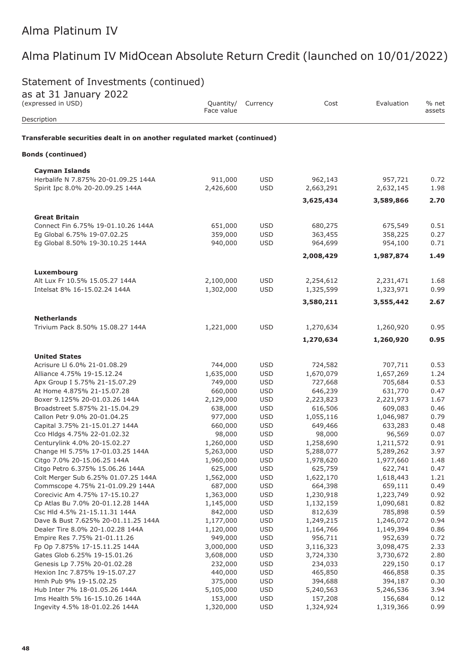# Statement of Investments (continued)

| as at 31 January 2022<br>(expressed in USD)                              | Quantity/            | Currency                 | Cost                   | Evaluation           | % net        |
|--------------------------------------------------------------------------|----------------------|--------------------------|------------------------|----------------------|--------------|
| Description                                                              | Face value           |                          |                        |                      | assets       |
| Transferable securities dealt in on another regulated market (continued) |                      |                          |                        |                      |              |
| <b>Bonds (continued)</b>                                                 |                      |                          |                        |                      |              |
| <b>Cayman Islands</b>                                                    |                      |                          |                        |                      |              |
| Herbalife N 7.875% 20-01.09.25 144A                                      | 911,000              | <b>USD</b>               | 962,143                | 957,721              | 0.72         |
| Spirit Ipc 8.0% 20-20.09.25 144A                                         | 2,426,600            | <b>USD</b>               | 2,663,291              | 2,632,145            | 1.98         |
|                                                                          |                      |                          | 3,625,434              | 3,589,866            | 2.70         |
| <b>Great Britain</b>                                                     |                      |                          |                        |                      |              |
| Connect Fin 6.75% 19-01.10.26 144A                                       | 651,000              | <b>USD</b>               | 680,275                | 675,549              | 0.51         |
| Eg Global 6.75% 19-07.02.25                                              | 359,000              | <b>USD</b>               | 363,455                | 358,225              | 0.27         |
| Eg Global 8.50% 19-30.10.25 144A                                         | 940,000              | <b>USD</b>               | 964,699                | 954,100              | 0.71         |
|                                                                          |                      |                          | 2,008,429              | 1,987,874            | 1.49         |
| Luxembourg                                                               |                      |                          |                        |                      |              |
| Alt Lux Fr 10.5% 15.05.27 144A                                           | 2,100,000            | <b>USD</b>               | 2,254,612              | 2,231,471            | 1.68         |
| Intelsat 8% 16-15.02.24 144A                                             | 1,302,000            | <b>USD</b>               | 1,325,599              | 1,323,971            | 0.99         |
|                                                                          |                      |                          | 3,580,211              | 3,555,442            | 2.67         |
|                                                                          |                      |                          |                        |                      |              |
| <b>Netherlands</b><br>Trivium Pack 8.50% 15.08.27 144A                   | 1,221,000            | <b>USD</b>               | 1,270,634              | 1,260,920            | 0.95         |
|                                                                          |                      |                          | 1,270,634              | 1,260,920            | 0.95         |
|                                                                          |                      |                          |                        |                      |              |
| <b>United States</b>                                                     |                      |                          |                        |                      |              |
| Acrisure LI 6.0% 21-01.08.29                                             | 744,000              | <b>USD</b>               | 724,582                | 707,711              | 0.53         |
| Alliance 4.75% 19-15.12.24                                               | 1,635,000            | <b>USD</b>               | 1,670,079              | 1,657,269            | 1.24         |
| Apx Group I 5.75% 21-15.07.29<br>At Home 4.875% 21-15.07.28              | 749,000<br>660,000   | <b>USD</b><br><b>USD</b> | 727,668<br>646,239     | 705,684<br>631,770   | 0.53<br>0.47 |
| Boxer 9.125% 20-01.03.26 144A                                            | 2,129,000            | <b>USD</b>               | 2,223,823              | 2,221,973            | 1.67         |
| Broadstreet 5.875% 21-15.04.29                                           | 638,000              | <b>USD</b>               | 616,506                | 609,083              | 0.46         |
| Callon Petr 9.0% 20-01.04.25                                             | 977,000              | <b>USD</b>               | 1,055,116              | 1,046,987            | 0.79         |
| Capital 3.75% 21-15.01.27 144A                                           | 660,000              | <b>USD</b>               | 649,466                | 633,283              | 0.48         |
| Cco Hldgs 4.75% 22-01.02.32                                              | 98,000               | <b>USD</b>               | 98,000                 | 96,569               | 0.07         |
| Centurylink 4.0% 20-15.02.27                                             | 1,260,000            | <b>USD</b>               | 1,258,690              | 1,211,572            | 0.91         |
| Change HI 5.75% 17-01.03.25 144A                                         | 5,263,000            | <b>USD</b>               | 5,288,077              | 5,289,262            | 3.97         |
| Citgo 7.0% 20-15.06.25 144A                                              | 1,960,000            | <b>USD</b>               | 1,978,620              | 1,977,660            | 1.48         |
| Citgo Petro 6.375% 15.06.26 144A                                         | 625,000              | <b>USD</b>               | 625,759                | 622,741              | 0.47         |
| Colt Merger Sub 6.25% 01.07.25 144A                                      | 1,562,000            | <b>USD</b>               | 1,622,170              | 1,618,443            | 1.21         |
| Commscope 4.75% 21-01.09.29 144A                                         | 687,000              | <b>USD</b>               | 664,398                | 659,111              | 0.49         |
| Corecivic Am 4.75% 17-15.10.27                                           | 1,363,000            | <b>USD</b>               | 1,230,918              | 1,223,749            | 0.92         |
| Cp Atlas Bu 7.0% 20-01.12.28 144A                                        | 1,145,000            | <b>USD</b>               | 1,132,159              | 1,090,681            | 0.82         |
| Csc Hld 4.5% 21-15.11.31 144A<br>Dave & Bust 7.625% 20-01.11.25 144A     | 842,000<br>1,177,000 | <b>USD</b><br><b>USD</b> | 812,639                | 785,898<br>1,246,072 | 0.59<br>0.94 |
| Dealer Tire 8.0% 20-1.02.28 144A                                         | 1,120,000            | <b>USD</b>               | 1,249,215<br>1,164,766 | 1,149,394            | 0.86         |
| Empire Res 7.75% 21-01.11.26                                             | 949,000              | <b>USD</b>               | 956,711                | 952,639              | 0.72         |
| Fp Op 7.875% 17-15.11.25 144A                                            | 3,000,000            | <b>USD</b>               | 3,116,323              | 3,098,475            | 2.33         |
| Gates Glob 6.25% 19-15.01.26                                             | 3,608,000            | <b>USD</b>               | 3,724,330              | 3,730,672            | 2.80         |
| Genesis Lp 7.75% 20-01.02.28                                             | 232,000              | <b>USD</b>               | 234,033                | 229,150              | 0.17         |
| Hexion Inc 7.875% 19-15.07.27                                            | 440,000              | <b>USD</b>               | 465,850                | 466,858              | 0.35         |
| Hmh Pub 9% 19-15.02.25                                                   | 375,000              | <b>USD</b>               | 394,688                | 394,187              | 0.30         |
| Hub Inter 7% 18-01.05.26 144A                                            | 5,105,000            | <b>USD</b>               | 5,240,563              | 5,246,536            | 3.94         |
| Ims Health 5% 16-15.10.26 144A                                           | 153,000              | <b>USD</b>               | 157,208                | 156,684              | 0.12         |
| Ingevity 4.5% 18-01.02.26 144A                                           | 1,320,000            | <b>USD</b>               | 1,324,924              | 1,319,366            | 0.99         |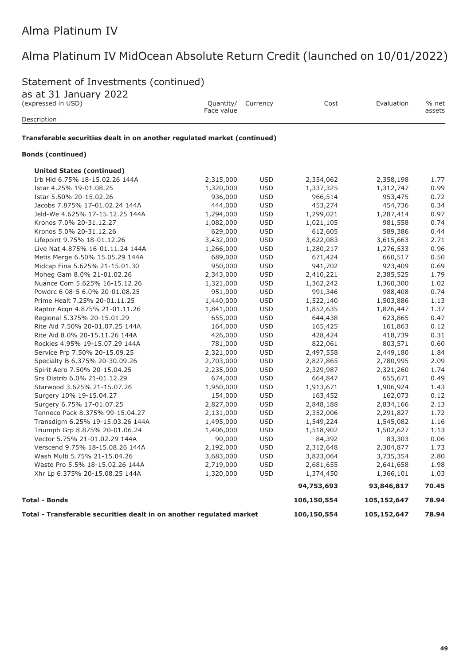# Statement of Investments (continued)

as at 31 January 2022

| $-1 - 2 - 3 - 11 - 12 - 17$<br>Quantity/<br>(expressed in USD)<br>Face value |           | Currency   | Cost        | Evaluation  | % net<br>assets |
|------------------------------------------------------------------------------|-----------|------------|-------------|-------------|-----------------|
| Description                                                                  |           |            |             |             |                 |
| Transferable securities dealt in on another regulated market (continued)     |           |            |             |             |                 |
| <b>Bonds (continued)</b>                                                     |           |            |             |             |                 |
| <b>United States (continued)</b>                                             |           |            |             |             |                 |
| Irb Hld 6.75% 18-15.02.26 144A                                               | 2,315,000 | <b>USD</b> | 2,354,062   | 2,358,198   | 1.77            |
| Istar 4.25% 19-01.08.25                                                      | 1,320,000 | <b>USD</b> | 1,337,325   | 1,312,747   | 0.99            |
| Istar 5.50% 20-15.02.26                                                      | 936,000   | <b>USD</b> | 966,514     | 953,475     | 0.72            |
| Jacobs 7.875% 17-01.02.24 144A                                               | 444,000   | <b>USD</b> | 453,274     | 454,736     | 0.34            |
| Jeld-We 4.625% 17-15.12.25 144A                                              | 1,294,000 | <b>USD</b> | 1,299,021   | 1,287,414   | 0.97            |
| Kronos 7.0% 20-31.12.27                                                      | 1,082,000 | <b>USD</b> | 1,021,105   | 981,558     | 0.74            |
| Kronos 5.0% 20-31.12.26                                                      | 629,000   | <b>USD</b> | 612,605     | 589,386     | 0.44            |
| Lifepoint 9.75% 18-01.12.26                                                  | 3,432,000 | <b>USD</b> | 3,622,083   | 3,615,663   | 2.71            |
| Live Nat 4.875% 16-01.11.24 144A                                             | 1,266,000 | <b>USD</b> | 1,280,217   | 1,276,533   | 0.96            |
| Metis Merge 6.50% 15.05.29 144A                                              | 689,000   | <b>USD</b> | 671,424     | 660,517     | 0.50            |
| Midcap Fina 5.625% 21-15.01.30                                               | 950,000   | <b>USD</b> | 941,702     | 923,409     | 0.69            |
| Moheg Gam 8.0% 21-01.02.26                                                   | 2,343,000 | <b>USD</b> | 2,410,221   | 2,385,525   | 1.79            |
| Nuance Com 5.625% 16-15.12.26                                                | 1,321,000 | <b>USD</b> | 1,362,242   | 1,360,300   | 1.02            |
| Powdrc 6 08-5 6.0% 20-01.08.25                                               | 951,000   | <b>USD</b> | 991,346     | 988,408     | 0.74            |
| Prime Healt 7.25% 20-01.11.25                                                | 1,440,000 | <b>USD</b> | 1,522,140   | 1,503,886   | 1.13            |
| Raptor Acqn 4.875% 21-01.11.26                                               | 1,841,000 | <b>USD</b> | 1,852,635   | 1,826,447   | 1.37            |
| Regional 5.375% 20-15.01.29                                                  | 655,000   | <b>USD</b> | 644,438     | 623,865     | 0.47            |
| Rite Aid 7.50% 20-01.07.25 144A                                              | 164,000   | <b>USD</b> | 165,425     | 161,863     | 0.12            |
| Rite Aid 8.0% 20-15.11.26 144A                                               | 426,000   | <b>USD</b> | 428,424     | 418,739     | 0.31            |
| Rockies 4.95% 19-15.07.29 144A                                               | 781,000   | <b>USD</b> | 822,061     | 803,571     | 0.60            |
| Service Prp 7.50% 20-15.09.25                                                | 2,321,000 | <b>USD</b> | 2,497,558   | 2,449,180   | 1.84            |
| Specialty B 6.375% 20-30.09.26                                               | 2,703,000 | <b>USD</b> | 2,827,865   | 2,780,995   | 2.09            |
| Spirit Aero 7.50% 20-15.04.25                                                | 2,235,000 | <b>USD</b> | 2,329,987   | 2,321,260   | 1.74            |
| Srs Distrib 6.0% 21-01.12.29                                                 | 674,000   | <b>USD</b> | 664,847     | 655,671     | 0.49            |
| Starwood 3.625% 21-15.07.26                                                  | 1,950,000 | <b>USD</b> | 1,913,671   | 1,906,924   | 1.43            |
| Surgery 10% 19-15.04.27                                                      | 154,000   | <b>USD</b> | 163,452     | 162,073     | 0.12            |
| Surgery 6.75% 17-01.07.25                                                    | 2,827,000 | <b>USD</b> | 2,848,188   | 2,834,166   | 2.13            |
| Tenneco Pack 8.375% 99-15.04.27                                              | 2,131,000 | <b>USD</b> | 2,352,006   | 2,291,827   | 1.72            |
| Transdigm 6.25% 19-15.03.26 144A                                             | 1,495,000 | <b>USD</b> | 1,549,224   | 1,545,082   | 1.16            |
| Triumph Grp 8.875% 20-01.06.24                                               | 1,406,000 | <b>USD</b> | 1,518,902   | 1,502,627   | 1.13            |
| Vector 5.75% 21-01.02.29 144A                                                | 90,000    | <b>USD</b> | 84,392      | 83,303      | 0.06            |
| Verscend 9.75% 18-15.08.26 144A                                              | 2,192,000 | <b>USD</b> | 2,312,648   | 2,304,877   | 1.73            |
| Wash Multi 5.75% 21-15.04.26                                                 | 3,683,000 | <b>USD</b> | 3,823,064   | 3,735,354   | 2.80            |
| Waste Pro 5.5% 18-15.02.26 144A                                              | 2,719,000 | <b>USD</b> | 2,681,655   | 2,641,658   | 1.98            |
| Xhr Lp 6.375% 20-15.08.25 144A                                               | 1,320,000 | <b>USD</b> | 1,374,450   | 1,366,101   | 1.03            |
|                                                                              |           |            | 94,753,693  | 93,846,817  | 70.45           |
| <b>Total - Bonds</b>                                                         |           |            |             |             | 78.94           |
| Total - Transferable securities dealt in on another regulated market         |           |            | 106,150,554 | 105,152,647 | 78.94           |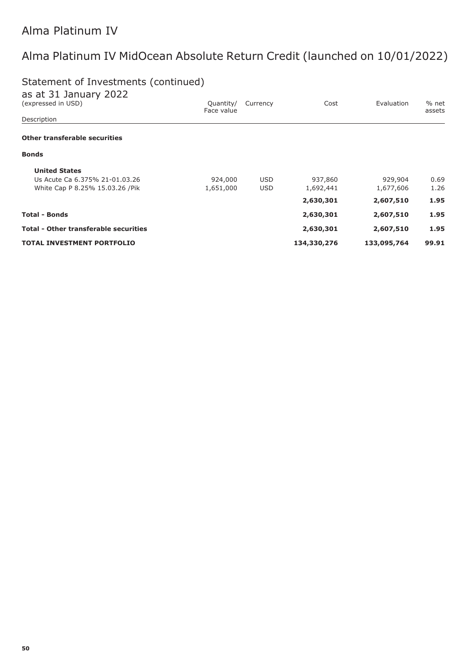# Statement of Investments (continued)

| as at 31 January 2022                        |                         |            |             |             |                 |
|----------------------------------------------|-------------------------|------------|-------------|-------------|-----------------|
| (expressed in USD)                           | Quantity/<br>Face value | Currency   | Cost        | Evaluation  | % net<br>assets |
| Description                                  |                         |            |             |             |                 |
| Other transferable securities                |                         |            |             |             |                 |
| <b>Bonds</b>                                 |                         |            |             |             |                 |
| <b>United States</b>                         |                         |            |             |             |                 |
| Us Acute Ca 6.375% 21-01.03.26               | 924,000                 | <b>USD</b> | 937,860     | 929,904     | 0.69            |
| White Cap P 8.25% 15.03.26 / Pik             | 1,651,000               | <b>USD</b> | 1,692,441   | 1,677,606   | 1.26            |
|                                              |                         |            | 2,630,301   | 2,607,510   | 1.95            |
| <b>Total - Bonds</b>                         |                         |            | 2,630,301   | 2,607,510   | 1.95            |
| <b>Total - Other transferable securities</b> |                         |            | 2,630,301   | 2,607,510   | 1.95            |
| <b>TOTAL INVESTMENT PORTFOLIO</b>            |                         |            | 134,330,276 | 133,095,764 | 99.91           |
|                                              |                         |            |             |             |                 |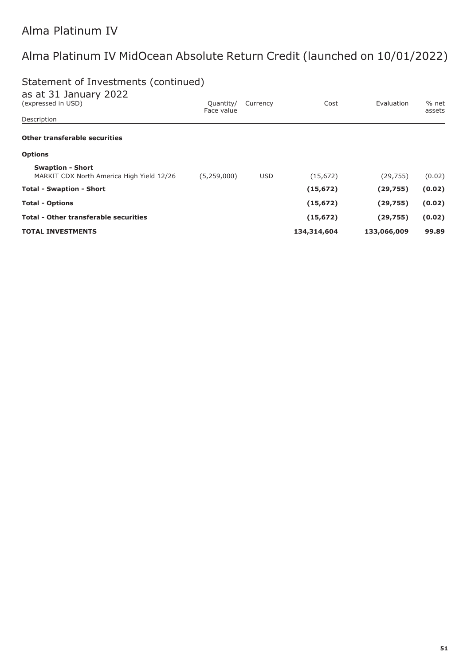#### Statement of Investments (continued)  $+ 211$

| as at 31 January 2022                        |                         |            |             |             |                 |  |
|----------------------------------------------|-------------------------|------------|-------------|-------------|-----------------|--|
| (expressed in USD)                           | Quantity/<br>Face value | Currency   | Cost        | Evaluation  | % net<br>assets |  |
| Description                                  |                         |            |             |             |                 |  |
| Other transferable securities                |                         |            |             |             |                 |  |
| <b>Options</b>                               |                         |            |             |             |                 |  |
| <b>Swaption - Short</b>                      |                         |            |             |             |                 |  |
| MARKIT CDX North America High Yield 12/26    | (5,259,000)             | <b>USD</b> | (15, 672)   | (29, 755)   | (0.02)          |  |
| <b>Total - Swaption - Short</b>              |                         |            | (15, 672)   | (29, 755)   | (0.02)          |  |
| <b>Total - Options</b>                       |                         |            | (15, 672)   | (29, 755)   | (0.02)          |  |
| <b>Total - Other transferable securities</b> |                         |            | (15, 672)   | (29, 755)   | (0.02)          |  |
| <b>TOTAL INVESTMENTS</b>                     |                         |            | 134,314,604 | 133,066,009 | 99.89           |  |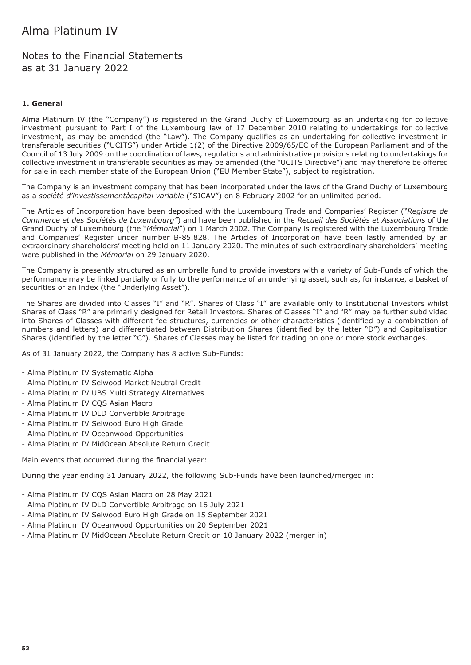Notes to the Financial Statements as at 31 January 2022

#### **1. General**

Alma Platinum IV (the "Company") is registered in the Grand Duchy of Luxembourg as an undertaking for collective investment pursuant to Part I of the Luxembourg law of 17 December 2010 relating to undertakings for collective investment, as may be amended (the "Law"). The Company qualifies as an undertaking for collective investment in transferable securities ("UCITS") under Article 1(2) of the Directive 2009/65/EC of the European Parliament and of the Council of 13 July 2009 on the coordination of laws, regulations and administrative provisions relating to undertakings for collective investment in transferable securities as may be amended (the "UCITS Directive") and may therefore be offered for sale in each member state of the European Union ("EU Member State"), subject to registration.

The Company is an investment company that has been incorporated under the laws of the Grand Duchy of Luxembourg as a *société d'investissementàcapital variable* ("SICAV") on 8 February 2002 for an unlimited period.

The Articles of Incorporation have been deposited with the Luxembourg Trade and Companies' Register (*"Registre de Commerce et des Sociétés de Luxembourg"*) and have been published in the *Recueil des Sociétés et Associations* of the Grand Duchy of Luxembourg (the "*Mémorial*") on 1 March 2002. The Company is registered with the Luxembourg Trade and Companies' Register under number B-85.828. The Articles of Incorporation have been lastly amended by an extraordinary shareholders' meeting held on 11 January 2020. The minutes of such extraordinary shareholders' meeting were published in the *Mémorial* on 29 January 2020.

The Company is presently structured as an umbrella fund to provide investors with a variety of Sub-Funds of which the performance may be linked partially or fully to the performance of an underlying asset, such as, for instance, a basket of securities or an index (the "Underlying Asset").

The Shares are divided into Classes "I" and "R". Shares of Class "I" are available only to Institutional Investors whilst Shares of Class "R" are primarily designed for Retail Investors. Shares of Classes "I" and "R" may be further subdivided into Shares of Classes with different fee structures, currencies or other characteristics (identified by a combination of numbers and letters) and differentiated between Distribution Shares (identified by the letter "D") and Capitalisation Shares (identified by the letter "C"). Shares of Classes may be listed for trading on one or more stock exchanges.

As of 31 January 2022, the Company has 8 active Sub-Funds:

- Alma Platinum IV Systematic Alpha
- Alma Platinum IV Selwood Market Neutral Credit
- Alma Platinum IV UBS Multi Strategy Alternatives
- Alma Platinum IV CQS Asian Macro
- Alma Platinum IV DLD Convertible Arbitrage
- Alma Platinum IV Selwood Euro High Grade
- Alma Platinum IV Oceanwood Opportunities
- Alma Platinum IV MidOcean Absolute Return Credit

Main events that occurred during the financial year:

During the year ending 31 January 2022, the following Sub-Funds have been launched/merged in:

- Alma Platinum IV CQS Asian Macro on 28 May 2021
- Alma Platinum IV DLD Convertible Arbitrage on 16 July 2021
- Alma Platinum IV Selwood Euro High Grade on 15 September 2021
- Alma Platinum IV Oceanwood Opportunities on 20 September 2021
- Alma Platinum IV MidOcean Absolute Return Credit on 10 January 2022 (merger in)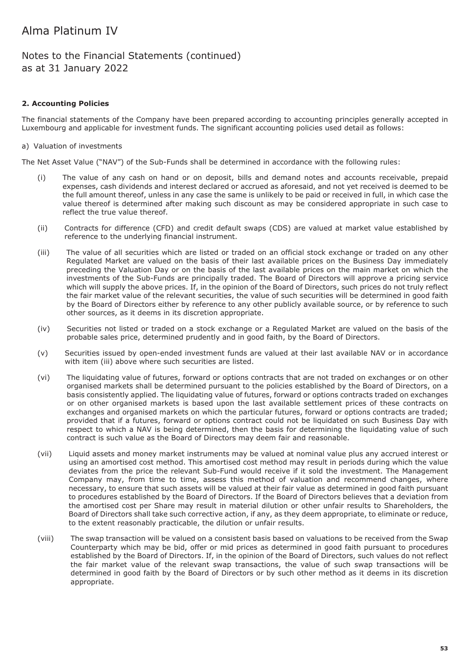### Notes to the Financial Statements (continued) as at 31 January 2022

#### **2. Accounting Policies**

The financial statements of the Company have been prepared according to accounting principles generally accepted in Luxembourg and applicable for investment funds. The significant accounting policies used detail as follows:

#### a) Valuation of investments

The Net Asset Value ("NAV") of the Sub-Funds shall be determined in accordance with the following rules:

- (i) The value of any cash on hand or on deposit, bills and demand notes and accounts receivable, prepaid expenses, cash dividends and interest declared or accrued as aforesaid, and not yet received is deemed to be the full amount thereof, unless in any case the same is unlikely to be paid or received in full, in which case the value thereof is determined after making such discount as may be considered appropriate in such case to reflect the true value thereof.
- (ii) Contracts for difference (CFD) and credit default swaps (CDS) are valued at market value established by reference to the underlying financial instrument.
- (iii) The value of all securities which are listed or traded on an official stock exchange or traded on any other Regulated Market are valued on the basis of their last available prices on the Business Day immediately preceding the Valuation Day or on the basis of the last available prices on the main market on which the investments of the Sub-Funds are principally traded. The Board of Directors will approve a pricing service which will supply the above prices. If, in the opinion of the Board of Directors, such prices do not truly reflect the fair market value of the relevant securities, the value of such securities will be determined in good faith by the Board of Directors either by reference to any other publicly available source, or by reference to such other sources, as it deems in its discretion appropriate.
- (iv) Securities not listed or traded on a stock exchange or a Regulated Market are valued on the basis of the probable sales price, determined prudently and in good faith, by the Board of Directors.
- (v) Securities issued by open-ended investment funds are valued at their last available NAV or in accordance with item (iii) above where such securities are listed.
- (vi) The liquidating value of futures, forward or options contracts that are not traded on exchanges or on other organised markets shall be determined pursuant to the policies established by the Board of Directors, on a basis consistently applied. The liquidating value of futures, forward or options contracts traded on exchanges or on other organised markets is based upon the last available settlement prices of these contracts on exchanges and organised markets on which the particular futures, forward or options contracts are traded; provided that if a futures, forward or options contract could not be liquidated on such Business Day with respect to which a NAV is being determined, then the basis for determining the liquidating value of such contract is such value as the Board of Directors may deem fair and reasonable.
- (vii) Liquid assets and money market instruments may be valued at nominal value plus any accrued interest or using an amortised cost method. This amortised cost method may result in periods during which the value deviates from the price the relevant Sub-Fund would receive if it sold the investment. The Management Company may, from time to time, assess this method of valuation and recommend changes, where necessary, to ensure that such assets will be valued at their fair value as determined in good faith pursuant to procedures established by the Board of Directors. If the Board of Directors believes that a deviation from the amortised cost per Share may result in material dilution or other unfair results to Shareholders, the Board of Directors shall take such corrective action, if any, as they deem appropriate, to eliminate or reduce, to the extent reasonably practicable, the dilution or unfair results.
- (viii) The swap transaction will be valued on a consistent basis based on valuations to be received from the Swap Counterparty which may be bid, offer or mid prices as determined in good faith pursuant to procedures established by the Board of Directors. If, in the opinion of the Board of Directors, such values do not reflect the fair market value of the relevant swap transactions, the value of such swap transactions will be determined in good faith by the Board of Directors or by such other method as it deems in its discretion appropriate.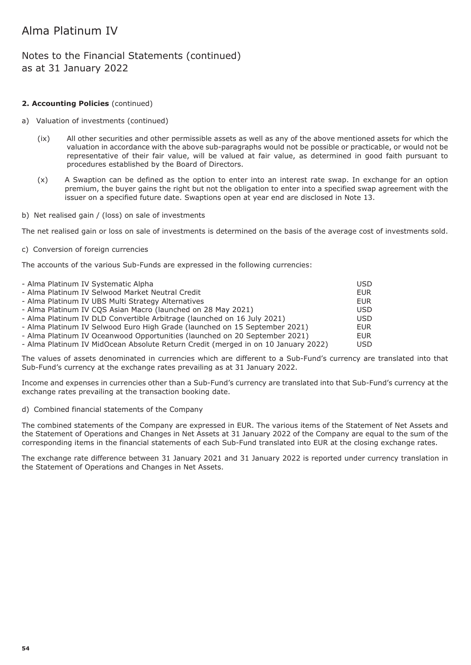### Notes to the Financial Statements (continued) as at 31 January 2022

#### **2. Accounting Policies** (continued)

- a) Valuation of investments (continued)
	- (ix) All other securities and other permissible assets as well as any of the above mentioned assets for which the valuation in accordance with the above sub-paragraphs would not be possible or practicable, or would not be representative of their fair value, will be valued at fair value, as determined in good faith pursuant to procedures established by the Board of Directors.
	- (x) A Swaption can be defined as the option to enter into an interest rate swap. In exchange for an option premium, the buyer gains the right but not the obligation to enter into a specified swap agreement with the issuer on a specified future date. Swaptions open at year end are disclosed in Note 13.
- b) Net realised gain / (loss) on sale of investments

The net realised gain or loss on sale of investments is determined on the basis of the average cost of investments sold.

c) Conversion of foreign currencies

The accounts of the various Sub-Funds are expressed in the following currencies:

| - Alma Platinum IV Systematic Alpha                                               | <b>USD</b> |
|-----------------------------------------------------------------------------------|------------|
| - Alma Platinum IV Selwood Market Neutral Credit                                  | <b>EUR</b> |
| - Alma Platinum IV UBS Multi Strategy Alternatives                                | <b>EUR</b> |
| - Alma Platinum IV CQS Asian Macro (launched on 28 May 2021)                      | <b>USD</b> |
| - Alma Platinum IV DLD Convertible Arbitrage (launched on 16 July 2021)           | USD        |
| - Alma Platinum IV Selwood Euro High Grade (launched on 15 September 2021)        | <b>EUR</b> |
| - Alma Platinum IV Oceanwood Opportunities (launched on 20 September 2021)        | <b>EUR</b> |
| - Alma Platinum IV MidOcean Absolute Return Credit (merged in on 10 January 2022) | <b>USD</b> |

The values of assets denominated in currencies which are different to a Sub-Fund's currency are translated into that Sub-Fund's currency at the exchange rates prevailing as at 31 January 2022.

Income and expenses in currencies other than a Sub-Fund's currency are translated into that Sub-Fund's currency at the exchange rates prevailing at the transaction booking date.

d) Combined financial statements of the Company

The combined statements of the Company are expressed in EUR. The various items of the Statement of Net Assets and the Statement of Operations and Changes in Net Assets at 31 January 2022 of the Company are equal to the sum of the corresponding items in the financial statements of each Sub-Fund translated into EUR at the closing exchange rates.

The exchange rate difference between 31 January 2021 and 31 January 2022 is reported under currency translation in the Statement of Operations and Changes in Net Assets.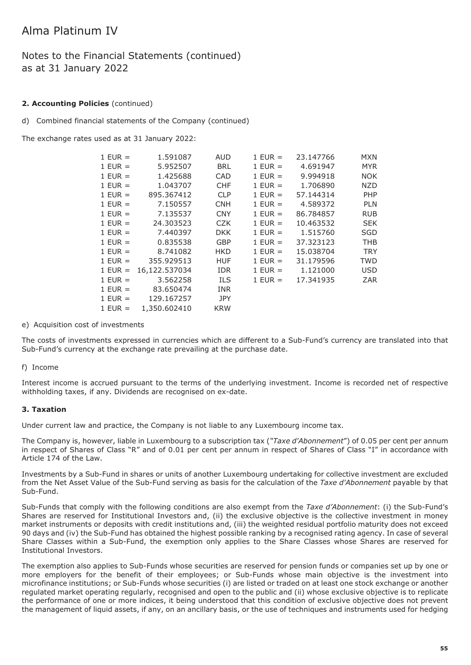### Notes to the Financial Statements (continued) as at 31 January 2022

#### **2. Accounting Policies** (continued)

d) Combined financial statements of the Company (continued)

The exchange rates used as at 31 January 2022:

| $1$ EUR =   | 1.591087      | AUD        | $1$ EUR =   | 23.147766 | <b>MXN</b> |
|-------------|---------------|------------|-------------|-----------|------------|
| $1$ EUR $=$ | 5.952507      | <b>BRL</b> | $1$ EUR $=$ | 4.691947  | <b>MYR</b> |
| $1$ EUR $=$ | 1.425688      | <b>CAD</b> | $1$ EUR $=$ | 9.994918  | <b>NOK</b> |
| $1$ EUR $=$ | 1.043707      | <b>CHF</b> | $1$ EUR =   | 1.706890  | <b>NZD</b> |
| $1$ EUR $=$ | 895.367412    | <b>CLP</b> | $1$ EUR $=$ | 57.144314 | PHP        |
| $1$ EUR $=$ | 7.150557      | <b>CNH</b> | $1$ EUR =   | 4.589372  | <b>PLN</b> |
| $1$ EUR =   | 7.135537      | <b>CNY</b> | $1$ EUR $=$ | 86.784857 | <b>RUB</b> |
| $1$ EUR =   | 24.303523     | <b>CZK</b> | $1$ EUR $=$ | 10.463532 | <b>SEK</b> |
| $1$ EUR $=$ | 7.440397      | <b>DKK</b> | $1$ EUR $=$ | 1.515760  | <b>SGD</b> |
| $1$ EUR $=$ | 0.835538      | <b>GBP</b> | $1$ EUR $=$ | 37.323123 | <b>THB</b> |
| $1$ EUR $=$ | 8.741082      | <b>HKD</b> | $1$ EUR =   | 15.038704 | <b>TRY</b> |
| $1$ EUR $=$ | 355.929513    | <b>HUF</b> | $1$ EUR $=$ | 31.179596 | <b>TWD</b> |
| $1$ EUR =   | 16,122.537034 | <b>IDR</b> | $1$ EUR $=$ | 1.121000  | <b>USD</b> |
| $1$ EUR =   | 3.562258      | ILS.       | $1$ EUR $=$ | 17.341935 | ZAR        |
| $1$ EUR $=$ | 83.650474     | <b>INR</b> |             |           |            |
| $1$ EUR $=$ | 129.167257    | <b>JPY</b> |             |           |            |
| $1$ EUR =   | 1,350.602410  | <b>KRW</b> |             |           |            |

#### e) Acquisition cost of investments

The costs of investments expressed in currencies which are different to a Sub-Fund's currency are translated into that Sub-Fund's currency at the exchange rate prevailing at the purchase date.

#### f) Income

Interest income is accrued pursuant to the terms of the underlying investment. Income is recorded net of respective withholding taxes, if any. Dividends are recognised on ex-date.

#### **3. Taxation**

Under current law and practice, the Company is not liable to any Luxembourg income tax.

The Company is, however, liable in Luxembourg to a subscription tax (*"Taxe d'Abonnement*") of 0.05 per cent per annum in respect of Shares of Class "R" and of 0.01 per cent per annum in respect of Shares of Class "I" in accordance with Article 174 of the Law.

Investments by a Sub-Fund in shares or units of another Luxembourg undertaking for collective investment are excluded from the Net Asset Value of the Sub-Fund serving as basis for the calculation of the *Taxe d'Abonnement* payable by that Sub-Fund.

Sub-Funds that comply with the following conditions are also exempt from the *Taxe d'Abonnement*: (i) the Sub-Fund's Shares are reserved for Institutional Investors and, (ii) the exclusive objective is the collective investment in money market instruments or deposits with credit institutions and, (iii) the weighted residual portfolio maturity does not exceed 90 days and (iv) the Sub-Fund has obtained the highest possible ranking by a recognised rating agency. In case of several Share Classes within a Sub-Fund, the exemption only applies to the Share Classes whose Shares are reserved for Institutional Investors.

The exemption also applies to Sub-Funds whose securities are reserved for pension funds or companies set up by one or more employers for the benefit of their employees; or Sub-Funds whose main objective is the investment into microfinance institutions; or Sub-Funds whose securities (i) are listed or traded on at least one stock exchange or another regulated market operating regularly, recognised and open to the public and (ii) whose exclusive objective is to replicate the performance of one or more indices, it being understood that this condition of exclusive objective does not prevent the management of liquid assets, if any, on an ancillary basis, or the use of techniques and instruments used for hedging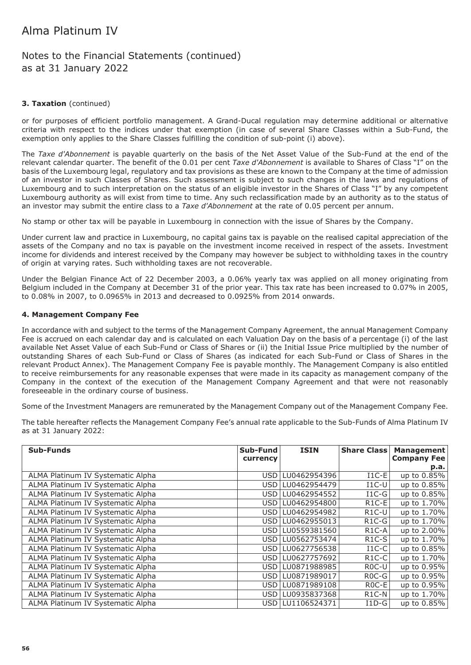### Notes to the Financial Statements (continued) as at 31 January 2022

#### **3. Taxation** (continued)

or for purposes of efficient portfolio management. A Grand-Ducal regulation may determine additional or alternative criteria with respect to the indices under that exemption (in case of several Share Classes within a Sub-Fund, the exemption only applies to the Share Classes fulfilling the condition of sub-point (i) above).

The *Taxe d'Abonnement* is payable quarterly on the basis of the Net Asset Value of the Sub-Fund at the end of the relevant calendar quarter. The benefit of the 0.01 per cent *Taxe d'Abonnement* is available to Shares of Class "I" on the basis of the Luxembourg legal, regulatory and tax provisions as these are known to the Company at the time of admission of an investor in such Classes of Shares. Such assessment is subject to such changes in the laws and regulations of Luxembourg and to such interpretation on the status of an eligible investor in the Shares of Class "I" by any competent Luxembourg authority as will exist from time to time. Any such reclassification made by an authority as to the status of an investor may submit the entire class to a *Taxe d'Abonnement* at the rate of 0.05 percent per annum.

No stamp or other tax will be payable in Luxembourg in connection with the issue of Shares by the Company.

Under current law and practice in Luxembourg, no capital gains tax is payable on the realised capital appreciation of the assets of the Company and no tax is payable on the investment income received in respect of the assets. Investment income for dividends and interest received by the Company may however be subject to withholding taxes in the country of origin at varying rates. Such withholding taxes are not recoverable.

Under the Belgian Finance Act of 22 December 2003, a 0.06% yearly tax was applied on all money originating from Belgium included in the Company at December 31 of the prior year. This tax rate has been increased to 0.07% in 2005, to 0.08% in 2007, to 0.0965% in 2013 and decreased to 0.0925% from 2014 onwards.

#### **4. Management Company Fee**

In accordance with and subject to the terms of the Management Company Agreement, the annual Management Company Fee is accrued on each calendar day and is calculated on each Valuation Day on the basis of a percentage (i) of the last available Net Asset Value of each Sub-Fund or Class of Shares or (ii) the Initial Issue Price multiplied by the number of outstanding Shares of each Sub-Fund or Class of Shares (as indicated for each Sub-Fund or Class of Shares in the relevant Product Annex). The Management Company Fee is payable monthly. The Management Company is also entitled to receive reimbursements for any reasonable expenses that were made in its capacity as management company of the Company in the context of the execution of the Management Company Agreement and that were not reasonably foreseeable in the ordinary course of business.

Some of the Investment Managers are remunerated by the Management Company out of the Management Company Fee.

The table hereafter reflects the Management Company Fee's annual rate applicable to the Sub-Funds of Alma Platinum IV as at 31 January 2022:

| <b>Sub-Funds</b>                  | Sub-Fund<br>currency | <b>ISIN</b>  | <b>Share Class</b> | Management<br><b>Company Fee</b> |
|-----------------------------------|----------------------|--------------|--------------------|----------------------------------|
|                                   |                      |              |                    | p.a.                             |
| ALMA Platinum IV Systematic Alpha | USD.                 | LU0462954396 | $I1C-E$            | up to 0.85%                      |
| ALMA Platinum IV Systematic Alpha | USD.                 | LU0462954479 | $I1C-U$            | up to 0.85%                      |
| ALMA Platinum IV Systematic Alpha | USD.                 | LU0462954552 | $I1C-G$            | up to 0.85%                      |
| ALMA Platinum IV Systematic Alpha | USD.                 | LU0462954800 | R <sub>1</sub> C-E | up to 1.70%                      |
| ALMA Platinum IV Systematic Alpha | USD.                 | LU0462954982 | $R1C-U$            | up to 1.70%                      |
| ALMA Platinum IV Systematic Alpha | USD.                 | LU0462955013 | $R1C-G$            | up to 1.70%                      |
| ALMA Platinum IV Systematic Alpha | USD I                | LU0559381560 | R <sub>1</sub> C-A | up to 2.00%                      |
| ALMA Platinum IV Systematic Alpha | USD.                 | LU0562753474 | $R1C-S$            | up to 1.70%                      |
| ALMA Platinum IV Systematic Alpha | USD.                 | LU0627756538 | $I1C-C$            | up to 0.85%                      |
| ALMA Platinum IV Systematic Alpha | USD.                 | LU0627757692 | $R1C-C$            | up to 1.70%                      |
| ALMA Platinum IV Systematic Alpha | <b>USD</b>           | LU0871988985 | R <sub>0</sub> C-U | up to 0.95%                      |
| ALMA Platinum IV Systematic Alpha | USD.                 | LU0871989017 | $ROC-G$            | up to 0.95%                      |
| ALMA Platinum IV Systematic Alpha | USD.                 | LU0871989108 | $ROC-E$            | up to 0.95%                      |
| ALMA Platinum IV Systematic Alpha | USD.                 | LU0935837368 | R <sub>1</sub> C-N | up to 1.70%                      |
| ALMA Platinum IV Systematic Alpha | USD                  | LU1106524371 | $I1D-G$            | up to 0.85%                      |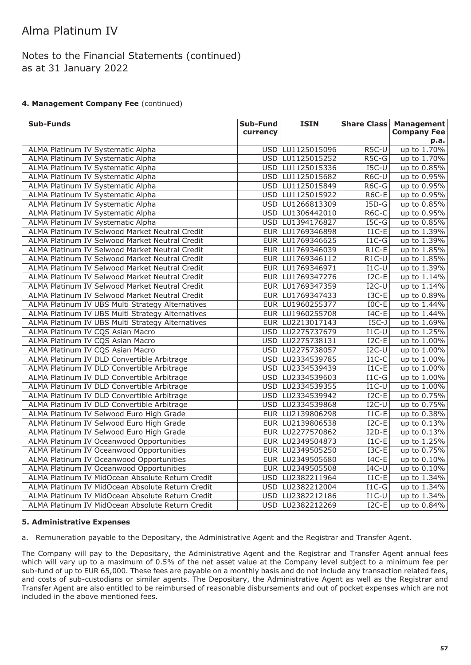### Notes to the Financial Statements (continued) as at 31 January 2022

#### **4. Management Company Fee** (continued)

| <b>Sub-Funds</b>                                 | Sub-Fund | <b>ISIN</b>        | <b>Share Class</b> | <b>Management</b>  |
|--------------------------------------------------|----------|--------------------|--------------------|--------------------|
|                                                  | currency |                    |                    | <b>Company Fee</b> |
|                                                  |          |                    |                    | p.a.               |
| ALMA Platinum IV Systematic Alpha                |          | USD LU1125015096   | R5C-U              | up to 1.70%        |
| ALMA Platinum IV Systematic Alpha                |          | USD LU1125015252   | $R5C-G$            | up to 1.70%        |
| ALMA Platinum IV Systematic Alpha                |          | USD LU1125015336   | $I5C-U$            | up to 0.85%        |
| ALMA Platinum IV Systematic Alpha                |          | USD LU1125015682   | R6C-U              | up to 0.95%        |
| ALMA Platinum IV Systematic Alpha                |          | USD LU1125015849   | R6C-G              | up to 0.95%        |
| ALMA Platinum IV Systematic Alpha                |          | USD LU1125015922   | R6C-E              | up to 0.95%        |
| ALMA Platinum IV Systematic Alpha                |          | USD LU1266813309   | $I5D-G$            | up to 0.85%        |
| ALMA Platinum IV Systematic Alpha                |          | USD LU1306442010   | R6C-C              | up to 0.95%        |
| ALMA Platinum IV Systematic Alpha                |          | USD LU1394176827   | $ISC-G$            | up to 0.85%        |
| ALMA Platinum IV Selwood Market Neutral Credit   |          | EUR   LU1769346898 | $I1C-E$            | up to 1.39%        |
| ALMA Platinum IV Selwood Market Neutral Credit   |          | EUR   LU1769346625 | $I1C-G$            | up to 1.39%        |
| ALMA Platinum IV Selwood Market Neutral Credit   |          | EUR LU1769346039   | $R1C-E$            | up to 1.85%        |
| ALMA Platinum IV Selwood Market Neutral Credit   |          | EUR LU1769346112   | $R1C-U$            | up to 1.85%        |
| ALMA Platinum IV Selwood Market Neutral Credit   |          | EUR LU1769346971   | $I1C-U$            | up to 1.39%        |
| ALMA Platinum IV Selwood Market Neutral Credit   |          | EUR LU1769347276   | $I2C-E$            | up to 1.14%        |
| ALMA Platinum IV Selwood Market Neutral Credit   |          | EUR LU1769347359   | $I2C-U$            | up to 1.14%        |
| ALMA Platinum IV Selwood Market Neutral Credit   |          | EUR LU1769347433   | $I3C-E$            | up to 0.89%        |
| ALMA Platinum IV UBS Multi Strategy Alternatives |          | EUR LU1960255377   | $IOC-E$            | up to 1.44%        |
| ALMA Platinum IV UBS Multi Strategy Alternatives |          | EUR LU1960255708   | $I4C-E$            | up to 1.44%        |
| ALMA Platinum IV UBS Multi Strategy Alternatives |          | EUR LU2213017143   | $I5C-J$            | up to 1.69%        |
| ALMA Platinum IV CQS Asian Macro                 |          | USD LU2275737679   | $I1C-U$            | up to 1.25%        |
| ALMA Platinum IV CQS Asian Macro                 |          | USD LU2275738131   | $I2C-E$            | up to 1.00%        |
| ALMA Platinum IV CQS Asian Macro                 |          | USD   LU2275738057 | $I2C-U$            | up to 1.00%        |
| ALMA Platinum IV DLD Convertible Arbitrage       |          | USD LU2334539785   | $I1C-C$            | up to 1.00%        |
| ALMA Platinum IV DLD Convertible Arbitrage       |          | USD LU2334539439   | $I1C-E$            | up to 1.00%        |
| ALMA Platinum IV DLD Convertible Arbitrage       |          | USD LU2334539603   | $I1C-G$            | up to 1.00%        |
| ALMA Platinum IV DLD Convertible Arbitrage       |          | USD LU2334539355   | $I1C-U$            | up to 1.00%        |
| ALMA Platinum IV DLD Convertible Arbitrage       |          | USD LU2334539942   | $I2C-E$            | up to 0.75%        |
| ALMA Platinum IV DLD Convertible Arbitrage       |          | USD LU2334539868   | $I2C-U$            | up to 0.75%        |
| ALMA Platinum IV Selwood Euro High Grade         |          | EUR LU2139806298   | $I1C-E$            | up to 0.38%        |
| ALMA Platinum IV Selwood Euro High Grade         |          | EUR LU2139806538   | $I2C-E$            | up to 0.13%        |
| ALMA Platinum IV Selwood Euro High Grade         |          | EUR LU2277570862   | $I2D-E$            | up to 0.13%        |
| ALMA Platinum IV Oceanwood Opportunities         |          | EUR   LU2349504873 | $I1C-E$            | up to 1.25%        |
| ALMA Platinum IV Oceanwood Opportunities         |          | EUR LU2349505250   | $I3C-E$            | up to 0.75%        |
| ALMA Platinum IV Oceanwood Opportunities         |          | EUR LU2349505680   | $I4C-E$            | up to 0.10%        |
| ALMA Platinum IV Oceanwood Opportunities         |          | EUR LU2349505508   | $I4C-U$            | up to 0.10%        |
| ALMA Platinum IV MidOcean Absolute Return Credit |          | USD LU2382211964   | $I1C-E$            | up to 1.34%        |
| ALMA Platinum IV MidOcean Absolute Return Credit |          | USD LU2382212004   | $I1C-G$            | up to 1.34%        |
| ALMA Platinum IV MidOcean Absolute Return Credit |          | USD   LU2382212186 | $I1C-U$            | up to 1.34%        |
| ALMA Platinum IV MidOcean Absolute Return Credit |          | USD LU2382212269   | $I2C-E$            | up to 0.84%        |

#### **5. Administrative Expenses**

a. Remuneration payable to the Depositary, the Administrative Agent and the Registrar and Transfer Agent.

The Company will pay to the Depositary, the Administrative Agent and the Registrar and Transfer Agent annual fees which will vary up to a maximum of 0.5% of the net asset value at the Company level subject to a minimum fee per sub-fund of up to EUR 65,000. These fees are payable on a monthly basis and do not include any transaction related fees, and costs of sub-custodians or similar agents. The Depositary, the Administrative Agent as well as the Registrar and Transfer Agent are also entitled to be reimbursed of reasonable disbursements and out of pocket expenses which are not included in the above mentioned fees.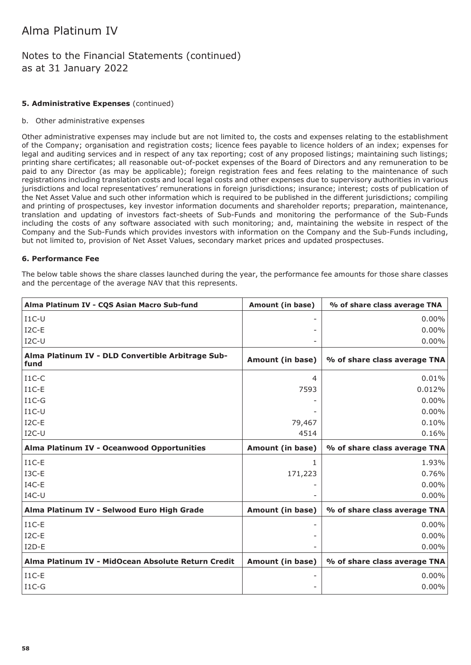### Notes to the Financial Statements (continued) as at 31 January 2022

#### **5. Administrative Expenses** (continued)

#### b. Other administrative expenses

Other administrative expenses may include but are not limited to, the costs and expenses relating to the establishment of the Company; organisation and registration costs; licence fees payable to licence holders of an index; expenses for legal and auditing services and in respect of any tax reporting; cost of any proposed listings; maintaining such listings; printing share certificates; all reasonable out-of-pocket expenses of the Board of Directors and any remuneration to be paid to any Director (as may be applicable); foreign registration fees and fees relating to the maintenance of such registrations including translation costs and local legal costs and other expenses due to supervisory authorities in various jurisdictions and local representatives' remunerations in foreign jurisdictions; insurance; interest; costs of publication of the Net Asset Value and such other information which is required to be published in the different jurisdictions; compiling and printing of prospectuses, key investor information documents and shareholder reports; preparation, maintenance, translation and updating of investors fact-sheets of Sub-Funds and monitoring the performance of the Sub-Funds including the costs of any software associated with such monitoring; and, maintaining the website in respect of the Company and the Sub-Funds which provides investors with information on the Company and the Sub-Funds including, but not limited to, provision of Net Asset Values, secondary market prices and updated prospectuses.

#### **6. Performance Fee**

The below table shows the share classes launched during the year, the performance fee amounts for those share classes and the percentage of the average NAV that this represents.

| Alma Platinum IV - CQS Asian Macro Sub-fund               | <b>Amount (in base)</b> | % of share class average TNA |
|-----------------------------------------------------------|-------------------------|------------------------------|
| $I1C-U$                                                   |                         | $0.00\%$                     |
| $I2C-E$                                                   |                         | 0.00%                        |
| $I2C-U$                                                   |                         | 0.00%                        |
| Alma Platinum IV - DLD Convertible Arbitrage Sub-<br>fund | Amount (in base)        | % of share class average TNA |
| $I1C-C$                                                   | $\overline{4}$          | 0.01%                        |
| $I1C-E$                                                   | 7593                    | 0.012%                       |
| $I1C-G$                                                   |                         | 0.00%                        |
| $I1C-U$                                                   |                         | 0.00%                        |
| $I2C-E$                                                   | 79,467                  | 0.10%                        |
| $I2C-U$                                                   | 4514                    | 0.16%                        |
| Alma Platinum IV - Oceanwood Opportunities                | Amount (in base)        | % of share class average TNA |
| $I1C-E$                                                   | 1                       | 1.93%                        |
| I3C-E                                                     | 171,223                 | 0.76%                        |
| $IAC-E$                                                   |                         | 0.00%                        |
| $IAC-U$                                                   |                         | 0.00%                        |
| Alma Platinum IV - Selwood Euro High Grade                | Amount (in base)        | % of share class average TNA |
| $I1C-E$                                                   |                         | $0.00\%$                     |
| $I2C-E$                                                   |                         | 0.00%                        |
| $I2D-E$                                                   |                         | 0.00%                        |
| Alma Platinum IV - MidOcean Absolute Return Credit        | Amount (in base)        | % of share class average TNA |
| $I1C-E$                                                   |                         | $0.00\%$                     |
| $I1C-G$                                                   |                         | $0.00\%$                     |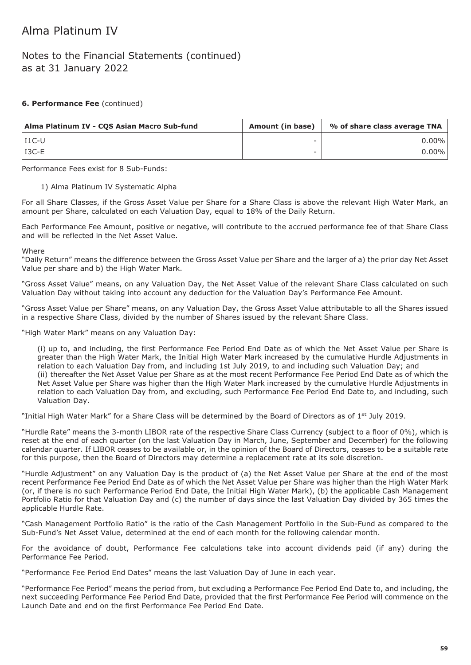### Notes to the Financial Statements (continued) as at 31 January 2022

#### **6. Performance Fee** (continued)

| Alma Platinum IV - COS Asian Macro Sub-fund | Amount (in base) | % of share class average TNA |
|---------------------------------------------|------------------|------------------------------|
| l T1C-U                                     |                  | $0.00\%$                     |
| l I3C-E                                     | -                | $0.00\%$                     |

Performance Fees exist for 8 Sub-Funds:

#### 1) Alma Platinum IV Systematic Alpha

For all Share Classes, if the Gross Asset Value per Share for a Share Class is above the relevant High Water Mark, an amount per Share, calculated on each Valuation Day, equal to 18% of the Daily Return.

Each Performance Fee Amount, positive or negative, will contribute to the accrued performance fee of that Share Class and will be reflected in the Net Asset Value.

Where

"Daily Return" means the difference between the Gross Asset Value per Share and the larger of a) the prior day Net Asset Value per share and b) the High Water Mark.

"Gross Asset Value" means, on any Valuation Day, the Net Asset Value of the relevant Share Class calculated on such Valuation Day without taking into account any deduction for the Valuation Day's Performance Fee Amount.

"Gross Asset Value per Share" means, on any Valuation Day, the Gross Asset Value attributable to all the Shares issued in a respective Share Class, divided by the number of Shares issued by the relevant Share Class.

"High Water Mark" means on any Valuation Day:

(i) up to, and including, the first Performance Fee Period End Date as of which the Net Asset Value per Share is greater than the High Water Mark, the Initial High Water Mark increased by the cumulative Hurdle Adjustments in relation to each Valuation Day from, and including 1st July 2019, to and including such Valuation Day; and (ii) thereafter the Net Asset Value per Share as at the most recent Performance Fee Period End Date as of which the Net Asset Value per Share was higher than the High Water Mark increased by the cumulative Hurdle Adjustments in relation to each Valuation Day from, and excluding, such Performance Fee Period End Date to, and including, such Valuation Day.

"Initial High Water Mark" for a Share Class will be determined by the Board of Directors as of  $1<sup>st</sup>$  July 2019.

"Hurdle Rate" means the 3-month LIBOR rate of the respective Share Class Currency (subject to a floor of 0%), which is reset at the end of each quarter (on the last Valuation Day in March, June, September and December) for the following calendar quarter. If LIBOR ceases to be available or, in the opinion of the Board of Directors, ceases to be a suitable rate for this purpose, then the Board of Directors may determine a replacement rate at its sole discretion.

"Hurdle Adjustment" on any Valuation Day is the product of (a) the Net Asset Value per Share at the end of the most recent Performance Fee Period End Date as of which the Net Asset Value per Share was higher than the High Water Mark (or, if there is no such Performance Period End Date, the Initial High Water Mark), (b) the applicable Cash Management Portfolio Ratio for that Valuation Day and (c) the number of days since the last Valuation Day divided by 365 times the applicable Hurdle Rate.

"Cash Management Portfolio Ratio" is the ratio of the Cash Management Portfolio in the Sub-Fund as compared to the Sub-Fund's Net Asset Value, determined at the end of each month for the following calendar month.

For the avoidance of doubt, Performance Fee calculations take into account dividends paid (if any) during the Performance Fee Period.

"Performance Fee Period End Dates" means the last Valuation Day of June in each year.

"Performance Fee Period" means the period from, but excluding a Performance Fee Period End Date to, and including, the next succeeding Performance Fee Period End Date, provided that the first Performance Fee Period will commence on the Launch Date and end on the first Performance Fee Period End Date.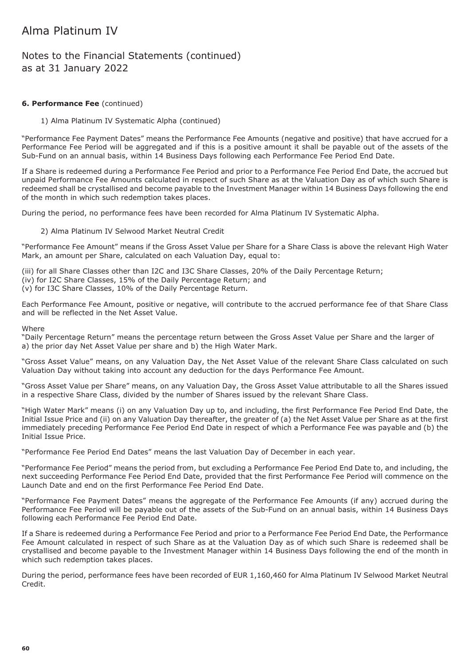### Notes to the Financial Statements (continued) as at 31 January 2022

#### **6. Performance Fee** (continued)

1) Alma Platinum IV Systematic Alpha (continued)

"Performance Fee Payment Dates" means the Performance Fee Amounts (negative and positive) that have accrued for a Performance Fee Period will be aggregated and if this is a positive amount it shall be payable out of the assets of the Sub-Fund on an annual basis, within 14 Business Days following each Performance Fee Period End Date.

If a Share is redeemed during a Performance Fee Period and prior to a Performance Fee Period End Date, the accrued but unpaid Performance Fee Amounts calculated in respect of such Share as at the Valuation Day as of which such Share is redeemed shall be crystallised and become payable to the Investment Manager within 14 Business Days following the end of the month in which such redemption takes places.

During the period, no performance fees have been recorded for Alma Platinum IV Systematic Alpha.

#### 2) Alma Platinum IV Selwood Market Neutral Credit

"Performance Fee Amount" means if the Gross Asset Value per Share for a Share Class is above the relevant High Water Mark, an amount per Share, calculated on each Valuation Day, equal to:

(iii) for all Share Classes other than I2C and I3C Share Classes, 20% of the Daily Percentage Return; (iv) for I2C Share Classes, 15% of the Daily Percentage Return; and

(v) for I3C Share Classes, 10% of the Daily Percentage Return.

Each Performance Fee Amount, positive or negative, will contribute to the accrued performance fee of that Share Class and will be reflected in the Net Asset Value.

**Where** 

"Daily Percentage Return" means the percentage return between the Gross Asset Value per Share and the larger of a) the prior day Net Asset Value per share and b) the High Water Mark.

"Gross Asset Value" means, on any Valuation Day, the Net Asset Value of the relevant Share Class calculated on such Valuation Day without taking into account any deduction for the days Performance Fee Amount.

"Gross Asset Value per Share" means, on any Valuation Day, the Gross Asset Value attributable to all the Shares issued in a respective Share Class, divided by the number of Shares issued by the relevant Share Class.

"High Water Mark" means (i) on any Valuation Day up to, and including, the first Performance Fee Period End Date, the Initial Issue Price and (ii) on any Valuation Day thereafter, the greater of (a) the Net Asset Value per Share as at the first immediately preceding Performance Fee Period End Date in respect of which a Performance Fee was payable and (b) the Initial Issue Price.

"Performance Fee Period End Dates" means the last Valuation Day of December in each year.

"Performance Fee Period" means the period from, but excluding a Performance Fee Period End Date to, and including, the next succeeding Performance Fee Period End Date, provided that the first Performance Fee Period will commence on the Launch Date and end on the first Performance Fee Period End Date.

"Performance Fee Payment Dates" means the aggregate of the Performance Fee Amounts (if any) accrued during the Performance Fee Period will be payable out of the assets of the Sub-Fund on an annual basis, within 14 Business Days following each Performance Fee Period End Date.

If a Share is redeemed during a Performance Fee Period and prior to a Performance Fee Period End Date, the Performance Fee Amount calculated in respect of such Share as at the Valuation Day as of which such Share is redeemed shall be crystallised and become payable to the Investment Manager within 14 Business Days following the end of the month in which such redemption takes places.

During the period, performance fees have been recorded of EUR 1,160,460 for Alma Platinum IV Selwood Market Neutral Credit.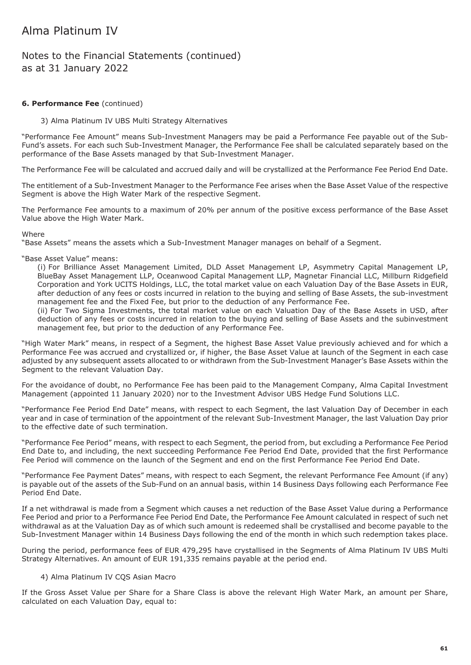### Notes to the Financial Statements (continued) as at 31 January 2022

#### **6. Performance Fee** (continued)

#### 3) Alma Platinum IV UBS Multi Strategy Alternatives

"Performance Fee Amount" means Sub-Investment Managers may be paid a Performance Fee payable out of the Sub-Fund's assets. For each such Sub-Investment Manager, the Performance Fee shall be calculated separately based on the performance of the Base Assets managed by that Sub-Investment Manager.

The Performance Fee will be calculated and accrued daily and will be crystallized at the Performance Fee Period End Date.

The entitlement of a Sub-Investment Manager to the Performance Fee arises when the Base Asset Value of the respective Segment is above the High Water Mark of the respective Segment.

The Performance Fee amounts to a maximum of 20% per annum of the positive excess performance of the Base Asset Value above the High Water Mark.

#### **Where**

"Base Assets" means the assets which a Sub-Investment Manager manages on behalf of a Segment.

#### "Base Asset Value" means:

(i) For Brilliance Asset Management Limited, DLD Asset Management LP, Asymmetry Capital Management LP, BlueBay Asset Management LLP, Oceanwood Capital Management LLP, Magnetar Financial LLC, Millburn Ridgefield Corporation and York UCITS Holdings, LLC, the total market value on each Valuation Day of the Base Assets in EUR, after deduction of any fees or costs incurred in relation to the buying and selling of Base Assets, the sub-investment management fee and the Fixed Fee, but prior to the deduction of any Performance Fee.

(ii) For Two Sigma Investments, the total market value on each Valuation Day of the Base Assets in USD, after deduction of any fees or costs incurred in relation to the buying and selling of Base Assets and the subinvestment management fee, but prior to the deduction of any Performance Fee.

"High Water Mark" means, in respect of a Segment, the highest Base Asset Value previously achieved and for which a Performance Fee was accrued and crystallized or, if higher, the Base Asset Value at launch of the Segment in each case adjusted by any subsequent assets allocated to or withdrawn from the Sub-Investment Manager's Base Assets within the Segment to the relevant Valuation Day.

For the avoidance of doubt, no Performance Fee has been paid to the Management Company, Alma Capital Investment Management (appointed 11 January 2020) nor to the Investment Advisor UBS Hedge Fund Solutions LLC.

"Performance Fee Period End Date" means, with respect to each Segment, the last Valuation Day of December in each year and in case of termination of the appointment of the relevant Sub-Investment Manager, the last Valuation Day prior to the effective date of such termination.

"Performance Fee Period" means, with respect to each Segment, the period from, but excluding a Performance Fee Period End Date to, and including, the next succeeding Performance Fee Period End Date, provided that the first Performance Fee Period will commence on the launch of the Segment and end on the first Performance Fee Period End Date.

"Performance Fee Payment Dates" means, with respect to each Segment, the relevant Performance Fee Amount (if any) is payable out of the assets of the Sub-Fund on an annual basis, within 14 Business Days following each Performance Fee Period End Date.

If a net withdrawal is made from a Segment which causes a net reduction of the Base Asset Value during a Performance Fee Period and prior to a Performance Fee Period End Date, the Performance Fee Amount calculated in respect of such net withdrawal as at the Valuation Day as of which such amount is redeemed shall be crystallised and become payable to the Sub-Investment Manager within 14 Business Days following the end of the month in which such redemption takes place.

During the period, performance fees of EUR 479,295 have crystallised in the Segments of Alma Platinum IV UBS Multi Strategy Alternatives. An amount of EUR 191,335 remains payable at the period end.

#### 4) Alma Platinum IV CQS Asian Macro

If the Gross Asset Value per Share for a Share Class is above the relevant High Water Mark, an amount per Share, calculated on each Valuation Day, equal to: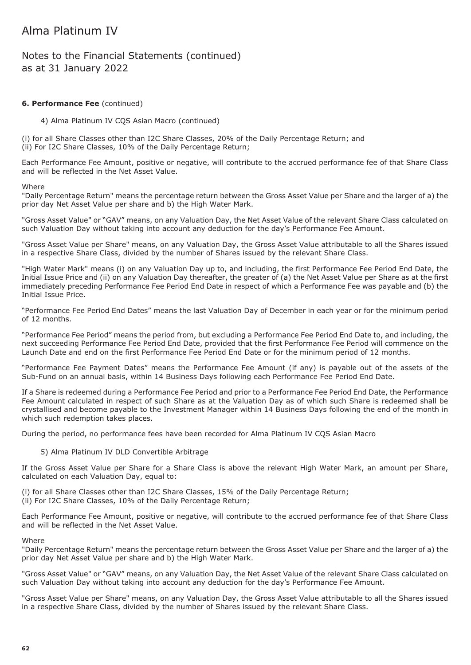### Notes to the Financial Statements (continued) as at 31 January 2022

#### **6. Performance Fee** (continued)

4) Alma Platinum IV CQS Asian Macro (continued)

(i) for all Share Classes other than I2C Share Classes, 20% of the Daily Percentage Return; and (ii) For I2C Share Classes, 10% of the Daily Percentage Return;

Each Performance Fee Amount, positive or negative, will contribute to the accrued performance fee of that Share Class and will be reflected in the Net Asset Value.

**Where** 

"Daily Percentage Return" means the percentage return between the Gross Asset Value per Share and the larger of a) the prior day Net Asset Value per share and b) the High Water Mark.

"Gross Asset Value" or "GAV" means, on any Valuation Day, the Net Asset Value of the relevant Share Class calculated on such Valuation Day without taking into account any deduction for the day's Performance Fee Amount.

"Gross Asset Value per Share" means, on any Valuation Day, the Gross Asset Value attributable to all the Shares issued in a respective Share Class, divided by the number of Shares issued by the relevant Share Class.

"High Water Mark" means (i) on any Valuation Day up to, and including, the first Performance Fee Period End Date, the Initial Issue Price and (ii) on any Valuation Day thereafter, the greater of (a) the Net Asset Value per Share as at the first immediately preceding Performance Fee Period End Date in respect of which a Performance Fee was payable and (b) the Initial Issue Price.

"Performance Fee Period End Dates" means the last Valuation Day of December in each year or for the minimum period of 12 months.

"Performance Fee Period" means the period from, but excluding a Performance Fee Period End Date to, and including, the next succeeding Performance Fee Period End Date, provided that the first Performance Fee Period will commence on the Launch Date and end on the first Performance Fee Period End Date or for the minimum period of 12 months.

"Performance Fee Payment Dates" means the Performance Fee Amount (if any) is payable out of the assets of the Sub-Fund on an annual basis, within 14 Business Days following each Performance Fee Period End Date.

If a Share is redeemed during a Performance Fee Period and prior to a Performance Fee Period End Date, the Performance Fee Amount calculated in respect of such Share as at the Valuation Day as of which such Share is redeemed shall be crystallised and become payable to the Investment Manager within 14 Business Days following the end of the month in which such redemption takes places.

During the period, no performance fees have been recorded for Alma Platinum IV CQS Asian Macro

#### 5) Alma Platinum IV DLD Convertible Arbitrage

If the Gross Asset Value per Share for a Share Class is above the relevant High Water Mark, an amount per Share, calculated on each Valuation Day, equal to:

(i) for all Share Classes other than I2C Share Classes, 15% of the Daily Percentage Return; (ii) For I2C Share Classes, 10% of the Daily Percentage Return;

Each Performance Fee Amount, positive or negative, will contribute to the accrued performance fee of that Share Class and will be reflected in the Net Asset Value.

#### **Where**

"Daily Percentage Return" means the percentage return between the Gross Asset Value per Share and the larger of a) the prior day Net Asset Value per share and b) the High Water Mark.

"Gross Asset Value" or "GAV" means, on any Valuation Day, the Net Asset Value of the relevant Share Class calculated on such Valuation Day without taking into account any deduction for the day's Performance Fee Amount.

"Gross Asset Value per Share" means, on any Valuation Day, the Gross Asset Value attributable to all the Shares issued in a respective Share Class, divided by the number of Shares issued by the relevant Share Class.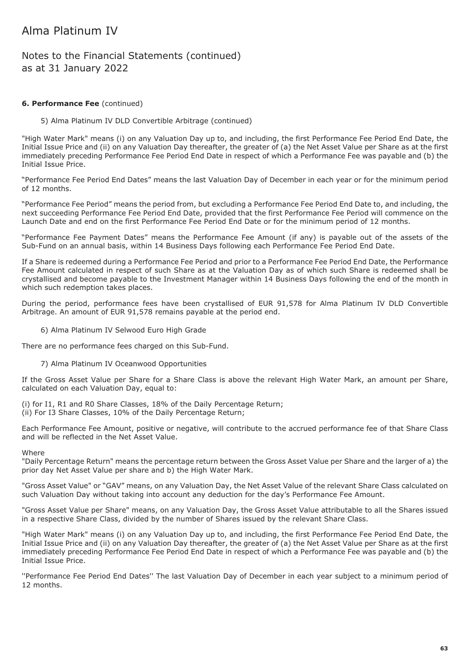### Notes to the Financial Statements (continued) as at 31 January 2022

#### **6. Performance Fee** (continued)

5) Alma Platinum IV DLD Convertible Arbitrage (continued)

"High Water Mark" means (i) on any Valuation Day up to, and including, the first Performance Fee Period End Date, the Initial Issue Price and (ii) on any Valuation Day thereafter, the greater of (a) the Net Asset Value per Share as at the first immediately preceding Performance Fee Period End Date in respect of which a Performance Fee was payable and (b) the Initial Issue Price.

"Performance Fee Period End Dates" means the last Valuation Day of December in each year or for the minimum period of 12 months.

"Performance Fee Period" means the period from, but excluding a Performance Fee Period End Date to, and including, the next succeeding Performance Fee Period End Date, provided that the first Performance Fee Period will commence on the Launch Date and end on the first Performance Fee Period End Date or for the minimum period of 12 months.

"Performance Fee Payment Dates" means the Performance Fee Amount (if any) is payable out of the assets of the Sub-Fund on an annual basis, within 14 Business Days following each Performance Fee Period End Date.

If a Share is redeemed during a Performance Fee Period and prior to a Performance Fee Period End Date, the Performance Fee Amount calculated in respect of such Share as at the Valuation Day as of which such Share is redeemed shall be crystallised and become payable to the Investment Manager within 14 Business Days following the end of the month in which such redemption takes places.

During the period, performance fees have been crystallised of EUR 91,578 for Alma Platinum IV DLD Convertible Arbitrage. An amount of EUR 91,578 remains payable at the period end.

#### 6) Alma Platinum IV Selwood Euro High Grade

There are no performance fees charged on this Sub-Fund.

#### 7) Alma Platinum IV Oceanwood Opportunities

If the Gross Asset Value per Share for a Share Class is above the relevant High Water Mark, an amount per Share, calculated on each Valuation Day, equal to:

(i) for I1, R1 and R0 Share Classes, 18% of the Daily Percentage Return; (ii) For I3 Share Classes, 10% of the Daily Percentage Return;

Each Performance Fee Amount, positive or negative, will contribute to the accrued performance fee of that Share Class and will be reflected in the Net Asset Value.

#### **Where**

"Daily Percentage Return" means the percentage return between the Gross Asset Value per Share and the larger of a) the prior day Net Asset Value per share and b) the High Water Mark.

"Gross Asset Value" or "GAV" means, on any Valuation Day, the Net Asset Value of the relevant Share Class calculated on such Valuation Day without taking into account any deduction for the day's Performance Fee Amount.

"Gross Asset Value per Share" means, on any Valuation Day, the Gross Asset Value attributable to all the Shares issued in a respective Share Class, divided by the number of Shares issued by the relevant Share Class.

"High Water Mark" means (i) on any Valuation Day up to, and including, the first Performance Fee Period End Date, the Initial Issue Price and (ii) on any Valuation Day thereafter, the greater of (a) the Net Asset Value per Share as at the first immediately preceding Performance Fee Period End Date in respect of which a Performance Fee was payable and (b) the Initial Issue Price.

''Performance Fee Period End Dates'' The last Valuation Day of December in each year subject to a minimum period of 12 months.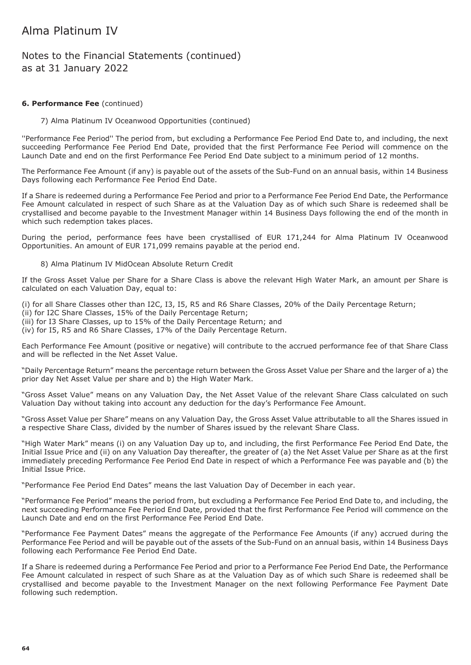### Notes to the Financial Statements (continued) as at 31 January 2022

#### **6. Performance Fee** (continued)

7) Alma Platinum IV Oceanwood Opportunities (continued)

''Performance Fee Period'' The period from, but excluding a Performance Fee Period End Date to, and including, the next succeeding Performance Fee Period End Date, provided that the first Performance Fee Period will commence on the Launch Date and end on the first Performance Fee Period End Date subject to a minimum period of 12 months.

The Performance Fee Amount (if any) is payable out of the assets of the Sub-Fund on an annual basis, within 14 Business Days following each Performance Fee Period End Date.

If a Share is redeemed during a Performance Fee Period and prior to a Performance Fee Period End Date, the Performance Fee Amount calculated in respect of such Share as at the Valuation Day as of which such Share is redeemed shall be crystallised and become payable to the Investment Manager within 14 Business Days following the end of the month in which such redemption takes places.

During the period, performance fees have been crystallised of EUR 171,244 for Alma Platinum IV Oceanwood Opportunities. An amount of EUR 171,099 remains payable at the period end.

#### 8) Alma Platinum IV MidOcean Absolute Return Credit

If the Gross Asset Value per Share for a Share Class is above the relevant High Water Mark, an amount per Share is calculated on each Valuation Day, equal to:

(i) for all Share Classes other than I2C, I3, I5, R5 and R6 Share Classes, 20% of the Daily Percentage Return;

(ii) for I2C Share Classes, 15% of the Daily Percentage Return;

(iii) for I3 Share Classes, up to 15% of the Daily Percentage Return; and

(iv) for I5, R5 and R6 Share Classes, 17% of the Daily Percentage Return.

Each Performance Fee Amount (positive or negative) will contribute to the accrued performance fee of that Share Class and will be reflected in the Net Asset Value.

"Daily Percentage Return" means the percentage return between the Gross Asset Value per Share and the larger of a) the prior day Net Asset Value per share and b) the High Water Mark.

"Gross Asset Value" means on any Valuation Day, the Net Asset Value of the relevant Share Class calculated on such Valuation Day without taking into account any deduction for the day's Performance Fee Amount.

"Gross Asset Value per Share" means on any Valuation Day, the Gross Asset Value attributable to all the Shares issued in a respective Share Class, divided by the number of Shares issued by the relevant Share Class.

"High Water Mark" means (i) on any Valuation Day up to, and including, the first Performance Fee Period End Date, the Initial Issue Price and (ii) on any Valuation Day thereafter, the greater of (a) the Net Asset Value per Share as at the first immediately preceding Performance Fee Period End Date in respect of which a Performance Fee was payable and (b) the Initial Issue Price.

"Performance Fee Period End Dates" means the last Valuation Day of December in each year.

"Performance Fee Period" means the period from, but excluding a Performance Fee Period End Date to, and including, the next succeeding Performance Fee Period End Date, provided that the first Performance Fee Period will commence on the Launch Date and end on the first Performance Fee Period End Date.

"Performance Fee Payment Dates" means the aggregate of the Performance Fee Amounts (if any) accrued during the Performance Fee Period and will be payable out of the assets of the Sub-Fund on an annual basis, within 14 Business Days following each Performance Fee Period End Date.

If a Share is redeemed during a Performance Fee Period and prior to a Performance Fee Period End Date, the Performance Fee Amount calculated in respect of such Share as at the Valuation Day as of which such Share is redeemed shall be crystallised and become payable to the Investment Manager on the next following Performance Fee Payment Date following such redemption.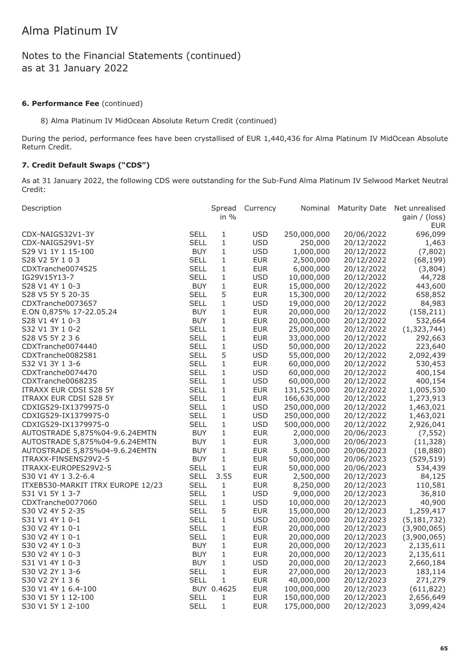### Notes to the Financial Statements (continued) as at 31 January 2022

#### **6. Performance Fee** (continued)

8) Alma Platinum IV MidOcean Absolute Return Credit (continued)

During the period, performance fees have been crystallised of EUR 1,440,436 for Alma Platinum IV MidOcean Absolute Return Credit.

### **7. Credit Default Swaps ("CDS")**

As at 31 January 2022, the following CDS were outstanding for the Sub-Fund Alma Platinum IV Selwood Market Neutral Credit:

| Description                                      | Spread<br>in $%$ | Currency   | Nominal     | Maturity Date | Net unrealised<br>gain / (loss)<br>EUR |
|--------------------------------------------------|------------------|------------|-------------|---------------|----------------------------------------|
| <b>SELL</b><br>CDX-NAIGS32V1-3Y                  | 1                | <b>USD</b> | 250,000,000 | 20/06/2022    | 696,099                                |
| <b>SELL</b><br>CDX-NAIGS29V1-5Y                  | $\mathbf{1}$     | <b>USD</b> | 250,000     | 20/12/2022    | 1,463                                  |
| <b>BUY</b><br>S29 V1 1Y 1 15-100                 | 1                | <b>USD</b> | 1,000,000   | 20/12/2022    | (7,802)                                |
| <b>SELL</b><br>S28 V2 5Y 1 0 3                   | $\mathbf{1}$     | <b>EUR</b> | 2,500,000   | 20/12/2022    | (68, 199)                              |
| <b>SELL</b><br>CDXTranche0074525                 | 1                | <b>EUR</b> | 6,000,000   | 20/12/2022    | (3,804)                                |
| <b>SELL</b><br>IG29V15Y13-7                      | 1                | <b>USD</b> | 10,000,000  | 20/12/2022    | 44,728                                 |
| S28 V1 4Y 1 0-3<br><b>BUY</b>                    | 1                | <b>EUR</b> | 15,000,000  | 20/12/2022    | 443,600                                |
| <b>SELL</b><br>S28 V5 5Y 5 20-35                 | 5                | <b>EUR</b> | 15,300,000  | 20/12/2022    | 658,852                                |
| <b>SELL</b><br>CDXTranche0073657                 | 1                | <b>USD</b> | 19,000,000  | 20/12/2022    | 84,983                                 |
| <b>BUY</b><br>E.ON 0,875% 17-22.05.24            | 1                | <b>EUR</b> | 20,000,000  | 20/12/2022    | (158, 211)                             |
| <b>BUY</b><br>S28 V1 4Y 1 0-3                    | $\mathbf{1}$     | <b>EUR</b> | 20,000,000  | 20/12/2022    | 532,664                                |
| S32 V1 3Y 1 0-2<br><b>SELL</b>                   | 1                | <b>EUR</b> | 25,000,000  | 20/12/2022    | (1, 323, 744)                          |
| S28 V5 5Y 2 3 6<br><b>SELL</b>                   | $\mathbf{1}$     | <b>EUR</b> | 33,000,000  | 20/12/2022    | 292,663                                |
| <b>SELL</b><br>CDXTranche0074440                 | $\mathbf{1}$     | <b>USD</b> | 50,000,000  | 20/12/2022    | 223,640                                |
| <b>SELL</b><br>CDXTranche0082581                 | 5                | <b>USD</b> | 55,000,000  | 20/12/2022    | 2,092,439                              |
| <b>SELL</b><br>S32 V1 3Y 1 3-6                   | 1                | <b>EUR</b> | 60,000,000  | 20/12/2022    | 530,453                                |
| CDXTranche0074470<br><b>SELL</b>                 | 1                | <b>USD</b> | 60,000,000  | 20/12/2022    | 400,154                                |
| <b>SELL</b><br>CDXTranche0068235                 | 1                | <b>USD</b> | 60,000,000  | 20/12/2022    | 400,154                                |
| <b>SELL</b><br>ITRAXX EUR CDSI S28 5Y            | 1                | <b>EUR</b> | 131,525,000 | 20/12/2022    | 1,005,530                              |
| <b>SELL</b><br>ITRAXX EUR CDSI S28 5Y            | 1                | <b>EUR</b> | 166,630,000 | 20/12/2022    | 1,273,913                              |
| CDXIG529-IX1379975-0<br><b>SELL</b>              | 1                | <b>USD</b> | 250,000,000 | 20/12/2022    | 1,463,021                              |
| <b>SELL</b><br>CDXIG529-IX1379975-0              | $\mathbf{1}$     | <b>USD</b> | 250,000,000 | 20/12/2022    | 1,463,021                              |
| CDXIG529-IX1379975-0<br>SELL                     | $\mathbf{1}$     | <b>USD</b> | 500,000,000 | 20/12/2022    | 2,926,041                              |
| AUTOSTRADE 5,875%04-9.6.24EMTN<br><b>BUY</b>     | 1                | <b>EUR</b> | 2,000,000   | 20/06/2023    | (7, 552)                               |
| AUTOSTRADE 5,875%04-9.6.24EMTN<br><b>BUY</b>     | $\mathbf{1}$     | <b>EUR</b> | 3,000,000   | 20/06/2023    | (11, 328)                              |
| <b>BUY</b><br>AUTOSTRADE 5,875%04-9.6.24EMTN     | 1                | <b>EUR</b> | 5,000,000   | 20/06/2023    | (18, 880)                              |
| <b>BUY</b><br>ITRAXX-FINSENS29V2-5               | 1                | <b>EUR</b> | 50,000,000  | 20/06/2023    | (529, 519)                             |
| <b>SELL</b><br>ITRAXX-EUROPES29V2-5              | $\mathbf 1$      | <b>EUR</b> | 50,000,000  | 20/06/2023    | 534,439                                |
| <b>SELL</b><br>S30 V1 4Y 1 3.2-6.4               | 3.55             | <b>EUR</b> | 2,500,000   | 20/12/2023    | 84,125                                 |
| <b>SELL</b><br>ITXEB530-MARKIT ITRX EUROPE 12/23 | $\mathbf{1}$     | <b>EUR</b> | 8,250,000   | 20/12/2023    | 110,581                                |
| <b>SELL</b><br>S31 V1 5Y 1 3-7                   | $\mathbf{1}$     | <b>USD</b> | 9,000,000   | 20/12/2023    | 36,810                                 |
| <b>SELL</b><br>CDXTranche0077060                 | 1                | <b>USD</b> | 10,000,000  | 20/12/2023    | 40,900                                 |
| <b>SELL</b><br>S30 V2 4Y 5 2-35                  | 5                | <b>EUR</b> | 15,000,000  | 20/12/2023    | 1,259,417                              |
| <b>SELL</b><br>S31 V1 4Y 1 0-1                   | 1                | <b>USD</b> | 20,000,000  | 20/12/2023    | (5, 181, 732)                          |
| <b>SELL</b><br>S30 V2 4Y 1 0-1                   | $\mathbf{1}$     | <b>EUR</b> | 20,000,000  | 20/12/2023    | (3,900,065)                            |
| <b>SELL</b><br>S30 V2 4Y 1 0-1                   | 1                | <b>EUR</b> | 20,000,000  | 20/12/2023    | (3,900,065)                            |
| <b>BUY</b><br>S30 V2 4Y 1 0-3                    | $\mathbf{1}$     | <b>EUR</b> | 20,000,000  | 20/12/2023    | 2,135,611                              |
| <b>BUY</b><br>S30 V2 4Y 1 0-3                    | 1                | <b>EUR</b> | 20,000,000  | 20/12/2023    | 2,135,611                              |
| <b>BUY</b><br>S31 V1 4Y 1 0-3                    | 1                | <b>USD</b> | 20,000,000  | 20/12/2023    | 2,660,184                              |
| <b>SELL</b><br>S30 V2 2Y 1 3-6                   | 1                | <b>EUR</b> | 27,000,000  | 20/12/2023    | 183,114                                |
| <b>SELL</b><br>S30 V2 2Y 1 3 6                   | 1                | <b>EUR</b> | 40,000,000  | 20/12/2023    | 271,279                                |
| S30 V1 4Y 1 6.4-100                              | BUY 0.4625       | <b>EUR</b> | 100,000,000 | 20/12/2023    | (611, 822)                             |
| <b>SELL</b><br>S30 V1 5Y 1 12-100                | 1                | <b>EUR</b> | 150,000,000 | 20/12/2023    | 2,656,649                              |
| <b>SELL</b><br>S30 V1 5Y 1 2-100                 | 1                | <b>EUR</b> | 175,000,000 | 20/12/2023    | 3,099,424                              |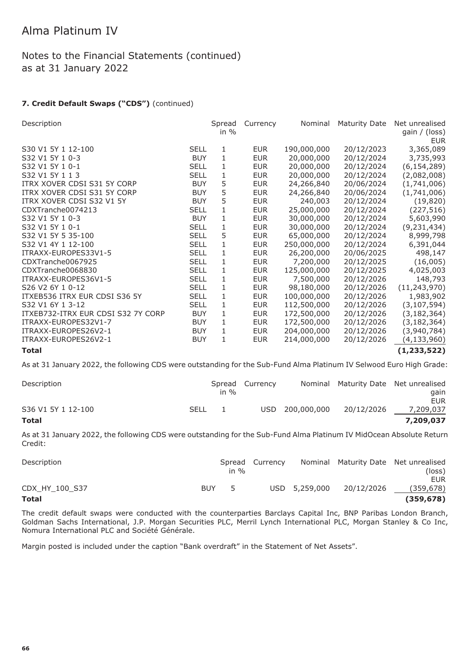### Notes to the Financial Statements (continued) as at 31 January 2022

### **7. Credit Default Swaps ("CDS")** (continued)

| Description                        |             | Spread<br>in $%$ | Currency   | Nominal     | <b>Maturity Date</b> | Net unrealised<br>gain / (loss)<br><b>EUR</b> |
|------------------------------------|-------------|------------------|------------|-------------|----------------------|-----------------------------------------------|
| S30 V1 5Y 1 12-100                 | <b>SELL</b> | 1                | <b>EUR</b> | 190,000,000 | 20/12/2023           | 3,365,089                                     |
| S32 V1 5Y 1 0-3                    | <b>BUY</b>  | $\mathbf{1}$     | <b>EUR</b> | 20,000,000  | 20/12/2024           | 3,735,993                                     |
| S32 V1 5Y 1 0-1                    | <b>SELL</b> | 1                | <b>EUR</b> | 20,000,000  | 20/12/2024           | (6, 154, 289)                                 |
| S32 V1 5Y 1 1 3                    | <b>SELL</b> | 1                | <b>EUR</b> | 20,000,000  | 20/12/2024           | (2,082,008)                                   |
| ITRX XOVER CDSI S31 5Y CORP        | <b>BUY</b>  | 5                | <b>EUR</b> | 24,266,840  | 20/06/2024           | (1,741,006)                                   |
| ITRX XOVER CDSI S31 5Y CORP        | <b>BUY</b>  | 5                | <b>EUR</b> | 24,266,840  | 20/06/2024           | (1,741,006)                                   |
| ITRX XOVER CDSI S32 V1 5Y          | <b>BUY</b>  | 5                | <b>EUR</b> | 240,003     | 20/12/2024           | (19, 820)                                     |
| CDXTranche0074213                  | <b>SELL</b> | 1                | <b>EUR</b> | 25,000,000  | 20/12/2024           | (227, 516)                                    |
| S32 V1 5Y 1 0-3                    | <b>BUY</b>  | $\mathbf{1}$     | <b>EUR</b> | 30,000,000  | 20/12/2024           | 5,603,990                                     |
| S32 V1 5Y 1 0-1                    | <b>SELL</b> | 1                | <b>EUR</b> | 30,000,000  | 20/12/2024           | (9, 231, 434)                                 |
| S32 V1 5Y 5 35-100                 | <b>SELL</b> | 5                | <b>EUR</b> | 65,000,000  | 20/12/2024           | 8,999,798                                     |
| S32 V1 4Y 1 12-100                 | <b>SELL</b> | 1                | <b>EUR</b> | 250,000,000 | 20/12/2024           | 6,391,044                                     |
| ITRAXX-EUROPES33V1-5               | <b>SELL</b> | 1                | <b>EUR</b> | 26,200,000  | 20/06/2025           | 498,147                                       |
| CDXTranche0067925                  | <b>SELL</b> | 1                | <b>EUR</b> | 7,200,000   | 20/12/2025           | (16,005)                                      |
| CDXTranche0068830                  | <b>SELL</b> | 1                | <b>EUR</b> | 125,000,000 | 20/12/2025           | 4,025,003                                     |
| ITRAXX-EUROPES36V1-5               | <b>SELL</b> | 1                | <b>EUR</b> | 7,500,000   | 20/12/2026           | 148,793                                       |
| S26 V2 6Y 1 0-12                   | <b>SELL</b> | 1                | <b>EUR</b> | 98,180,000  | 20/12/2026           | (11, 243, 970)                                |
| ITXEB536 ITRX EUR CDSI S36 5Y      | <b>SELL</b> | 1                | <b>EUR</b> | 100,000,000 | 20/12/2026           | 1,983,902                                     |
| S32 V1 6Y 1 3-12                   | <b>SELL</b> | $\mathbf{1}$     | <b>EUR</b> | 112,500,000 | 20/12/2026           | (3, 107, 594)                                 |
| ITXEB732-ITRX EUR CDSI S32 7Y CORP | <b>BUY</b>  | 1                | <b>EUR</b> | 172,500,000 | 20/12/2026           | (3, 182, 364)                                 |
| ITRAXX-EUROPES32V1-7               | <b>BUY</b>  | 1                | <b>EUR</b> | 172,500,000 | 20/12/2026           | (3, 182, 364)                                 |
| ITRAXX-EUROPES26V2-1               | <b>BUY</b>  | 1                | <b>EUR</b> | 204,000,000 | 20/12/2026           | (3,940,784)                                   |
| ITRAXX-EUROPES26V2-1               | <b>BUY</b>  | $\mathbf{1}$     | <b>EUR</b> | 214,000,000 | 20/12/2026           | (4, 133, 960)                                 |
| <b>Total</b>                       |             |                  |            |             |                      | (1, 233, 522)                                 |

As at 31 January 2022, the following CDS were outstanding for the Sub-Fund Alma Platinum IV Selwood Euro High Grade:

| Description        |             | Spread<br>in $\%$ | Currency |                 | Nominal Maturity Date Net unrealised | aain                    |
|--------------------|-------------|-------------------|----------|-----------------|--------------------------------------|-------------------------|
| S36 V1 5Y 1 12-100 | <b>SELL</b> |                   |          | USD 200,000,000 | 20/12/2026                           | <b>EUR</b><br>7,209,037 |
| <b>Total</b>       |             |                   |          |                 |                                      | 7,209,037               |

#### As at 31 January 2022, the following CDS were outstanding for the Sub-Fund Alma Platinum IV MidOcean Absolute Return Credit:

| Description    |            | in $\%$ | Spread Currency |               | Nominal Maturity Date Net unrealised | (loss)                  |
|----------------|------------|---------|-----------------|---------------|--------------------------------------|-------------------------|
| CDX HY 100 S37 | <b>BUY</b> | 5       |                 | USD 5,259,000 | 20/12/2026                           | <b>EUR</b><br>(359,678) |
| <b>Total</b>   |            |         |                 |               |                                      | (359, 678)              |

The credit default swaps were conducted with the counterparties Barclays Capital Inc, BNP Paribas London Branch, Goldman Sachs International, J.P. Morgan Securities PLC, Merril Lynch International PLC, Morgan Stanley & Co Inc, Nomura International PLC and Société Générale.

Margin posted is included under the caption "Bank overdraft" in the Statement of Net Assets".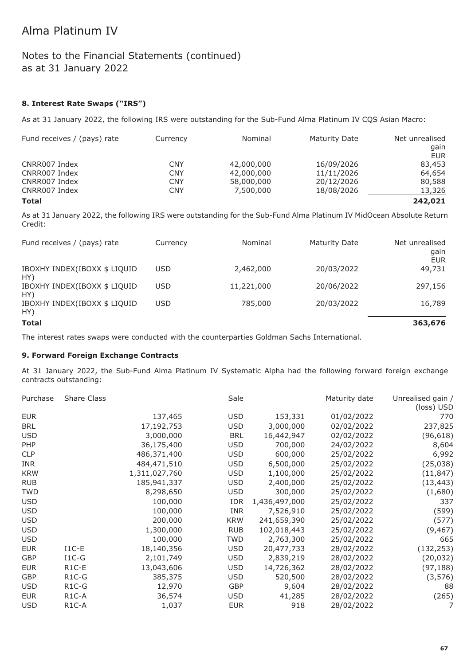### Notes to the Financial Statements (continued) as at 31 January 2022

### **8. Interest Rate Swaps ("IRS")**

As at 31 January 2022, the following IRS were outstanding for the Sub-Fund Alma Platinum IV CQS Asian Macro:

| Fund receives / (pays) rate | Currency   | Nominal    | Maturity Date | Net unrealised |
|-----------------------------|------------|------------|---------------|----------------|
|                             |            |            |               | gain           |
|                             |            |            |               | <b>EUR</b>     |
| CNRR007 Index               | <b>CNY</b> | 42,000,000 | 16/09/2026    | 83,453         |
| CNRR007 Index               | <b>CNY</b> | 42,000,000 | 11/11/2026    | 64,654         |
| CNRR007 Index               | <b>CNY</b> | 58,000,000 | 20/12/2026    | 80,588         |
| CNRR007 Index               | <b>CNY</b> | 7,500,000  | 18/08/2026    | 13,326         |
| Total                       |            |            |               | 242,021        |

As at 31 January 2022, the following IRS were outstanding for the Sub-Fund Alma Platinum IV MidOcean Absolute Return Credit:

| Fund receives / (pays) rate         | Currency   | Nominal    | <b>Maturity Date</b> | Net unrealised<br>gain<br><b>EUR</b> |
|-------------------------------------|------------|------------|----------------------|--------------------------------------|
| IBOXHY INDEX(IBOXX \$ LIQUID<br>HY) | <b>USD</b> | 2,462,000  | 20/03/2022           | 49,731                               |
| IBOXHY INDEX(IBOXX \$ LIQUID<br>HY) | <b>USD</b> | 11,221,000 | 20/06/2022           | 297,156                              |
| IBOXHY INDEX(IBOXX \$ LIQUID<br>HY) | <b>USD</b> | 785,000    | 20/03/2022           | 16,789                               |
| <b>Total</b>                        |            |            |                      | 363,676                              |

The interest rates swaps were conducted with the counterparties Goldman Sachs International.

#### **9. Forward Foreign Exchange Contracts**

At 31 January 2022, the Sub-Fund Alma Platinum IV Systematic Alpha had the following forward foreign exchange contracts outstanding:

| Purchase   | <b>Share Class</b> |               | Sale       |               | Maturity date | Unrealised gain /<br>(loss) USD |
|------------|--------------------|---------------|------------|---------------|---------------|---------------------------------|
| <b>EUR</b> |                    | 137,465       | <b>USD</b> | 153,331       | 01/02/2022    | 770                             |
| <b>BRL</b> |                    | 17,192,753    | <b>USD</b> | 3,000,000     | 02/02/2022    | 237,825                         |
| <b>USD</b> |                    | 3,000,000     | <b>BRL</b> | 16,442,947    | 02/02/2022    | (96, 618)                       |
| PHP        |                    | 36,175,400    | <b>USD</b> | 700,000       | 24/02/2022    | 8,604                           |
| <b>CLP</b> |                    | 486,371,400   | <b>USD</b> | 600,000       | 25/02/2022    | 6,992                           |
| <b>INR</b> |                    | 484,471,510   | <b>USD</b> | 6,500,000     | 25/02/2022    | (25, 038)                       |
| <b>KRW</b> |                    | 1,311,027,760 | <b>USD</b> | 1,100,000     | 25/02/2022    | (11, 847)                       |
| <b>RUB</b> |                    | 185,941,337   | <b>USD</b> | 2,400,000     | 25/02/2022    | (13, 443)                       |
| <b>TWD</b> |                    | 8,298,650     | <b>USD</b> | 300,000       | 25/02/2022    | (1,680)                         |
| <b>USD</b> |                    | 100,000       | <b>IDR</b> | 1,436,497,000 | 25/02/2022    | 337                             |
| <b>USD</b> |                    | 100,000       | <b>INR</b> | 7,526,910     | 25/02/2022    | (599)                           |
| <b>USD</b> |                    | 200,000       | <b>KRW</b> | 241,659,390   | 25/02/2022    | (577)                           |
| <b>USD</b> |                    | 1,300,000     | <b>RUB</b> | 102,018,443   | 25/02/2022    | (9, 467)                        |
| <b>USD</b> |                    | 100,000       | <b>TWD</b> | 2,763,300     | 25/02/2022    | 665                             |
| <b>EUR</b> | $I1C-E$            | 18,140,356    | USD        | 20,477,733    | 28/02/2022    | (132, 253)                      |
| GBP        | $I1C-G$            | 2,101,749     | <b>USD</b> | 2,839,219     | 28/02/2022    | (20, 032)                       |
| <b>EUR</b> | R <sub>1</sub> C-E | 13,043,606    | <b>USD</b> | 14,726,362    | 28/02/2022    | (97, 188)                       |
| GBP        | $R1C-G$            | 385,375       | <b>USD</b> | 520,500       | 28/02/2022    | (3, 576)                        |
| <b>USD</b> | $R1C-G$            | 12,970        | <b>GBP</b> | 9,604         | 28/02/2022    | 88                              |
| <b>EUR</b> | R <sub>1</sub> C-A | 36,574        | USD        | 41,285        | 28/02/2022    | (265)                           |
| <b>USD</b> | R <sub>1</sub> C-A | 1,037         | <b>EUR</b> | 918           | 28/02/2022    | 7                               |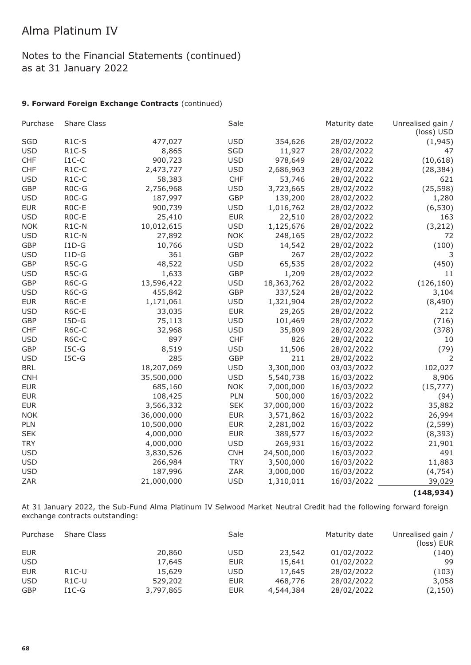### Notes to the Financial Statements (continued) as at 31 January 2022

#### **9. Forward Foreign Exchange Contracts** (continued)

| Purchase   | <b>Share Class</b> |            | Sale       |            | Maturity date | Unrealised gain /<br>(loss) USD |
|------------|--------------------|------------|------------|------------|---------------|---------------------------------|
| SGD        | $R1C-S$            | 477,027    | <b>USD</b> | 354,626    | 28/02/2022    | (1, 945)                        |
| <b>USD</b> | $R1C-S$            | 8,865      | SGD        | 11,927     | 28/02/2022    | 47                              |
| <b>CHF</b> | $I1C-C$            | 900,723    | <b>USD</b> | 978,649    | 28/02/2022    | (10, 618)                       |
| <b>CHF</b> | $R1C-C$            | 2,473,727  | <b>USD</b> | 2,686,963  | 28/02/2022    | (28, 384)                       |
| <b>USD</b> | $R1C-C$            | 58,383     | <b>CHF</b> | 53,746     | 28/02/2022    | 621                             |
| <b>GBP</b> | R <sub>0</sub> C-G | 2,756,968  | <b>USD</b> | 3,723,665  | 28/02/2022    | (25, 598)                       |
| <b>USD</b> | R <sub>0</sub> C-G | 187,997    | <b>GBP</b> | 139,200    | 28/02/2022    | 1,280                           |
| <b>EUR</b> | R <sub>0</sub> C-E | 900,739    | <b>USD</b> | 1,016,762  | 28/02/2022    | (6, 530)                        |
| <b>USD</b> | ROC-E              | 25,410     | <b>EUR</b> | 22,510     | 28/02/2022    | 163                             |
| <b>NOK</b> | R1C-N              | 10,012,615 | <b>USD</b> | 1,125,676  | 28/02/2022    | (3, 212)                        |
| <b>USD</b> | R1C-N              | 27,892     | <b>NOK</b> | 248,165    | 28/02/2022    | 72                              |
| <b>GBP</b> | $I1D-G$            | 10,766     | <b>USD</b> | 14,542     | 28/02/2022    | (100)                           |
| <b>USD</b> | $I1D-G$            | 361        | <b>GBP</b> | 267        | 28/02/2022    | 3                               |
| <b>GBP</b> | R5C-G              | 48,522     | <b>USD</b> | 65,535     | 28/02/2022    | (450)                           |
| <b>USD</b> | R5C-G              | 1,633      | <b>GBP</b> | 1,209      | 28/02/2022    | 11                              |
| <b>GBP</b> | R6C-G              | 13,596,422 | <b>USD</b> | 18,363,762 | 28/02/2022    | (126, 160)                      |
| <b>USD</b> | R6C-G              | 455,842    | <b>GBP</b> | 337,524    | 28/02/2022    | 3,104                           |
| <b>EUR</b> | R6C-E              | 1,171,061  | <b>USD</b> | 1,321,904  | 28/02/2022    | (8,490)                         |
| <b>USD</b> | R6C-E              | 33,035     | <b>EUR</b> | 29,265     | 28/02/2022    | 212                             |
| <b>GBP</b> | $I5D-G$            | 75,113     | <b>USD</b> | 101,469    | 28/02/2022    | (716)                           |
| <b>CHF</b> | R6C-C              | 32,968     | <b>USD</b> | 35,809     | 28/02/2022    | (378)                           |
| <b>USD</b> | R6C-C              | 897        | <b>CHF</b> | 826        | 28/02/2022    | 10                              |
| <b>GBP</b> | $ISC-G$            | 8,519      | <b>USD</b> | 11,506     | 28/02/2022    | (79)                            |
| <b>USD</b> | $ISC-G$            | 285        | <b>GBP</b> | 211        | 28/02/2022    | 2                               |
| <b>BRL</b> |                    | 18,207,069 | <b>USD</b> | 3,300,000  | 03/03/2022    | 102,027                         |
| <b>CNH</b> |                    | 35,500,000 | <b>USD</b> | 5,540,738  | 16/03/2022    | 8,906                           |
| <b>EUR</b> |                    | 685,160    | <b>NOK</b> | 7,000,000  | 16/03/2022    | (15, 777)                       |
| <b>EUR</b> |                    | 108,425    | PLN        | 500,000    | 16/03/2022    | (94)                            |
| <b>EUR</b> |                    | 3,566,332  | <b>SEK</b> | 37,000,000 | 16/03/2022    | 35,882                          |
| <b>NOK</b> |                    | 36,000,000 | <b>EUR</b> | 3,571,862  | 16/03/2022    | 26,994                          |
| PLN        |                    | 10,500,000 | <b>EUR</b> | 2,281,002  | 16/03/2022    | (2, 599)                        |
| <b>SEK</b> |                    | 4,000,000  | <b>EUR</b> | 389,577    | 16/03/2022    | (8, 393)                        |
| <b>TRY</b> |                    | 4,000,000  | <b>USD</b> | 269,931    | 16/03/2022    | 21,901                          |
| <b>USD</b> |                    | 3,830,526  | <b>CNH</b> | 24,500,000 | 16/03/2022    | 491                             |
| <b>USD</b> |                    | 266,984    | <b>TRY</b> | 3,500,000  | 16/03/2022    | 11,883                          |
| <b>USD</b> |                    | 187,996    | ZAR        | 3,000,000  | 16/03/2022    | (4, 754)                        |
| ZAR        |                    | 21,000,000 | <b>USD</b> | 1,310,011  | 16/03/2022    | 39,029                          |

**(148,934)**

At 31 January 2022, the Sub-Fund Alma Platinum IV Selwood Market Neutral Credit had the following forward foreign exchange contracts outstanding:

| Purchase   | <b>Share Class</b> |           | Sale       |           | Maturity date | Unrealised gain /<br>(loss) EUR |
|------------|--------------------|-----------|------------|-----------|---------------|---------------------------------|
| <b>EUR</b> |                    | 20,860    | <b>USD</b> | 23,542    | 01/02/2022    | (140)                           |
| <b>USD</b> |                    | 17,645    | <b>EUR</b> | 15,641    | 01/02/2022    | 99                              |
| <b>EUR</b> | $R1C-U$            | 15,629    | <b>USD</b> | 17,645    | 28/02/2022    | (103)                           |
| <b>USD</b> | $R1C-U$            | 529,202   | <b>EUR</b> | 468,776   | 28/02/2022    | 3,058                           |
| <b>GBP</b> | $I1C-G$            | 3,797,865 | <b>EUR</b> | 4,544,384 | 28/02/2022    | (2, 150)                        |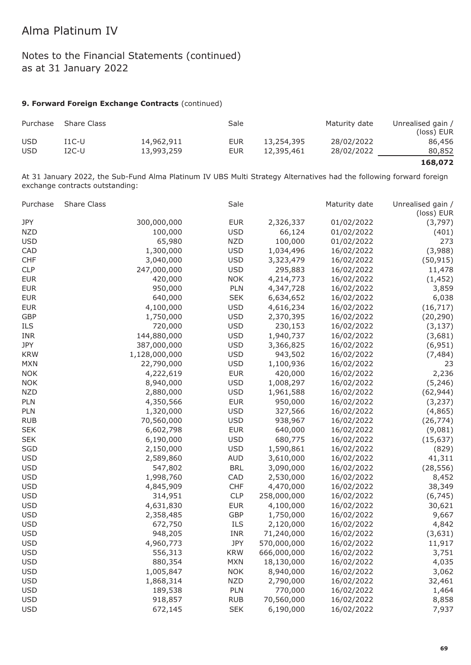### Notes to the Financial Statements (continued) as at 31 January 2022

#### **9. Forward Foreign Exchange Contracts** (continued)

| Purchase   | <b>Share Class</b> |            | Sale |            | Maturity date | Unrealised gain /<br>(loss) EUR |
|------------|--------------------|------------|------|------------|---------------|---------------------------------|
| <b>USD</b> | I1C-U              | 14,962,911 | EUR  | 13,254,395 | 28/02/2022    | 86,456                          |
| <b>USD</b> | 12C-U              | 13,993,259 | EUR  | 12,395,461 | 28/02/2022    | 80,852                          |

**168,072**

At 31 January 2022, the Sub-Fund Alma Platinum IV UBS Multi Strategy Alternatives had the following forward foreign exchange contracts outstanding:

| 300,000,000<br>JPY<br><b>EUR</b><br>2,326,337<br>01/02/2022<br>(3,797)<br><b>NZD</b><br>100,000<br><b>USD</b><br>66,124<br>01/02/2022<br>(401)<br><b>USD</b><br><b>NZD</b><br>100,000<br>65,980<br>01/02/2022<br>273<br>1,300,000<br><b>USD</b><br>(3,988)<br>CAD<br>1,034,496<br>16/02/2022<br><b>USD</b><br><b>CHF</b><br>3,040,000<br>3,323,479<br>16/02/2022<br>(50, 915)<br><b>CLP</b><br>247,000,000<br><b>USD</b><br>295,883<br>16/02/2022<br>11,478<br><b>NOK</b><br><b>EUR</b><br>420,000<br>4,214,773<br>16/02/2022<br>(1, 452)<br>950,000<br>PLN<br><b>EUR</b><br>4,347,728<br>16/02/2022<br>3,859<br>640,000<br><b>SEK</b><br>6,038<br><b>EUR</b><br>6,634,652<br>16/02/2022<br><b>EUR</b><br>4,100,000<br><b>USD</b><br>4,616,234<br>16/02/2022<br>(16, 717)<br><b>USD</b><br><b>GBP</b><br>1,750,000<br>2,370,395<br>16/02/2022<br>(20, 290)<br>ILS<br><b>USD</b><br>720,000<br>230,153<br>16/02/2022<br>(3, 137)<br><b>INR</b><br>144,880,000<br><b>USD</b><br>1,940,737<br>16/02/2022<br>(3,681)<br>JPY<br>387,000,000<br><b>USD</b><br>3,366,825<br>16/02/2022<br>(6, 951)<br>1,128,000,000<br><b>USD</b><br><b>KRW</b><br>943,502<br>16/02/2022<br>(7, 484)<br><b>USD</b><br><b>MXN</b><br>22,790,000<br>1,100,936<br>16/02/2022<br>23<br><b>EUR</b><br><b>NOK</b><br>4,222,619<br>420,000<br>16/02/2022<br>2,236<br><b>USD</b><br><b>NOK</b><br>8,940,000<br>1,008,297<br>16/02/2022<br>(5, 246)<br><b>NZD</b><br><b>USD</b><br>2,880,000<br>1,961,588<br>16/02/2022<br>(62, 944)<br><b>EUR</b><br>PLN<br>4,350,566<br>950,000<br>16/02/2022<br>(3, 237)<br><b>USD</b><br>PLN<br>1,320,000<br>327,566<br>16/02/2022<br>(4,865)<br><b>USD</b><br><b>RUB</b><br>70,560,000<br>938,967<br>16/02/2022<br>(26, 774)<br><b>SEK</b><br><b>EUR</b><br>6,602,798<br>640,000<br>16/02/2022<br>(9,081)<br><b>USD</b><br><b>SEK</b><br>680,775<br>6,190,000<br>16/02/2022<br>(15, 637)<br><b>USD</b><br>SGD<br>2,150,000<br>1,590,861<br>16/02/2022<br>(829)<br><b>USD</b><br><b>AUD</b><br>2,589,860<br>3,610,000<br>16/02/2022<br>41,311<br><b>BRL</b><br><b>USD</b><br>547,802<br>3,090,000<br>16/02/2022<br>(28, 556)<br><b>USD</b><br>1,998,760<br>CAD<br>2,530,000<br>16/02/2022<br>8,452<br><b>USD</b><br><b>CHF</b><br>4,845,909<br>4,470,000<br>16/02/2022<br>38,349<br>CLP<br><b>USD</b><br>314,951<br>258,000,000<br>16/02/2022<br>(6, 745)<br><b>USD</b><br>4,631,830<br><b>EUR</b><br>4,100,000<br>16/02/2022<br>30,621<br><b>USD</b><br>GBP<br>2,358,485<br>1,750,000<br>16/02/2022<br>9,667<br><b>USD</b><br>ILS<br>672,750<br>2,120,000<br>16/02/2022<br>4,842<br><b>USD</b><br>INR<br>948,205<br>71,240,000<br>16/02/2022<br>(3,631)<br><b>USD</b><br>4,960,773<br>JPY<br>570,000,000<br>16/02/2022<br>11,917<br><b>KRW</b><br><b>USD</b><br>556,313<br>666,000,000<br>16/02/2022<br>3,751<br><b>USD</b><br><b>MXN</b><br>18,130,000<br>880,354<br>16/02/2022<br>4,035<br><b>USD</b><br>1,005,847<br><b>NOK</b><br>8,940,000<br>16/02/2022<br>3,062<br><b>USD</b><br>1,868,314<br><b>NZD</b><br>2,790,000<br>16/02/2022<br>32,461<br><b>USD</b><br>189,538<br>PLN<br>770,000<br>16/02/2022<br>1,464<br>918,857<br>70,560,000<br><b>USD</b><br><b>RUB</b><br>16/02/2022<br>8,858<br><b>USD</b><br>672,145<br>6,190,000<br><b>SEK</b><br>16/02/2022<br>7,937 | Purchase | Share Class | Sale | Maturity date | Unrealised gain /<br>(loss) EUR |
|------------------------------------------------------------------------------------------------------------------------------------------------------------------------------------------------------------------------------------------------------------------------------------------------------------------------------------------------------------------------------------------------------------------------------------------------------------------------------------------------------------------------------------------------------------------------------------------------------------------------------------------------------------------------------------------------------------------------------------------------------------------------------------------------------------------------------------------------------------------------------------------------------------------------------------------------------------------------------------------------------------------------------------------------------------------------------------------------------------------------------------------------------------------------------------------------------------------------------------------------------------------------------------------------------------------------------------------------------------------------------------------------------------------------------------------------------------------------------------------------------------------------------------------------------------------------------------------------------------------------------------------------------------------------------------------------------------------------------------------------------------------------------------------------------------------------------------------------------------------------------------------------------------------------------------------------------------------------------------------------------------------------------------------------------------------------------------------------------------------------------------------------------------------------------------------------------------------------------------------------------------------------------------------------------------------------------------------------------------------------------------------------------------------------------------------------------------------------------------------------------------------------------------------------------------------------------------------------------------------------------------------------------------------------------------------------------------------------------------------------------------------------------------------------------------------------------------------------------------------------------------------------------------------------------------------------------------------------------------------------------------------------------------------------------------------------------------------------------------------------------------------------------------------------------------------------------------------------------------------------------------------------------------|----------|-------------|------|---------------|---------------------------------|
|                                                                                                                                                                                                                                                                                                                                                                                                                                                                                                                                                                                                                                                                                                                                                                                                                                                                                                                                                                                                                                                                                                                                                                                                                                                                                                                                                                                                                                                                                                                                                                                                                                                                                                                                                                                                                                                                                                                                                                                                                                                                                                                                                                                                                                                                                                                                                                                                                                                                                                                                                                                                                                                                                                                                                                                                                                                                                                                                                                                                                                                                                                                                                                                                                                                                                    |          |             |      |               |                                 |
|                                                                                                                                                                                                                                                                                                                                                                                                                                                                                                                                                                                                                                                                                                                                                                                                                                                                                                                                                                                                                                                                                                                                                                                                                                                                                                                                                                                                                                                                                                                                                                                                                                                                                                                                                                                                                                                                                                                                                                                                                                                                                                                                                                                                                                                                                                                                                                                                                                                                                                                                                                                                                                                                                                                                                                                                                                                                                                                                                                                                                                                                                                                                                                                                                                                                                    |          |             |      |               |                                 |
|                                                                                                                                                                                                                                                                                                                                                                                                                                                                                                                                                                                                                                                                                                                                                                                                                                                                                                                                                                                                                                                                                                                                                                                                                                                                                                                                                                                                                                                                                                                                                                                                                                                                                                                                                                                                                                                                                                                                                                                                                                                                                                                                                                                                                                                                                                                                                                                                                                                                                                                                                                                                                                                                                                                                                                                                                                                                                                                                                                                                                                                                                                                                                                                                                                                                                    |          |             |      |               |                                 |
|                                                                                                                                                                                                                                                                                                                                                                                                                                                                                                                                                                                                                                                                                                                                                                                                                                                                                                                                                                                                                                                                                                                                                                                                                                                                                                                                                                                                                                                                                                                                                                                                                                                                                                                                                                                                                                                                                                                                                                                                                                                                                                                                                                                                                                                                                                                                                                                                                                                                                                                                                                                                                                                                                                                                                                                                                                                                                                                                                                                                                                                                                                                                                                                                                                                                                    |          |             |      |               |                                 |
|                                                                                                                                                                                                                                                                                                                                                                                                                                                                                                                                                                                                                                                                                                                                                                                                                                                                                                                                                                                                                                                                                                                                                                                                                                                                                                                                                                                                                                                                                                                                                                                                                                                                                                                                                                                                                                                                                                                                                                                                                                                                                                                                                                                                                                                                                                                                                                                                                                                                                                                                                                                                                                                                                                                                                                                                                                                                                                                                                                                                                                                                                                                                                                                                                                                                                    |          |             |      |               |                                 |
|                                                                                                                                                                                                                                                                                                                                                                                                                                                                                                                                                                                                                                                                                                                                                                                                                                                                                                                                                                                                                                                                                                                                                                                                                                                                                                                                                                                                                                                                                                                                                                                                                                                                                                                                                                                                                                                                                                                                                                                                                                                                                                                                                                                                                                                                                                                                                                                                                                                                                                                                                                                                                                                                                                                                                                                                                                                                                                                                                                                                                                                                                                                                                                                                                                                                                    |          |             |      |               |                                 |
|                                                                                                                                                                                                                                                                                                                                                                                                                                                                                                                                                                                                                                                                                                                                                                                                                                                                                                                                                                                                                                                                                                                                                                                                                                                                                                                                                                                                                                                                                                                                                                                                                                                                                                                                                                                                                                                                                                                                                                                                                                                                                                                                                                                                                                                                                                                                                                                                                                                                                                                                                                                                                                                                                                                                                                                                                                                                                                                                                                                                                                                                                                                                                                                                                                                                                    |          |             |      |               |                                 |
|                                                                                                                                                                                                                                                                                                                                                                                                                                                                                                                                                                                                                                                                                                                                                                                                                                                                                                                                                                                                                                                                                                                                                                                                                                                                                                                                                                                                                                                                                                                                                                                                                                                                                                                                                                                                                                                                                                                                                                                                                                                                                                                                                                                                                                                                                                                                                                                                                                                                                                                                                                                                                                                                                                                                                                                                                                                                                                                                                                                                                                                                                                                                                                                                                                                                                    |          |             |      |               |                                 |
|                                                                                                                                                                                                                                                                                                                                                                                                                                                                                                                                                                                                                                                                                                                                                                                                                                                                                                                                                                                                                                                                                                                                                                                                                                                                                                                                                                                                                                                                                                                                                                                                                                                                                                                                                                                                                                                                                                                                                                                                                                                                                                                                                                                                                                                                                                                                                                                                                                                                                                                                                                                                                                                                                                                                                                                                                                                                                                                                                                                                                                                                                                                                                                                                                                                                                    |          |             |      |               |                                 |
|                                                                                                                                                                                                                                                                                                                                                                                                                                                                                                                                                                                                                                                                                                                                                                                                                                                                                                                                                                                                                                                                                                                                                                                                                                                                                                                                                                                                                                                                                                                                                                                                                                                                                                                                                                                                                                                                                                                                                                                                                                                                                                                                                                                                                                                                                                                                                                                                                                                                                                                                                                                                                                                                                                                                                                                                                                                                                                                                                                                                                                                                                                                                                                                                                                                                                    |          |             |      |               |                                 |
|                                                                                                                                                                                                                                                                                                                                                                                                                                                                                                                                                                                                                                                                                                                                                                                                                                                                                                                                                                                                                                                                                                                                                                                                                                                                                                                                                                                                                                                                                                                                                                                                                                                                                                                                                                                                                                                                                                                                                                                                                                                                                                                                                                                                                                                                                                                                                                                                                                                                                                                                                                                                                                                                                                                                                                                                                                                                                                                                                                                                                                                                                                                                                                                                                                                                                    |          |             |      |               |                                 |
|                                                                                                                                                                                                                                                                                                                                                                                                                                                                                                                                                                                                                                                                                                                                                                                                                                                                                                                                                                                                                                                                                                                                                                                                                                                                                                                                                                                                                                                                                                                                                                                                                                                                                                                                                                                                                                                                                                                                                                                                                                                                                                                                                                                                                                                                                                                                                                                                                                                                                                                                                                                                                                                                                                                                                                                                                                                                                                                                                                                                                                                                                                                                                                                                                                                                                    |          |             |      |               |                                 |
|                                                                                                                                                                                                                                                                                                                                                                                                                                                                                                                                                                                                                                                                                                                                                                                                                                                                                                                                                                                                                                                                                                                                                                                                                                                                                                                                                                                                                                                                                                                                                                                                                                                                                                                                                                                                                                                                                                                                                                                                                                                                                                                                                                                                                                                                                                                                                                                                                                                                                                                                                                                                                                                                                                                                                                                                                                                                                                                                                                                                                                                                                                                                                                                                                                                                                    |          |             |      |               |                                 |
|                                                                                                                                                                                                                                                                                                                                                                                                                                                                                                                                                                                                                                                                                                                                                                                                                                                                                                                                                                                                                                                                                                                                                                                                                                                                                                                                                                                                                                                                                                                                                                                                                                                                                                                                                                                                                                                                                                                                                                                                                                                                                                                                                                                                                                                                                                                                                                                                                                                                                                                                                                                                                                                                                                                                                                                                                                                                                                                                                                                                                                                                                                                                                                                                                                                                                    |          |             |      |               |                                 |
|                                                                                                                                                                                                                                                                                                                                                                                                                                                                                                                                                                                                                                                                                                                                                                                                                                                                                                                                                                                                                                                                                                                                                                                                                                                                                                                                                                                                                                                                                                                                                                                                                                                                                                                                                                                                                                                                                                                                                                                                                                                                                                                                                                                                                                                                                                                                                                                                                                                                                                                                                                                                                                                                                                                                                                                                                                                                                                                                                                                                                                                                                                                                                                                                                                                                                    |          |             |      |               |                                 |
|                                                                                                                                                                                                                                                                                                                                                                                                                                                                                                                                                                                                                                                                                                                                                                                                                                                                                                                                                                                                                                                                                                                                                                                                                                                                                                                                                                                                                                                                                                                                                                                                                                                                                                                                                                                                                                                                                                                                                                                                                                                                                                                                                                                                                                                                                                                                                                                                                                                                                                                                                                                                                                                                                                                                                                                                                                                                                                                                                                                                                                                                                                                                                                                                                                                                                    |          |             |      |               |                                 |
|                                                                                                                                                                                                                                                                                                                                                                                                                                                                                                                                                                                                                                                                                                                                                                                                                                                                                                                                                                                                                                                                                                                                                                                                                                                                                                                                                                                                                                                                                                                                                                                                                                                                                                                                                                                                                                                                                                                                                                                                                                                                                                                                                                                                                                                                                                                                                                                                                                                                                                                                                                                                                                                                                                                                                                                                                                                                                                                                                                                                                                                                                                                                                                                                                                                                                    |          |             |      |               |                                 |
|                                                                                                                                                                                                                                                                                                                                                                                                                                                                                                                                                                                                                                                                                                                                                                                                                                                                                                                                                                                                                                                                                                                                                                                                                                                                                                                                                                                                                                                                                                                                                                                                                                                                                                                                                                                                                                                                                                                                                                                                                                                                                                                                                                                                                                                                                                                                                                                                                                                                                                                                                                                                                                                                                                                                                                                                                                                                                                                                                                                                                                                                                                                                                                                                                                                                                    |          |             |      |               |                                 |
|                                                                                                                                                                                                                                                                                                                                                                                                                                                                                                                                                                                                                                                                                                                                                                                                                                                                                                                                                                                                                                                                                                                                                                                                                                                                                                                                                                                                                                                                                                                                                                                                                                                                                                                                                                                                                                                                                                                                                                                                                                                                                                                                                                                                                                                                                                                                                                                                                                                                                                                                                                                                                                                                                                                                                                                                                                                                                                                                                                                                                                                                                                                                                                                                                                                                                    |          |             |      |               |                                 |
|                                                                                                                                                                                                                                                                                                                                                                                                                                                                                                                                                                                                                                                                                                                                                                                                                                                                                                                                                                                                                                                                                                                                                                                                                                                                                                                                                                                                                                                                                                                                                                                                                                                                                                                                                                                                                                                                                                                                                                                                                                                                                                                                                                                                                                                                                                                                                                                                                                                                                                                                                                                                                                                                                                                                                                                                                                                                                                                                                                                                                                                                                                                                                                                                                                                                                    |          |             |      |               |                                 |
|                                                                                                                                                                                                                                                                                                                                                                                                                                                                                                                                                                                                                                                                                                                                                                                                                                                                                                                                                                                                                                                                                                                                                                                                                                                                                                                                                                                                                                                                                                                                                                                                                                                                                                                                                                                                                                                                                                                                                                                                                                                                                                                                                                                                                                                                                                                                                                                                                                                                                                                                                                                                                                                                                                                                                                                                                                                                                                                                                                                                                                                                                                                                                                                                                                                                                    |          |             |      |               |                                 |
|                                                                                                                                                                                                                                                                                                                                                                                                                                                                                                                                                                                                                                                                                                                                                                                                                                                                                                                                                                                                                                                                                                                                                                                                                                                                                                                                                                                                                                                                                                                                                                                                                                                                                                                                                                                                                                                                                                                                                                                                                                                                                                                                                                                                                                                                                                                                                                                                                                                                                                                                                                                                                                                                                                                                                                                                                                                                                                                                                                                                                                                                                                                                                                                                                                                                                    |          |             |      |               |                                 |
|                                                                                                                                                                                                                                                                                                                                                                                                                                                                                                                                                                                                                                                                                                                                                                                                                                                                                                                                                                                                                                                                                                                                                                                                                                                                                                                                                                                                                                                                                                                                                                                                                                                                                                                                                                                                                                                                                                                                                                                                                                                                                                                                                                                                                                                                                                                                                                                                                                                                                                                                                                                                                                                                                                                                                                                                                                                                                                                                                                                                                                                                                                                                                                                                                                                                                    |          |             |      |               |                                 |
|                                                                                                                                                                                                                                                                                                                                                                                                                                                                                                                                                                                                                                                                                                                                                                                                                                                                                                                                                                                                                                                                                                                                                                                                                                                                                                                                                                                                                                                                                                                                                                                                                                                                                                                                                                                                                                                                                                                                                                                                                                                                                                                                                                                                                                                                                                                                                                                                                                                                                                                                                                                                                                                                                                                                                                                                                                                                                                                                                                                                                                                                                                                                                                                                                                                                                    |          |             |      |               |                                 |
|                                                                                                                                                                                                                                                                                                                                                                                                                                                                                                                                                                                                                                                                                                                                                                                                                                                                                                                                                                                                                                                                                                                                                                                                                                                                                                                                                                                                                                                                                                                                                                                                                                                                                                                                                                                                                                                                                                                                                                                                                                                                                                                                                                                                                                                                                                                                                                                                                                                                                                                                                                                                                                                                                                                                                                                                                                                                                                                                                                                                                                                                                                                                                                                                                                                                                    |          |             |      |               |                                 |
|                                                                                                                                                                                                                                                                                                                                                                                                                                                                                                                                                                                                                                                                                                                                                                                                                                                                                                                                                                                                                                                                                                                                                                                                                                                                                                                                                                                                                                                                                                                                                                                                                                                                                                                                                                                                                                                                                                                                                                                                                                                                                                                                                                                                                                                                                                                                                                                                                                                                                                                                                                                                                                                                                                                                                                                                                                                                                                                                                                                                                                                                                                                                                                                                                                                                                    |          |             |      |               |                                 |
|                                                                                                                                                                                                                                                                                                                                                                                                                                                                                                                                                                                                                                                                                                                                                                                                                                                                                                                                                                                                                                                                                                                                                                                                                                                                                                                                                                                                                                                                                                                                                                                                                                                                                                                                                                                                                                                                                                                                                                                                                                                                                                                                                                                                                                                                                                                                                                                                                                                                                                                                                                                                                                                                                                                                                                                                                                                                                                                                                                                                                                                                                                                                                                                                                                                                                    |          |             |      |               |                                 |
|                                                                                                                                                                                                                                                                                                                                                                                                                                                                                                                                                                                                                                                                                                                                                                                                                                                                                                                                                                                                                                                                                                                                                                                                                                                                                                                                                                                                                                                                                                                                                                                                                                                                                                                                                                                                                                                                                                                                                                                                                                                                                                                                                                                                                                                                                                                                                                                                                                                                                                                                                                                                                                                                                                                                                                                                                                                                                                                                                                                                                                                                                                                                                                                                                                                                                    |          |             |      |               |                                 |
|                                                                                                                                                                                                                                                                                                                                                                                                                                                                                                                                                                                                                                                                                                                                                                                                                                                                                                                                                                                                                                                                                                                                                                                                                                                                                                                                                                                                                                                                                                                                                                                                                                                                                                                                                                                                                                                                                                                                                                                                                                                                                                                                                                                                                                                                                                                                                                                                                                                                                                                                                                                                                                                                                                                                                                                                                                                                                                                                                                                                                                                                                                                                                                                                                                                                                    |          |             |      |               |                                 |
|                                                                                                                                                                                                                                                                                                                                                                                                                                                                                                                                                                                                                                                                                                                                                                                                                                                                                                                                                                                                                                                                                                                                                                                                                                                                                                                                                                                                                                                                                                                                                                                                                                                                                                                                                                                                                                                                                                                                                                                                                                                                                                                                                                                                                                                                                                                                                                                                                                                                                                                                                                                                                                                                                                                                                                                                                                                                                                                                                                                                                                                                                                                                                                                                                                                                                    |          |             |      |               |                                 |
|                                                                                                                                                                                                                                                                                                                                                                                                                                                                                                                                                                                                                                                                                                                                                                                                                                                                                                                                                                                                                                                                                                                                                                                                                                                                                                                                                                                                                                                                                                                                                                                                                                                                                                                                                                                                                                                                                                                                                                                                                                                                                                                                                                                                                                                                                                                                                                                                                                                                                                                                                                                                                                                                                                                                                                                                                                                                                                                                                                                                                                                                                                                                                                                                                                                                                    |          |             |      |               |                                 |
|                                                                                                                                                                                                                                                                                                                                                                                                                                                                                                                                                                                                                                                                                                                                                                                                                                                                                                                                                                                                                                                                                                                                                                                                                                                                                                                                                                                                                                                                                                                                                                                                                                                                                                                                                                                                                                                                                                                                                                                                                                                                                                                                                                                                                                                                                                                                                                                                                                                                                                                                                                                                                                                                                                                                                                                                                                                                                                                                                                                                                                                                                                                                                                                                                                                                                    |          |             |      |               |                                 |
|                                                                                                                                                                                                                                                                                                                                                                                                                                                                                                                                                                                                                                                                                                                                                                                                                                                                                                                                                                                                                                                                                                                                                                                                                                                                                                                                                                                                                                                                                                                                                                                                                                                                                                                                                                                                                                                                                                                                                                                                                                                                                                                                                                                                                                                                                                                                                                                                                                                                                                                                                                                                                                                                                                                                                                                                                                                                                                                                                                                                                                                                                                                                                                                                                                                                                    |          |             |      |               |                                 |
|                                                                                                                                                                                                                                                                                                                                                                                                                                                                                                                                                                                                                                                                                                                                                                                                                                                                                                                                                                                                                                                                                                                                                                                                                                                                                                                                                                                                                                                                                                                                                                                                                                                                                                                                                                                                                                                                                                                                                                                                                                                                                                                                                                                                                                                                                                                                                                                                                                                                                                                                                                                                                                                                                                                                                                                                                                                                                                                                                                                                                                                                                                                                                                                                                                                                                    |          |             |      |               |                                 |
|                                                                                                                                                                                                                                                                                                                                                                                                                                                                                                                                                                                                                                                                                                                                                                                                                                                                                                                                                                                                                                                                                                                                                                                                                                                                                                                                                                                                                                                                                                                                                                                                                                                                                                                                                                                                                                                                                                                                                                                                                                                                                                                                                                                                                                                                                                                                                                                                                                                                                                                                                                                                                                                                                                                                                                                                                                                                                                                                                                                                                                                                                                                                                                                                                                                                                    |          |             |      |               |                                 |
|                                                                                                                                                                                                                                                                                                                                                                                                                                                                                                                                                                                                                                                                                                                                                                                                                                                                                                                                                                                                                                                                                                                                                                                                                                                                                                                                                                                                                                                                                                                                                                                                                                                                                                                                                                                                                                                                                                                                                                                                                                                                                                                                                                                                                                                                                                                                                                                                                                                                                                                                                                                                                                                                                                                                                                                                                                                                                                                                                                                                                                                                                                                                                                                                                                                                                    |          |             |      |               |                                 |
|                                                                                                                                                                                                                                                                                                                                                                                                                                                                                                                                                                                                                                                                                                                                                                                                                                                                                                                                                                                                                                                                                                                                                                                                                                                                                                                                                                                                                                                                                                                                                                                                                                                                                                                                                                                                                                                                                                                                                                                                                                                                                                                                                                                                                                                                                                                                                                                                                                                                                                                                                                                                                                                                                                                                                                                                                                                                                                                                                                                                                                                                                                                                                                                                                                                                                    |          |             |      |               |                                 |
|                                                                                                                                                                                                                                                                                                                                                                                                                                                                                                                                                                                                                                                                                                                                                                                                                                                                                                                                                                                                                                                                                                                                                                                                                                                                                                                                                                                                                                                                                                                                                                                                                                                                                                                                                                                                                                                                                                                                                                                                                                                                                                                                                                                                                                                                                                                                                                                                                                                                                                                                                                                                                                                                                                                                                                                                                                                                                                                                                                                                                                                                                                                                                                                                                                                                                    |          |             |      |               |                                 |
|                                                                                                                                                                                                                                                                                                                                                                                                                                                                                                                                                                                                                                                                                                                                                                                                                                                                                                                                                                                                                                                                                                                                                                                                                                                                                                                                                                                                                                                                                                                                                                                                                                                                                                                                                                                                                                                                                                                                                                                                                                                                                                                                                                                                                                                                                                                                                                                                                                                                                                                                                                                                                                                                                                                                                                                                                                                                                                                                                                                                                                                                                                                                                                                                                                                                                    |          |             |      |               |                                 |
|                                                                                                                                                                                                                                                                                                                                                                                                                                                                                                                                                                                                                                                                                                                                                                                                                                                                                                                                                                                                                                                                                                                                                                                                                                                                                                                                                                                                                                                                                                                                                                                                                                                                                                                                                                                                                                                                                                                                                                                                                                                                                                                                                                                                                                                                                                                                                                                                                                                                                                                                                                                                                                                                                                                                                                                                                                                                                                                                                                                                                                                                                                                                                                                                                                                                                    |          |             |      |               |                                 |
|                                                                                                                                                                                                                                                                                                                                                                                                                                                                                                                                                                                                                                                                                                                                                                                                                                                                                                                                                                                                                                                                                                                                                                                                                                                                                                                                                                                                                                                                                                                                                                                                                                                                                                                                                                                                                                                                                                                                                                                                                                                                                                                                                                                                                                                                                                                                                                                                                                                                                                                                                                                                                                                                                                                                                                                                                                                                                                                                                                                                                                                                                                                                                                                                                                                                                    |          |             |      |               |                                 |
|                                                                                                                                                                                                                                                                                                                                                                                                                                                                                                                                                                                                                                                                                                                                                                                                                                                                                                                                                                                                                                                                                                                                                                                                                                                                                                                                                                                                                                                                                                                                                                                                                                                                                                                                                                                                                                                                                                                                                                                                                                                                                                                                                                                                                                                                                                                                                                                                                                                                                                                                                                                                                                                                                                                                                                                                                                                                                                                                                                                                                                                                                                                                                                                                                                                                                    |          |             |      |               |                                 |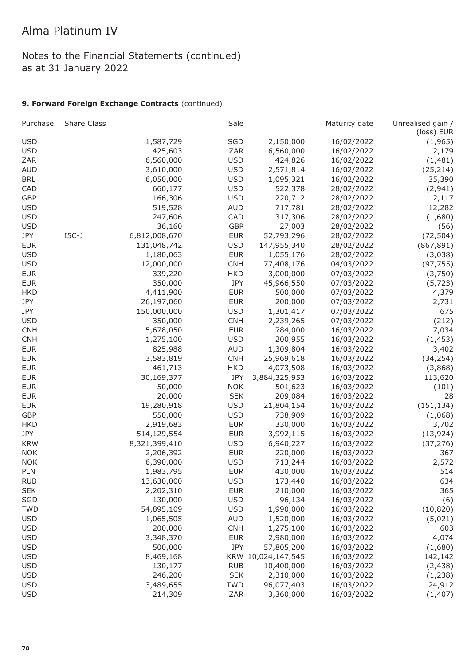# Notes to the Financial Statements (continued) as at 31 January 2022

### **9. Forward Foreign Exchange Contracts** (continued)

| Purchase   | Share Class |               | Sale       |                    | Maturity date | Unrealised gain /<br>(loss) EUR |
|------------|-------------|---------------|------------|--------------------|---------------|---------------------------------|
| <b>USD</b> |             | 1,587,729     | SGD        | 2,150,000          | 16/02/2022    | (1, 965)                        |
| <b>USD</b> |             | 425,603       | ZAR        | 6,560,000          | 16/02/2022    | 2,179                           |
| <b>ZAR</b> |             | 6,560,000     | <b>USD</b> | 424,826            | 16/02/2022    | (1, 481)                        |
| <b>AUD</b> |             | 3,610,000     | <b>USD</b> | 2,571,814          | 16/02/2022    | (25, 214)                       |
| <b>BRL</b> |             | 6,050,000     | <b>USD</b> | 1,095,321          | 16/02/2022    | 35,390                          |
| CAD        |             | 660,177       | <b>USD</b> | 522,378            | 28/02/2022    | (2,941)                         |
| <b>GBP</b> |             | 166,306       | <b>USD</b> | 220,712            | 28/02/2022    | 2,117                           |
| <b>USD</b> |             | 519,528       | <b>AUD</b> | 717,781            | 28/02/2022    | 12,282                          |
| <b>USD</b> |             | 247,606       | CAD        | 317,306            | 28/02/2022    | (1,680)                         |
| <b>USD</b> |             | 36,160        | GBP        | 27,003             | 28/02/2022    | (56)                            |
| JPY        | $IGC-J$     | 6,812,008,670 | <b>EUR</b> | 52,793,296         | 28/02/2022    | (72, 504)                       |
| <b>EUR</b> |             | 131,048,742   | <b>USD</b> | 147,955,340        | 28/02/2022    | (867, 891)                      |
| <b>USD</b> |             | 1,180,063     | <b>EUR</b> | 1,055,176          | 28/02/2022    | (3,038)                         |
| <b>USD</b> |             | 12,000,000    | <b>CNH</b> | 77,408,176         | 04/03/2022    | (97, 755)                       |
| <b>EUR</b> |             | 339,220       | <b>HKD</b> | 3,000,000          | 07/03/2022    | (3,750)                         |
| <b>EUR</b> |             | 350,000       | JPY        | 45,966,550         | 07/03/2022    | (5, 723)                        |
| <b>HKD</b> |             | 4,411,900     | <b>EUR</b> | 500,000            | 07/03/2022    | 4,379                           |
| JPY        |             | 26,197,060    | <b>EUR</b> | 200,000            | 07/03/2022    | 2,731                           |
| JPY        |             | 150,000,000   | <b>USD</b> | 1,301,417          | 07/03/2022    | 675                             |
| <b>USD</b> |             | 350,000       | <b>CNH</b> | 2,239,265          | 07/03/2022    | (212)                           |
| <b>CNH</b> |             | 5,678,050     | <b>EUR</b> | 784,000            | 16/03/2022    | 7,034                           |
| <b>CNH</b> |             | 1,275,100     | <b>USD</b> | 200,955            | 16/03/2022    | (1, 453)                        |
| <b>EUR</b> |             | 825,988       | <b>AUD</b> | 1,309,804          | 16/03/2022    | 3,402                           |
| <b>EUR</b> |             | 3,583,819     | <b>CNH</b> | 25,969,618         | 16/03/2022    | (34, 254)                       |
| <b>EUR</b> |             | 461,713       | <b>HKD</b> | 4,073,508          | 16/03/2022    | (3,868)                         |
| <b>EUR</b> |             | 30,169,377    | JPY        | 3,884,325,953      | 16/03/2022    | 113,620                         |
| <b>EUR</b> |             | 50,000        | <b>NOK</b> | 501,623            | 16/03/2022    | (101)                           |
| <b>EUR</b> |             | 20,000        | <b>SEK</b> |                    |               | 28                              |
| <b>EUR</b> |             |               | <b>USD</b> | 209,084            | 16/03/2022    |                                 |
| <b>GBP</b> |             | 19,280,918    | <b>USD</b> | 21,804,154         | 16/03/2022    | (151, 134)                      |
|            |             | 550,000       |            | 738,909            | 16/03/2022    | (1,068)                         |
| <b>HKD</b> |             | 2,919,683     | <b>EUR</b> | 330,000            | 16/03/2022    | 3,702                           |
| JPY        |             | 514,129,554   | <b>EUR</b> | 3,992,115          | 16/03/2022    | (13, 924)                       |
| <b>KRW</b> |             | 8,321,399,410 | <b>USD</b> | 6,940,227          | 16/03/2022    | (37, 276)                       |
| <b>NOK</b> |             | 2,206,392     | <b>EUR</b> | 220,000            | 16/03/2022    | 367                             |
| <b>NOK</b> |             | 6,390,000     | <b>USD</b> | 713,244            | 16/03/2022    | 2,572                           |
| PLN        |             | 1,983,795     | <b>EUR</b> | 430,000            | 16/03/2022    | 514                             |
| <b>RUB</b> |             | 13,630,000    | <b>USD</b> | 173,440            | 16/03/2022    | 634                             |
| <b>SEK</b> |             | 2,202,310     | <b>EUR</b> | 210,000            | 16/03/2022    | 365                             |
| SGD        |             | 130,000       | <b>USD</b> | 96,134             | 16/03/2022    | (6)                             |
| <b>TWD</b> |             | 54,895,109    | <b>USD</b> | 1,990,000          | 16/03/2022    | (10, 820)                       |
| <b>USD</b> |             | 1,065,505     | <b>AUD</b> | 1,520,000          | 16/03/2022    | (5,021)                         |
| <b>USD</b> |             | 200,000       | <b>CNH</b> | 1,275,100          | 16/03/2022    | 603                             |
| <b>USD</b> |             | 3,348,370     | <b>EUR</b> | 2,980,000          | 16/03/2022    | 4,074                           |
| <b>USD</b> |             | 500,000       | JPY        | 57,805,200         | 16/03/2022    | (1,680)                         |
| <b>USD</b> |             | 8,469,168     |            | KRW 10,024,147,545 | 16/03/2022    | 142,142                         |
| <b>USD</b> |             | 130,177       | <b>RUB</b> | 10,400,000         | 16/03/2022    | (2, 438)                        |
| <b>USD</b> |             | 246,200       | <b>SEK</b> | 2,310,000          | 16/03/2022    | (1,238)                         |
| <b>USD</b> |             | 3,489,655     | <b>TWD</b> | 96,077,403         | 16/03/2022    | 24,912                          |
| <b>USD</b> |             | 214,309       | ZAR        | 3,360,000          | 16/03/2022    | (1, 407)                        |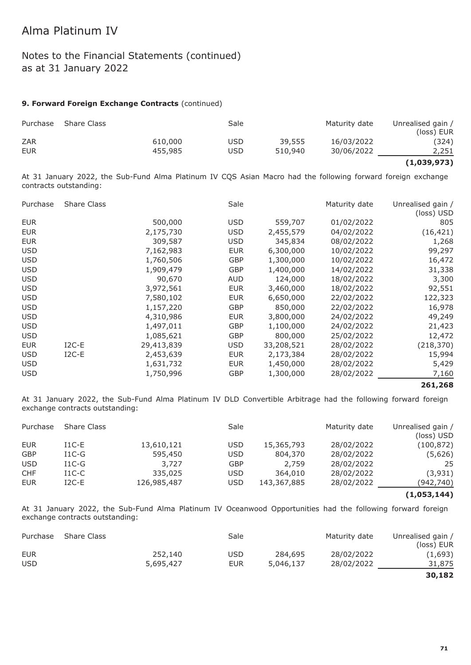### Notes to the Financial Statements (continued) as at 31 January 2022

#### **9. Forward Foreign Exchange Contracts** (continued)

| Purchase   | Share Class |         | Sale |         | Maturity date | Unrealised gain /<br>(loss) EUR |
|------------|-------------|---------|------|---------|---------------|---------------------------------|
| <b>ZAR</b> |             | 610,000 | USD  | 39,555  | 16/03/2022    | (324)                           |
| <b>EUR</b> |             | 455,985 | USD  | 510,940 | 30/06/2022    | 2,251                           |

#### **(1,039,973)**

At 31 January 2022, the Sub-Fund Alma Platinum IV CQS Asian Macro had the following forward foreign exchange contracts outstanding:

| Purchase   | Share Class |            | Sale       |            | Maturity date | Unrealised gain /<br>(loss) USD |
|------------|-------------|------------|------------|------------|---------------|---------------------------------|
| <b>EUR</b> |             | 500,000    | <b>USD</b> | 559,707    | 01/02/2022    | 805                             |
| <b>EUR</b> |             | 2,175,730  | USD        | 2,455,579  | 04/02/2022    | (16, 421)                       |
| <b>EUR</b> |             | 309,587    | <b>USD</b> | 345,834    | 08/02/2022    | 1,268                           |
| <b>USD</b> |             | 7,162,983  | <b>EUR</b> | 6,300,000  | 10/02/2022    | 99,297                          |
| <b>USD</b> |             | 1,760,506  | <b>GBP</b> | 1,300,000  | 10/02/2022    | 16,472                          |
| <b>USD</b> |             | 1,909,479  | GBP        | 1,400,000  | 14/02/2022    | 31,338                          |
| <b>USD</b> |             | 90,670     | <b>AUD</b> | 124,000    | 18/02/2022    | 3,300                           |
| <b>USD</b> |             | 3,972,561  | <b>EUR</b> | 3,460,000  | 18/02/2022    | 92,551                          |
| <b>USD</b> |             | 7,580,102  | <b>EUR</b> | 6,650,000  | 22/02/2022    | 122,323                         |
| <b>USD</b> |             | 1,157,220  | <b>GBP</b> | 850,000    | 22/02/2022    | 16,978                          |
| <b>USD</b> |             | 4,310,986  | <b>EUR</b> | 3,800,000  | 24/02/2022    | 49,249                          |
| <b>USD</b> |             | 1,497,011  | GBP        | 1,100,000  | 24/02/2022    | 21,423                          |
| <b>USD</b> |             | 1,085,621  | <b>GBP</b> | 800,000    | 25/02/2022    | 12,472                          |
| <b>EUR</b> | $I2C-E$     | 29,413,839 | <b>USD</b> | 33,208,521 | 28/02/2022    | (218, 370)                      |
| <b>USD</b> | $I2C-E$     | 2,453,639  | <b>EUR</b> | 2,173,384  | 28/02/2022    | 15,994                          |
| <b>USD</b> |             | 1,631,732  | <b>EUR</b> | 1,450,000  | 28/02/2022    | 5,429                           |
| <b>USD</b> |             | 1,750,996  | GBP        | 1,300,000  | 28/02/2022    | 7,160                           |

#### **261,268**

At 31 January 2022, the Sub-Fund Alma Platinum IV DLD Convertible Arbitrage had the following forward foreign exchange contracts outstanding:

| Purchase   | Share Class |             | Sale       |             | Maturity date | Unrealised gain /<br>(loss) USD |
|------------|-------------|-------------|------------|-------------|---------------|---------------------------------|
| <b>EUR</b> | $I1C-E$     | 13,610,121  | <b>USD</b> | 15,365,793  | 28/02/2022    | (100,872)                       |
| <b>GBP</b> | $I1C-G$     | 595,450     | <b>USD</b> | 804,370     | 28/02/2022    | (5,626)                         |
| <b>USD</b> | $I1C-G$     | 3,727       | <b>GBP</b> | 2,759       | 28/02/2022    | 25                              |
| <b>CHF</b> | $I1C-C$     | 335,025     | <b>USD</b> | 364,010     | 28/02/2022    | (3,931)                         |
| <b>EUR</b> | $I2C-E$     | 126,985,487 | <b>USD</b> | 143,367,885 | 28/02/2022    | (942,740)                       |
|            |             |             |            |             |               |                                 |

#### **(1,053,144)**

At 31 January 2022, the Sub-Fund Alma Platinum IV Oceanwood Opportunities had the following forward foreign exchange contracts outstanding:

| Purchase   | Share Class |           | Sale       |           | Maturity date | Unrealised gain /<br>(loss) EUR |
|------------|-------------|-----------|------------|-----------|---------------|---------------------------------|
| EUR        |             | 252,140   | <b>USD</b> | 284,695   | 28/02/2022    | (1,693)                         |
| <b>USD</b> |             | 5,695,427 | <b>EUR</b> | 5,046,137 | 28/02/2022    | 31,875                          |
|            |             |           |            |           |               | 30,182                          |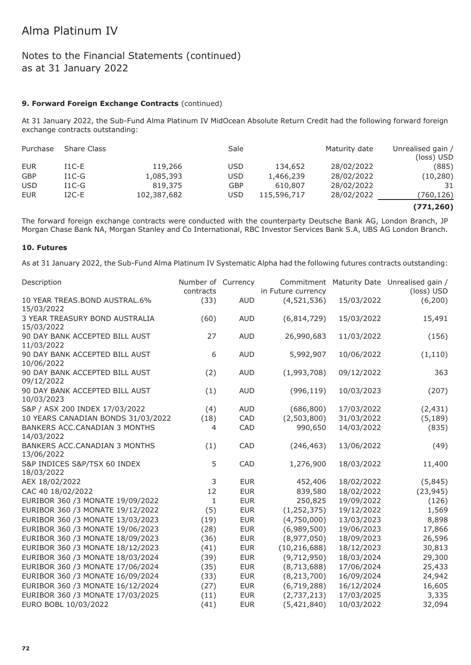### Notes to the Financial Statements (continued) as at 31 January 2022

#### **9. Forward Foreign Exchange Contracts** (continued)

At 31 January 2022, the Sub-Fund Alma Platinum IV MidOcean Absolute Return Credit had the following forward foreign exchange contracts outstanding:

| Purchase   | <b>Share Class</b> |             | Sale       |             | Maturity date | Unrealised gain /<br>(loss) USD |
|------------|--------------------|-------------|------------|-------------|---------------|---------------------------------|
| <b>EUR</b> | $I1C-E$            | 119,266     | <b>USD</b> | 134,652     | 28/02/2022    | (885)                           |
| <b>GBP</b> | $I1C-G$            | 1,085,393   | <b>USD</b> | 1,466,239   | 28/02/2022    | (10, 280)                       |
| <b>USD</b> | $I1C-G$            | 819,375     | <b>GBP</b> | 610,807     | 28/02/2022    | 31                              |
| <b>EUR</b> | $I2C-E$            | 102,387,682 | <b>USD</b> | 115,596,717 | 28/02/2022    | (760,126)                       |
|            |                    |             |            |             |               | --------                        |

**(771,260)**

The forward foreign exchange contracts were conducted with the counterparty Deutsche Bank AG, London Branch, JP Morgan Chase Bank NA, Morgan Stanley and Co International, RBC Investor Services Bank S.A, UBS AG London Branch.

#### **10. Futures**

As at 31 January 2022, the Sub-Fund Alma Platinum IV Systematic Alpha had the following futures contracts outstanding:

| Description                                  | Number of Currency<br>contracts |            | Commitment<br>in Future currency |            | Maturity Date Unrealised gain /<br>(loss) USD |
|----------------------------------------------|---------------------------------|------------|----------------------------------|------------|-----------------------------------------------|
| 10 YEAR TREAS.BOND AUSTRAL.6%<br>15/03/2022  | (33)                            | <b>AUD</b> | (4,521,536)                      | 15/03/2022 | (6, 200)                                      |
| 3 YEAR TREASURY BOND AUSTRALIA<br>15/03/2022 | (60)                            | <b>AUD</b> | (6,814,729)                      | 15/03/2022 | 15,491                                        |
| 90 DAY BANK ACCEPTED BILL AUST<br>11/03/2022 | 27                              | <b>AUD</b> | 26,990,683                       | 11/03/2022 | (156)                                         |
| 90 DAY BANK ACCEPTED BILL AUST<br>10/06/2022 | 6                               | <b>AUD</b> | 5,992,907                        | 10/06/2022 | (1, 110)                                      |
| 90 DAY BANK ACCEPTED BILL AUST<br>09/12/2022 | (2)                             | <b>AUD</b> | (1,993,708)                      | 09/12/2022 | 363                                           |
| 90 DAY BANK ACCEPTED BILL AUST<br>10/03/2023 | (1)                             | <b>AUD</b> | (996, 119)                       | 10/03/2023 | (207)                                         |
| S&P / ASX 200 INDEX 17/03/2022               | (4)                             | <b>AUD</b> | (686, 800)                       | 17/03/2022 | (2, 431)                                      |
| 10 YEARS CANADIAN BONDS 31/03/2022           | (18)                            | CAD        | (2,503,800)                      | 31/03/2022 | (5, 189)                                      |
| BANKERS ACC.CANADIAN 3 MONTHS<br>14/03/2022  | $\overline{4}$                  | CAD        | 990,650                          | 14/03/2022 | (835)                                         |
| BANKERS ACC.CANADIAN 3 MONTHS<br>13/06/2022  | (1)                             | CAD        | (246, 463)                       | 13/06/2022 | (49)                                          |
| S&P INDICES S&P/TSX 60 INDEX<br>18/03/2022   | 5                               | <b>CAD</b> | 1,276,900                        | 18/03/2022 | 11,400                                        |
| AEX 18/02/2022                               | 3                               | <b>EUR</b> | 452,406                          | 18/02/2022 | (5,845)                                       |
| CAC 40 18/02/2022                            | 12                              | <b>EUR</b> | 839,580                          | 18/02/2022 | (23, 945)                                     |
| EURIBOR 360 /3 MONATE 19/09/2022             | $\mathbf{1}$                    | <b>EUR</b> | 250,825                          | 19/09/2022 | (126)                                         |
| EURIBOR 360 /3 MONATE 19/12/2022             | (5)                             | <b>EUR</b> | (1, 252, 375)                    | 19/12/2022 | 1,569                                         |
| EURIBOR 360 /3 MONATE 13/03/2023             | (19)                            | <b>EUR</b> | (4,750,000)                      | 13/03/2023 | 8,898                                         |
| EURIBOR 360 /3 MONATE 19/06/2023             | (28)                            | <b>EUR</b> | (6,989,500)                      | 19/06/2023 | 17,866                                        |
| EURIBOR 360 /3 MONATE 18/09/2023             | (36)                            | <b>EUR</b> | (8,977,050)                      | 18/09/2023 | 26,596                                        |
| EURIBOR 360 /3 MONATE 18/12/2023             | (41)                            | <b>EUR</b> | (10, 216, 688)                   | 18/12/2023 | 30,813                                        |
| EURIBOR 360 /3 MONATE 18/03/2024             | (39)                            | <b>EUR</b> | (9,712,950)                      | 18/03/2024 | 29,300                                        |
| EURIBOR 360 /3 MONATE 17/06/2024             | (35)                            | <b>EUR</b> | (8,713,688)                      | 17/06/2024 | 25,433                                        |
| EURIBOR 360 /3 MONATE 16/09/2024             | (33)                            | <b>EUR</b> | (8, 213, 700)                    | 16/09/2024 | 24,942                                        |
| EURIBOR 360 /3 MONATE 16/12/2024             | (27)                            | <b>EUR</b> | (6,719,288)                      | 16/12/2024 | 16,605                                        |
| EURIBOR 360 /3 MONATE 17/03/2025             | (11)                            | <b>EUR</b> | (2,737,213)                      | 17/03/2025 | 3,335                                         |
| EURO BOBL 10/03/2022                         | (41)                            | <b>EUR</b> | (5,421,840)                      | 10/03/2022 | 32,094                                        |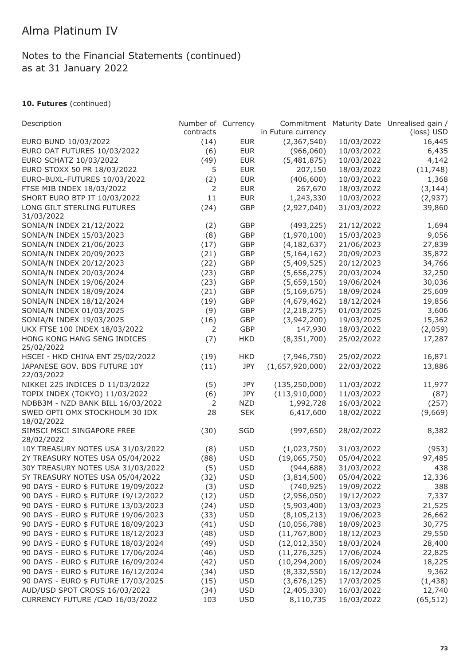### **10. Futures** (continued)

| Description                         | Number of Currency |            |                    |            | Commitment Maturity Date Unrealised gain / |
|-------------------------------------|--------------------|------------|--------------------|------------|--------------------------------------------|
|                                     | contracts          |            | in Future currency |            | (loss) USD                                 |
| EURO BUND 10/03/2022                | (14)               | <b>EUR</b> | (2,367,540)        | 10/03/2022 | 16,445                                     |
| EURO OAT FUTURES 10/03/2022         | (6)                | <b>EUR</b> | (966,060)          | 10/03/2022 | 6,435                                      |
| EURO SCHATZ 10/03/2022              | (49)               | <b>EUR</b> | (5,481,875)        | 10/03/2022 | 4,142                                      |
| EURO STOXX 50 PR 18/03/2022         | 5                  | <b>EUR</b> | 207,150            | 18/03/2022 | (11,748)                                   |
| EURO-BUXL-FUTURES 10/03/2022        | (2)                | <b>EUR</b> | (406, 600)         | 10/03/2022 | 1,368                                      |
| FTSE MIB INDEX 18/03/2022           | 2                  | <b>EUR</b> | 267,670            | 18/03/2022 | (3, 144)                                   |
| SHORT EURO BTP IT 10/03/2022        | 11                 | <b>EUR</b> | 1,243,330          | 10/03/2022 | (2,937)                                    |
| LONG GILT STERLING FUTURES          | (24)               | GBP        | (2,927,040)        | 31/03/2022 | 39,860                                     |
| 31/03/2022                          |                    |            |                    |            |                                            |
| SONIA/N INDEX 21/12/2022            | (2)                | <b>GBP</b> | (493, 225)         | 21/12/2022 | 1,694                                      |
| SONIA/N INDEX 15/03/2023            | (8)                | <b>GBP</b> | (1,970,100)        | 15/03/2023 | 9,056                                      |
| SONIA/N INDEX 21/06/2023            | (17)               | <b>GBP</b> | (4, 182, 637)      | 21/06/2023 | 27,839                                     |
| SONIA/N INDEX 20/09/2023            | (21)               | GBP        | (5, 164, 162)      | 20/09/2023 | 35,872                                     |
| SONIA/N INDEX 20/12/2023            | (22)               | GBP        | (5,409,525)        | 20/12/2023 | 34,766                                     |
| SONIA/N INDEX 20/03/2024            | (23)               | GBP        | (5,656,275)        | 20/03/2024 | 32,250                                     |
| SONIA/N INDEX 19/06/2024            | (23)               | GBP        | (5,659,150)        | 19/06/2024 | 30,036                                     |
| SONIA/N INDEX 18/09/2024            | (21)               | GBP        | (5, 169, 675)      | 18/09/2024 | 25,609                                     |
| SONIA/N INDEX 18/12/2024            | (19)               | GBP        | (4,679,462)        | 18/12/2024 | 19,856                                     |
| SONIA/N INDEX 01/03/2025            | (9)                | GBP        | (2, 218, 275)      | 01/03/2025 | 3,606                                      |
| SONIA/N INDEX 19/03/2025            | (16)               | GBP        | (3,942,200)        | 19/03/2025 | 15,362                                     |
| UKX FTSE 100 INDEX 18/03/2022       | 2                  | <b>GBP</b> | 147,930            | 18/03/2022 | (2,059)                                    |
| HONG KONG HANG SENG INDICES         | (7)                | <b>HKD</b> | (8, 351, 700)      | 25/02/2022 | 17,287                                     |
| 25/02/2022                          |                    |            |                    |            |                                            |
| HSCEI - HKD CHINA ENT 25/02/2022    | (19)               | <b>HKD</b> | (7,946,750)        | 25/02/2022 | 16,871                                     |
| JAPANESE GOV. BDS FUTURE 10Y        | (11)               | JPY        | (1,657,920,000)    | 22/03/2022 | 13,886                                     |
| 22/03/2022                          |                    |            |                    |            |                                            |
| NIKKEI 225 INDICES D 11/03/2022     | (5)                | JPY        | (135, 250, 000)    | 11/03/2022 | 11,977                                     |
| TOPIX INDEX (TOKYO) 11/03/2022      | (6)                | JPY        | (113, 910, 000)    | 11/03/2022 | (87)                                       |
| NDBB3M - NZD BANK BILL 16/03/2022   | 2                  | <b>NZD</b> | 1,992,728          | 16/03/2022 | (257)                                      |
| SWED OPTI OMX STOCKHOLM 30 IDX      | 28                 | <b>SEK</b> | 6,417,600          | 18/02/2022 | (9,669)                                    |
| 18/02/2022                          |                    |            |                    |            |                                            |
| SIMSCI MSCI SINGAPORE FREE          | (30)               | SGD        | (997, 650)         | 28/02/2022 | 8,382                                      |
| 28/02/2022                          |                    |            |                    |            |                                            |
| 10Y TREASURY NOTES USA 31/03/2022   | (8)                | <b>USD</b> | (1,023,750)        | 31/03/2022 | (953)                                      |
| 2Y TREASURY NOTES USA 05/04/2022    | (88)               | <b>USD</b> | (19,065,750)       | 05/04/2022 | 97,485                                     |
| 30Y TREASURY NOTES USA 31/03/2022   | (5)                | <b>USD</b> | (944, 688)         | 31/03/2022 | 438                                        |
| 5Y TREASURY NOTES USA 05/04/2022    | (32)               | <b>USD</b> | (3,814,500)        | 05/04/2022 | 12,336                                     |
| 90 DAYS - EURO \$ FUTURE 19/09/2022 | (3)                | <b>USD</b> | (740, 925)         | 19/09/2022 | 388                                        |
| 90 DAYS - EURO \$ FUTURE 19/12/2022 | (12)               | <b>USD</b> | (2,956,050)        | 19/12/2022 | 7,337                                      |
| 90 DAYS - EURO \$ FUTURE 13/03/2023 | (24)               | <b>USD</b> | (5,903,400)        | 13/03/2023 | 21,525                                     |
| 90 DAYS - EURO \$ FUTURE 19/06/2023 | (33)               | <b>USD</b> | (8, 105, 213)      | 19/06/2023 | 26,662                                     |
| 90 DAYS - EURO \$ FUTURE 18/09/2023 | (41)               | <b>USD</b> | (10,056,788)       | 18/09/2023 | 30,775                                     |
| 90 DAYS - EURO \$ FUTURE 18/12/2023 | (48)               | <b>USD</b> | (11, 767, 800)     | 18/12/2023 | 29,550                                     |
| 90 DAYS - EURO \$ FUTURE 18/03/2024 | (49)               | <b>USD</b> | (12,012,350)       | 18/03/2024 | 28,400                                     |
| 90 DAYS - EURO \$ FUTURE 17/06/2024 | (46)               | <b>USD</b> | (11, 276, 325)     | 17/06/2024 | 22,825                                     |
| 90 DAYS - EURO \$ FUTURE 16/09/2024 | (42)               | <b>USD</b> | (10, 294, 200)     | 16/09/2024 | 18,225                                     |
| 90 DAYS - EURO \$ FUTURE 16/12/2024 | (34)               | <b>USD</b> | (8, 332, 550)      | 16/12/2024 | 9,362                                      |
| 90 DAYS - EURO \$ FUTURE 17/03/2025 | (15)               | <b>USD</b> | (3,676,125)        | 17/03/2025 | (1, 438)                                   |
| AUD/USD SPOT CROSS 16/03/2022       | (34)               | <b>USD</b> | (2,405,330)        | 16/03/2022 | 12,740                                     |
| CURRENCY FUTURE / CAD 16/03/2022    | 103                | <b>USD</b> | 8,110,735          | 16/03/2022 | (65, 512)                                  |
|                                     |                    |            |                    |            |                                            |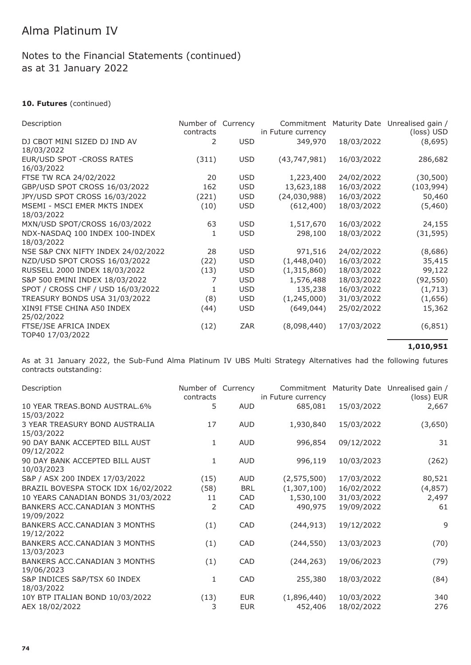#### **10. Futures** (continued)

| Description                                  | Number of Currency<br>contracts |            | Commitment<br>in Future currency |            | Maturity Date Unrealised gain /<br>(loss) USD |
|----------------------------------------------|---------------------------------|------------|----------------------------------|------------|-----------------------------------------------|
| DJ CBOT MINI SIZED DJ IND AV<br>18/03/2022   | 2                               | <b>USD</b> | 349,970                          | 18/03/2022 | (8,695)                                       |
| EUR/USD SPOT - CROSS RATES<br>16/03/2022     | (311)                           | <b>USD</b> | (43, 747, 981)                   | 16/03/2022 | 286,682                                       |
| FTSE TW RCA 24/02/2022                       | 20                              | <b>USD</b> | 1,223,400                        | 24/02/2022 | (30, 500)                                     |
| GBP/USD SPOT CROSS 16/03/2022                | 162                             | <b>USD</b> | 13,623,188                       | 16/03/2022 | (103, 994)                                    |
| JPY/USD SPOT CROSS 16/03/2022                | (221)                           | <b>USD</b> | (24,030,988)                     | 16/03/2022 | 50,460                                        |
| MSEMI - MSCI EMER MKTS INDEX<br>18/03/2022   | (10)                            | <b>USD</b> | (612, 400)                       | 18/03/2022 | (5,460)                                       |
| MXN/USD SPOT/CROSS 16/03/2022                | 63                              | <b>USD</b> | 1,517,670                        | 16/03/2022 | 24,155                                        |
| NDX-NASDAQ 100 INDEX 100-INDEX<br>18/03/2022 | 1                               | <b>USD</b> | 298,100                          | 18/03/2022 | (31, 595)                                     |
| NSE S&P CNX NIFTY INDEX 24/02/2022           | 28                              | <b>USD</b> | 971,516                          | 24/02/2022 | (8,686)                                       |
| NZD/USD SPOT CROSS 16/03/2022                | (22)                            | <b>USD</b> | (1,448,040)                      | 16/03/2022 | 35,415                                        |
| RUSSELL 2000 INDEX 18/03/2022                | (13)                            | <b>USD</b> | (1,315,860)                      | 18/03/2022 | 99,122                                        |
| S&P 500 EMINI INDEX 18/03/2022               | 7                               | <b>USD</b> | 1,576,488                        | 18/03/2022 | (92, 550)                                     |
| SPOT / CROSS CHF / USD 16/03/2022            | 1                               | <b>USD</b> | 135,238                          | 16/03/2022 | (1, 713)                                      |
| TREASURY BONDS USA 31/03/2022                | (8)                             | <b>USD</b> | (1, 245, 000)                    | 31/03/2022 | (1,656)                                       |
| XIN9I FTSE CHINA A50 INDEX<br>25/02/2022     | (44)                            | <b>USD</b> | (649, 044)                       | 25/02/2022 | 15,362                                        |
| FTSE/JSE AFRICA INDEX<br>TOP40 17/03/2022    | (12)                            | ZAR        | (8,098,440)                      | 17/03/2022 | (6, 851)                                      |

**1,010,951**

As at 31 January 2022, the Sub-Fund Alma Platinum IV UBS Multi Strategy Alternatives had the following futures contracts outstanding:

| Description                                   | Number of Currency<br>contracts |            | Commitment<br>in Future currency |            | Maturity Date Unrealised gain /<br>(loss) EUR |
|-----------------------------------------------|---------------------------------|------------|----------------------------------|------------|-----------------------------------------------|
| 10 YEAR TREAS. BOND AUSTRAL. 6%<br>15/03/2022 | 5                               | <b>AUD</b> | 685,081                          | 15/03/2022 | 2,667                                         |
| 3 YEAR TREASURY BOND AUSTRALIA<br>15/03/2022  | 17                              | <b>AUD</b> | 1,930,840                        | 15/03/2022 | (3,650)                                       |
| 90 DAY BANK ACCEPTED BILL AUST<br>09/12/2022  | 1                               | <b>AUD</b> | 996,854                          | 09/12/2022 | 31                                            |
| 90 DAY BANK ACCEPTED BILL AUST<br>10/03/2023  | $\mathbf{1}$                    | <b>AUD</b> | 996,119                          | 10/03/2023 | (262)                                         |
| S&P / ASX 200 INDEX 17/03/2022                | (15)                            | <b>AUD</b> | (2,575,500)                      | 17/03/2022 | 80,521                                        |
| BRAZIL BOVESPA STOCK IDX 16/02/2022           | (58)                            | <b>BRL</b> | (1,307,100)                      | 16/02/2022 | (4, 857)                                      |
| 10 YEARS CANADIAN BONDS 31/03/2022            | 11                              | CAD        | 1,530,100                        | 31/03/2022 | 2,497                                         |
| BANKERS ACC.CANADIAN 3 MONTHS<br>19/09/2022   | 2                               | CAD        | 490,975                          | 19/09/2022 | 61                                            |
| BANKERS ACC.CANADIAN 3 MONTHS<br>19/12/2022   | (1)                             | CAD        | (244, 913)                       | 19/12/2022 | 9                                             |
| BANKERS ACC.CANADIAN 3 MONTHS<br>13/03/2023   | (1)                             | <b>CAD</b> | (244, 550)                       | 13/03/2023 | (70)                                          |
| BANKERS ACC.CANADIAN 3 MONTHS<br>19/06/2023   | (1)                             | CAD        | (244, 263)                       | 19/06/2023 | (79)                                          |
| S&P INDICES S&P/TSX 60 INDEX<br>18/03/2022    | 1                               | CAD        | 255,380                          | 18/03/2022 | (84)                                          |
| 10Y BTP ITALIAN BOND 10/03/2022               | (13)                            | <b>EUR</b> | (1,896,440)                      | 10/03/2022 | 340                                           |
| AEX 18/02/2022                                | 3                               | <b>EUR</b> | 452,406                          | 18/02/2022 | 276                                           |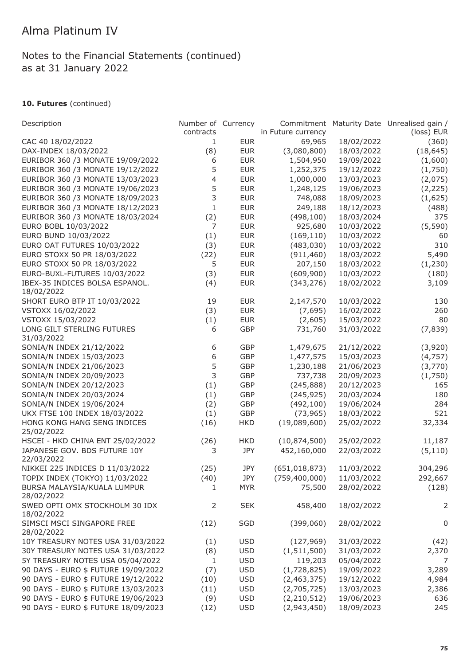### **10. Futures** (continued)

| Description                                  | Number of Currency<br>contracts |            | in Future currency |            | Commitment Maturity Date Unrealised gain /<br>(loss) EUR |
|----------------------------------------------|---------------------------------|------------|--------------------|------------|----------------------------------------------------------|
| CAC 40 18/02/2022                            | $\mathbf{1}$                    | <b>EUR</b> | 69,965             | 18/02/2022 | (360)                                                    |
| DAX-INDEX 18/03/2022                         | (8)                             | <b>EUR</b> | (3,080,800)        | 18/03/2022 | (18, 645)                                                |
| EURIBOR 360 /3 MONATE 19/09/2022             | 6                               | <b>EUR</b> | 1,504,950          | 19/09/2022 | (1,600)                                                  |
| EURIBOR 360 /3 MONATE 19/12/2022             | 5                               | <b>EUR</b> | 1,252,375          | 19/12/2022 | (1,750)                                                  |
| EURIBOR 360 /3 MONATE 13/03/2023             | 4                               | <b>EUR</b> | 1,000,000          | 13/03/2023 | (2,075)                                                  |
| EURIBOR 360 /3 MONATE 19/06/2023             | 5                               | <b>EUR</b> | 1,248,125          | 19/06/2023 | (2, 225)                                                 |
| EURIBOR 360 /3 MONATE 18/09/2023             | 3                               | <b>EUR</b> | 748,088            | 18/09/2023 | (1,625)                                                  |
| EURIBOR 360 /3 MONATE 18/12/2023             | $\mathbf{1}$                    | <b>EUR</b> | 249,188            | 18/12/2023 | (488)                                                    |
| EURIBOR 360 /3 MONATE 18/03/2024             | (2)                             | <b>EUR</b> | (498, 100)         | 18/03/2024 | 375                                                      |
| EURO BOBL 10/03/2022                         | 7                               | <b>EUR</b> | 925,680            | 10/03/2022 | (5,590)                                                  |
| EURO BUND 10/03/2022                         | (1)                             | <b>EUR</b> | (169, 110)         | 10/03/2022 | 60                                                       |
| EURO OAT FUTURES 10/03/2022                  | (3)                             | <b>EUR</b> | (483, 030)         | 10/03/2022 | 310                                                      |
| EURO STOXX 50 PR 18/03/2022                  | (22)                            | <b>EUR</b> | (911, 460)         | 18/03/2022 | 5,490                                                    |
| EURO STOXX 50 PR 18/03/2022                  | 5                               | <b>EUR</b> | 207,150            | 18/03/2022 | (1, 230)                                                 |
| EURO-BUXL-FUTURES 10/03/2022                 | (3)                             | <b>EUR</b> | (609,900)          | 10/03/2022 | (180)                                                    |
| IBEX-35 INDICES BOLSA ESPANOL.               | (4)                             | <b>EUR</b> | (343, 276)         | 18/02/2022 | 3,109                                                    |
| 18/02/2022                                   |                                 |            |                    |            |                                                          |
| SHORT EURO BTP IT 10/03/2022                 | 19                              | <b>EUR</b> | 2,147,570          | 10/03/2022 | 130                                                      |
| VSTOXX 16/02/2022                            | (3)                             | <b>EUR</b> | (7,695)            | 16/02/2022 | 260                                                      |
| VSTOXX 15/03/2022                            | (1)                             | <b>EUR</b> | (2,605)            | 15/03/2022 | 80                                                       |
| LONG GILT STERLING FUTURES                   | 6                               | <b>GBP</b> | 731,760            | 31/03/2022 | (7, 839)                                                 |
| 31/03/2022                                   |                                 |            |                    |            |                                                          |
| SONIA/N INDEX 21/12/2022                     | 6                               | GBP        | 1,479,675          | 21/12/2022 | (3,920)                                                  |
| SONIA/N INDEX 15/03/2023                     | 6                               | <b>GBP</b> | 1,477,575          | 15/03/2023 | (4, 757)                                                 |
| SONIA/N INDEX 21/06/2023                     | 5                               | <b>GBP</b> | 1,230,188          | 21/06/2023 | (3,770)                                                  |
| SONIA/N INDEX 20/09/2023                     | 3                               | <b>GBP</b> | 737,738            | 20/09/2023 | (1,750)                                                  |
| SONIA/N INDEX 20/12/2023                     | (1)                             | GBP        | (245, 888)         | 20/12/2023 | 165                                                      |
| SONIA/N INDEX 20/03/2024                     | (1)                             | <b>GBP</b> | (245, 925)         | 20/03/2024 | 180                                                      |
| SONIA/N INDEX 19/06/2024                     | (2)                             | GBP        | (492, 100)         | 19/06/2024 | 284                                                      |
| UKX FTSE 100 INDEX 18/03/2022                | (1)                             | <b>GBP</b> | (73, 965)          | 18/03/2022 | 521                                                      |
| HONG KONG HANG SENG INDICES<br>25/02/2022    | (16)                            | <b>HKD</b> | (19,089,600)       | 25/02/2022 | 32,334                                                   |
| HSCEI - HKD CHINA ENT 25/02/2022             | (26)                            | <b>HKD</b> | (10, 874, 500)     | 25/02/2022 | 11,187                                                   |
| JAPANESE GOV. BDS FUTURE 10Y                 | 3                               | JPY        | 452,160,000        | 22/03/2022 | (5, 110)                                                 |
| 22/03/2022                                   |                                 |            |                    |            |                                                          |
| NIKKEI 225 INDICES D 11/03/2022              | (25)                            | JPY        | (651, 018, 873)    | 11/03/2022 | 304,296                                                  |
| TOPIX INDEX (TOKYO) 11/03/2022               | (40)                            | JPY        | (759, 400, 000)    | 11/03/2022 | 292,667                                                  |
| BURSA MALAYSIA/KUALA LUMPUR                  | $\mathbf{1}$                    | <b>MYR</b> | 75,500             | 28/02/2022 | (128)                                                    |
| 28/02/2022                                   |                                 |            |                    |            |                                                          |
| SWED OPTI OMX STOCKHOLM 30 IDX<br>18/02/2022 | $\overline{2}$                  | <b>SEK</b> | 458,400            | 18/02/2022 | 2                                                        |
| SIMSCI MSCI SINGAPORE FREE<br>28/02/2022     | (12)                            | SGD        | (399,060)          | 28/02/2022 | 0                                                        |
| 10Y TREASURY NOTES USA 31/03/2022            | (1)                             | <b>USD</b> | (127, 969)         | 31/03/2022 | (42)                                                     |
| 30Y TREASURY NOTES USA 31/03/2022            | (8)                             | <b>USD</b> | (1, 511, 500)      | 31/03/2022 | 2,370                                                    |
| 5Y TREASURY NOTES USA 05/04/2022             | 1                               | <b>USD</b> | 119,203            | 05/04/2022 | 7                                                        |
| 90 DAYS - EURO \$ FUTURE 19/09/2022          | (7)                             | <b>USD</b> | (1,728,825)        | 19/09/2022 | 3,289                                                    |
| 90 DAYS - EURO \$ FUTURE 19/12/2022          | (10)                            | <b>USD</b> | (2,463,375)        | 19/12/2022 | 4,984                                                    |
| 90 DAYS - EURO \$ FUTURE 13/03/2023          | (11)                            | <b>USD</b> | (2,705,725)        | 13/03/2023 | 2,386                                                    |
| 90 DAYS - EURO \$ FUTURE 19/06/2023          | (9)                             | <b>USD</b> | (2, 210, 512)      | 19/06/2023 | 636                                                      |
| 90 DAYS - EURO \$ FUTURE 18/09/2023          | (12)                            | <b>USD</b> | (2,943,450)        | 18/09/2023 | 245                                                      |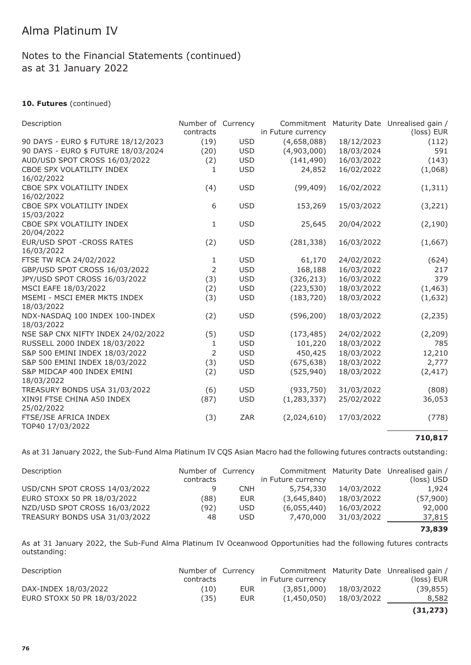### **10. Futures** (continued)

| Description                                  | Number of Currency<br>contracts |            | Commitment<br>in Future currency |            | Maturity Date Unrealised gain /<br>(loss) EUR |
|----------------------------------------------|---------------------------------|------------|----------------------------------|------------|-----------------------------------------------|
| 90 DAYS - EURO \$ FUTURE 18/12/2023          | (19)                            | <b>USD</b> | (4,658,088)                      | 18/12/2023 | (112)                                         |
| 90 DAYS - EURO \$ FUTURE 18/03/2024          | (20)                            | <b>USD</b> | (4,903,000)                      | 18/03/2024 | 591                                           |
| AUD/USD SPOT CROSS 16/03/2022                | (2)                             | <b>USD</b> | (141, 490)                       | 16/03/2022 | (143)                                         |
| CBOE SPX VOLATILITY INDEX<br>16/02/2022      | $\mathbf{1}$                    | <b>USD</b> | 24,852                           | 16/02/2022 | (1,068)                                       |
| CBOE SPX VOLATILITY INDEX<br>16/02/2022      | (4)                             | <b>USD</b> | (99, 409)                        | 16/02/2022 | (1, 311)                                      |
| CBOE SPX VOLATILITY INDEX<br>15/03/2022      | 6                               | <b>USD</b> | 153,269                          | 15/03/2022 | (3, 221)                                      |
| CBOE SPX VOLATILITY INDEX<br>20/04/2022      | $\mathbf{1}$                    | <b>USD</b> | 25,645                           | 20/04/2022 | (2, 190)                                      |
| EUR/USD SPOT - CROSS RATES<br>16/03/2022     | (2)                             | <b>USD</b> | (281, 338)                       | 16/03/2022 | (1,667)                                       |
| FTSE TW RCA 24/02/2022                       | 1                               | <b>USD</b> | 61,170                           | 24/02/2022 | (624)                                         |
| GBP/USD SPOT CROSS 16/03/2022                | 2                               | <b>USD</b> | 168,188                          | 16/03/2022 | 217                                           |
| JPY/USD SPOT CROSS 16/03/2022                | (3)                             | <b>USD</b> | (326, 213)                       | 16/03/2022 | 379                                           |
| MSCI EAFE 18/03/2022                         | (2)                             | <b>USD</b> | (223, 530)                       | 18/03/2022 | (1, 463)                                      |
| MSEMI - MSCI EMER MKTS INDEX<br>18/03/2022   | (3)                             | <b>USD</b> | (183, 720)                       | 18/03/2022 | (1,632)                                       |
| NDX-NASDAQ 100 INDEX 100-INDEX<br>18/03/2022 | (2)                             | <b>USD</b> | (596, 200)                       | 18/03/2022 | (2, 235)                                      |
| NSE S&P CNX NIFTY INDEX 24/02/2022           | (5)                             | <b>USD</b> | (173, 485)                       | 24/02/2022 | (2, 209)                                      |
| RUSSELL 2000 INDEX 18/03/2022                | 1                               | <b>USD</b> | 101,220                          | 18/03/2022 | 785                                           |
| S&P 500 EMINI INDEX 18/03/2022               | $\overline{2}$                  | <b>USD</b> | 450,425                          | 18/03/2022 | 12,210                                        |
| S&P 500 EMINI INDEX 18/03/2022               | (3)                             | <b>USD</b> | (675, 638)                       | 18/03/2022 | 2,777                                         |
| S&P MIDCAP 400 INDEX EMINI<br>18/03/2022     | (2)                             | <b>USD</b> | (525, 940)                       | 18/03/2022 | (2, 417)                                      |
| TREASURY BONDS USA 31/03/2022                | (6)                             | <b>USD</b> | (933, 750)                       | 31/03/2022 | (808)                                         |
| XIN9I FTSE CHINA A50 INDEX<br>25/02/2022     | (87)                            | <b>USD</b> | (1, 283, 337)                    | 25/02/2022 | 36,053                                        |
| FTSE/JSE AFRICA INDEX<br>TOP40 17/03/2022    | (3)                             | ZAR        | (2,024,610)                      | 17/03/2022 | (778)                                         |

#### **710,817**

As at 31 January 2022, the Sub-Fund Alma Platinum IV CQS Asian Macro had the following futures contracts outstanding:

| Description                   | Number of Currency |            |                    |            | Commitment Maturity Date Unrealised gain / |
|-------------------------------|--------------------|------------|--------------------|------------|--------------------------------------------|
|                               | contracts          |            | in Future currency |            | (loss) USD                                 |
| USD/CNH SPOT CROSS 14/03/2022 |                    | <b>CNH</b> | 5,754,330          | 14/03/2022 | 1,924                                      |
| EURO STOXX 50 PR 18/03/2022   | (88)               | <b>EUR</b> | (3,645,840)        | 18/03/2022 | (57,900)                                   |
| NZD/USD SPOT CROSS 16/03/2022 | (92)               | USD.       | (6,055,440)        | 16/03/2022 | 92,000                                     |
| TREASURY BONDS USA 31/03/2022 | 48                 | USD.       | 7,470,000          | 31/03/2022 | 37,815                                     |
|                               |                    |            |                    |            | 73,839                                     |

As at 31 January 2022, the Sub-Fund Alma Platinum IV Oceanwood Opportunities had the following futures contracts outstanding:

| Description                 | Number of Currency |      |                    |            | Commitment Maturity Date Unrealised gain / |
|-----------------------------|--------------------|------|--------------------|------------|--------------------------------------------|
|                             | contracts          |      | in Future currency |            | (loss) EUR                                 |
| DAX-INDEX 18/03/2022        | (10)               | EUR. | (3,851,000)        | 18/03/2022 | (39, 855)                                  |
| EURO STOXX 50 PR 18/03/2022 | (35)               | EUR  | (1,450,050)        | 18/03/2022 | 8,582                                      |
|                             |                    |      |                    |            | ノつ1 つフつヽ                                   |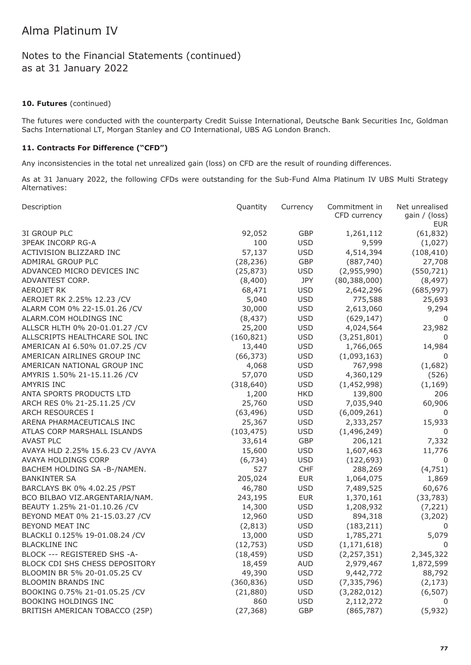#### **10. Futures** (continued)

The futures were conducted with the counterparty Credit Suisse International, Deutsche Bank Securities Inc, Goldman Sachs International LT, Morgan Stanley and CO International, UBS AG London Branch.

#### **11. Contracts For Difference ("CFD")**

Any inconsistencies in the total net unrealized gain (loss) on CFD are the result of rounding differences.

As at 31 January 2022, the following CFDs were outstanding for the Sub-Fund Alma Platinum IV UBS Multi Strategy Alternatives:

| 3I GROUP PLC<br>92,052<br>GBP<br>(61, 832)<br>1,261,112<br>100<br><b>3PEAK INCORP RG-A</b><br><b>USD</b><br>(1,027)<br>9,599<br>57,137<br>ACTIVISION BLIZZARD INC<br><b>USD</b><br>4,514,394<br>(108, 410)<br>ADMIRAL GROUP PLC<br>(28, 236)<br>GBP<br>(887, 740)<br>27,708<br>ADVANCED MICRO DEVICES INC<br>(25, 873)<br><b>USD</b><br>(2,955,990)<br>(550, 721)<br>ADVANTEST CORP.<br>(8,400)<br>JPY<br>(80, 388, 000)<br>(8, 497)<br><b>AEROJET RK</b><br>68,471<br><b>USD</b><br>(685, 997)<br>2,642,296<br>AEROJET RK 2.25% 12.23 /CV<br>5,040<br><b>USD</b><br>775,588<br>25,693<br>ALARM COM 0% 22-15.01.26 / CV<br>30,000<br><b>USD</b><br>2,613,060<br>9,294<br>ALARM.COM HOLDINGS INC<br>(8, 437)<br><b>USD</b><br>(629, 147)<br>ALLSCR HLTH 0% 20-01.01.27 / CV<br>25,200<br><b>USD</b><br>4,024,564<br>23,982<br>(160, 821)<br><b>USD</b><br>ALLSCRIPTS HEALTHCARE SOL INC<br>(3, 251, 801)<br><b>USD</b><br>AMERICAN AI 6.50% 01.07.25 / CV<br>13,440<br>1,766,065<br>14,984<br><b>USD</b><br>AMERICAN AIRLINES GROUP INC<br>(66, 373)<br>(1,093,163)<br><b>USD</b><br>AMERICAN NATIONAL GROUP INC<br>4,068<br>767,998<br>(1,682)<br>57,070<br>AMYRIS 1.50% 21-15.11.26 / CV<br><b>USD</b><br>4,360,129<br>(526)<br>AMYRIS INC<br>(318, 640)<br><b>USD</b><br>(1,452,998)<br>(1, 169)<br>ANTA SPORTS PRODUCTS LTD<br>1,200<br><b>HKD</b><br>139,800<br>ARCH RES 0% 21-25.11.25 / CV<br>25,760<br><b>USD</b><br>7,035,940<br>ARCH RESOURCES I<br>(63, 496)<br><b>USD</b><br>(6,009,261)<br><b>USD</b><br>ARENA PHARMACEUTICALS INC<br>25,367<br>2,333,257<br>ATLAS CORP MARSHALL ISLANDS<br>(103, 475)<br><b>USD</b><br>(1,496,249)<br><b>AVAST PLC</b><br>GBP<br>33,614<br>206,121<br>AVAYA HLD 2.25% 15.6.23 CV /AVYA<br>15,600<br><b>USD</b><br>1,607,463<br>AVAYA HOLDINGS CORP<br>(6, 734)<br><b>USD</b><br>(122, 693)<br>527<br>CHF<br>BACHEM HOLDING SA -B-/NAMEN.<br>288,269<br>205,024<br><b>BANKINTER SA</b><br><b>EUR</b><br>1,064,075<br><b>USD</b><br>BARCLAYS BK 0% 4.02.25 / PST<br>46,780<br>7,489,525<br>BCO BILBAO VIZ.ARGENTARIA/NAM.<br>243,195<br><b>EUR</b><br>1,370,161 | Description                  | Quantity | Currency   | Commitment in<br>CFD currency | Net unrealised<br>gain / (loss)<br><b>EUR</b> |
|------------------------------------------------------------------------------------------------------------------------------------------------------------------------------------------------------------------------------------------------------------------------------------------------------------------------------------------------------------------------------------------------------------------------------------------------------------------------------------------------------------------------------------------------------------------------------------------------------------------------------------------------------------------------------------------------------------------------------------------------------------------------------------------------------------------------------------------------------------------------------------------------------------------------------------------------------------------------------------------------------------------------------------------------------------------------------------------------------------------------------------------------------------------------------------------------------------------------------------------------------------------------------------------------------------------------------------------------------------------------------------------------------------------------------------------------------------------------------------------------------------------------------------------------------------------------------------------------------------------------------------------------------------------------------------------------------------------------------------------------------------------------------------------------------------------------------------------------------------------------------------------------------------------------------------------------------------------------------------------------------------------------------------------------------------------------------------------------------------|------------------------------|----------|------------|-------------------------------|-----------------------------------------------|
|                                                                                                                                                                                                                                                                                                                                                                                                                                                                                                                                                                                                                                                                                                                                                                                                                                                                                                                                                                                                                                                                                                                                                                                                                                                                                                                                                                                                                                                                                                                                                                                                                                                                                                                                                                                                                                                                                                                                                                                                                                                                                                            |                              |          |            |                               |                                               |
|                                                                                                                                                                                                                                                                                                                                                                                                                                                                                                                                                                                                                                                                                                                                                                                                                                                                                                                                                                                                                                                                                                                                                                                                                                                                                                                                                                                                                                                                                                                                                                                                                                                                                                                                                                                                                                                                                                                                                                                                                                                                                                            |                              |          |            |                               |                                               |
|                                                                                                                                                                                                                                                                                                                                                                                                                                                                                                                                                                                                                                                                                                                                                                                                                                                                                                                                                                                                                                                                                                                                                                                                                                                                                                                                                                                                                                                                                                                                                                                                                                                                                                                                                                                                                                                                                                                                                                                                                                                                                                            |                              |          |            |                               |                                               |
|                                                                                                                                                                                                                                                                                                                                                                                                                                                                                                                                                                                                                                                                                                                                                                                                                                                                                                                                                                                                                                                                                                                                                                                                                                                                                                                                                                                                                                                                                                                                                                                                                                                                                                                                                                                                                                                                                                                                                                                                                                                                                                            |                              |          |            |                               |                                               |
|                                                                                                                                                                                                                                                                                                                                                                                                                                                                                                                                                                                                                                                                                                                                                                                                                                                                                                                                                                                                                                                                                                                                                                                                                                                                                                                                                                                                                                                                                                                                                                                                                                                                                                                                                                                                                                                                                                                                                                                                                                                                                                            |                              |          |            |                               |                                               |
|                                                                                                                                                                                                                                                                                                                                                                                                                                                                                                                                                                                                                                                                                                                                                                                                                                                                                                                                                                                                                                                                                                                                                                                                                                                                                                                                                                                                                                                                                                                                                                                                                                                                                                                                                                                                                                                                                                                                                                                                                                                                                                            |                              |          |            |                               |                                               |
|                                                                                                                                                                                                                                                                                                                                                                                                                                                                                                                                                                                                                                                                                                                                                                                                                                                                                                                                                                                                                                                                                                                                                                                                                                                                                                                                                                                                                                                                                                                                                                                                                                                                                                                                                                                                                                                                                                                                                                                                                                                                                                            |                              |          |            |                               |                                               |
|                                                                                                                                                                                                                                                                                                                                                                                                                                                                                                                                                                                                                                                                                                                                                                                                                                                                                                                                                                                                                                                                                                                                                                                                                                                                                                                                                                                                                                                                                                                                                                                                                                                                                                                                                                                                                                                                                                                                                                                                                                                                                                            |                              |          |            |                               |                                               |
|                                                                                                                                                                                                                                                                                                                                                                                                                                                                                                                                                                                                                                                                                                                                                                                                                                                                                                                                                                                                                                                                                                                                                                                                                                                                                                                                                                                                                                                                                                                                                                                                                                                                                                                                                                                                                                                                                                                                                                                                                                                                                                            |                              |          |            |                               |                                               |
|                                                                                                                                                                                                                                                                                                                                                                                                                                                                                                                                                                                                                                                                                                                                                                                                                                                                                                                                                                                                                                                                                                                                                                                                                                                                                                                                                                                                                                                                                                                                                                                                                                                                                                                                                                                                                                                                                                                                                                                                                                                                                                            |                              |          |            |                               | 0                                             |
|                                                                                                                                                                                                                                                                                                                                                                                                                                                                                                                                                                                                                                                                                                                                                                                                                                                                                                                                                                                                                                                                                                                                                                                                                                                                                                                                                                                                                                                                                                                                                                                                                                                                                                                                                                                                                                                                                                                                                                                                                                                                                                            |                              |          |            |                               |                                               |
|                                                                                                                                                                                                                                                                                                                                                                                                                                                                                                                                                                                                                                                                                                                                                                                                                                                                                                                                                                                                                                                                                                                                                                                                                                                                                                                                                                                                                                                                                                                                                                                                                                                                                                                                                                                                                                                                                                                                                                                                                                                                                                            |                              |          |            |                               | $\mathbf 0$                                   |
|                                                                                                                                                                                                                                                                                                                                                                                                                                                                                                                                                                                                                                                                                                                                                                                                                                                                                                                                                                                                                                                                                                                                                                                                                                                                                                                                                                                                                                                                                                                                                                                                                                                                                                                                                                                                                                                                                                                                                                                                                                                                                                            |                              |          |            |                               |                                               |
|                                                                                                                                                                                                                                                                                                                                                                                                                                                                                                                                                                                                                                                                                                                                                                                                                                                                                                                                                                                                                                                                                                                                                                                                                                                                                                                                                                                                                                                                                                                                                                                                                                                                                                                                                                                                                                                                                                                                                                                                                                                                                                            |                              |          |            |                               | 0                                             |
|                                                                                                                                                                                                                                                                                                                                                                                                                                                                                                                                                                                                                                                                                                                                                                                                                                                                                                                                                                                                                                                                                                                                                                                                                                                                                                                                                                                                                                                                                                                                                                                                                                                                                                                                                                                                                                                                                                                                                                                                                                                                                                            |                              |          |            |                               |                                               |
|                                                                                                                                                                                                                                                                                                                                                                                                                                                                                                                                                                                                                                                                                                                                                                                                                                                                                                                                                                                                                                                                                                                                                                                                                                                                                                                                                                                                                                                                                                                                                                                                                                                                                                                                                                                                                                                                                                                                                                                                                                                                                                            |                              |          |            |                               |                                               |
|                                                                                                                                                                                                                                                                                                                                                                                                                                                                                                                                                                                                                                                                                                                                                                                                                                                                                                                                                                                                                                                                                                                                                                                                                                                                                                                                                                                                                                                                                                                                                                                                                                                                                                                                                                                                                                                                                                                                                                                                                                                                                                            |                              |          |            |                               |                                               |
|                                                                                                                                                                                                                                                                                                                                                                                                                                                                                                                                                                                                                                                                                                                                                                                                                                                                                                                                                                                                                                                                                                                                                                                                                                                                                                                                                                                                                                                                                                                                                                                                                                                                                                                                                                                                                                                                                                                                                                                                                                                                                                            |                              |          |            |                               | 206                                           |
|                                                                                                                                                                                                                                                                                                                                                                                                                                                                                                                                                                                                                                                                                                                                                                                                                                                                                                                                                                                                                                                                                                                                                                                                                                                                                                                                                                                                                                                                                                                                                                                                                                                                                                                                                                                                                                                                                                                                                                                                                                                                                                            |                              |          |            |                               | 60,906                                        |
|                                                                                                                                                                                                                                                                                                                                                                                                                                                                                                                                                                                                                                                                                                                                                                                                                                                                                                                                                                                                                                                                                                                                                                                                                                                                                                                                                                                                                                                                                                                                                                                                                                                                                                                                                                                                                                                                                                                                                                                                                                                                                                            |                              |          |            |                               | $\mathbf 0$                                   |
|                                                                                                                                                                                                                                                                                                                                                                                                                                                                                                                                                                                                                                                                                                                                                                                                                                                                                                                                                                                                                                                                                                                                                                                                                                                                                                                                                                                                                                                                                                                                                                                                                                                                                                                                                                                                                                                                                                                                                                                                                                                                                                            |                              |          |            |                               | 15,933                                        |
|                                                                                                                                                                                                                                                                                                                                                                                                                                                                                                                                                                                                                                                                                                                                                                                                                                                                                                                                                                                                                                                                                                                                                                                                                                                                                                                                                                                                                                                                                                                                                                                                                                                                                                                                                                                                                                                                                                                                                                                                                                                                                                            |                              |          |            |                               | 0                                             |
|                                                                                                                                                                                                                                                                                                                                                                                                                                                                                                                                                                                                                                                                                                                                                                                                                                                                                                                                                                                                                                                                                                                                                                                                                                                                                                                                                                                                                                                                                                                                                                                                                                                                                                                                                                                                                                                                                                                                                                                                                                                                                                            |                              |          |            |                               | 7,332                                         |
|                                                                                                                                                                                                                                                                                                                                                                                                                                                                                                                                                                                                                                                                                                                                                                                                                                                                                                                                                                                                                                                                                                                                                                                                                                                                                                                                                                                                                                                                                                                                                                                                                                                                                                                                                                                                                                                                                                                                                                                                                                                                                                            |                              |          |            |                               | 11,776                                        |
|                                                                                                                                                                                                                                                                                                                                                                                                                                                                                                                                                                                                                                                                                                                                                                                                                                                                                                                                                                                                                                                                                                                                                                                                                                                                                                                                                                                                                                                                                                                                                                                                                                                                                                                                                                                                                                                                                                                                                                                                                                                                                                            |                              |          |            |                               | 0                                             |
|                                                                                                                                                                                                                                                                                                                                                                                                                                                                                                                                                                                                                                                                                                                                                                                                                                                                                                                                                                                                                                                                                                                                                                                                                                                                                                                                                                                                                                                                                                                                                                                                                                                                                                                                                                                                                                                                                                                                                                                                                                                                                                            |                              |          |            |                               | (4, 751)                                      |
|                                                                                                                                                                                                                                                                                                                                                                                                                                                                                                                                                                                                                                                                                                                                                                                                                                                                                                                                                                                                                                                                                                                                                                                                                                                                                                                                                                                                                                                                                                                                                                                                                                                                                                                                                                                                                                                                                                                                                                                                                                                                                                            |                              |          |            |                               | 1,869                                         |
|                                                                                                                                                                                                                                                                                                                                                                                                                                                                                                                                                                                                                                                                                                                                                                                                                                                                                                                                                                                                                                                                                                                                                                                                                                                                                                                                                                                                                                                                                                                                                                                                                                                                                                                                                                                                                                                                                                                                                                                                                                                                                                            |                              |          |            |                               | 60,676                                        |
|                                                                                                                                                                                                                                                                                                                                                                                                                                                                                                                                                                                                                                                                                                                                                                                                                                                                                                                                                                                                                                                                                                                                                                                                                                                                                                                                                                                                                                                                                                                                                                                                                                                                                                                                                                                                                                                                                                                                                                                                                                                                                                            |                              |          |            |                               | (33, 783)                                     |
|                                                                                                                                                                                                                                                                                                                                                                                                                                                                                                                                                                                                                                                                                                                                                                                                                                                                                                                                                                                                                                                                                                                                                                                                                                                                                                                                                                                                                                                                                                                                                                                                                                                                                                                                                                                                                                                                                                                                                                                                                                                                                                            | BEAUTY 1.25% 21-01.10.26 /CV | 14,300   | <b>USD</b> | 1,208,932                     | (7, 221)                                      |
| BEYOND MEAT 0% 21-15.03.27 /CV<br>12,960<br><b>USD</b><br>894,318                                                                                                                                                                                                                                                                                                                                                                                                                                                                                                                                                                                                                                                                                                                                                                                                                                                                                                                                                                                                                                                                                                                                                                                                                                                                                                                                                                                                                                                                                                                                                                                                                                                                                                                                                                                                                                                                                                                                                                                                                                          |                              |          |            |                               | (3,202)                                       |
| BEYOND MEAT INC<br>(2, 813)<br><b>USD</b><br>(183, 211)                                                                                                                                                                                                                                                                                                                                                                                                                                                                                                                                                                                                                                                                                                                                                                                                                                                                                                                                                                                                                                                                                                                                                                                                                                                                                                                                                                                                                                                                                                                                                                                                                                                                                                                                                                                                                                                                                                                                                                                                                                                    |                              |          |            |                               | 0                                             |
| BLACKLI 0.125% 19-01.08.24 / CV<br>13,000<br><b>USD</b><br>1,785,271                                                                                                                                                                                                                                                                                                                                                                                                                                                                                                                                                                                                                                                                                                                                                                                                                                                                                                                                                                                                                                                                                                                                                                                                                                                                                                                                                                                                                                                                                                                                                                                                                                                                                                                                                                                                                                                                                                                                                                                                                                       |                              |          |            |                               | 5,079                                         |
| (12, 753)<br><b>BLACKLINE INC</b><br><b>USD</b><br>(1, 171, 618)<br>0                                                                                                                                                                                                                                                                                                                                                                                                                                                                                                                                                                                                                                                                                                                                                                                                                                                                                                                                                                                                                                                                                                                                                                                                                                                                                                                                                                                                                                                                                                                                                                                                                                                                                                                                                                                                                                                                                                                                                                                                                                      |                              |          |            |                               |                                               |
| (18, 459)<br><b>USD</b><br>(2, 257, 351)<br>BLOCK --- REGISTERED SHS -A-                                                                                                                                                                                                                                                                                                                                                                                                                                                                                                                                                                                                                                                                                                                                                                                                                                                                                                                                                                                                                                                                                                                                                                                                                                                                                                                                                                                                                                                                                                                                                                                                                                                                                                                                                                                                                                                                                                                                                                                                                                   |                              |          |            |                               | 2,345,322                                     |
| BLOCK CDI SHS CHESS DEPOSITORY<br>18,459<br><b>AUD</b><br>2,979,467                                                                                                                                                                                                                                                                                                                                                                                                                                                                                                                                                                                                                                                                                                                                                                                                                                                                                                                                                                                                                                                                                                                                                                                                                                                                                                                                                                                                                                                                                                                                                                                                                                                                                                                                                                                                                                                                                                                                                                                                                                        |                              |          |            |                               | 1,872,599                                     |
| BLOOMIN BR 5% 20-01.05.25 CV<br>49,390<br><b>USD</b><br>9,442,772                                                                                                                                                                                                                                                                                                                                                                                                                                                                                                                                                                                                                                                                                                                                                                                                                                                                                                                                                                                                                                                                                                                                                                                                                                                                                                                                                                                                                                                                                                                                                                                                                                                                                                                                                                                                                                                                                                                                                                                                                                          |                              |          |            |                               | 88,792                                        |
| <b>BLOOMIN BRANDS INC</b><br>(360, 836)<br><b>USD</b><br>(7, 335, 796)                                                                                                                                                                                                                                                                                                                                                                                                                                                                                                                                                                                                                                                                                                                                                                                                                                                                                                                                                                                                                                                                                                                                                                                                                                                                                                                                                                                                                                                                                                                                                                                                                                                                                                                                                                                                                                                                                                                                                                                                                                     |                              |          |            |                               | (2, 173)                                      |
| BOOKING 0.75% 21-01.05.25 /CV<br>(21, 880)<br><b>USD</b><br>(3,282,012)                                                                                                                                                                                                                                                                                                                                                                                                                                                                                                                                                                                                                                                                                                                                                                                                                                                                                                                                                                                                                                                                                                                                                                                                                                                                                                                                                                                                                                                                                                                                                                                                                                                                                                                                                                                                                                                                                                                                                                                                                                    |                              |          |            |                               | (6, 507)                                      |
| <b>BOOKING HOLDINGS INC</b><br>860<br><b>USD</b><br>2,112,272<br>0                                                                                                                                                                                                                                                                                                                                                                                                                                                                                                                                                                                                                                                                                                                                                                                                                                                                                                                                                                                                                                                                                                                                                                                                                                                                                                                                                                                                                                                                                                                                                                                                                                                                                                                                                                                                                                                                                                                                                                                                                                         |                              |          |            |                               |                                               |
| BRITISH AMERICAN TOBACCO (25P)<br>(27, 368)<br><b>GBP</b><br>(865, 787)                                                                                                                                                                                                                                                                                                                                                                                                                                                                                                                                                                                                                                                                                                                                                                                                                                                                                                                                                                                                                                                                                                                                                                                                                                                                                                                                                                                                                                                                                                                                                                                                                                                                                                                                                                                                                                                                                                                                                                                                                                    |                              |          |            |                               | (5,932)                                       |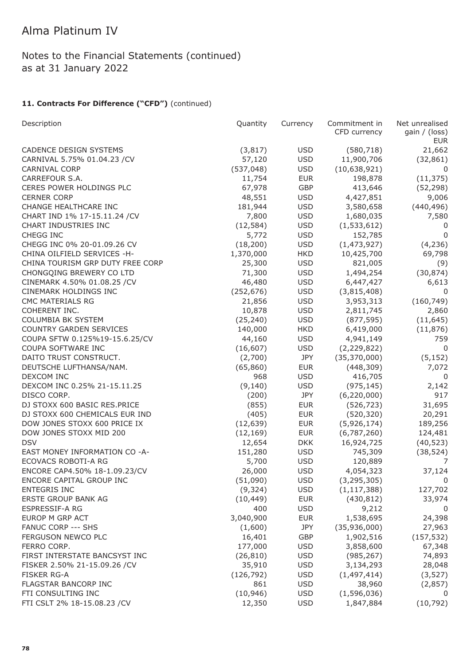Notes to the Financial Statements (continued) as at 31 January 2022

| Description                      | Quantity   | Currency   | Commitment in<br>CFD currency | Net unrealised<br>gain / (loss) |
|----------------------------------|------------|------------|-------------------------------|---------------------------------|
|                                  |            |            |                               | <b>EUR</b>                      |
| <b>CADENCE DESIGN SYSTEMS</b>    | (3, 817)   | <b>USD</b> | (580, 718)                    | 21,662                          |
| CARNIVAL 5.75% 01.04.23 /CV      | 57,120     | <b>USD</b> | 11,900,706                    | (32, 861)                       |
| <b>CARNIVAL CORP</b>             | (537, 048) | <b>USD</b> | (10,638,921)                  | 0                               |
| CARREFOUR S.A.                   | 11,754     | <b>EUR</b> | 198,878                       | (11, 375)                       |
| CERES POWER HOLDINGS PLC         | 67,978     | GBP        | 413,646                       | (52, 298)                       |
| <b>CERNER CORP</b>               | 48,551     | <b>USD</b> | 4,427,851                     | 9,006                           |
| CHANGE HEALTHCARE INC            | 181,944    | <b>USD</b> | 3,580,658                     | (440, 496)                      |
| CHART IND 1% 17-15.11.24 / CV    | 7,800      | <b>USD</b> | 1,680,035                     | 7,580                           |
| CHART INDUSTRIES INC             | (12, 584)  | <b>USD</b> | (1,533,612)                   | 0                               |
| CHEGG INC                        | 5,772      | <b>USD</b> | 152,785                       | $\Omega$                        |
| CHEGG INC 0% 20-01.09.26 CV      | (18, 200)  | <b>USD</b> | (1,473,927)                   | (4, 236)                        |
| CHINA OILFIELD SERVICES -H-      | 1,370,000  | <b>HKD</b> | 10,425,700                    | 69,798                          |
| CHINA TOURISM GRP DUTY FREE CORP | 25,300     | <b>USD</b> | 821,005                       | (9)                             |
| CHONGQING BREWERY CO LTD         | 71,300     | <b>USD</b> | 1,494,254                     | (30, 874)                       |
| CINEMARK 4.50% 01.08.25 / CV     | 46,480     | <b>USD</b> | 6,447,427                     | 6,613                           |
| CINEMARK HOLDINGS INC            | (252, 676) | <b>USD</b> | (3,815,408)                   | 0                               |
| <b>CMC MATERIALS RG</b>          | 21,856     | <b>USD</b> | 3,953,313                     | (160, 749)                      |
| COHERENT INC.                    | 10,878     | <b>USD</b> | 2,811,745                     | 2,860                           |
| <b>COLUMBIA BK SYSTEM</b>        | (25, 240)  | <b>USD</b> | (877, 595)                    | (11, 645)                       |
| <b>COUNTRY GARDEN SERVICES</b>   | 140,000    | <b>HKD</b> | 6,419,000                     | (11, 876)                       |
| COUPA SFTW 0.125%19-15.6.25/CV   | 44,160     | <b>USD</b> | 4,941,149                     | 759                             |
| COUPA SOFTWARE INC               | (16, 607)  | <b>USD</b> | (2, 229, 822)                 | $\mathbf 0$                     |
| DAITO TRUST CONSTRUCT.           | (2,700)    | <b>JPY</b> | (35, 370, 000)                | (5, 152)                        |
| DEUTSCHE LUFTHANSA/NAM.          | (65, 860)  | <b>EUR</b> | (448, 309)                    | 7,072                           |
| DEXCOM INC                       | 968        | <b>USD</b> | 416,705                       | 0                               |
| DEXCOM INC 0.25% 21-15.11.25     | (9, 140)   | <b>USD</b> | (975, 145)                    | 2,142                           |
| DISCO CORP.                      | (200)      | <b>JPY</b> | (6, 220, 000)                 | 917                             |
| DJ STOXX 600 BASIC RES.PRICE     | (855)      | <b>EUR</b> | (526, 723)                    | 31,695                          |
| DJ STOXX 600 CHEMICALS EUR IND   | (405)      | <b>EUR</b> | (520, 320)                    | 20,291                          |
| DOW JONES STOXX 600 PRICE IX     | (12, 639)  | <b>EUR</b> | (5,926,174)                   | 189,256                         |
| DOW JONES STOXX MID 200          | (12, 169)  | <b>EUR</b> | (6,787,260)                   | 124,481                         |
| <b>DSV</b>                       | 12,654     | <b>DKK</b> | 16,924,725                    | (40, 523)                       |
| EAST MONEY INFORMATION CO -A-    | 151,280    | <b>USD</b> | 745,309                       | (38, 524)                       |
| ECOVACS ROBOTI-A RG              | 5,700      | <b>USD</b> | 120,889                       | 7                               |
| ENCORE CAP4.50% 18-1.09.23/CV    | 26,000     | <b>USD</b> | 4,054,323                     | 37,124                          |
| ENCORE CAPITAL GROUP INC         | (51,090)   | <b>USD</b> | (3, 295, 305)                 | 0                               |
| ENTEGRIS INC                     | (9, 324)   | <b>USD</b> | (1, 117, 388)                 | 127,702                         |
| ERSTE GROUP BANK AG              | (10, 449)  | <b>EUR</b> | (430, 812)                    | 33,974                          |
| ESPRESSIF-A RG                   | 400        | <b>USD</b> | 9,212                         | 0                               |
| EUROP M GRP ACT                  | 3,040,900  | <b>EUR</b> | 1,538,695                     | 24,398                          |
| <b>FANUC CORP --- SHS</b>        | (1,600)    | JPY        | (35,936,000)                  | 27,963                          |
| FERGUSON NEWCO PLC               | 16,401     | GBP        | 1,902,516                     | (157, 532)                      |
| FERRO CORP.                      | 177,000    | <b>USD</b> | 3,858,600                     | 67,348                          |
| FIRST INTERSTATE BANCSYST INC    | (26, 810)  | <b>USD</b> | (985, 267)                    | 74,893                          |
| FISKER 2.50% 21-15.09.26 / CV    | 35,910     | <b>USD</b> | 3,134,293                     | 28,048                          |
| <b>FISKER RG-A</b>               | (126, 792) | <b>USD</b> | (1,497,414)                   |                                 |
| FLAGSTAR BANCORP INC             | 861        | <b>USD</b> |                               | (3, 527)                        |
| FTI CONSULTING INC               |            | <b>USD</b> | 38,960<br>(1,596,036)         | (2,857)<br>0                    |
|                                  | (10, 946)  | <b>USD</b> |                               |                                 |
| FTI CSLT 2% 18-15.08.23 / CV     | 12,350     |            | 1,847,884                     | (10, 792)                       |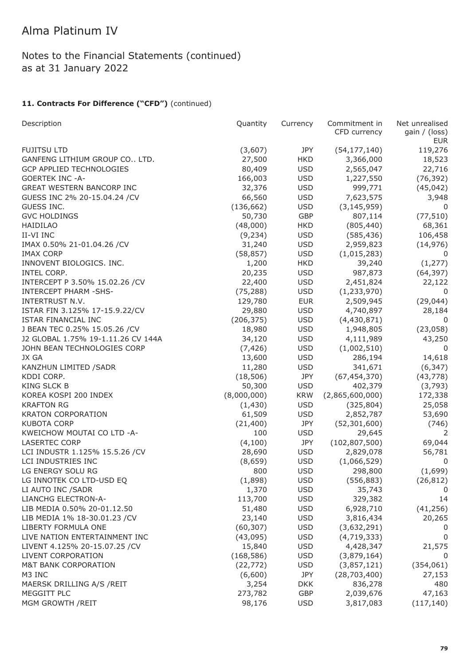## Notes to the Financial Statements (continued) as at 31 January 2022

| Description                        | Quantity    | Currency   | Commitment in<br>CFD currency | Net unrealised<br>gain / (loss) |
|------------------------------------|-------------|------------|-------------------------------|---------------------------------|
|                                    |             |            |                               | EUR                             |
| <b>FUJITSU LTD</b>                 | (3,607)     | JPY        | (54, 177, 140)                | 119,276                         |
| GANFENG LITHIUM GROUP CO LTD.      | 27,500      | <b>HKD</b> | 3,366,000                     | 18,523                          |
| <b>GCP APPLIED TECHNOLOGIES</b>    | 80,409      | <b>USD</b> | 2,565,047                     | 22,716                          |
| <b>GOERTEK INC -A-</b>             | 166,003     | <b>USD</b> | 1,227,550                     | (76, 392)                       |
| <b>GREAT WESTERN BANCORP INC</b>   | 32,376      | <b>USD</b> | 999,771                       | (45, 042)                       |
| GUESS INC 2% 20-15.04.24 / CV      | 66,560      | <b>USD</b> | 7,623,575                     | 3,948                           |
| GUESS INC.                         | (136, 662)  | <b>USD</b> | (3, 145, 959)                 | 0                               |
| <b>GVC HOLDINGS</b>                | 50,730      | GBP        | 807,114                       | (77, 510)                       |
| <b>HAIDILAO</b>                    | (48,000)    | <b>HKD</b> | (805, 440)                    | 68,361                          |
| II-VI INC                          | (9, 234)    | <b>USD</b> | (585, 436)                    | 106,458                         |
| IMAX 0.50% 21-01.04.26 / CV        | 31,240      | <b>USD</b> | 2,959,823                     | (14, 976)                       |
| <b>IMAX CORP</b>                   | (58, 857)   | <b>USD</b> | (1,015,283)                   | 0                               |
| INNOVENT BIOLOGICS. INC.           | 1,200       | <b>HKD</b> | 39,240                        | (1, 277)                        |
| INTEL CORP.                        | 20,235      | <b>USD</b> | 987,873                       | (64, 397)                       |
| INTERCEPT P 3.50% 15.02.26 / CV    | 22,400      | <b>USD</b> | 2,451,824                     | 22,122                          |
| <b>INTERCEPT PHARM -SHS-</b>       | (75, 288)   | <b>USD</b> | (1, 233, 970)                 | 0                               |
| INTERTRUST N.V.                    | 129,780     | <b>EUR</b> | 2,509,945                     | (29, 044)                       |
| ISTAR FIN 3.125% 17-15.9.22/CV     | 29,880      | <b>USD</b> | 4,740,897                     | 28,184                          |
| ISTAR FINANCIAL INC                | (206, 375)  | <b>USD</b> | (4,430,871)                   | 0                               |
| J BEAN TEC 0.25% 15.05.26 / CV     | 18,980      | <b>USD</b> | 1,948,805                     | (23,058)                        |
| J2 GLOBAL 1.75% 19-1.11.26 CV 144A | 34,120      | <b>USD</b> | 4,111,989                     | 43,250                          |
| JOHN BEAN TECHNOLOGIES CORP        | (7, 426)    | <b>USD</b> | (1,002,510)                   | 0                               |
| JX GA                              | 13,600      | <b>USD</b> | 286,194                       | 14,618                          |
| KANZHUN LIMITED / SADR             | 11,280      | <b>USD</b> | 341,671                       | (6, 347)                        |
| KDDI CORP.                         | (18, 506)   | JPY        | (67, 454, 370)                | (43, 778)                       |
| <b>KING SLCK B</b>                 | 50,300      | <b>USD</b> | 402,379                       | (3,793)                         |
| KOREA KOSPI 200 INDEX              | (8,000,000) | <b>KRW</b> | (2,865,600,000)               | 172,338                         |
| <b>KRAFTON RG</b>                  | (1, 430)    | <b>USD</b> | (325, 804)                    | 25,058                          |
| <b>KRATON CORPORATION</b>          | 61,509      | <b>USD</b> | 2,852,787                     | 53,690                          |
| <b>KUBOTA CORP</b>                 | (21, 400)   | <b>JPY</b> | (52, 301, 600)                | (746)                           |
| KWEICHOW MOUTAI CO LTD -A-         | 100         | <b>USD</b> | 29,645                        | 2                               |
| <b>LASERTEC CORP</b>               | (4,100)     | JPY        | (102, 807, 500)               | 69,044                          |
| LCI INDUSTR 1.125% 15.5.26 / CV    | 28,690      | <b>USD</b> | 2,829,078                     | 56,781                          |
| LCI INDUSTRIES INC                 | (8,659)     | <b>USD</b> | (1,066,529)                   | 0                               |
| LG ENERGY SOLU RG                  | 800         | <b>USD</b> | 298,800                       | (1,699)                         |
| LG INNOTEK CO LTD-USD EQ           | (1,898)     | <b>USD</b> | (556, 883)                    | (26, 812)                       |
| LI AUTO INC / SADR                 | 1,370       | <b>USD</b> | 35,743                        |                                 |
| LIANCHG ELECTRON-A-                | 113,700     | <b>USD</b> | 329,382                       | 14                              |
| LIB MEDIA 0.50% 20-01.12.50        | 51,480      | <b>USD</b> | 6,928,710                     | (41, 256)                       |
| LIB MEDIA 1% 18-30.01.23 /CV       | 23,140      | <b>USD</b> | 3,816,434                     | 20,265                          |
| LIBERTY FORMULA ONE                | (60, 307)   | <b>USD</b> | (3,632,291)                   | U                               |
| LIVE NATION ENTERTAINMENT INC      | (43,095)    | <b>USD</b> | (4,719,333)                   | 0                               |
| LIVENT 4.125% 20-15.07.25 /CV      | 15,840      | <b>USD</b> | 4,428,347                     | 21,575                          |
| LIVENT CORPORATION                 | (168, 586)  | <b>USD</b> | (3,879,164)                   | 0                               |
| M&T BANK CORPORATION               | (22, 772)   | <b>USD</b> | (3,857,121)                   | (354, 061)                      |
| M3 INC                             | (6,600)     | JPY        | (28, 703, 400)                | 27,153                          |
| MAERSK DRILLING A/S /REIT          | 3,254       | <b>DKK</b> | 836,278                       | 480                             |
| MEGGITT PLC                        | 273,782     | GBP        | 2,039,676                     | 47,163                          |
| MGM GROWTH / REIT                  | 98,176      | <b>USD</b> | 3,817,083                     | (117, 140)                      |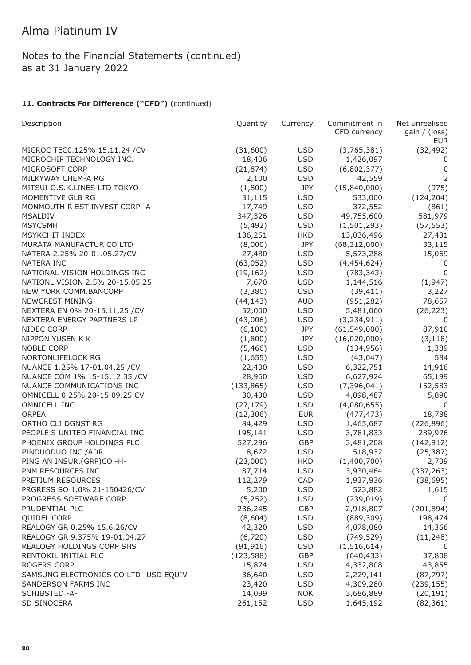Notes to the Financial Statements (continued) as at 31 January 2022

| Description                           | Quantity   | Currency   | Commitment in<br>CFD currency | Net unrealised<br>gain / (loss) |
|---------------------------------------|------------|------------|-------------------------------|---------------------------------|
|                                       |            |            |                               | <b>EUR</b>                      |
| MICROC TEC0.125% 15.11.24 / CV        | (31,600)   | <b>USD</b> | (3,765,381)                   | (32, 492)                       |
| MICROCHIP TECHNOLOGY INC.             | 18,406     | <b>USD</b> | 1,426,097                     | 0                               |
| MICROSOFT CORP                        | (21, 874)  | <b>USD</b> | (6,802,377)                   | 0                               |
| MILKYWAY CHEM-A RG                    | 2,100      | <b>USD</b> | 42,559                        | $\overline{2}$                  |
| MITSUI O.S.K.LINES LTD TOKYO          | (1,800)    | JPY        | (15,840,000)                  | (975)                           |
| MOMENTIVE GLB RG                      | 31,115     | <b>USD</b> | 533,000                       | (124, 204)                      |
| MONMOUTH R EST INVEST CORP -A         | 17,749     | <b>USD</b> | 372,552                       | (861)                           |
| <b>MSALDIV</b>                        | 347,326    | <b>USD</b> | 49,755,600                    | 581,979                         |
| <b>MSYCSMH</b>                        | (5, 492)   | <b>USD</b> | (1,501,293)                   | (57, 553)                       |
| MSYKCHIT INDEX                        | 136,251    | <b>HKD</b> | 13,036,496                    | 27,431                          |
| MURATA MANUFACTUR CO LTD              | (8,000)    | <b>JPY</b> | (68, 312, 000)                | 33,115                          |
| NATERA 2.25% 20-01.05.27/CV           | 27,480     | <b>USD</b> | 5,573,288                     | 15,069                          |
| NATERA INC                            | (63, 052)  | <b>USD</b> | (4,454,624)                   | 0                               |
| NATIONAL VISION HOLDINGS INC          | (19, 162)  | <b>USD</b> | (783, 343)                    | $\mathbf 0$                     |
| NATIONL VISION 2.5% 20-15.05.25       | 7,670      | <b>USD</b> | 1,144,516                     | (1, 947)                        |
| NEW YORK COMM.BANCORP                 | (3,380)    | <b>USD</b> | (39, 411)                     | 3,227                           |
| <b>NEWCREST MINING</b>                | (44, 143)  | <b>AUD</b> | (951, 282)                    | 78,657                          |
| NEXTERA EN 0% 20-15.11.25 / CV        | 52,000     | <b>USD</b> | 5,481,060                     | (26, 223)                       |
| NEXTERA ENERGY PARTNERS LP            | (43,006)   | <b>USD</b> | (3, 234, 911)                 | 0                               |
| NIDEC CORP                            | (6, 100)   | <b>JPY</b> | (61, 549, 000)                | 87,910                          |
| NIPPON YUSEN K K                      | (1,800)    | JPY        | (16,020,000)                  | (3, 118)                        |
| <b>NOBLE CORP</b>                     | (5,466)    | <b>USD</b> | (134, 956)                    | 1,389                           |
| NORTONLIFELOCK RG                     | (1,655)    | <b>USD</b> | (43, 047)                     | 584                             |
| NUANCE 1.25% 17-01.04.25 /CV          | 22,400     | <b>USD</b> | 6,322,751                     | 14,916                          |
| NUANCE COM 1% 15-15.12.35 / CV        | 28,960     | <b>USD</b> | 6,627,924                     | 65,199                          |
| NUANCE COMMUNICATIONS INC             | (133, 865) | <b>USD</b> | (7, 396, 041)                 | 152,583                         |
| OMNICELL 0.25% 20-15.09.25 CV         | 30,400     | <b>USD</b> | 4,898,487                     | 5,890                           |
| OMNICELL INC                          | (27, 179)  | <b>USD</b> | (4,080,655)                   | 0                               |
| <b>ORPEA</b>                          | (12, 306)  | <b>EUR</b> | (477, 473)                    | 18,788                          |
| ORTHO CLI DGNST RG                    | 84,429     | <b>USD</b> | 1,465,687                     | (226, 896)                      |
| PEOPLE S UNITED FINANCIAL INC         | 195,141    | <b>USD</b> | 3,781,833                     | 289,926                         |
| PHOENIX GROUP HOLDINGS PLC            | 527,296    | GBP        | 3,481,208                     | (142, 912)                      |
| PINDUODUO INC / ADR                   | 8,672      | <b>USD</b> | 518,932                       | (25, 387)                       |
| PING AN INSUR.(GRP)CO -H-             | (23,000)   | <b>HKD</b> | (1,400,700)                   | 2,709                           |
| PNM RESOURCES INC                     | 87,714     | <b>USD</b> | 3,930,464                     | (337, 263)                      |
| PRETIUM RESOURCES                     | 112,279    | CAD        | 1,937,936                     | (38, 695)                       |
| PRGRESS SO 1.0% 21-150426/CV          | 5,200      | <b>USD</b> | 523,882                       | 1,615                           |
| PROGRESS SOFTWARE CORP.               | (5,252)    | <b>USD</b> | (239, 019)                    | 0                               |
| PRUDENTIAL PLC                        | 236,245    | GBP        | 2,918,807                     | (201, 894)                      |
| <b>QUIDEL CORP</b>                    | (8,604)    | <b>USD</b> | (889, 309)                    | 198,474                         |
| REALOGY GR 0.25% 15.6.26/CV           | 42,320     | <b>USD</b> | 4,078,080                     | 14,366                          |
| REALOGY GR 9.375% 19-01.04.27         | (6,720)    | <b>USD</b> | (749, 529)                    | (11, 248)                       |
| REALOGY HOLDINGS CORP SHS             | (91, 916)  | <b>USD</b> | (1, 516, 614)                 | 0                               |
| RENTOKIL INITIAL PLC                  | (123, 588) | GBP        | (640, 433)                    | 37,808                          |
| ROGERS CORP                           | 15,874     | <b>USD</b> | 4,332,808                     | 43,855                          |
| SAMSUNG ELECTRONICS CO LTD -USD EQUIV | 36,640     | <b>USD</b> | 2,229,141                     | (87, 797)                       |
| SANDERSON FARMS INC                   | 23,420     | <b>USD</b> | 4,309,280                     | (239, 155)                      |
| SCHIBSTED -A-                         | 14,099     | <b>NOK</b> | 3,686,889                     | (20, 191)                       |
| SD SINOCERA                           | 261,152    | <b>USD</b> | 1,645,192                     | (82, 361)                       |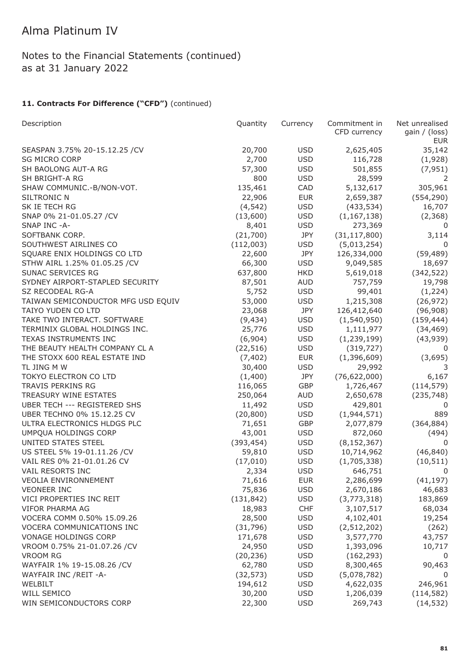Notes to the Financial Statements (continued) as at 31 January 2022

| Description                        | Quantity   | Currency   | Commitment in  | Net unrealised       |
|------------------------------------|------------|------------|----------------|----------------------|
|                                    |            |            | CFD currency   | gain / (loss)<br>EUR |
| SEASPAN 3.75% 20-15.12.25 / CV     | 20,700     | <b>USD</b> | 2,625,405      | 35,142               |
| <b>SG MICRO CORP</b>               | 2,700      | <b>USD</b> | 116,728        | (1,928)              |
| SH BAOLONG AUT-A RG                | 57,300     | <b>USD</b> | 501,855        | (7, 951)             |
| SH BRIGHT-A RG                     | 800        | <b>USD</b> | 28,599         | 2                    |
| SHAW COMMUNIC.-B/NON-VOT.          | 135,461    | CAD        | 5,132,617      | 305,961              |
| SILTRONIC N                        | 22,906     | <b>EUR</b> | 2,659,387      | (554, 290)           |
| SK IE TECH RG                      | (4, 542)   | <b>USD</b> | (433, 534)     | 16,707               |
| SNAP 0% 21-01.05.27 /CV            | (13,600)   | <b>USD</b> | (1, 167, 138)  | (2,368)              |
| SNAP INC -A-                       | 8,401      | <b>USD</b> | 273,369        | 0                    |
| SOFTBANK CORP.                     | (21,700)   | JPY        | (31, 117, 800) | 3,114                |
| SOUTHWEST AIRLINES CO              | (112,003)  | <b>USD</b> | (5,013,254)    | 0                    |
| SQUARE ENIX HOLDINGS CO LTD        | 22,600     | JPY        | 126,334,000    | (59, 489)            |
| STHW AIRL 1.25% 01.05.25 / CV      | 66,300     | <b>USD</b> | 9,049,585      | 18,697               |
| SUNAC SERVICES RG                  | 637,800    | <b>HKD</b> | 5,619,018      | (342, 522)           |
| SYDNEY AIRPORT-STAPLED SECURITY    | 87,501     | <b>AUD</b> | 757,759        | 19,798               |
| SZ RECODEAL RG-A                   | 5,752      | <b>USD</b> | 99,401         | (1,224)              |
| TAIWAN SEMICONDUCTOR MFG USD EQUIV | 53,000     | <b>USD</b> | 1,215,308      | (26, 972)            |
| TAIYO YUDEN CO LTD                 | 23,068     | JPY        | 126,412,640    | (96,908)             |
| TAKE TWO INTERACT. SOFTWARE        | (9, 434)   | <b>USD</b> | (1, 540, 950)  | (159, 444)           |
| TERMINIX GLOBAL HOLDINGS INC.      | 25,776     | <b>USD</b> | 1,111,977      | (34, 469)            |
| TEXAS INSTRUMENTS INC              | (6,904)    | <b>USD</b> | (1, 239, 199)  | (43, 939)            |
| THE BEAUTY HEALTH COMPANY CL A     | (22, 516)  | <b>USD</b> | (319, 727)     | 0                    |
| THE STOXX 600 REAL ESTATE IND      | (7, 402)   | <b>EUR</b> | (1,396,609)    | (3,695)              |
| TL JING M W                        | 30,400     | <b>USD</b> | 29,992         | 3                    |
| TOKYO ELECTRON CO LTD              | (1,400)    | JPY        | (76, 622, 000) | 6,167                |
| TRAVIS PERKINS RG                  | 116,065    | GBP        | 1,726,467      | (114, 579)           |
| TREASURY WINE ESTATES              | 250,064    | <b>AUD</b> | 2,650,678      | (235, 748)           |
| UBER TECH --- REGISTERED SHS       | 11,492     | <b>USD</b> | 429,801        | 0                    |
| UBER TECHNO 0% 15.12.25 CV         | (20, 800)  | <b>USD</b> | (1,944,571)    | 889                  |
| ULTRA ELECTRONICS HLDGS PLC        | 71,651     | GBP        | 2,077,879      | (364, 884)           |
| UMPQUA HOLDINGS CORP               | 43,001     | <b>USD</b> | 872,060        | (494)                |
| UNITED STATES STEEL                | (393, 454) | <b>USD</b> | (8, 152, 367)  | 0                    |
| US STEEL 5% 19-01.11.26 /CV        | 59,810     | <b>USD</b> | 10,714,962     | (46, 840)            |
| VAIL RES 0% 21-01.01.26 CV         | (17,010)   | <b>USD</b> | (1,705,338)    | (10, 511)            |
| VAIL RESORTS INC                   | 2,334      | <b>USD</b> | 646,751        | 0                    |
| <b>VEOLIA ENVIRONNEMENT</b>        | 71,616     | <b>EUR</b> | 2,286,699      | (41, 197)            |
| <b>VEONEER INC</b>                 | 75,836     | <b>USD</b> | 2,670,186      | 46,683               |
| VICI PROPERTIES INC REIT           | (131, 842) | <b>USD</b> | (3,773,318)    | 183,869              |
| VIFOR PHARMA AG                    | 18,983     | <b>CHF</b> | 3,107,517      | 68,034               |
| VOCERA COMM 0.50% 15.09.26         | 28,500     | <b>USD</b> | 4,102,401      | 19,254               |
| VOCERA COMMUNICATIONS INC          | (31, 796)  | <b>USD</b> | (2, 512, 202)  | (262)                |
| VONAGE HOLDINGS CORP               | 171,678    | <b>USD</b> | 3,577,770      | 43,757               |
| VROOM 0.75% 21-01.07.26 /CV        | 24,950     | <b>USD</b> | 1,393,096      | 10,717               |
| <b>VROOM RG</b>                    | (20, 236)  | <b>USD</b> | (162, 293)     | 0                    |
| WAYFAIR 1% 19-15.08.26 / CV        | 62,780     | <b>USD</b> | 8,300,465      | 90,463               |
| WAYFAIR INC /REIT -A-              | (32, 573)  | <b>USD</b> | (5,078,782)    | 0                    |
| WELBILT                            | 194,612    | <b>USD</b> | 4,622,035      | 246,961              |
| WILL SEMICO                        | 30,200     | <b>USD</b> | 1,206,039      | (114, 582)           |
| WIN SEMICONDUCTORS CORP            | 22,300     | <b>USD</b> | 269,743        | (14, 532)            |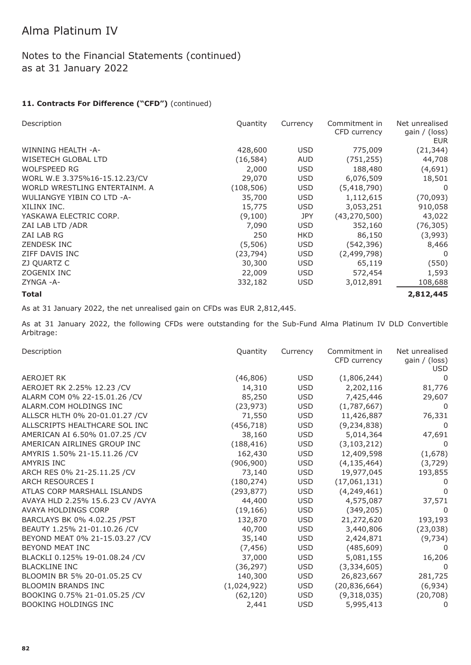### Notes to the Financial Statements (continued) as at 31 January 2022

#### 11. Contracts For Difference ("CFD") (continued)

| Description                   | Quantity   | Currency   | Commitment in<br>CFD currency | Net unrealised<br>gain / (loss)<br><b>EUR</b> |
|-------------------------------|------------|------------|-------------------------------|-----------------------------------------------|
| WINNING HEALTH -A-            | 428,600    | <b>USD</b> | 775,009                       | (21, 344)                                     |
| WISETECH GLOBAL LTD           | (16, 584)  | <b>AUD</b> | (751, 255)                    | 44,708                                        |
| <b>WOLFSPEED RG</b>           | 2,000      | <b>USD</b> | 188,480                       | (4,691)                                       |
| WORL W.E 3.375%16-15.12.23/CV | 29,070     | <b>USD</b> | 6,076,509                     | 18,501                                        |
| WORLD WRESTLING ENTERTAINM, A | (108, 506) | <b>USD</b> | (5,418,790)                   | 0                                             |
| WULIANGYE YIBIN CO LTD -A-    | 35,700     | <b>USD</b> | 1,112,615                     | (70,093)                                      |
| XILINX INC.                   | 15,775     | <b>USD</b> | 3,053,251                     | 910,058                                       |
| YASKAWA ELECTRIC CORP.        | (9,100)    | <b>JPY</b> | (43, 270, 500)                | 43,022                                        |
| ZAI LAB LTD / ADR             | 7,090      | <b>USD</b> | 352,160                       | (76, 305)                                     |
| ZAI LAB RG                    | 250        | <b>HKD</b> | 86,150                        | (3,993)                                       |
| <b>ZENDESK INC</b>            | (5,506)    | <b>USD</b> | (542,396)                     | 8,466                                         |
| ZIFF DAVIS INC                | (23,794)   | <b>USD</b> | (2,499,798)                   | 0                                             |
| ZJ QUARTZ C                   | 30,300     | <b>USD</b> | 65,119                        | (550)                                         |
| ZOGENIX INC                   | 22,009     | <b>USD</b> | 572,454                       | 1,593                                         |
| ZYNGA -A-                     | 332,182    | <b>USD</b> | 3,012,891                     | 108,688                                       |
| Total                         |            |            |                               | 2,812,445                                     |

As at 31 January 2022, the net unrealised gain on CFDs was EUR 2,812,445.

As at 31 January 2022, the following CFDs were outstanding for the Sub-Fund Alma Platinum IV DLD Convertible Arbitrage:

| Description                       | Quantity    | Currency   | Commitment in<br>CFD currency | Net unrealised<br>gain $/$ (loss)<br><b>USD</b> |
|-----------------------------------|-------------|------------|-------------------------------|-------------------------------------------------|
| <b>AEROJET RK</b>                 | (46, 806)   | USD        | (1,806,244)                   | 0                                               |
| AEROJET RK 2.25% 12.23 / CV       | 14,310      | <b>USD</b> | 2,202,116                     | 81,776                                          |
| ALARM COM 0% 22-15.01.26 / CV     | 85,250      | <b>USD</b> | 7,425,446                     | 29,607                                          |
| ALARM.COM HOLDINGS INC            | (23, 973)   | <b>USD</b> | (1,787,667)                   | $\overline{0}$                                  |
| ALLSCR HLTH 0% 20-01.01.27 / CV   | 71,550      | <b>USD</b> | 11,426,887                    | 76,331                                          |
| ALLSCRIPTS HEALTHCARE SOL INC     | (456, 718)  | <b>USD</b> | (9, 234, 838)                 | 0                                               |
| AMERICAN AI 6.50% 01.07.25 / CV   | 38,160      | USD        | 5,014,364                     | 47,691                                          |
| AMERICAN AIRLINES GROUP INC       | (188, 416)  | <b>USD</b> | (3, 103, 212)                 | 0                                               |
| AMYRIS 1.50% 21-15.11.26 / CV     | 162,430     | <b>USD</b> | 12,409,598                    | (1,678)                                         |
| <b>AMYRIS INC</b>                 | (906, 900)  | USD        | (4, 135, 464)                 | (3,729)                                         |
| ARCH RES 0% 21-25.11.25 / CV      | 73,140      | <b>USD</b> | 19,977,045                    | 193,855                                         |
| <b>ARCH RESOURCES I</b>           | (180, 274)  | <b>USD</b> | (17,061,131)                  | $\mathbf{0}$                                    |
| ATLAS CORP MARSHALL ISLANDS       | (293, 877)  | <b>USD</b> | (4, 249, 461)                 | 0                                               |
| AVAYA HLD 2.25% 15.6.23 CV / AVYA | 44,400      | <b>USD</b> | 4,575,087                     | 37,571                                          |
| AVAYA HOLDINGS CORP               | (19, 166)   | <b>USD</b> | (349, 205)                    | $\Omega$                                        |
| BARCLAYS BK 0% 4.02.25 / PST      | 132,870     | <b>USD</b> | 21,272,620                    | 193,193                                         |
| BEAUTY 1.25% 21-01.10.26 /CV      | 40,700      | <b>USD</b> | 3,440,806                     | (23, 038)                                       |
| BEYOND MEAT 0% 21-15.03.27 / CV   | 35,140      | <b>USD</b> | 2,424,871                     | (9, 734)                                        |
| BEYOND MEAT INC                   | (7, 456)    | <b>USD</b> | (485, 609)                    | 0                                               |
| BLACKLI 0.125% 19-01.08.24 / CV   | 37,000      | <b>USD</b> | 5,081,155                     | 16,206                                          |
| <b>BLACKLINE INC</b>              | (36, 297)   | <b>USD</b> | (3,334,605)                   | $\Omega$                                        |
| BLOOMIN BR 5% 20-01.05.25 CV      | 140,300     | <b>USD</b> | 26,823,667                    | 281,725                                         |
| <b>BLOOMIN BRANDS INC</b>         | (1,024,922) | <b>USD</b> | (20, 836, 664)                | (6,934)                                         |
| BOOKING 0.75% 21-01.05.25 /CV     | (62, 120)   | <b>USD</b> | (9,318,035)                   | (20, 708)                                       |
| <b>BOOKING HOLDINGS INC</b>       | 2,441       | <b>USD</b> | 5,995,413                     | 0                                               |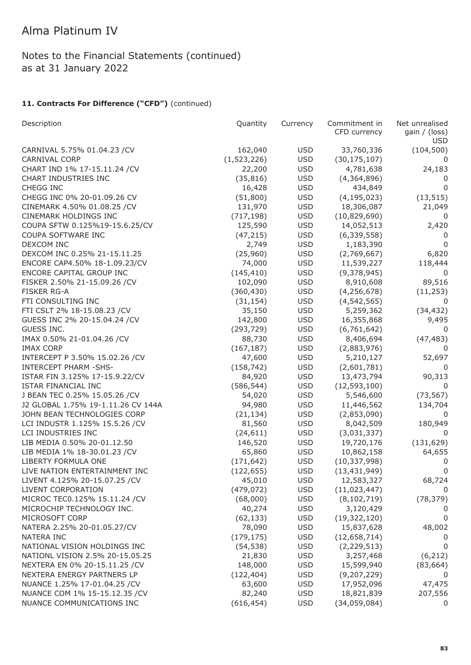## Notes to the Financial Statements (continued) as at 31 January 2022

| Description                        | Quantity    | Currency   | Commitment in  | Net unrealised       |
|------------------------------------|-------------|------------|----------------|----------------------|
|                                    |             |            | CFD currency   | gain / (loss)<br>USD |
| CARNIVAL 5.75% 01.04.23 /CV        | 162,040     | <b>USD</b> | 33,760,336     | (104, 500)           |
| <b>CARNIVAL CORP</b>               | (1,523,226) | <b>USD</b> | (30, 175, 107) |                      |
| CHART IND 1% 17-15.11.24 / CV      | 22,200      | <b>USD</b> | 4,781,638      | 24,183               |
| CHART INDUSTRIES INC               | (35, 816)   | <b>USD</b> | (4,364,896)    | 0                    |
| CHEGG INC                          | 16,428      | <b>USD</b> | 434,849        | 0                    |
| CHEGG INC 0% 20-01.09.26 CV        | (51,800)    | <b>USD</b> | (4, 195, 023)  | (13, 515)            |
| CINEMARK 4.50% 01.08.25 / CV       | 131,970     | <b>USD</b> | 18,306,087     | 21,049               |
| CINEMARK HOLDINGS INC              | (717, 198)  | <b>USD</b> | (10,829,690)   | 0                    |
| COUPA SFTW 0.125%19-15.6.25/CV     | 125,590     | <b>USD</b> | 14,052,513     | 2,420                |
| COUPA SOFTWARE INC                 | (47, 215)   | <b>USD</b> | (6, 339, 558)  | 0                    |
| DEXCOM INC                         | 2,749       | <b>USD</b> | 1,183,390      | $\Omega$             |
| DEXCOM INC 0.25% 21-15.11.25       | (25,960)    | <b>USD</b> | (2,769,667)    | 6,820                |
| ENCORE CAP4.50% 18-1.09.23/CV      | 74,000      | <b>USD</b> | 11,539,227     | 118,444              |
| ENCORE CAPITAL GROUP INC           | (145, 410)  | <b>USD</b> | (9,378,945)    | 0                    |
| FISKER 2.50% 21-15.09.26 / CV      | 102,090     | <b>USD</b> | 8,910,608      | 89,516               |
| <b>FISKER RG-A</b>                 | (360, 430)  | <b>USD</b> | (4, 256, 678)  | (11, 253)            |
| FTI CONSULTING INC                 | (31, 154)   | <b>USD</b> | (4, 542, 565)  | 0                    |
| FTI CSLT 2% 18-15.08.23 / CV       | 35,150      | <b>USD</b> | 5,259,362      | (34, 432)            |
| GUESS INC 2% 20-15.04.24 / CV      | 142,800     | <b>USD</b> | 16,355,868     | 9,495                |
| GUESS INC.                         | (293, 729)  | <b>USD</b> | (6,761,642)    | 0                    |
| IMAX 0.50% 21-01.04.26 / CV        | 88,730      | <b>USD</b> | 8,406,694      | (47, 483)            |
| <b>IMAX CORP</b>                   | (167, 187)  | <b>USD</b> | (2,883,976)    | 0                    |
| INTERCEPT P 3.50% 15.02.26 / CV    | 47,600      | <b>USD</b> | 5,210,127      | 52,697               |
| <b>INTERCEPT PHARM -SHS-</b>       | (158, 742)  | <b>USD</b> | (2,601,781)    | 0                    |
| ISTAR FIN 3.125% 17-15.9.22/CV     | 84,920      | <b>USD</b> | 13,473,794     | 90,313               |
| ISTAR FINANCIAL INC                | (586, 544)  | <b>USD</b> | (12, 593, 100) | 0                    |
| J BEAN TEC 0.25% 15.05.26 / CV     | 54,020      | <b>USD</b> | 5,546,600      | (73, 567)            |
| J2 GLOBAL 1.75% 19-1.11.26 CV 144A | 94,980      | <b>USD</b> | 11,446,562     | 134,704              |
| JOHN BEAN TECHNOLOGIES CORP        | (21, 134)   | <b>USD</b> | (2,853,090)    | 0                    |
| LCI INDUSTR 1.125% 15.5.26 / CV    | 81,560      | <b>USD</b> | 8,042,509      | 180,949              |
| LCI INDUSTRIES INC                 | (24, 611)   | <b>USD</b> | (3,031,337)    | 0                    |
| LIB MEDIA 0.50% 20-01.12.50        | 146,520     | <b>USD</b> | 19,720,176     | (131, 629)           |
| LIB MEDIA 1% 18-30.01.23 /CV       | 65,860      | <b>USD</b> | 10,862,158     | 64,655               |
| LIBERTY FORMULA ONE                | (171, 642)  | <b>USD</b> | (10, 337, 998) | 0                    |
| LIVE NATION ENTERTAINMENT INC      | (122, 655)  | <b>USD</b> | (13, 431, 949) | 0                    |
| LIVENT 4.125% 20-15.07.25 /CV      | 45,010      | <b>USD</b> | 12,583,327     | 68,724               |
| LIVENT CORPORATION                 | (479, 072)  | <b>USD</b> | (11, 023, 447) | 0                    |
| MICROC TEC0.125% 15.11.24 / CV     | (68,000)    | <b>USD</b> | (8, 102, 719)  | (78, 379)            |
| MICROCHIP TECHNOLOGY INC.          | 40,274      | <b>USD</b> | 3,120,429      |                      |
| MICROSOFT CORP                     | (62, 133)   | <b>USD</b> | (19, 322, 120) | 0                    |
| NATERA 2.25% 20-01.05.27/CV        | 78,090      | <b>USD</b> | 15,837,628     | 48,002               |
| <b>NATERA INC</b>                  | (179, 175)  | <b>USD</b> | (12, 658, 714) |                      |
| NATIONAL VISION HOLDINGS INC       | (54, 538)   | <b>USD</b> | (2, 229, 513)  | 0                    |
| NATIONL VISION 2.5% 20-15.05.25    | 21,830      | <b>USD</b> | 3,257,468      | (6, 212)             |
| NEXTERA EN 0% 20-15.11.25 / CV     | 148,000     | <b>USD</b> | 15,599,940     | (83, 664)            |
| NEXTERA ENERGY PARTNERS LP         | (122, 404)  | <b>USD</b> | (9, 207, 229)  |                      |
| NUANCE 1.25% 17-01.04.25 /CV       | 63,600      | <b>USD</b> | 17,952,096     | 47,475               |
| NUANCE COM 1% 15-15.12.35 / CV     | 82,240      | <b>USD</b> | 18,821,839     | 207,556              |
| NUANCE COMMUNICATIONS INC          | (616, 454)  | <b>USD</b> | (34,059,084)   | 0                    |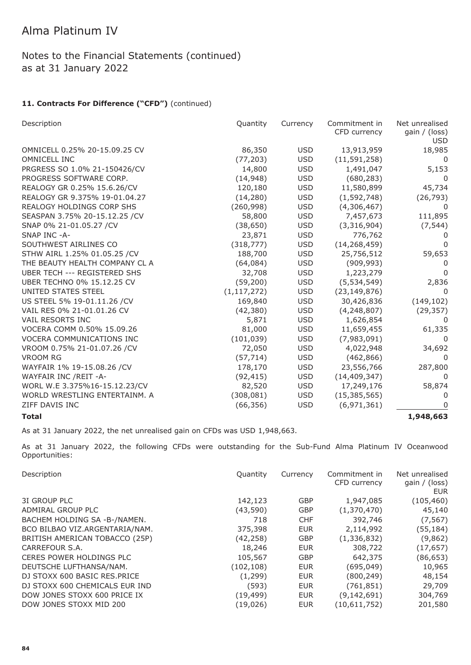### Notes to the Financial Statements (continued) as at 31 January 2022

### 11. Contracts For Difference ("CFD") (continued)

| Description                      | Quantity      | Currency   | Commitment in<br>CFD currency | Net unrealised<br>gain / (loss)<br>USD |
|----------------------------------|---------------|------------|-------------------------------|----------------------------------------|
| OMNICELL 0.25% 20-15.09.25 CV    | 86,350        | <b>USD</b> | 13,913,959                    | 18,985                                 |
| OMNICELL INC                     | (77, 203)     | <b>USD</b> | (11, 591, 258)                | $\Omega$                               |
| PRGRESS SO 1.0% 21-150426/CV     | 14,800        | <b>USD</b> | 1,491,047                     | 5,153                                  |
| PROGRESS SOFTWARE CORP.          | (14, 948)     | <b>USD</b> | (680, 283)                    | $\Omega$                               |
| REALOGY GR 0.25% 15.6.26/CV      | 120,180       | <b>USD</b> | 11,580,899                    | 45,734                                 |
| REALOGY GR 9.375% 19-01.04.27    | (14,280)      | <b>USD</b> | (1,592,748)                   | (26, 793)                              |
| <b>REALOGY HOLDINGS CORP SHS</b> | (260, 998)    | <b>USD</b> | (4,306,467)                   | 0                                      |
| SEASPAN 3.75% 20-15.12.25 / CV   | 58,800        | <b>USD</b> | 7,457,673                     | 111,895                                |
| SNAP 0% 21-01.05.27 /CV          | (38, 650)     | <b>USD</b> | (3,316,904)                   | (7, 544)                               |
| SNAP INC -A-                     | 23,871        | <b>USD</b> | 776,762                       | $\Omega$                               |
| SOUTHWEST AIRLINES CO            | (318, 777)    | <b>USD</b> | (14, 268, 459)                | $\Omega$                               |
| STHW AIRL 1.25% 01.05.25 / CV    | 188,700       | <b>USD</b> | 25,756,512                    | 59,653                                 |
| THE BEAUTY HEALTH COMPANY CL A   | (64, 084)     | <b>USD</b> | (909, 993)                    | 0                                      |
| UBER TECH --- REGISTERED SHS     | 32,708        | <b>USD</b> | 1,223,279                     | 0                                      |
| UBER TECHNO 0% 15.12.25 CV       | (59, 200)     | <b>USD</b> | (5,534,549)                   | 2,836                                  |
| UNITED STATES STEEL              | (1, 117, 272) | <b>USD</b> | (23, 149, 876)                | $\Omega$                               |
| US STEEL 5% 19-01.11.26 / CV     | 169,840       | <b>USD</b> | 30,426,836                    | (149, 102)                             |
| VAIL RES 0% 21-01.01.26 CV       | (42, 380)     | <b>USD</b> | (4, 248, 807)                 | (29, 357)                              |
| VAIL RESORTS INC                 | 5,871         | <b>USD</b> | 1,626,854                     | 0                                      |
| VOCERA COMM 0.50% 15.09.26       | 81,000        | <b>USD</b> | 11,659,455                    | 61,335                                 |
| <b>VOCERA COMMUNICATIONS INC</b> | (101, 039)    | <b>USD</b> | (7,983,091)                   | $\Omega$                               |
| VROOM 0.75% 21-01.07.26 /CV      | 72,050        | <b>USD</b> | 4,022,948                     | 34,692                                 |
| <b>VROOM RG</b>                  | (57, 714)     | <b>USD</b> | (462, 866)                    | 0                                      |
| WAYFAIR 1% 19-15.08.26 / CV      | 178,170       | <b>USD</b> | 23,556,766                    | 287,800                                |
| WAYFAIR INC / REIT - A-          | (92, 415)     | <b>USD</b> | (14, 409, 347)                | $\mathbf{0}$                           |
| WORL W.E 3.375%16-15.12.23/CV    | 82,520        | <b>USD</b> | 17,249,176                    | 58,874                                 |
| WORLD WRESTLING ENTERTAINM, A    | (308, 081)    | <b>USD</b> | (15, 385, 565)                | 0                                      |
| ZIFF DAVIS INC                   | (66, 356)     | <b>USD</b> | (6,971,361)                   | $\Omega$                               |
| <b>Total</b>                     |               |            |                               | 1,948,663                              |

As at 31 January 2022, the net unrealised gain on CFDs was USD 1,948,663.

As at 31 January 2022, the following CFDs were outstanding for the Sub-Fund Alma Platinum IV Oceanwood Opportunities:

| Description                    | Quantity   | Currency   | Commitment in | Net unrealised       |
|--------------------------------|------------|------------|---------------|----------------------|
|                                |            |            | CFD currency  | gain / (loss)<br>EUR |
| 3I GROUP PLC                   | 142,123    | <b>GBP</b> | 1,947,085     | (105, 460)           |
| ADMIRAL GROUP PLC              | (43,590)   | <b>GBP</b> | (1,370,470)   | 45,140               |
| BACHEM HOLDING SA -B-/NAMEN.   | 718        | <b>CHF</b> | 392,746       | (7, 567)             |
| BCO BILBAO VIZ.ARGENTARIA/NAM. | 375,398    | <b>EUR</b> | 2,114,992     | (55,184)             |
| BRITISH AMERICAN TOBACCO (25P) | (42, 258)  | <b>GBP</b> | (1,336,832)   | (9,862)              |
| CARREFOUR S.A.                 | 18,246     | <b>EUR</b> | 308,722       | (17, 657)            |
| CERES POWER HOLDINGS PLC       | 105,567    | <b>GBP</b> | 642,375       | (86,653)             |
| DEUTSCHE LUFTHANSA/NAM.        | (102, 108) | <b>EUR</b> | (695, 049)    | 10,965               |
| DJ STOXX 600 BASIC RES.PRICE   | (1, 299)   | <b>EUR</b> | (800, 249)    | 48,154               |
| DJ STOXX 600 CHEMICALS EUR IND | (593)      | <b>EUR</b> | (761, 851)    | 29,709               |
| DOW JONES STOXX 600 PRICE IX   | (19, 499)  | <b>EUR</b> | (9, 142, 691) | 304,769              |
| DOW JONES STOXX MID 200        | (19,026)   | <b>EUR</b> | (10,611,752)  | 201,580              |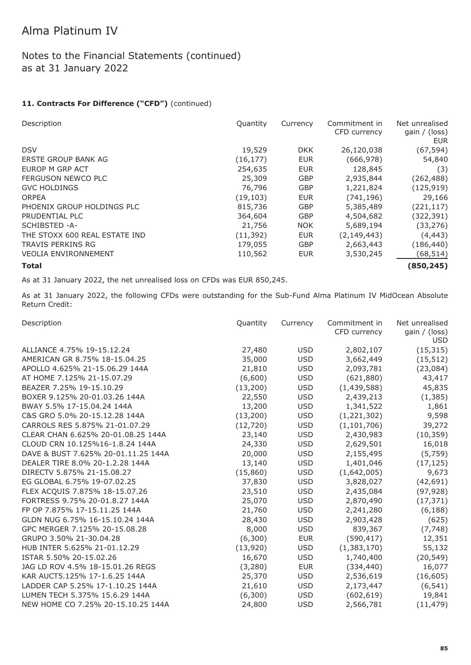### Notes to the Financial Statements (continued) as at 31 January 2022

#### 11. Contracts For Difference ("CFD") (continued)

| Description                   | Quantity  | Currency   | Commitment in<br>CFD currency | Net unrealised<br>gain $/$ (loss)<br><b>EUR</b> |
|-------------------------------|-----------|------------|-------------------------------|-------------------------------------------------|
| <b>DSV</b>                    | 19,529    | <b>DKK</b> | 26,120,038                    | (67, 594)                                       |
| ERSTE GROUP BANK AG           | (16, 177) | <b>EUR</b> | (666, 978)                    | 54,840                                          |
| EUROP M GRP ACT               | 254,635   | <b>EUR</b> | 128,845                       | (3)                                             |
| FERGUSON NEWCO PLC            | 25,309    | <b>GBP</b> | 2,935,844                     | (262,488)                                       |
| <b>GVC HOLDINGS</b>           | 76,796    | <b>GBP</b> | 1,221,824                     | (125, 919)                                      |
| <b>ORPEA</b>                  | (19, 103) | <b>EUR</b> | (741, 196)                    | 29,166                                          |
| PHOENIX GROUP HOLDINGS PLC    | 815,736   | <b>GBP</b> | 5,385,489                     | (221,117)                                       |
| PRUDENTIAL PLC                | 364,604   | <b>GBP</b> | 4,504,682                     | (322, 391)                                      |
| SCHIBSTED -A-                 | 21,756    | <b>NOK</b> | 5,689,194                     | (33, 276)                                       |
| THE STOXX 600 REAL ESTATE IND | (11,392)  | <b>EUR</b> | (2, 149, 443)                 | (4, 443)                                        |
| <b>TRAVIS PERKINS RG</b>      | 179,055   | <b>GBP</b> | 2,663,443                     | (186, 440)                                      |
| <b>VEOLIA ENVIRONNEMENT</b>   | 110,562   | <b>EUR</b> | 3,530,245                     | (68, 514)                                       |
| <b>Total</b>                  |           |            |                               | (850, 245)                                      |

As at 31 January 2022, the net unrealised loss on CFDs was EUR 850,245.

As at 31 January 2022, the following CFDs were outstanding for the Sub-Fund Alma Platinum IV MidOcean Absolute Return Credit:

| Description                         | Quantity  | Currency   | Commitment in<br>CFD currency | Net unrealised<br>gain / (loss)<br><b>USD</b> |
|-------------------------------------|-----------|------------|-------------------------------|-----------------------------------------------|
| ALLIANCE 4.75% 19-15.12.24          | 27,480    | <b>USD</b> | 2,802,107                     | (15, 315)                                     |
| AMERICAN GR 8.75% 18-15.04.25       | 35,000    | <b>USD</b> | 3,662,449                     | (15, 512)                                     |
| APOLLO 4.625% 21-15.06.29 144A      | 21,810    | <b>USD</b> | 2,093,781                     | (23,084)                                      |
| AT HOME 7.125% 21-15.07.29          | (6,600)   | <b>USD</b> | (621, 880)                    | 43,417                                        |
| BEAZER 7.25% 19-15.10.29            | (13,200)  | <b>USD</b> | (1,439,588)                   | 45,835                                        |
| BOXER 9.125% 20-01.03.26 144A       | 22,550    | <b>USD</b> | 2,439,213                     | (1, 385)                                      |
| BWAY 5.5% 17-15.04.24 144A          | 13,200    | <b>USD</b> | 1,341,522                     | 1,861                                         |
| C&S GRO 5.0% 20-15.12.28 144A       | (13,200)  | <b>USD</b> | (1, 221, 302)                 | 9,598                                         |
| CARROLS RES 5.875% 21-01.07.29      | (12, 720) | <b>USD</b> | (1, 101, 706)                 | 39,272                                        |
| CLEAR CHAN 6.625% 20-01.08.25 144A  | 23,140    | <b>USD</b> | 2,430,983                     | (10, 359)                                     |
| CLOUD CRN 10.125%16-1.8.24 144A     | 24,330    | <b>USD</b> | 2,629,501                     | 16,018                                        |
| DAVE & BUST 7.625% 20-01.11.25 144A | 20,000    | <b>USD</b> | 2,155,495                     | (5,759)                                       |
| DEALER TIRE 8.0% 20-1.2.28 144A     | 13,140    | <b>USD</b> | 1,401,046                     | (17, 125)                                     |
| DIRECTV 5.875% 21-15.08.27          | (15,860)  | <b>USD</b> | (1,642,005)                   | 9,673                                         |
| EG GLOBAL 6.75% 19-07.02.25         | 37,830    | <b>USD</b> | 3,828,027                     | (42, 691)                                     |
| FLEX ACQUIS 7.875% 18-15.07.26      | 23,510    | <b>USD</b> | 2,435,084                     | (97, 928)                                     |
| FORTRESS 9.75% 20-01.8.27 144A      | 25,070    | <b>USD</b> | 2,870,490                     | (17, 371)                                     |
| FP OP 7.875% 17-15.11.25 144A       | 21,760    | <b>USD</b> | 2,241,280                     | (6, 188)                                      |
| GLDN NUG 6.75% 16-15.10.24 144A     | 28,430    | <b>USD</b> | 2,903,428                     | (625)                                         |
| GPC MERGER 7.125% 20-15.08.28       | 8,000     | <b>USD</b> | 839,367                       | (7, 748)                                      |
| GRUPO 3.50% 21-30.04.28             | (6,300)   | <b>EUR</b> | (590, 417)                    | 12,351                                        |
| HUB INTER 5.625% 21-01.12.29        | (13,920)  | <b>USD</b> | (1,383,170)                   | 55,132                                        |
| ISTAR 5.50% 20-15.02.26             | 16,670    | <b>USD</b> | 1,740,400                     | (20, 549)                                     |
| JAG LD ROV 4.5% 18-15.01.26 REGS    | (3,280)   | <b>EUR</b> | (334, 440)                    | 16,077                                        |
| KAR AUCT5.125% 17-1.6.25 144A       | 25,370    | <b>USD</b> | 2,536,619                     | (16, 605)                                     |
| LADDER CAP 5.25% 17-1.10.25 144A    | 21,610    | <b>USD</b> | 2,173,447                     | (6, 541)                                      |
| LUMEN TECH 5.375% 15.6.29 144A      | (6,300)   | <b>USD</b> | (602, 619)                    | 19,841                                        |
| NEW HOME CO 7.25% 20-15.10.25 144A  | 24,800    | <b>USD</b> | 2,566,781                     | (11, 479)                                     |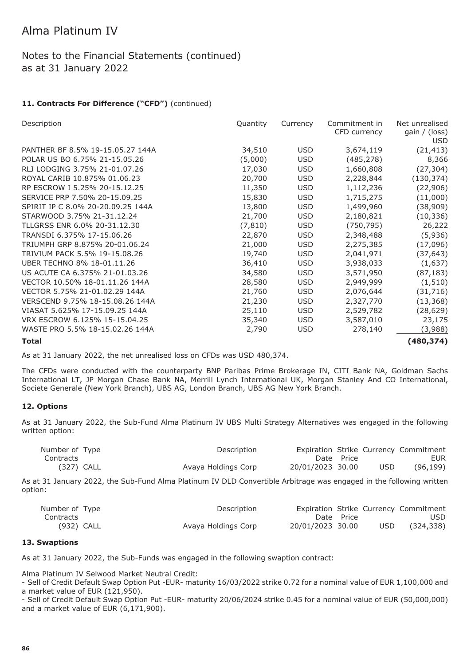### Notes to the Financial Statements (continued) as at 31 January 2022

#### 11. Contracts For Difference ("CFD") (continued)

| Description                       | Quantity | Currency   | Commitment in | Net unrealised              |
|-----------------------------------|----------|------------|---------------|-----------------------------|
|                                   |          |            | CFD currency  | gain / (loss)<br><b>USD</b> |
| PANTHER BF 8.5% 19-15.05.27 144A  | 34,510   | <b>USD</b> | 3,674,119     | (21, 413)                   |
| POLAR US BO 6.75% 21-15.05.26     | (5,000)  | <b>USD</b> | (485, 278)    | 8,366                       |
| RLJ LODGING 3.75% 21-01.07.26     | 17,030   | <b>USD</b> | 1,660,808     | (27, 304)                   |
| ROYAL CARIB 10.875% 01.06.23      | 20,700   | <b>USD</b> | 2,228,844     | (130, 374)                  |
| RP ESCROW I 5.25% 20-15.12.25     | 11,350   | USD        | 1,112,236     | (22,906)                    |
| SERVICE PRP 7.50% 20-15.09.25     | 15,830   | <b>USD</b> | 1,715,275     | (11,000)                    |
| SPIRIT IP C 8.0% 20-20.09.25 144A | 13,800   | USD        | 1,499,960     | (38,909)                    |
| STARWOOD 3.75% 21-31.12.24        | 21,700   | <b>USD</b> | 2,180,821     | (10, 336)                   |
| TLLGRSS ENR 6.0% 20-31.12.30      | (7, 810) | USD        | (750, 795)    | 26,222                      |
| TRANSDI 6.375% 17-15.06.26        | 22,870   | <b>USD</b> | 2,348,488     | (5,936)                     |
| TRIUMPH GRP 8.875% 20-01.06.24    | 21,000   | <b>USD</b> | 2,275,385     | (17,096)                    |
| TRIVIUM PACK 5.5% 19-15.08.26     | 19,740   | <b>USD</b> | 2,041,971     | (37, 643)                   |
| UBER TECHNO 8% 18-01.11.26        | 36,410   | <b>USD</b> | 3,938,033     | (1,637)                     |
| US ACUTE CA 6.375% 21-01.03.26    | 34,580   | <b>USD</b> | 3,571,950     | (87, 183)                   |
| VECTOR 10.50% 18-01.11.26 144A    | 28,580   | <b>USD</b> | 2,949,999     | (1, 510)                    |
| VECTOR 5.75% 21-01.02.29 144A     | 21,760   | USD        | 2,076,644     | (31, 716)                   |
| VERSCEND 9.75% 18-15.08.26 144A   | 21,230   | <b>USD</b> | 2,327,770     | (13, 368)                   |
| VIASAT 5.625% 17-15.09.25 144A    | 25,110   | <b>USD</b> | 2,529,782     | (28, 629)                   |
| VRX ESCROW 6.125% 15-15.04.25     | 35,340   | USD        | 3,587,010     | 23,175                      |
| WASTE PRO 5.5% 18-15.02.26 144A   | 2,790    | <b>USD</b> | 278,140       | (3,988)                     |
| <b>Total</b>                      |          |            |               | (480,374)                   |

As at 31 January 2022, the net unrealised loss on CFDs was USD 480,374.

The CFDs were conducted with the counterparty BNP Paribas Prime Brokerage IN, CITI Bank NA, Goldman Sachs International LT, JP Morgan Chase Bank NA, Merrill Lynch International UK, Morgan Stanley And CO International, Societe Generale (New York Branch), UBS AG, London Branch, UBS AG New York Branch.

#### **12. Options**

As at 31 January 2022, the Sub-Fund Alma Platinum IV UBS Multi Strategy Alternatives was engaged in the following written option:

| Number of Type | Description         |                  |            |            | Expiration Strike Currency Commitment |
|----------------|---------------------|------------------|------------|------------|---------------------------------------|
| Contracts      |                     |                  | Date Price |            | <b>EUR</b>                            |
| (327) CALL     | Avaya Holdings Corp | 20/01/2023 30.00 |            | <b>USD</b> | (96, 199)                             |

As at 31 January 2022, the Sub-Fund Alma Platinum IV DLD Convertible Arbitrage was engaged in the following written option:

| Number of Type | Description         |                  |            |      | Expiration Strike Currency Commitment |
|----------------|---------------------|------------------|------------|------|---------------------------------------|
| Contracts      |                     |                  | Date Price |      | <b>USD</b>                            |
| (932) CALL     | Avaya Holdings Corp | 20/01/2023 30.00 |            | USD. | (324, 338)                            |

#### **13. Swaptions**

As at 31 January 2022, the Sub-Funds was engaged in the following swaption contract:

Alma Platinum IV Selwood Market Neutral Credit:

- Sell of Credit Default Swap Option Put -EUR- maturity 16/03/2022 strike 0.72 for a nominal value of EUR 1,100,000 and a market value of EUR (121,950).

- Sell of Credit Default Swap Option Put -EUR- maturity 20/06/2024 strike 0.45 for a nominal value of EUR (50,000,000) and a market value of EUR (6,171,900).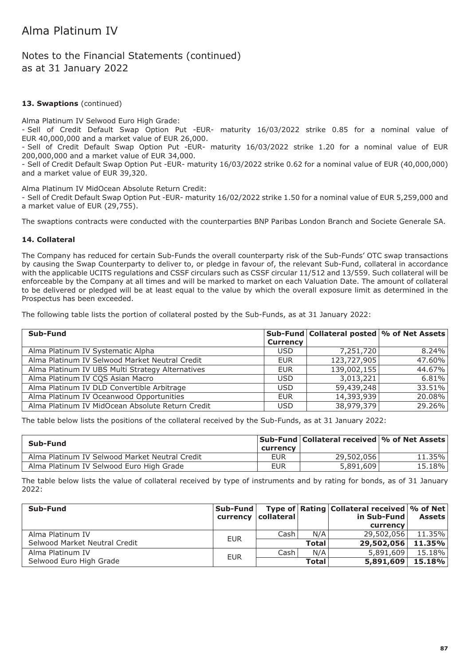Notes to the Financial Statements (continued) as at 31 January 2022

#### **13. Swaptions** (continued)

Alma Platinum IV Selwood Euro High Grade:

- Sell of Credit Default Swap Option Put -EUR- maturity 16/03/2022 strike 0.85 for a nominal value of EUR 40,000,000 and a market value of EUR 26,000.

- Sell of Credit Default Swap Option Put -EUR- maturity 16/03/2022 strike 1.20 for a nominal value of EUR 200,000,000 and a market value of EUR 34,000.

- Sell of Credit Default Swap Option Put -EUR- maturity 16/03/2022 strike 0.62 for a nominal value of EUR (40,000,000) and a market value of EUR 39,320.

Alma Platinum IV MidOcean Absolute Return Credit:

- Sell of Credit Default Swap Option Put -EUR- maturity 16/02/2022 strike 1.50 for a nominal value of EUR 5,259,000 and a market value of EUR (29,755).

The swaptions contracts were conducted with the counterparties BNP Paribas London Branch and Societe Generale SA.

#### **14. Collateral**

The Company has reduced for certain Sub-Funds the overall counterparty risk of the Sub-Funds' OTC swap transactions by causing the Swap Counterparty to deliver to, or pledge in favour of, the relevant Sub-Fund, collateral in accordance with the applicable UCITS regulations and CSSF circulars such as CSSF circular 11/512 and 13/559. Such collateral will be enforceable by the Company at all times and will be marked to market on each Valuation Date. The amount of collateral to be delivered or pledged will be at least equal to the value by which the overall exposure limit as determined in the Prospectus has been exceeded.

The following table lists the portion of collateral posted by the Sub-Funds, as at 31 January 2022:

| Sub-Fund                                         |                 | Sub-Fund Collateral posted \% of Net Assets |          |
|--------------------------------------------------|-----------------|---------------------------------------------|----------|
|                                                  | <b>Currency</b> |                                             |          |
| Alma Platinum IV Systematic Alpha                | <b>USD</b>      | 7,251,720                                   | $8.24\%$ |
| Alma Platinum IV Selwood Market Neutral Credit   | <b>EUR</b>      | 123,727,905                                 | 47.60%   |
| Alma Platinum IV UBS Multi Strategy Alternatives | <b>EUR</b>      | 139,002,155                                 | 44.67%   |
| Alma Platinum IV CQS Asian Macro                 | <b>USD</b>      | 3,013,221                                   | 6.81%    |
| Alma Platinum IV DLD Convertible Arbitrage       | <b>USD</b>      | 59,439,248                                  | 33.51%   |
| Alma Platinum IV Oceanwood Opportunities         | <b>EUR</b>      | 14,393,939                                  | 20.08%   |
| Alma Platinum IV MidOcean Absolute Return Credit | <b>USD</b>      | 38,979,379                                  | 29.26%   |

The table below lists the positions of the collateral received by the Sub-Funds, as at 31 January 2022:

| Sub-Fund                                       |                        | Sub-Fund Collateral received \% of Net Assets |        |
|------------------------------------------------|------------------------|-----------------------------------------------|--------|
| Alma Platinum IV Selwood Market Neutral Credit | currency<br><b>EUR</b> | 29,502,056                                    | 11.35% |
| Alma Platinum IV Selwood Euro High Grade       | <b>EUR</b>             | 5,891,609                                     | 15.18% |

The table below lists the value of collateral received by type of instruments and by rating for bonds, as of 31 January 2022:

| Sub-Fund                      | Sub-Fund   |                       |              | Type of Rating Collateral received \% of Net |        |
|-------------------------------|------------|-----------------------|--------------|----------------------------------------------|--------|
|                               |            | currency   collateral |              | in Sub-Fund                                  | Assets |
|                               |            |                       |              | currency                                     |        |
| Alma Platinum IV              | <b>EUR</b> | Cash                  | N/A          | 29,502,056                                   | 11.35% |
| Selwood Market Neutral Credit |            |                       | <b>Total</b> | 29,502,056                                   | 11.35% |
| Alma Platinum IV              | <b>EUR</b> | Cash                  | N/A          | 5,891,609                                    | 15.18% |
| Selwood Euro High Grade       |            |                       | <b>Total</b> | 5,891,609                                    | 15.18% |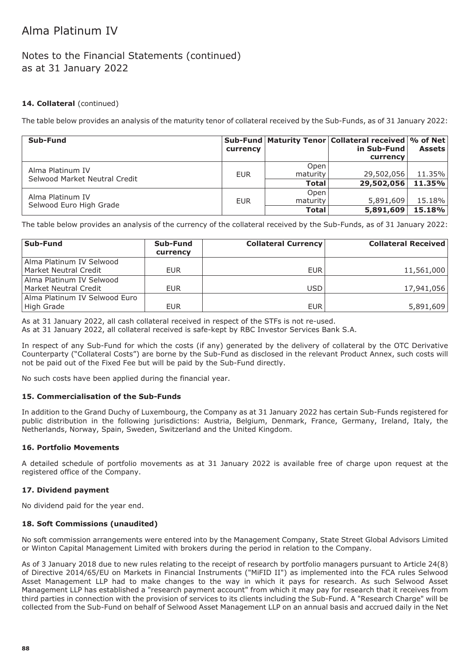### Notes to the Financial Statements (continued) as at 31 January 2022

#### **14. Collateral** (continued)

The table below provides an analysis of the maturity tenor of collateral received by the Sub-Funds, as of 31 January 2022:

| Sub-Fund                                          | currency   |              | Sub-Fund   Maturity Tenor   Collateral received   % of Net  <br>in Sub-Fund | <b>Assets</b> |
|---------------------------------------------------|------------|--------------|-----------------------------------------------------------------------------|---------------|
|                                                   |            |              | currency                                                                    |               |
|                                                   |            | Open         |                                                                             |               |
| Alma Platinum IV<br>Selwood Market Neutral Credit | EUR        | maturity     | 29,502,056                                                                  | $11.35\%$     |
|                                                   |            | <b>Total</b> | 29,502,056                                                                  | 11.35%        |
|                                                   |            | Open         |                                                                             |               |
| Alma Platinum IV                                  | <b>EUR</b> | maturity     | 5,891,609                                                                   | $15.18\%$     |
| Selwood Euro High Grade                           |            | <b>Total</b> | 5,891,609                                                                   | 15.18%        |

The table below provides an analysis of the currency of the collateral received by the Sub-Funds, as of 31 January 2022:

| Sub-Fund                      | Sub-Fund<br>currency | <b>Collateral Currency</b> | <b>Collateral Received</b> |
|-------------------------------|----------------------|----------------------------|----------------------------|
| Alma Platinum IV Selwood      |                      |                            |                            |
| Market Neutral Credit         | <b>EUR</b>           | <b>EUR</b>                 | 11,561,000                 |
| Alma Platinum IV Selwood      |                      |                            |                            |
| Market Neutral Credit         | <b>EUR</b>           | USD                        | 17,941,056                 |
| Alma Platinum IV Selwood Euro |                      |                            |                            |
| High Grade                    | <b>EUR</b>           | <b>EUR</b>                 | 5,891,609                  |

As at 31 January 2022, all cash collateral received in respect of the STFs is not re-used.

As at 31 January 2022, all collateral received is safe-kept by RBC Investor Services Bank S.A.

In respect of any Sub-Fund for which the costs (if any) generated by the delivery of collateral by the OTC Derivative Counterparty ("Collateral Costs") are borne by the Sub-Fund as disclosed in the relevant Product Annex, such costs will not be paid out of the Fixed Fee but will be paid by the Sub-Fund directly.

No such costs have been applied during the financial year.

#### **15. Commercialisation of the Sub-Funds**

In addition to the Grand Duchy of Luxembourg, the Company as at 31 January 2022 has certain Sub-Funds registered for public distribution in the following jurisdictions: Austria, Belgium, Denmark, France, Germany, Ireland, Italy, the Netherlands, Norway, Spain, Sweden, Switzerland and the United Kingdom.

#### **16. Portfolio Movements**

A detailed schedule of portfolio movements as at 31 January 2022 is available free of charge upon request at the registered office of the Company.

#### **17. Dividend payment**

No dividend paid for the year end.

#### **18. Soft Commissions (unaudited)**

No soft commission arrangements were entered into by the Management Company, State Street Global Advisors Limited or Winton Capital Management Limited with brokers during the period in relation to the Company.

As of 3 January 2018 due to new rules relating to the receipt of research by portfolio managers pursuant to Article 24(8) of Directive 2014/65/EU on Markets in Financial Instruments ("MiFID II") as implemented into the FCA rules Selwood Asset Management LLP had to make changes to the way in which it pays for research. As such Selwood Asset Management LLP has established a "research payment account" from which it may pay for research that it receives from third parties in connection with the provision of services to its clients including the Sub-Fund. A "Research Charge" will be collected from the Sub-Fund on behalf of Selwood Asset Management LLP on an annual basis and accrued daily in the Net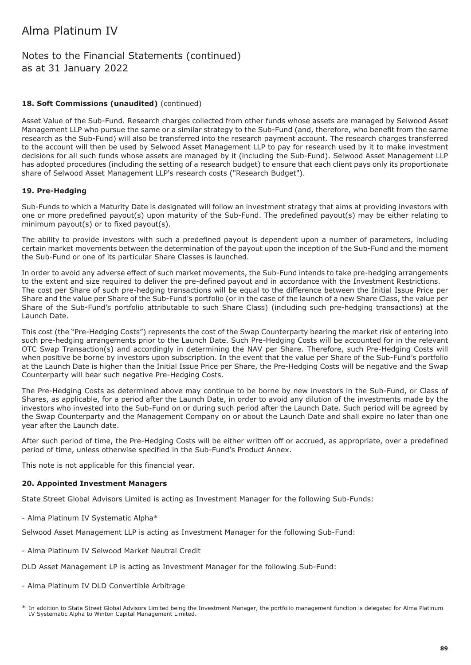### Notes to the Financial Statements (continued) as at 31 January 2022

#### 18. Soft Commissions (unaudited) (continued)

Asset Value of the Sub-Fund. Research charges collected from other funds whose assets are managed by Selwood Asset Management LLP who pursue the same or a similar strategy to the Sub-Fund (and, therefore, who benefit from the same research as the Sub-Fund) will also be transferred into the research payment account. The research charges transferred to the account will then be used by Selwood Asset Management LLP to pay for research used by it to make investment decisions for all such funds whose assets are managed by it (including the Sub-Fund). Selwood Asset Management LLP has adopted procedures (including the setting of a research budget) to ensure that each client pays only its proportionate share of Selwood Asset Management LLP's research costs ("Research Budget").

#### **19. Pre-Hedging**

Sub-Funds to which a Maturity Date is designated will follow an investment strategy that aims at providing investors with one or more predefined payout(s) upon maturity of the Sub-Fund. The predefined payout(s) may be either relating to minimum payout(s) or to fixed payout(s).

The ability to provide investors with such a predefined payout is dependent upon a number of parameters, including certain market movements between the determination of the payout upon the inception of the Sub-Fund and the moment the Sub-Fund or one of its particular Share Classes is launched.

In order to avoid any adverse effect of such market movements, the Sub-Fund intends to take pre-hedging arrangements to the extent and size required to deliver the pre-defined payout and in accordance with the Investment Restrictions. The cost per Share of such pre-hedging transactions will be equal to the difference between the Initial Issue Price per Share and the value per Share of the Sub-Fund's portfolio (or in the case of the launch of a new Share Class, the value per Share of the Sub-Fund's portfolio attributable to such Share Class) (including such pre-hedging transactions) at the Launch Date.

This cost (the "Pre-Hedging Costs") represents the cost of the Swap Counterparty bearing the market risk of entering into such pre-hedging arrangements prior to the Launch Date. Such Pre-Hedging Costs will be accounted for in the relevant OTC Swap Transaction(s) and accordingly in determining the NAV per Share. Therefore, such Pre-Hedging Costs will when positive be borne by investors upon subscription. In the event that the value per Share of the Sub-Fund's portfolio at the Launch Date is higher than the Initial Issue Price per Share, the Pre-Hedging Costs will be negative and the Swap Counterparty will bear such negative Pre-Hedging Costs.

The Pre-Hedging Costs as determined above may continue to be borne by new investors in the Sub-Fund, or Class of Shares, as applicable, for a period after the Launch Date, in order to avoid any dilution of the investments made by the investors who invested into the Sub-Fund on or during such period after the Launch Date. Such period will be agreed by the Swap Counterparty and the Management Company on or about the Launch Date and shall expire no later than one year after the Launch date.

After such period of time, the Pre-Hedging Costs will be either written off or accrued, as appropriate, over a predefined period of time, unless otherwise specified in the Sub-Fund's Product Annex.

This note is not applicable for this financial year.

#### **20. Appointed Investment Managers**

State Street Global Advisors Limited is acting as Investment Manager for the following Sub-Funds:

- Alma Platinum IV Systematic Alpha\*

Selwood Asset Management LLP is acting as Investment Manager for the following Sub-Fund:

- Alma Platinum IV Selwood Market Neutral Credit
- DLD Asset Management LP is acting as Investment Manager for the following Sub-Fund:
- Alma Platinum IV DLD Convertible Arbitrage

<sup>\*</sup> In addition to State Street Global Advisors Limited being the Investment Manager, the portfolio management function is delegated for Alma Platinum IV Systematic Alpha to Winton Capital Management Limited.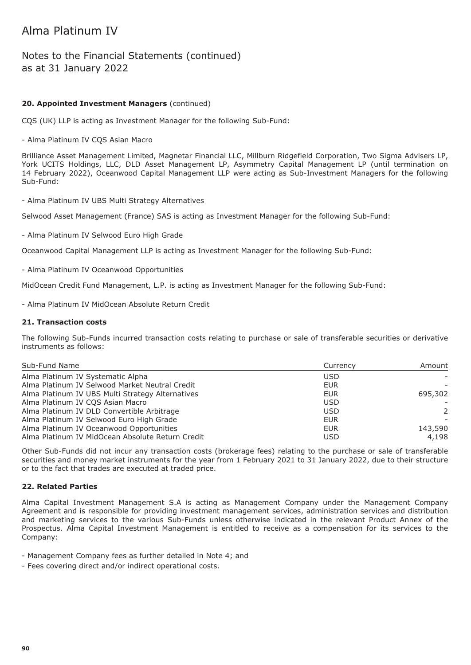### Notes to the Financial Statements (continued) as at 31 January 2022

#### **20. Appointed Investment Managers** (continued)

CQS (UK) LLP is acting as Investment Manager for the following Sub-Fund:

- Alma Platinum IV CQS Asian Macro

Brilliance Asset Management Limited, Magnetar Financial LLC, Millburn Ridgefield Corporation, Two Sigma Advisers LP, York UCITS Holdings, LLC, DLD Asset Management LP, Asymmetry Capital Management LP (until termination on 14 February 2022), Oceanwood Capital Management LLP were acting as Sub-Investment Managers for the following Sub-Fund:

- Alma Platinum IV UBS Multi Strategy Alternatives

Selwood Asset Management (France) SAS is acting as Investment Manager for the following Sub-Fund:

- Alma Platinum IV Selwood Euro High Grade

Oceanwood Capital Management LLP is acting as Investment Manager for the following Sub-Fund:

- Alma Platinum IV Oceanwood Opportunities

MidOcean Credit Fund Management, L.P. is acting as Investment Manager for the following Sub-Fund:

- Alma Platinum IV MidOcean Absolute Return Credit

#### **21. Transaction costs**

The following Sub-Funds incurred transaction costs relating to purchase or sale of transferable securities or derivative instruments as follows:

| Sub-Fund Name                                    | Currency   | Amount        |  |
|--------------------------------------------------|------------|---------------|--|
| Alma Platinum IV Systematic Alpha                | <b>USD</b> |               |  |
| Alma Platinum IV Selwood Market Neutral Credit   | <b>EUR</b> |               |  |
| Alma Platinum IV UBS Multi Strategy Alternatives | <b>EUR</b> | 695,302       |  |
| Alma Platinum IV CQS Asian Macro                 | <b>USD</b> |               |  |
| Alma Platinum IV DLD Convertible Arbitrage       | <b>USD</b> | $\mathcal{P}$ |  |
| Alma Platinum IV Selwood Euro High Grade         | <b>EUR</b> |               |  |
| Alma Platinum IV Oceanwood Opportunities         | <b>EUR</b> | 143,590       |  |
| Alma Platinum IV MidOcean Absolute Return Credit | <b>USD</b> | 4,198         |  |

Other Sub-Funds did not incur any transaction costs (brokerage fees) relating to the purchase or sale of transferable securities and money market instruments for the year from 1 February 2021 to 31 January 2022, due to their structure or to the fact that trades are executed at traded price.

#### **22. Related Parties**

Alma Capital Investment Management S.A is acting as Management Company under the Management Company Agreement and is responsible for providing investment management services, administration services and distribution and marketing services to the various Sub-Funds unless otherwise indicated in the relevant Product Annex of the Prospectus. Alma Capital Investment Management is entitled to receive as a compensation for its services to the Company:

- Management Company fees as further detailed in Note 4; and

- Fees covering direct and/or indirect operational costs.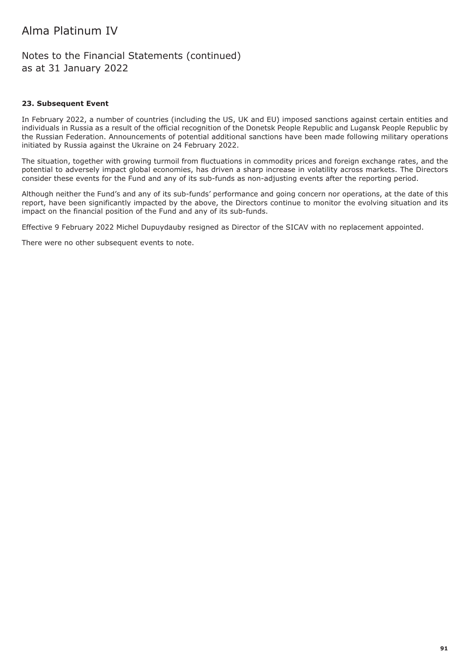Notes to the Financial Statements (continued) as at 31 January 2022

#### **23. Subsequent Event**

In February 2022, a number of countries (including the US, UK and EU) imposed sanctions against certain entities and individuals in Russia as a result of the official recognition of the Donetsk People Republic and Lugansk People Republic by the Russian Federation. Announcements of potential additional sanctions have been made following military operations initiated by Russia against the Ukraine on 24 February 2022.

The situation, together with growing turmoil from fluctuations in commodity prices and foreign exchange rates, and the potential to adversely impact global economies, has driven a sharp increase in volatility across markets. The Directors consider these events for the Fund and any of its sub-funds as non-adjusting events after the reporting period.

Although neither the Fund's and any of its sub-funds' performance and going concern nor operations, at the date of this report, have been significantly impacted by the above, the Directors continue to monitor the evolving situation and its impact on the financial position of the Fund and any of its sub-funds.

Effective 9 February 2022 Michel Dupuydauby resigned as Director of the SICAV with no replacement appointed.

There were no other subsequent events to note.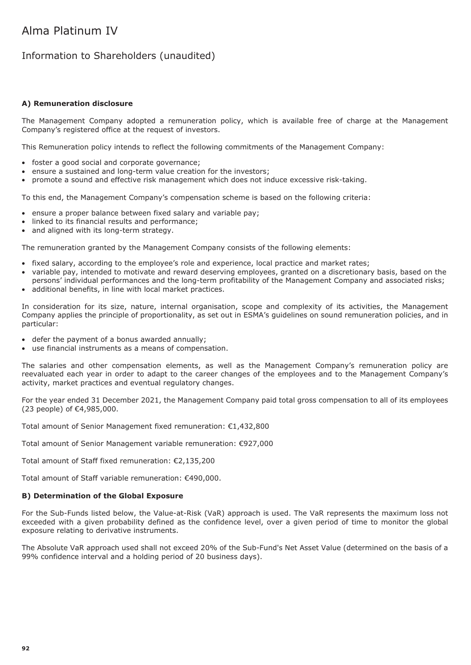### Information to Shareholders (unaudited)

#### **A) Remuneration disclosure**

The Management Company adopted a remuneration policy, which is available free of charge at the Management Company's registered office at the request of investors.

This Remuneration policy intends to reflect the following commitments of the Management Company:

- foster a good social and corporate governance;
- ensure a sustained and long-term value creation for the investors;
- promote a sound and effective risk management which does not induce excessive risk-taking.

To this end, the Management Company's compensation scheme is based on the following criteria:

- ensure a proper balance between fixed salary and variable pay;
- linked to its financial results and performance;
- and aligned with its long-term strategy.

The remuneration granted by the Management Company consists of the following elements:

- fixed salary, according to the employee's role and experience, local practice and market rates;
- variable pay, intended to motivate and reward deserving employees, granted on a discretionary basis, based on the persons' individual performances and the long-term profitability of the Management Company and associated risks;
- additional benefits, in line with local market practices.

In consideration for its size, nature, internal organisation, scope and complexity of its activities, the Management Company applies the principle of proportionality, as set out in ESMA's guidelines on sound remuneration policies, and in particular:

- defer the payment of a bonus awarded annually;
- use financial instruments as a means of compensation.

The salaries and other compensation elements, as well as the Management Company's remuneration policy are reevaluated each year in order to adapt to the career changes of the employees and to the Management Company's activity, market practices and eventual regulatory changes.

For the year ended 31 December 2021, the Management Company paid total gross compensation to all of its employees (23 people) of €4,985,000.

Total amount of Senior Management fixed remuneration: €1,432,800

Total amount of Senior Management variable remuneration: €927,000

Total amount of Staff fixed remuneration: €2,135,200

Total amount of Staff variable remuneration: €490,000.

#### **B) Determination of the Global Exposure**

For the Sub-Funds listed below, the Value-at-Risk (VaR) approach is used. The VaR represents the maximum loss not exceeded with a given probability defined as the confidence level, over a given period of time to monitor the global exposure relating to derivative instruments.

The Absolute VaR approach used shall not exceed 20% of the Sub-Fund's Net Asset Value (determined on the basis of a 99% confidence interval and a holding period of 20 business days).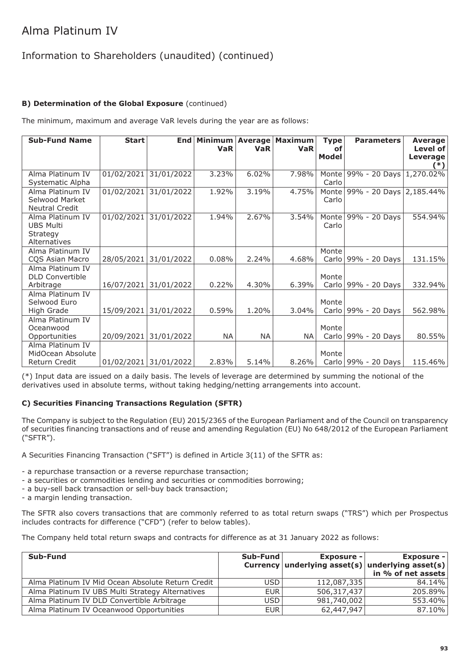### Information to Shareholders (unaudited) (continued)

### **B) Determination of the Global Exposure** (continued)

The minimum, maximum and average VaR levels during the year are as follows:

| <b>Sub-Fund Name</b>                                             | <b>Start</b> | <b>End</b>            | Minimum<br><b>VaR</b> | <b>Average</b><br><b>VaR</b> | <b>Maximum</b><br><b>VaR</b> | <b>Type</b><br>οf<br><b>Model</b> | <b>Parameters</b>       | Average<br>Level of<br>Leverage<br>$(*)$ |
|------------------------------------------------------------------|--------------|-----------------------|-----------------------|------------------------------|------------------------------|-----------------------------------|-------------------------|------------------------------------------|
| Alma Platinum IV<br>Systematic Alpha                             | 01/02/2021   | 31/01/2022            | 3.23%                 | 6.02%                        | 7.98%                        | Monte<br>Carlo                    | 99% - 20 Days 1,270.02% |                                          |
| Alma Platinum IV<br>Selwood Market<br>Neutral Credit             | 01/02/2021   | 31/01/2022            | 1.92%                 | 3.19%                        | 4.75%                        | Monte<br>Carlo                    | 99% - 20 Days 2,185.44% |                                          |
| Alma Platinum IV<br><b>UBS Multi</b><br>Strategy<br>Alternatives | 01/02/2021   | 31/01/2022            | 1.94%                 | 2.67%                        | 3.54%                        | Monte<br>Carlo                    | 99% - 20 Days           | 554.94%                                  |
| Alma Platinum IV<br>COS Asian Macro                              | 28/05/2021   | 31/01/2022            | 0.08%                 | 2.24%                        | 4.68%                        | Monte<br>Carlo                    | 99% - 20 Days           | 131.15%                                  |
| Alma Platinum IV<br><b>DLD Convertible</b><br>Arbitrage          | 16/07/2021   | 31/01/2022            | 0.22%                 | 4.30%                        | 6.39%                        | Monte<br>Carlo                    | 99% - 20 Days           | 332.94%                                  |
| Alma Platinum IV<br>Selwood Euro<br>High Grade                   | 15/09/2021   | 31/01/2022            | 0.59%                 | 1.20%                        | 3.04%                        | Monte<br>Carlo                    | 99% - 20 Days           | 562.98%                                  |
| Alma Platinum IV<br>Oceanwood<br>Opportunities                   | 20/09/2021   | 31/01/2022            | NA.                   | <b>NA</b>                    | NA                           | Monte<br>Carlo                    | 99% - 20 Days           | 80.55%                                   |
| Alma Platinum IV<br>MidOcean Absolute<br>Return Credit           |              | 01/02/2021 31/01/2022 | 2.83%                 | 5.14%                        | 8.26%                        | Monte                             | Carlo   99% - 20 Days   | 115.46%                                  |

(\*) Input data are issued on a daily basis. The levels of leverage are determined by summing the notional of the derivatives used in absolute terms, without taking hedging/netting arrangements into account.

#### **C) Securities Financing Transactions Regulation (SFTR)**

The Company is subject to the Regulation (EU) 2015/2365 of the European Parliament and of the Council on transparency of securities financing transactions and of reuse and amending Regulation (EU) No 648/2012 of the European Parliament ("SFTR").

A Securities Financing Transaction ("SFT") is defined in Article 3(11) of the SFTR as:

- a repurchase transaction or a reverse repurchase transaction;
- a securities or commodities lending and securities or commodities borrowing;
- a buy-sell back transaction or sell-buy back transaction;
- a margin lending transaction.

The SFTR also covers transactions that are commonly referred to as total return swaps ("TRS") which per Prospectus includes contracts for difference ("CFD") (refer to below tables).

The Company held total return swaps and contracts for difference as at 31 January 2022 as follows:

| Sub-Fund                                          | Sub-Fund   | <b>Exposure -</b> | <b>Exposure -</b><br>Currency underlying asset(s) underlying asset(s)<br>in % of net assets |
|---------------------------------------------------|------------|-------------------|---------------------------------------------------------------------------------------------|
| Alma Platinum IV Mid Ocean Absolute Return Credit | USD.       | 112,087,335       | 84.14%                                                                                      |
| Alma Platinum IV UBS Multi Strategy Alternatives  | <b>EUR</b> | 506,317,437       | 205.89%                                                                                     |
| Alma Platinum IV DLD Convertible Arbitrage        | USD        | 981,740,002       | 553.40%                                                                                     |
| Alma Platinum IV Oceanwood Opportunities          | <b>EUR</b> | 62,447,947        | 87.10%                                                                                      |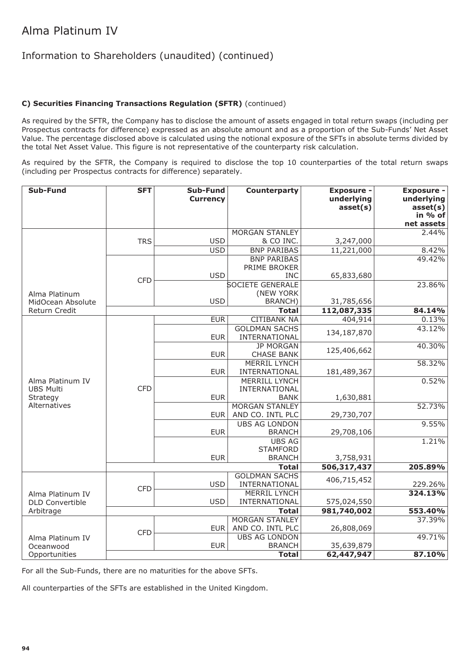### Information to Shareholders (unaudited) (continued)

#### **C) Securities Financing Transactions Regulation (SFTR)** (continued)

As required by the SFTR, the Company has to disclose the amount of assets engaged in total return swaps (including per Prospectus contracts for difference) expressed as an absolute amount and as a proportion of the Sub-Funds' Net Asset Value. The percentage disclosed above is calculated using the notional exposure of the SFTs in absolute terms divided by the total Net Asset Value. This figure is not representative of the counterparty risk calculation.

As required by the SFTR, the Company is required to disclose the top 10 counterparties of the total return swaps (including per Prospectus contracts for difference) separately.

| Sub-Fund                      | <b>SFT</b> | Sub-Fund<br><b>Currency</b>    | Counterparty                              | <b>Exposure -</b><br>underlying<br>asset(s) | <b>Exposure -</b><br>underlying<br>asset(s)<br>in % of |
|-------------------------------|------------|--------------------------------|-------------------------------------------|---------------------------------------------|--------------------------------------------------------|
|                               |            |                                |                                           |                                             | net assets                                             |
|                               |            |                                | <b>MORGAN STANLEY</b>                     |                                             | 2.44%                                                  |
|                               | <b>TRS</b> | <b>USD</b><br>$\overline{USD}$ | & CO INC.<br><b>BNP PARIBAS</b>           | 3,247,000                                   | 8.42%                                                  |
|                               |            |                                | <b>BNP PARIBAS</b>                        | 11,221,000                                  | 49.42%                                                 |
|                               |            |                                | PRIME BROKER                              |                                             |                                                        |
|                               |            | <b>USD</b>                     | <b>INC</b>                                | 65,833,680                                  |                                                        |
|                               | <b>CFD</b> |                                | <b>SOCIETE GENERALE</b>                   |                                             | 23.86%                                                 |
| Alma Platinum                 |            |                                | (NEW YORK                                 |                                             |                                                        |
| MidOcean Absolute             |            | <b>USD</b>                     | <b>BRANCH)</b>                            | 31,785,656                                  |                                                        |
| Return Credit                 |            |                                | <b>Total</b>                              | 112,087,335                                 | 84.14%                                                 |
|                               |            | <b>EUR</b>                     | <b>CITIBANK NA</b>                        | 404,914                                     | 0.13%                                                  |
|                               |            |                                | <b>GOLDMAN SACHS</b>                      | 134,187,870                                 | 43.12%                                                 |
|                               |            | <b>EUR</b>                     | INTERNATIONAL                             |                                             |                                                        |
|                               |            |                                | <b>JP MORGAN</b>                          | 125,406,662                                 | 40.30%                                                 |
|                               |            | <b>EUR</b>                     | <b>CHASE BANK</b>                         |                                             |                                                        |
|                               |            |                                | <b>MERRIL LYNCH</b>                       |                                             | 58.32%                                                 |
|                               |            | <b>EUR</b>                     | INTERNATIONAL                             | 181,489,367                                 |                                                        |
| Alma Platinum IV              |            |                                | <b>MERRILL LYNCH</b>                      |                                             | 0.52%                                                  |
| <b>UBS Multi</b>              | <b>CFD</b> |                                | INTERNATIONAL                             |                                             |                                                        |
| Strategy<br>Alternatives      |            | <b>EUR</b>                     | <b>BANK</b>                               | 1,630,881                                   |                                                        |
|                               |            | <b>EUR</b>                     | <b>MORGAN STANLEY</b><br>AND CO. INTL PLC | 29,730,707                                  | 52.73%                                                 |
|                               |            |                                | <b>UBS AG LONDON</b>                      |                                             | 9.55%                                                  |
|                               |            | <b>EUR</b>                     | <b>BRANCH</b>                             | 29,708,106                                  |                                                        |
|                               |            |                                | <b>UBS AG</b>                             |                                             | 1.21%                                                  |
|                               |            |                                | <b>STAMFORD</b>                           |                                             |                                                        |
|                               |            | <b>EUR</b>                     | <b>BRANCH</b>                             | 3,758,931                                   |                                                        |
|                               |            |                                | <b>Total</b>                              | 506,317,437                                 | 205.89%                                                |
|                               |            |                                | <b>GOLDMAN SACHS</b>                      |                                             |                                                        |
|                               | <b>CFD</b> | <b>USD</b>                     | INTERNATIONAL                             | 406,715,452                                 | 229.26%                                                |
| Alma Platinum IV              |            |                                | <b>MERRIL LYNCH</b>                       |                                             | 324.13%                                                |
| <b>DLD Convertible</b>        |            | <b>USD</b>                     | INTERNATIONAL                             | 575,024,550                                 |                                                        |
| Arbitrage                     |            |                                | <b>Total</b>                              | 981,740,002                                 | 553.40%                                                |
|                               |            |                                | <b>MORGAN STANLEY</b>                     |                                             | 37.39%                                                 |
|                               | <b>CFD</b> | <b>EUR</b>                     | AND CO. INTL PLC                          | 26,808,069                                  |                                                        |
| Alma Platinum IV              |            |                                | <b>UBS AG LONDON</b>                      |                                             | 49.71%                                                 |
| Oceanwood                     |            | <b>EUR</b>                     | <b>BRANCH</b>                             | 35,639,879                                  |                                                        |
| <b>Total</b><br>Opportunities |            |                                |                                           | 62,447,947                                  | 87.10%                                                 |

For all the Sub-Funds, there are no maturities for the above SFTs.

All counterparties of the SFTs are established in the United Kingdom.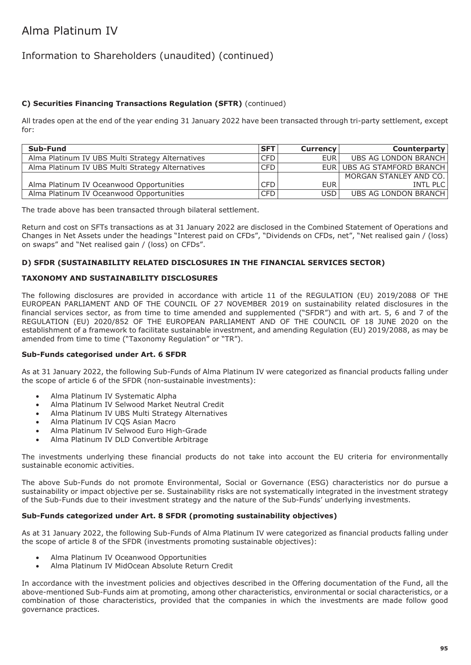### Information to Shareholders (unaudited) (continued)

#### **C) Securities Financing Transactions Regulation (SFTR)** (continued)

All trades open at the end of the year ending 31 January 2022 have been transacted through tri-party settlement, except for:

| Sub-Fund                                         | <b>SFT</b> | <b>Currency</b>  | <b>Counterparty</b>        |
|--------------------------------------------------|------------|------------------|----------------------------|
| Alma Platinum IV UBS Multi Strategy Alternatives | <b>CFD</b> | EUR <sup>1</sup> | UBS AG LONDON BRANCH       |
| Alma Platinum IV UBS Multi Strategy Alternatives | <b>CFD</b> |                  | EUR UBS AG STAMFORD BRANCH |
|                                                  |            |                  | MORGAN STANLEY AND CO.     |
| Alma Platinum IV Oceanwood Opportunities         | <b>CFD</b> | EUR <sup>1</sup> | <b>INTL PLC</b>            |
| Alma Platinum IV Oceanwood Opportunities         | <b>CFD</b> | USD <sup>1</sup> | UBS AG LONDON BRANCH       |

The trade above has been transacted through bilateral settlement.

Return and cost on SFTs transactions as at 31 January 2022 are disclosed in the Combined Statement of Operations and Changes in Net Assets under the headings "Interest paid on CFDs", "Dividends on CFDs, net", "Net realised gain / (loss) on swaps" and "Net realised gain / (loss) on CFDs".

#### **D) SFDR (SUSTAINABILITY RELATED DISCLOSURES IN THE FINANCIAL SERVICES SECTOR)**

#### **TAXONOMY AND SUSTAINABILITY DISCLOSURES**

The following disclosures are provided in accordance with article 11 of the REGULATION (EU) 2019/2088 OF THE EUROPEAN PARLIAMENT AND OF THE COUNCIL OF 27 NOVEMBER 2019 on sustainability related disclosures in the financial services sector, as from time to time amended and supplemented ("SFDR") and with art. 5, 6 and 7 of the REGULATION (EU) 2020/852 OF THE EUROPEAN PARLIAMENT AND OF THE COUNCIL OF 18 JUNE 2020 on the establishment of a framework to facilitate sustainable investment, and amending Regulation (EU) 2019/2088, as may be amended from time to time ("Taxonomy Regulation" or "TR").

#### **Sub-Funds categorised under Art. 6 SFDR**

As at 31 January 2022, the following Sub-Funds of Alma Platinum IV were categorized as financial products falling under the scope of article 6 of the SFDR (non-sustainable investments):

- Alma Platinum IV Systematic Alpha
- Alma Platinum IV Selwood Market Neutral Credit
- Alma Platinum IV UBS Multi Strategy Alternatives
- Alma Platinum IV CQS Asian Macro
- Alma Platinum IV Selwood Euro High-Grade
- Alma Platinum IV DLD Convertible Arbitrage

The investments underlying these financial products do not take into account the EU criteria for environmentally sustainable economic activities.

The above Sub-Funds do not promote Environmental, Social or Governance (ESG) characteristics nor do pursue a sustainability or impact objective per se. Sustainability risks are not systematically integrated in the investment strategy of the Sub-Funds due to their investment strategy and the nature of the Sub-Funds' underlying investments.

#### **Sub-Funds categorized under Art. 8 SFDR (promoting sustainability objectives)**

As at 31 January 2022, the following Sub-Funds of Alma Platinum IV were categorized as financial products falling under the scope of article 8 of the SFDR (investments promoting sustainable objectives):

- Alma Platinum IV Oceanwood Opportunities
- Alma Platinum IV MidOcean Absolute Return Credit

In accordance with the investment policies and objectives described in the Offering documentation of the Fund, all the above-mentioned Sub-Funds aim at promoting, among other characteristics, environmental or social characteristics, or a combination of those characteristics, provided that the companies in which the investments are made follow good governance practices.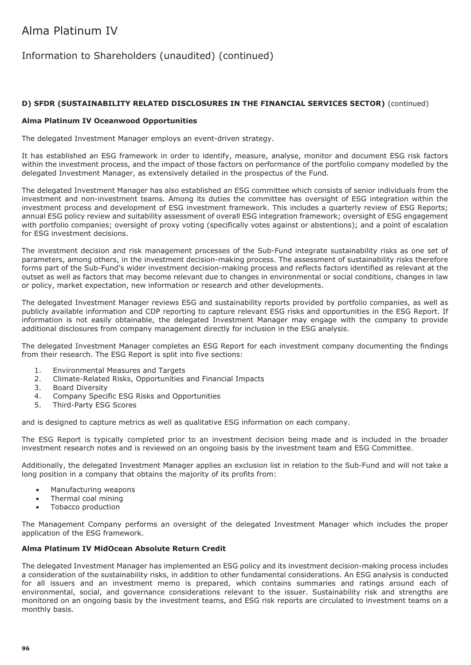### Information to Shareholders (unaudited) (continued)

#### **D) SFDR (SUSTAINABILITY RELATED DISCLOSURES IN THE FINANCIAL SERVICES SECTOR)** (continued)

#### **Alma Platinum IV Oceanwood Opportunities**

The delegated Investment Manager employs an event-driven strategy.

It has established an ESG framework in order to identify, measure, analyse, monitor and document ESG risk factors within the investment process, and the impact of those factors on performance of the portfolio company modelled by the delegated Investment Manager, as extensively detailed in the prospectus of the Fund.

The delegated Investment Manager has also established an ESG committee which consists of senior individuals from the investment and non-investment teams. Among its duties the committee has oversight of ESG integration within the investment process and development of ESG investment framework. This includes a quarterly review of ESG Reports; annual ESG policy review and suitability assessment of overall ESG integration framework; oversight of ESG engagement with portfolio companies; oversight of proxy voting (specifically votes against or abstentions); and a point of escalation for ESG investment decisions.

The investment decision and risk management processes of the Sub-Fund integrate sustainability risks as one set of parameters, among others, in the investment decision-making process. The assessment of sustainability risks therefore forms part of the Sub-Fund's wider investment decision-making process and reflects factors identified as relevant at the outset as well as factors that may become relevant due to changes in environmental or social conditions, changes in law or policy, market expectation, new information or research and other developments.

The delegated Investment Manager reviews ESG and sustainability reports provided by portfolio companies, as well as publicly available information and CDP reporting to capture relevant ESG risks and opportunities in the ESG Report. If information is not easily obtainable, the delegated Investment Manager may engage with the company to provide additional disclosures from company management directly for inclusion in the ESG analysis.

The delegated Investment Manager completes an ESG Report for each investment company documenting the findings from their research. The ESG Report is split into five sections:

- 1. Environmental Measures and Targets<br>2. Climate-Related Risks. Opportunities
- 2. Climate-Related Risks, Opportunities and Financial Impacts
- 3. Board Diversity<br>4. Company Speci
- 4. Company Specific ESG Risks and Opportunities<br>5. Third-Party ESG Scores
- 5. Third-Party ESG Scores

and is designed to capture metrics as well as qualitative ESG information on each company.

The ESG Report is typically completed prior to an investment decision being made and is included in the broader investment research notes and is reviewed on an ongoing basis by the investment team and ESG Committee.

Additionally, the delegated Investment Manager applies an exclusion list in relation to the Sub-Fund and will not take a long position in a company that obtains the majority of its profits from:

- Manufacturing weapons
- Thermal coal mining
- Tobacco production

The Management Company performs an oversight of the delegated Investment Manager which includes the proper application of the ESG framework.

#### **Alma Platinum IV MidOcean Absolute Return Credit**

The delegated Investment Manager has implemented an ESG policy and its investment decision-making process includes a consideration of the sustainability risks, in addition to other fundamental considerations. An ESG analysis is conducted for all issuers and an investment memo is prepared, which contains summaries and ratings around each of environmental, social, and governance considerations relevant to the issuer. Sustainability risk and strengths are monitored on an ongoing basis by the investment teams, and ESG risk reports are circulated to investment teams on a monthly basis.